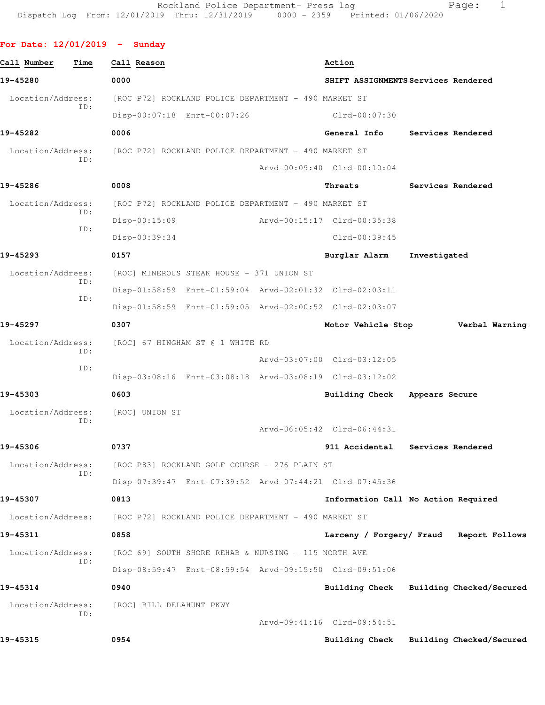## **For Date: 12/01/2019 - Sunday**

| Call Number       | Time | Call Reason                                          |  | Action                                                  |                   |                          |
|-------------------|------|------------------------------------------------------|--|---------------------------------------------------------|-------------------|--------------------------|
| 19-45280          |      | 0000                                                 |  | SHIFT ASSIGNMENTS Services Rendered                     |                   |                          |
| Location/Address: |      | [ROC P72] ROCKLAND POLICE DEPARTMENT - 490 MARKET ST |  |                                                         |                   |                          |
|                   | ID:  | Disp-00:07:18 Enrt-00:07:26                          |  | Clrd-00:07:30                                           |                   |                          |
| 19-45282          |      | 0006                                                 |  | General Info                                            | Services Rendered |                          |
| Location/Address: |      | [ROC P72] ROCKLAND POLICE DEPARTMENT - 490 MARKET ST |  |                                                         |                   |                          |
|                   | ID:  |                                                      |  | Arvd-00:09:40 Clrd-00:10:04                             |                   |                          |
| 19-45286          |      | 0008                                                 |  | Threats                                                 | Services Rendered |                          |
| Location/Address: |      | [ROC P72] ROCKLAND POLICE DEPARTMENT - 490 MARKET ST |  |                                                         |                   |                          |
|                   | ID:  | Disp-00:15:09                                        |  | Arvd-00:15:17 Clrd-00:35:38                             |                   |                          |
|                   | ID:  | Disp-00:39:34                                        |  | Clrd-00:39:45                                           |                   |                          |
| 19-45293          |      | 0157                                                 |  | Burglar Alarm                                           | Investigated      |                          |
| Location/Address: |      | [ROC] MINEROUS STEAK HOUSE - 371 UNION ST            |  |                                                         |                   |                          |
|                   | ID:  |                                                      |  | Disp-01:58:59 Enrt-01:59:04 Arvd-02:01:32 Clrd-02:03:11 |                   |                          |
|                   | ID:  |                                                      |  | Disp-01:58:59 Enrt-01:59:05 Arvd-02:00:52 Clrd-02:03:07 |                   |                          |
| 19-45297          |      | 0307                                                 |  | Motor Vehicle Stop                                      |                   | Verbal Warning           |
| Location/Address: |      | [ROC] 67 HINGHAM ST @ 1 WHITE RD                     |  |                                                         |                   |                          |
|                   | ID:  |                                                      |  | Arvd-03:07:00 Clrd-03:12:05                             |                   |                          |
|                   | ID:  |                                                      |  | Disp-03:08:16 Enrt-03:08:18 Arvd-03:08:19 Clrd-03:12:02 |                   |                          |
| 19-45303          |      | 0603                                                 |  | <b>Building Check</b>                                   | Appears Secure    |                          |
| Location/Address: | ID:  | [ROC] UNION ST                                       |  |                                                         |                   |                          |
|                   |      |                                                      |  | Arvd-06:05:42 Clrd-06:44:31                             |                   |                          |
| 19-45306          |      | 0737                                                 |  | 911 Accidental                                          | Services Rendered |                          |
| Location/Address: | ID:  | [ROC P83] ROCKLAND GOLF COURSE - 276 PLAIN ST        |  |                                                         |                   |                          |
|                   |      |                                                      |  | Disp-07:39:47 Enrt-07:39:52 Arvd-07:44:21 Clrd-07:45:36 |                   |                          |
| 19-45307          |      | 0813                                                 |  | Information Call No Action Required                     |                   |                          |
| Location/Address: |      | [ROC P72] ROCKLAND POLICE DEPARTMENT - 490 MARKET ST |  |                                                         |                   |                          |
| 19-45311          |      | 0858                                                 |  | Larceny / Forgery/ Fraud Report Follows                 |                   |                          |
| Location/Address: |      | [ROC 69] SOUTH SHORE REHAB & NURSING - 115 NORTH AVE |  |                                                         |                   |                          |
|                   | ID:  |                                                      |  | Disp-08:59:47 Enrt-08:59:54 Arvd-09:15:50 Clrd-09:51:06 |                   |                          |
| 19-45314          |      | 0940                                                 |  | Building Check                                          |                   | Building Checked/Secured |
| Location/Address: |      | [ROC] BILL DELAHUNT PKWY                             |  |                                                         |                   |                          |
|                   | ID:  |                                                      |  | Arvd-09:41:16 Clrd-09:54:51                             |                   |                          |
| 19-45315          |      | 0954                                                 |  | <b>Building Check</b>                                   |                   | Building Checked/Secured |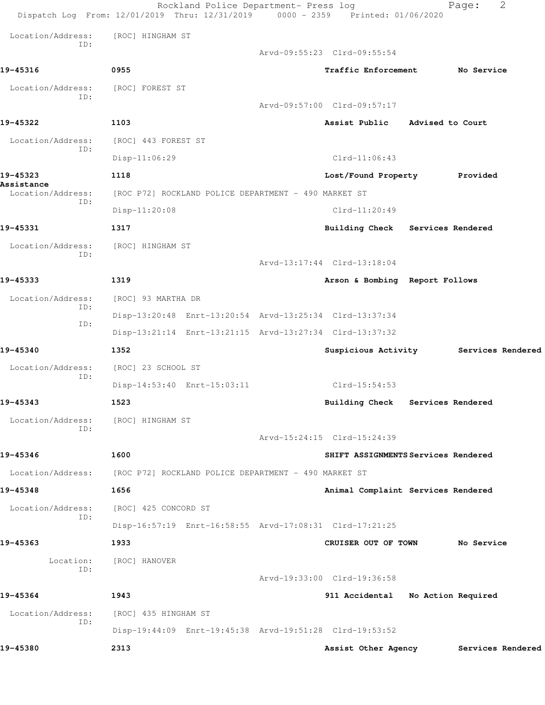|                                   | Rockland Police Department- Press log<br>Dispatch Log From: 12/01/2019 Thru: 12/31/2019 0000 - 2359 Printed: 01/06/2020 |                                     |                   | 2<br>Page:                            |
|-----------------------------------|-------------------------------------------------------------------------------------------------------------------------|-------------------------------------|-------------------|---------------------------------------|
| Location/Address:                 | [ROC] HINGHAM ST                                                                                                        |                                     |                   |                                       |
| TD:                               |                                                                                                                         | Arvd-09:55:23 Clrd-09:55:54         |                   |                                       |
| 19-45316                          | 0955                                                                                                                    | Traffic Enforcement No Service      |                   |                                       |
| Location/Address: [ROC] FOREST ST |                                                                                                                         |                                     |                   |                                       |
| ID:                               |                                                                                                                         | Arvd-09:57:00 Clrd-09:57:17         |                   |                                       |
| 19-45322                          | 1103                                                                                                                    | Assist Public Advised to Court      |                   |                                       |
| Location/Address:                 | [ROC] 443 FOREST ST                                                                                                     |                                     |                   |                                       |
| ID:                               | Disp-11:06:29                                                                                                           | $Clrd-11:06:43$                     |                   |                                       |
| 19-45323                          | 1118                                                                                                                    | Lost/Found Property Provided        |                   |                                       |
| Assistance<br>Location/Address:   | [ROC P72] ROCKLAND POLICE DEPARTMENT - 490 MARKET ST                                                                    |                                     |                   |                                       |
| ID:                               | $Disp-11:20:08$                                                                                                         | $Clrd-11:20:49$                     |                   |                                       |
| 19-45331                          | 1317                                                                                                                    | Building Check Services Rendered    |                   |                                       |
| Location/Address:                 | [ROC] HINGHAM ST                                                                                                        |                                     |                   |                                       |
| ID:                               |                                                                                                                         | Arvd-13:17:44 Clrd-13:18:04         |                   |                                       |
| 19-45333                          | 1319                                                                                                                    | Arson & Bombing Report Follows      |                   |                                       |
| Location/Address:                 | [ROC] 93 MARTHA DR                                                                                                      |                                     |                   |                                       |
| ID:                               | Disp-13:20:48 Enrt-13:20:54 Arvd-13:25:34 Clrd-13:37:34                                                                 |                                     |                   |                                       |
| ID:                               | Disp-13:21:14 Enrt-13:21:15 Arvd-13:27:34 Clrd-13:37:32                                                                 |                                     |                   |                                       |
| 19-45340                          | 1352                                                                                                                    |                                     |                   | Suspicious Activity Services Rendered |
| Location/Address:                 | [ROC] 23 SCHOOL ST                                                                                                      |                                     |                   |                                       |
| ID:                               | Disp-14:53:40 Enrt-15:03:11                                                                                             | Clrd-15:54:53                       |                   |                                       |
| 19-45343                          | 1523                                                                                                                    | <b>Building Check</b>               | Services Rendered |                                       |
| Location/Address:<br>ID:          | [ROC] HINGHAM ST                                                                                                        |                                     |                   |                                       |
|                                   |                                                                                                                         | Arvd-15:24:15 Clrd-15:24:39         |                   |                                       |
| 19-45346                          | 1600                                                                                                                    | SHIFT ASSIGNMENTS Services Rendered |                   |                                       |
| Location/Address:                 | [ROC P72] ROCKLAND POLICE DEPARTMENT - 490 MARKET ST                                                                    |                                     |                   |                                       |
| 19-45348                          | 1656                                                                                                                    | Animal Complaint Services Rendered  |                   |                                       |
| Location/Address:                 | [ROC] 425 CONCORD ST                                                                                                    |                                     |                   |                                       |
| ID:                               | Disp-16:57:19 Enrt-16:58:55 Arvd-17:08:31 Clrd-17:21:25                                                                 |                                     |                   |                                       |
| 19-45363                          | 1933                                                                                                                    | CRUISER OUT OF TOWN                 |                   | No Service                            |
| Location:<br>ID:                  | [ROC] HANOVER                                                                                                           |                                     |                   |                                       |
|                                   |                                                                                                                         | Arvd-19:33:00 Clrd-19:36:58         |                   |                                       |
| 19-45364                          | 1943                                                                                                                    | 911 Accidental No Action Required   |                   |                                       |
| Location/Address:                 | [ROC] 435 HINGHAM ST                                                                                                    |                                     |                   |                                       |
| ID:                               | Disp-19:44:09 Enrt-19:45:38 Arvd-19:51:28 Clrd-19:53:52                                                                 |                                     |                   |                                       |
| 19-45380                          | 2313                                                                                                                    | Assist Other Agency                 |                   | Services Rendered                     |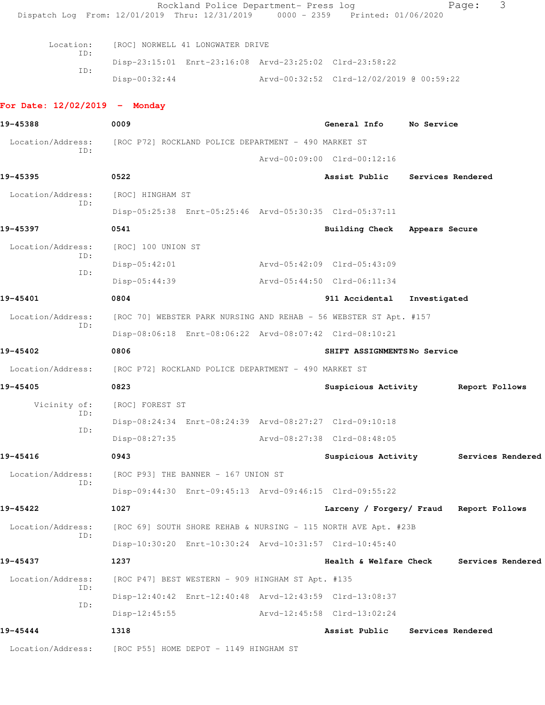|                                 | Rockland Police Department- Press log<br>Dispatch Log From: 12/01/2019 Thru: 12/31/2019 0000 - 2359 Printed: 01/06/2020 |                                          |                   | 3<br>Page:                            |
|---------------------------------|-------------------------------------------------------------------------------------------------------------------------|------------------------------------------|-------------------|---------------------------------------|
| Location:                       | [ROC] NORWELL 41 LONGWATER DRIVE                                                                                        |                                          |                   |                                       |
| ID:                             | Disp-23:15:01 Enrt-23:16:08 Arvd-23:25:02 Clrd-23:58:22                                                                 |                                          |                   |                                       |
| ID:                             | $Disp-00:32:44$                                                                                                         | Arvd-00:32:52 Clrd-12/02/2019 @ 00:59:22 |                   |                                       |
| For Date: $12/02/2019$ - Monday |                                                                                                                         |                                          |                   |                                       |
| 19-45388                        | 0009                                                                                                                    | General Info                             | No Service        |                                       |
| ID:                             | Location/Address: [ROC P72] ROCKLAND POLICE DEPARTMENT - 490 MARKET ST                                                  |                                          |                   |                                       |
|                                 |                                                                                                                         | Arvd-00:09:00 Clrd-00:12:16              |                   |                                       |
| 19-45395                        | 0522                                                                                                                    | Assist Public                            | Services Rendered |                                       |
| Location/Address:               | [ROC] HINGHAM ST                                                                                                        |                                          |                   |                                       |
| ID:                             | Disp-05:25:38 Enrt-05:25:46 Arvd-05:30:35 Clrd-05:37:11                                                                 |                                          |                   |                                       |
| 19-45397                        | 0541                                                                                                                    | Building Check Appears Secure            |                   |                                       |
| Location/Address:               | [ROC] 100 UNION ST                                                                                                      |                                          |                   |                                       |
| ID:                             | $Disp-05:42:01$                                                                                                         | Arvd-05:42:09 Clrd-05:43:09              |                   |                                       |
| ID:                             | $Disp-05:44:39$                                                                                                         | Arvd-05:44:50 Clrd-06:11:34              |                   |                                       |
| 19-45401                        | 0804                                                                                                                    | 911 Accidental                           | Investigated      |                                       |
| Location/Address:               | [ROC 70] WEBSTER PARK NURSING AND REHAB - 56 WEBSTER ST Apt. #157                                                       |                                          |                   |                                       |
| ID:                             | Disp-08:06:18 Enrt-08:06:22 Arvd-08:07:42 Clrd-08:10:21                                                                 |                                          |                   |                                       |
| 19-45402                        | 0806                                                                                                                    | SHIFT ASSIGNMENTSNo Service              |                   |                                       |
| Location/Address:               | [ROC P72] ROCKLAND POLICE DEPARTMENT - 490 MARKET ST                                                                    |                                          |                   |                                       |
| 19-45405                        | 0823                                                                                                                    | Suspicious Activity                      |                   | Report Follows                        |
| Vicinity of:                    | [ROC] FOREST ST                                                                                                         |                                          |                   |                                       |
| ID:                             | Disp-08:24:34 Enrt-08:24:39 Arvd-08:27:27 Clrd-09:10:18                                                                 |                                          |                   |                                       |
| ID:                             | Disp-08:27:35                                                                                                           | Arvd-08:27:38 Clrd-08:48:05              |                   |                                       |
| 19-45416                        | 0943                                                                                                                    |                                          |                   | Suspicious Activity Services Rendered |
| Location/Address:               | [ROC P93] THE BANNER - 167 UNION ST                                                                                     |                                          |                   |                                       |
| ID:                             | Disp-09:44:30 Enrt-09:45:13 Arvd-09:46:15 Clrd-09:55:22                                                                 |                                          |                   |                                       |
| 19-45422                        | 1027                                                                                                                    | Larceny / Forgery/ Fraud Report Follows  |                   |                                       |
| Location/Address:               | [ROC 69] SOUTH SHORE REHAB & NURSING - 115 NORTH AVE Apt. #23B                                                          |                                          |                   |                                       |
| ID:                             | Disp-10:30:20 Enrt-10:30:24 Arvd-10:31:57 Clrd-10:45:40                                                                 |                                          |                   |                                       |
| 19-45437                        | 1237                                                                                                                    | Health & Welfare Check                   |                   | Services Rendered                     |
| Location/Address:               | [ROC P47] BEST WESTERN - 909 HINGHAM ST Apt. #135                                                                       |                                          |                   |                                       |
| ID:                             | Disp-12:40:42 Enrt-12:40:48 Arvd-12:43:59 Clrd-13:08:37                                                                 |                                          |                   |                                       |
| ID:                             | $Disp-12:45:55$                                                                                                         | Arvd-12:45:58 Clrd-13:02:24              |                   |                                       |
| 19-45444                        | 1318                                                                                                                    | Assist Public                            | Services Rendered |                                       |
| Location/Address:               | [ROC P55] HOME DEPOT - 1149 HINGHAM ST                                                                                  |                                          |                   |                                       |
|                                 |                                                                                                                         |                                          |                   |                                       |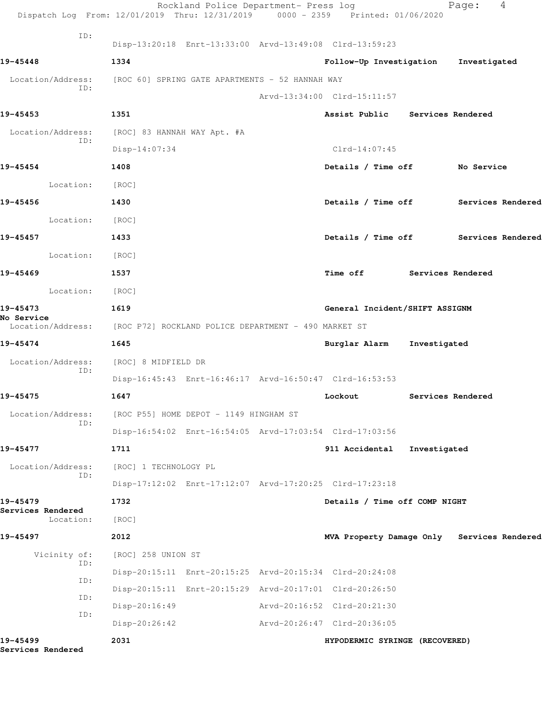| Dispatch Log From: 12/01/2019 Thru: 12/31/2019 0000 - 2359 Printed: 01/06/2020       |                                        | Rockland Police Department- Press log |                                                         |              | Page:             | 4 |
|--------------------------------------------------------------------------------------|----------------------------------------|---------------------------------------|---------------------------------------------------------|--------------|-------------------|---|
| ID:                                                                                  |                                        |                                       | Disp-13:20:18 Enrt-13:33:00 Arvd-13:49:08 Clrd-13:59:23 |              |                   |   |
| 19-45448                                                                             | 1334                                   |                                       | Follow-Up Investigation                                 |              | Investigated      |   |
| Location/Address: [ROC 60] SPRING GATE APARTMENTS - 52 HANNAH WAY                    |                                        |                                       |                                                         |              |                   |   |
| ID:                                                                                  |                                        |                                       | Arvd-13:34:00 Clrd-15:11:57                             |              |                   |   |
| 19-45453                                                                             | 1351                                   |                                       | Assist Public Services Rendered                         |              |                   |   |
| Location/Address: [ROC] 83 HANNAH WAY Apt. #A                                        |                                        |                                       |                                                         |              |                   |   |
| ID:                                                                                  | $Disp-14:07:34$                        |                                       | $Clrd-14:07:45$                                         |              |                   |   |
| 19-45454                                                                             | 1408                                   |                                       | Details / Time off No Service                           |              |                   |   |
| Location:                                                                            | [ROC]                                  |                                       |                                                         |              |                   |   |
| 19-45456                                                                             | 1430                                   |                                       | Details / Time off Services Rendered                    |              |                   |   |
| Location:                                                                            | [ROC]                                  |                                       |                                                         |              |                   |   |
| 19-45457                                                                             | 1433                                   |                                       | Details / Time off Services Rendered                    |              |                   |   |
| Location:                                                                            | [ROC]                                  |                                       |                                                         |              |                   |   |
| 19-45469                                                                             | 1537                                   |                                       | Time off Services Rendered                              |              |                   |   |
| Location: [ROC]                                                                      |                                        |                                       |                                                         |              |                   |   |
| 19-45473                                                                             | 1619                                   |                                       | General Incident/SHIFT ASSIGNM                          |              |                   |   |
| No Service<br>Location/Address: [ROC P72] ROCKLAND POLICE DEPARTMENT - 490 MARKET ST |                                        |                                       |                                                         |              |                   |   |
| 19-45474                                                                             | 1645                                   |                                       | Burglar Alarm Investigated                              |              |                   |   |
| Location/Address:                                                                    | [ROC] 8 MIDFIELD DR                    |                                       |                                                         |              |                   |   |
| ID:                                                                                  |                                        |                                       | Disp-16:45:43 Enrt-16:46:17 Arvd-16:50:47 Clrd-16:53:53 |              |                   |   |
| 19-45475                                                                             | 1647                                   |                                       | Lockout                                                 |              | Services Rendered |   |
| Location/Address:                                                                    | [ROC P55] HOME DEPOT - 1149 HINGHAM ST |                                       |                                                         |              |                   |   |
| ID:                                                                                  |                                        |                                       | Disp-16:54:02 Enrt-16:54:05 Arvd-17:03:54 Clrd-17:03:56 |              |                   |   |
| 19-45477                                                                             | 1711                                   |                                       | 911 Accidental                                          | Investigated |                   |   |
| Location/Address:                                                                    | [ROC] 1 TECHNOLOGY PL                  |                                       |                                                         |              |                   |   |
| ID:                                                                                  |                                        |                                       | Disp-17:12:02 Enrt-17:12:07 Arvd-17:20:25 Clrd-17:23:18 |              |                   |   |
| 19-45479                                                                             | 1732                                   |                                       | Details / Time off COMP NIGHT                           |              |                   |   |
| Services Rendered<br>Location:                                                       | [ROC]                                  |                                       |                                                         |              |                   |   |
| 19-45497                                                                             | 2012                                   |                                       | MVA Property Damage Only Services Rendered              |              |                   |   |
| Vicinity of:                                                                         | [ROC] 258 UNION ST                     |                                       |                                                         |              |                   |   |
| ID:                                                                                  |                                        |                                       | Disp-20:15:11 Enrt-20:15:25 Arvd-20:15:34 Clrd-20:24:08 |              |                   |   |
| ID:                                                                                  |                                        |                                       | Disp-20:15:11 Enrt-20:15:29 Arvd-20:17:01 Clrd-20:26:50 |              |                   |   |
| ID:                                                                                  | $Disp-20:16:49$                        |                                       | Arvd-20:16:52 Clrd-20:21:30                             |              |                   |   |
| ID:                                                                                  | $Disp-20:26:42$                        |                                       | Arvd-20:26:47 Clrd-20:36:05                             |              |                   |   |
| 19-45499<br>Services Rendered                                                        | 2031                                   |                                       | HYPODERMIC SYRINGE (RECOVERED)                          |              |                   |   |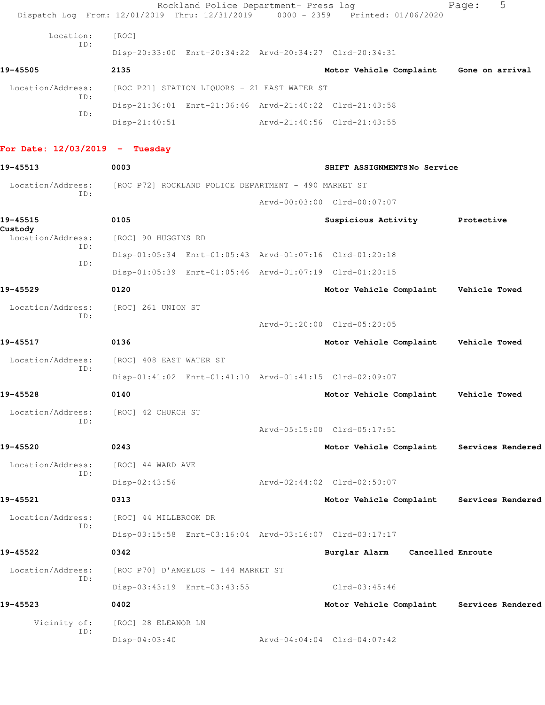|                                     | Rockland Police Department- Press log<br>Dispatch Log From: 12/01/2019 Thru: 12/31/2019 | $0000 - 2359$ | Printed: 01/06/2020                       | 5<br>Page:        |
|-------------------------------------|-----------------------------------------------------------------------------------------|---------------|-------------------------------------------|-------------------|
| Location:                           | [ROC]                                                                                   |               |                                           |                   |
| ID:                                 | Disp-20:33:00 Enrt-20:34:22 Arvd-20:34:27 Clrd-20:34:31                                 |               |                                           |                   |
| 19-45505                            | 2135                                                                                    |               | Motor Vehicle Complaint Gone on arrival   |                   |
| Location/Address:                   | [ROC P21] STATION LIQUORS - 21 EAST WATER ST                                            |               |                                           |                   |
| ID:                                 | Disp-21:36:01 Enrt-21:36:46 Arvd-21:40:22 Clrd-21:43:58                                 |               |                                           |                   |
| ID:                                 | $Disp-21:40:51$                                                                         |               | Arvd-21:40:56 Clrd-21:43:55               |                   |
| For Date: $12/03/2019$ - Tuesday    |                                                                                         |               |                                           |                   |
| 19-45513                            | 0003                                                                                    |               | SHIFT ASSIGNMENTSNo Service               |                   |
| Location/Address:                   | [ROC P72] ROCKLAND POLICE DEPARTMENT - 490 MARKET ST                                    |               |                                           |                   |
| ID:                                 |                                                                                         |               | Arvd-00:03:00 Clrd-00:07:07               |                   |
| 19-45515                            | 0105                                                                                    |               | Suspicious Activity Protective            |                   |
| Custody<br>Location/Address:<br>ID: | [ROC] 90 HUGGINS RD                                                                     |               |                                           |                   |
|                                     | Disp-01:05:34 Enrt-01:05:43 Arvd-01:07:16 Clrd-01:20:18                                 |               |                                           |                   |
| ID:                                 | Disp-01:05:39 Enrt-01:05:46 Arvd-01:07:19 Clrd-01:20:15                                 |               |                                           |                   |
| 19-45529                            | 0120                                                                                    |               | Motor Vehicle Complaint Vehicle Towed     |                   |
| Location/Address:                   | [ROC] 261 UNION ST                                                                      |               |                                           |                   |
| ID:                                 |                                                                                         |               | Arvd-01:20:00 Clrd-05:20:05               |                   |
| 19-45517                            | 0136                                                                                    |               | Motor Vehicle Complaint Vehicle Towed     |                   |
| Location/Address:                   | [ROC] 408 EAST WATER ST                                                                 |               |                                           |                   |
| ID:                                 | Disp-01:41:02 Enrt-01:41:10 Arvd-01:41:15 Clrd-02:09:07                                 |               |                                           |                   |
| 19-45528                            | 0140                                                                                    |               | Motor Vehicle Complaint Vehicle Towed     |                   |
| Location/Address:<br>ID:            | [ROC] 42 CHURCH ST                                                                      |               |                                           |                   |
|                                     |                                                                                         |               | Arvd-05:15:00 Clrd-05:17:51               |                   |
| 19-45520                            | 0243                                                                                    |               | Motor Vehicle Complaint Services Rendered |                   |
| Location/Address:<br>ID:            | [ROC] 44 WARD AVE                                                                       |               |                                           |                   |
|                                     | Disp-02:43:56                                                                           |               | Arvd-02:44:02 Clrd-02:50:07               |                   |
| 19-45521                            | 0313                                                                                    |               | Motor Vehicle Complaint                   | Services Rendered |
| Location/Address:<br>ID:            | [ROC] 44 MILLBROOK DR                                                                   |               |                                           |                   |
|                                     | Disp-03:15:58 Enrt-03:16:04 Arvd-03:16:07 Clrd-03:17:17                                 |               |                                           |                   |
| 19-45522                            | 0342                                                                                    |               | Burglar Alarm Cancelled Enroute           |                   |
| Location/Address:<br>ID:            | [ROC P70] D'ANGELOS - 144 MARKET ST                                                     |               |                                           |                   |
|                                     | Disp-03:43:19 Enrt-03:43:55                                                             |               | $Clrd-03:45:46$                           |                   |
| 19-45523                            | 0402                                                                                    |               | Motor Vehicle Complaint                   | Services Rendered |
| Vicinity of:<br>ID:                 | [ROC] 28 ELEANOR LN                                                                     |               |                                           |                   |
|                                     | $Disp-04:03:40$                                                                         |               | Arvd-04:04:04 Clrd-04:07:42               |                   |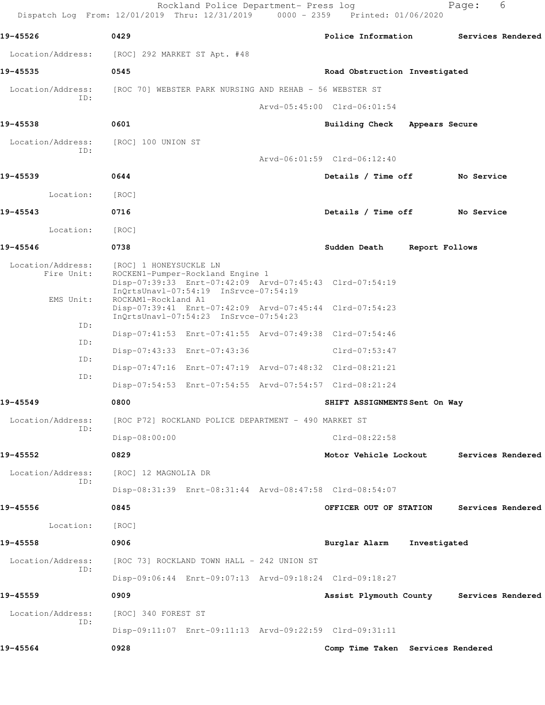|                                 | Dispatch Log From: 12/01/2019 Thru: 12/31/2019 0000 - 2359 Printed: 01/06/2020                                                                                   | Rockland Police Department- Press log |                                          |                | Page:             | 6 |
|---------------------------------|------------------------------------------------------------------------------------------------------------------------------------------------------------------|---------------------------------------|------------------------------------------|----------------|-------------------|---|
| 19-45526                        | 0429                                                                                                                                                             |                                       | Police Information                       |                | Services Rendered |   |
| Location/Address:               | [ROC] 292 MARKET ST Apt. #48                                                                                                                                     |                                       |                                          |                |                   |   |
| 19-45535                        | 0545                                                                                                                                                             |                                       | Road Obstruction Investigated            |                |                   |   |
|                                 | Location/Address: [ROC 70] WEBSTER PARK NURSING AND REHAB - 56 WEBSTER ST                                                                                        |                                       |                                          |                |                   |   |
| ID:                             |                                                                                                                                                                  |                                       | Arvd-05:45:00 Clrd-06:01:54              |                |                   |   |
| 19-45538                        | 0601                                                                                                                                                             |                                       | Building Check Appears Secure            |                |                   |   |
| Location/Address:               | [ROC] 100 UNION ST                                                                                                                                               |                                       |                                          |                |                   |   |
| ID:                             |                                                                                                                                                                  |                                       | Arvd-06:01:59 Clrd-06:12:40              |                |                   |   |
| 19-45539                        | 0644                                                                                                                                                             |                                       | Details / Time off                       |                | No Service        |   |
| Location:                       | [ROC]                                                                                                                                                            |                                       |                                          |                |                   |   |
| 19-45543                        | 0716                                                                                                                                                             |                                       | Details / Time off                       |                | No Service        |   |
| Location:                       | [ROC]                                                                                                                                                            |                                       |                                          |                |                   |   |
| 19-45546                        | 0738                                                                                                                                                             |                                       | Sudden Death                             | Report Follows |                   |   |
| Location/Address:<br>Fire Unit: | [ROC] 1 HONEYSUCKLE LN<br>ROCKEN1-Pumper-Rockland Engine 1<br>Disp-07:39:33 Enrt-07:42:09 Arvd-07:45:43 Clrd-07:54:19                                            |                                       |                                          |                |                   |   |
| EMS Unit:                       | InQrtsUnavl-07:54:19 InSrvce-07:54:19<br>ROCKAM1-Rockland A1<br>Disp-07:39:41 Enrt-07:42:09 Arvd-07:45:44 Clrd-07:54:23<br>InQrtsUnavl-07:54:23 InSrvce-07:54:23 |                                       |                                          |                |                   |   |
| ID:                             | Disp-07:41:53 Enrt-07:41:55 Arvd-07:49:38 Clrd-07:54:46                                                                                                          |                                       |                                          |                |                   |   |
| ID:                             | Disp-07:43:33 Enrt-07:43:36                                                                                                                                      |                                       | $Clrd-07:53:47$                          |                |                   |   |
| ID:                             | Disp-07:47:16 Enrt-07:47:19 Arvd-07:48:32 Clrd-08:21:21                                                                                                          |                                       |                                          |                |                   |   |
| ID:                             | Disp-07:54:53 Enrt-07:54:55 Arvd-07:54:57 Clrd-08:21:24                                                                                                          |                                       |                                          |                |                   |   |
| 19-45549                        | 0800                                                                                                                                                             |                                       | SHIFT ASSIGNMENTS Sent On Way            |                |                   |   |
| Location/Address:               | [ROC P72] ROCKLAND POLICE DEPARTMENT - 490 MARKET ST                                                                                                             |                                       |                                          |                |                   |   |
| ID:                             | Disp-08:00:00                                                                                                                                                    |                                       | $Clrd-08:22:58$                          |                |                   |   |
| 19-45552                        | 0829                                                                                                                                                             |                                       | Motor Vehicle Lockout                    |                | Services Rendered |   |
| Location/Address:               | [ROC] 12 MAGNOLIA DR                                                                                                                                             |                                       |                                          |                |                   |   |
| ID:                             | Disp-08:31:39 Enrt-08:31:44 Arvd-08:47:58 Clrd-08:54:07                                                                                                          |                                       |                                          |                |                   |   |
| 19-45556                        | 0845                                                                                                                                                             |                                       | OFFICER OUT OF STATION                   |                | Services Rendered |   |
| Location:                       | [ROC]                                                                                                                                                            |                                       |                                          |                |                   |   |
| 19-45558                        | 0906                                                                                                                                                             |                                       | Burglar Alarm Investigated               |                |                   |   |
| Location/Address:               | [ROC 73] ROCKLAND TOWN HALL - 242 UNION ST                                                                                                                       |                                       |                                          |                |                   |   |
| ID:                             | Disp-09:06:44 Enrt-09:07:13 Arvd-09:18:24 Clrd-09:18:27                                                                                                          |                                       |                                          |                |                   |   |
| 19-45559                        | 0909                                                                                                                                                             |                                       | Assist Plymouth County Services Rendered |                |                   |   |
| Location/Address:               | [ROC] 340 FOREST ST                                                                                                                                              |                                       |                                          |                |                   |   |
| ID:                             | Disp-09:11:07 Enrt-09:11:13 Arvd-09:22:59 Clrd-09:31:11                                                                                                          |                                       |                                          |                |                   |   |
| 19-45564                        | 0928                                                                                                                                                             |                                       | Comp Time Taken Services Rendered        |                |                   |   |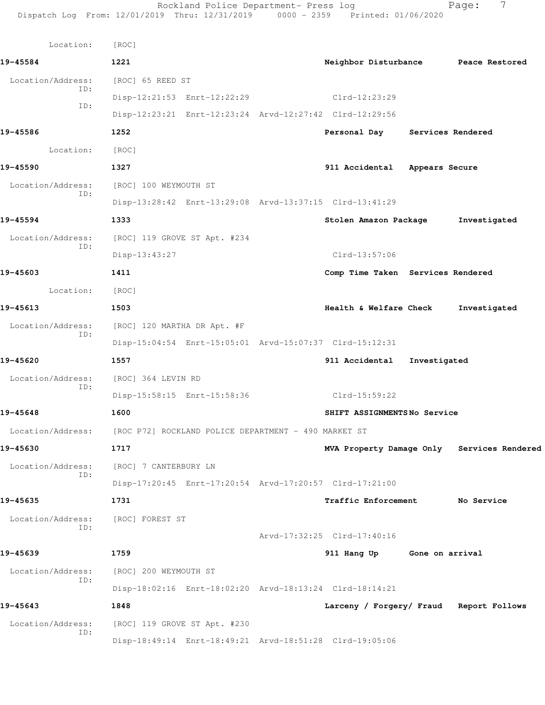| Location:         | [ROC]                                                                  |  |                                         |                                            |
|-------------------|------------------------------------------------------------------------|--|-----------------------------------------|--------------------------------------------|
| 19-45584          | 1221                                                                   |  | Neighbor Disturbance Peace Restored     |                                            |
| Location/Address: | [ROC] 65 REED ST                                                       |  |                                         |                                            |
| ID:               | Disp-12:21:53 Enrt-12:22:29 Clrd-12:23:29                              |  |                                         |                                            |
| ID:               | Disp-12:23:21 Enrt-12:23:24 Arvd-12:27:42 Clrd-12:29:56                |  |                                         |                                            |
| 19-45586          | 1252                                                                   |  | Personal Day Services Rendered          |                                            |
| Location:         | [ ROC ]                                                                |  |                                         |                                            |
| 19-45590          | 1327                                                                   |  | 911 Accidental Appears Secure           |                                            |
| Location/Address: | [ROC] 100 WEYMOUTH ST                                                  |  |                                         |                                            |
| ID:               | Disp-13:28:42 Enrt-13:29:08 Arvd-13:37:15 Clrd-13:41:29                |  |                                         |                                            |
| 19-45594          | 1333                                                                   |  | Stolen Amazon Package                   | Investigated                               |
|                   | Location/Address: [ROC] 119 GROVE ST Apt. #234                         |  |                                         |                                            |
| ID:               | Disp-13:43:27                                                          |  | Clrd-13:57:06                           |                                            |
| 19-45603          | 1411                                                                   |  | Comp Time Taken Services Rendered       |                                            |
| Location: [ROC]   |                                                                        |  |                                         |                                            |
| 19-45613          | 1503                                                                   |  | Health & Welfare Check                  | Investigated                               |
| Location/Address: | [ROC] 120 MARTHA DR Apt. #F                                            |  |                                         |                                            |
| ID:               | Disp-15:04:54 Enrt-15:05:01 Arvd-15:07:37 Clrd-15:12:31                |  |                                         |                                            |
| 19-45620          | 1557                                                                   |  | 911 Accidental Investigated             |                                            |
| Location/Address: | [ROC] 364 LEVIN RD                                                     |  |                                         |                                            |
| ID:               | Disp-15:58:15 Enrt-15:58:36                                            |  | Clrd-15:59:22                           |                                            |
| 19-45648          | 1600                                                                   |  | SHIFT ASSIGNMENTSNo Service             |                                            |
|                   | Location/Address: [ROC P72] ROCKLAND POLICE DEPARTMENT - 490 MARKET ST |  |                                         |                                            |
| 19-45630          | 1717                                                                   |  |                                         | MVA Property Damage Only Services Rendered |
| Location/Address: | [ROC] 7 CANTERBURY LN                                                  |  |                                         |                                            |
| ID:               | Disp-17:20:45 Enrt-17:20:54 Arvd-17:20:57 Clrd-17:21:00                |  |                                         |                                            |
| 19-45635          | 1731                                                                   |  | <b>Traffic Enforcement</b>              | No Service                                 |
| Location/Address: | [ROC] FOREST ST                                                        |  |                                         |                                            |
| ID:               |                                                                        |  | Arvd-17:32:25 Clrd-17:40:16             |                                            |
| 19-45639          | 1759                                                                   |  | 911 Hang Up Gone on arrival             |                                            |
| Location/Address: | [ROC] 200 WEYMOUTH ST                                                  |  |                                         |                                            |
| ID:               | Disp-18:02:16 Enrt-18:02:20 Arvd-18:13:24 Clrd-18:14:21                |  |                                         |                                            |
| 19-45643          | 1848                                                                   |  | Larceny / Forgery/ Fraud Report Follows |                                            |
| Location/Address: | [ROC] 119 GROVE ST Apt. #230                                           |  |                                         |                                            |
| ID:               | Disp-18:49:14 Enrt-18:49:21 Arvd-18:51:28 Clrd-19:05:06                |  |                                         |                                            |
|                   |                                                                        |  |                                         |                                            |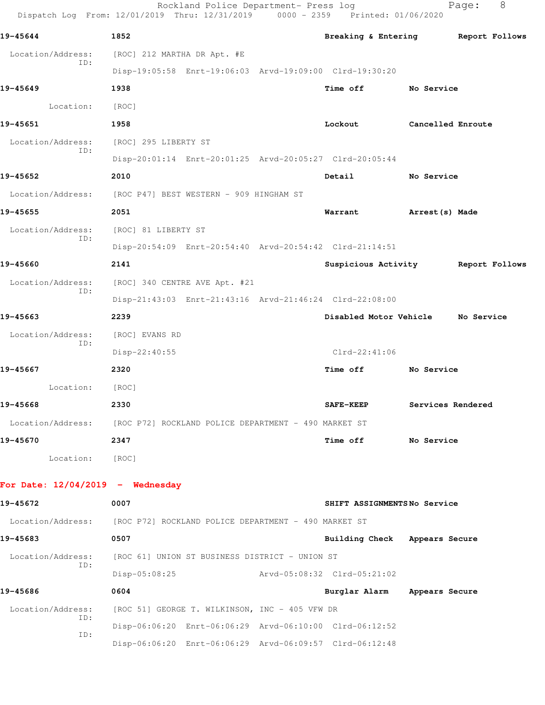|                                    | Rockland Police Department- Press log<br>Dispatch Log From: 12/01/2019 Thru: 12/31/2019 0000 - 2359 Printed: 01/06/2020 |                               | 8<br>Page:        |
|------------------------------------|-------------------------------------------------------------------------------------------------------------------------|-------------------------------|-------------------|
| 19-45644                           | 1852                                                                                                                    | Breaking & Entering           | Report Follows    |
| Location/Address:                  | [ROC] 212 MARTHA DR Apt. #E                                                                                             |                               |                   |
| ID:                                | Disp-19:05:58 Enrt-19:06:03 Arvd-19:09:00 Clrd-19:30:20                                                                 |                               |                   |
| 19-45649                           | 1938                                                                                                                    | Time off                      | No Service        |
| Location:                          | [ROC]                                                                                                                   |                               |                   |
| 19-45651                           | 1958                                                                                                                    | Lockout                       | Cancelled Enroute |
| Location/Address:                  | [ROC] 295 LIBERTY ST                                                                                                    |                               |                   |
| ID:                                | Disp-20:01:14 Enrt-20:01:25 Arvd-20:05:27 Clrd-20:05:44                                                                 |                               |                   |
| 19-45652                           | 2010                                                                                                                    | Detail                        | No Service        |
| Location/Address:                  | [ROC P47] BEST WESTERN - 909 HINGHAM ST                                                                                 |                               |                   |
| 19-45655                           | 2051                                                                                                                    | Warrant                       | Arrest(s) Made    |
| Location/Address:                  | [ROC] 81 LIBERTY ST                                                                                                     |                               |                   |
| ID:                                | Disp-20:54:09 Enrt-20:54:40 Arvd-20:54:42 Clrd-21:14:51                                                                 |                               |                   |
| 19-45660                           | 2141                                                                                                                    | Suspicious Activity           | Report Follows    |
| Location/Address:<br>ID:           | [ROC] 340 CENTRE AVE Apt. #21                                                                                           |                               |                   |
|                                    | Disp-21:43:03 Enrt-21:43:16 Arvd-21:46:24 Clrd-22:08:00                                                                 |                               |                   |
| 19-45663                           | 2239                                                                                                                    | Disabled Motor Vehicle        | No Service        |
| Location/Address:<br>ID:           | [ROC] EVANS RD                                                                                                          |                               |                   |
|                                    | Disp-22:40:55                                                                                                           | $Clrd-22:41:06$               |                   |
| 19-45667                           | 2320                                                                                                                    | Time off                      | No Service        |
| Location:                          | [ROC]                                                                                                                   |                               |                   |
| 19-45668                           | 2330                                                                                                                    | <b>SAFE-KEEP</b>              | Services Rendered |
|                                    | Location/Address: [ROC P72] ROCKLAND POLICE DEPARTMENT - 490 MARKET ST                                                  |                               |                   |
| 19-45670                           | 2347                                                                                                                    | Time off No Service           |                   |
| Location: [ROC]                    |                                                                                                                         |                               |                   |
| For Date: $12/04/2019$ - Wednesday |                                                                                                                         |                               |                   |
| 19-45672                           | 0007                                                                                                                    | SHIFT ASSIGNMENTSNo Service   |                   |
|                                    | Location/Address: [ROC P72] ROCKLAND POLICE DEPARTMENT - 490 MARKET ST                                                  |                               |                   |
| 19-45683                           | 0507                                                                                                                    | Building Check Appears Secure |                   |
| Location/Address:                  | [ROC 61] UNION ST BUSINESS DISTRICT - UNION ST                                                                          |                               |                   |
| ID:                                | Disp-05:08:25 Arvd-05:08:32 Clrd-05:21:02                                                                               |                               |                   |
| 19-45686                           | 0604                                                                                                                    | Burglar Alarm                 | Appears Secure    |
| Location/Address:<br>ID:           | [ROC 51] GEORGE T. WILKINSON, INC - 405 VFW DR                                                                          |                               |                   |
| ID:                                | Disp-06:06:20 Enrt-06:06:29 Arvd-06:10:00 Clrd-06:12:52                                                                 |                               |                   |
|                                    | Disp-06:06:20 Enrt-06:06:29 Arvd-06:09:57 Clrd-06:12:48                                                                 |                               |                   |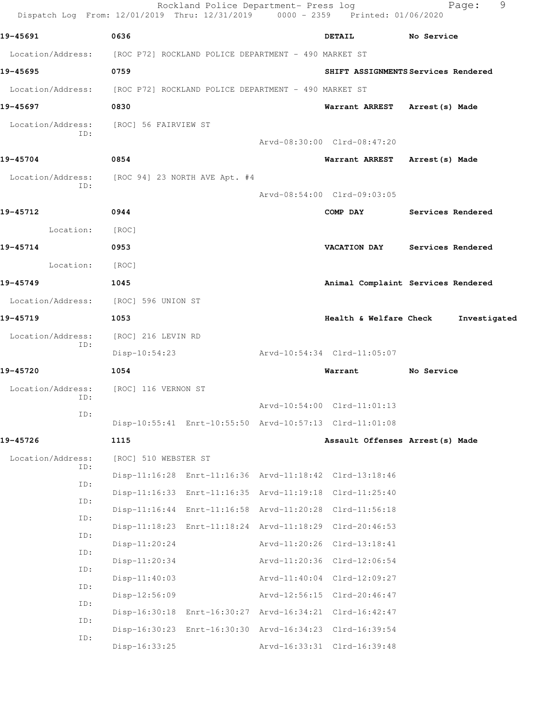| Dispatch Log From: 12/01/2019 Thru: 12/31/2019 0000 - 2359 Printed: 01/06/2020 |                      | Rockland Police Department- Press log |                                                         | 9<br>Page:                          |
|--------------------------------------------------------------------------------|----------------------|---------------------------------------|---------------------------------------------------------|-------------------------------------|
| 19-45691                                                                       | 0636                 |                                       | <b>DETAIL</b>                                           | No Service                          |
| Location/Address: [ROC P72] ROCKLAND POLICE DEPARTMENT - 490 MARKET ST         |                      |                                       |                                                         |                                     |
| 19-45695                                                                       | 0759                 |                                       |                                                         | SHIFT ASSIGNMENTS Services Rendered |
| Location/Address: [ROC P72] ROCKLAND POLICE DEPARTMENT - 490 MARKET ST         |                      |                                       |                                                         |                                     |
| 19-45697                                                                       | 0830                 |                                       | Warrant ARREST Arrest (s) Made                          |                                     |
| Location/Address: [ROC] 56 FAIRVIEW ST<br>ID:                                  |                      |                                       |                                                         |                                     |
|                                                                                |                      |                                       | Arvd-08:30:00 Clrd-08:47:20                             |                                     |
| 19-45704                                                                       | 0854                 |                                       | Warrant ARREST Arrest (s) Made                          |                                     |
| Location/Address: [ROC 94] 23 NORTH AVE Apt. #4<br>ID:                         |                      |                                       | Arvd-08:54:00 Clrd-09:03:05                             |                                     |
| 19-45712                                                                       | 0944                 |                                       | COMP DAY                                                | Services Rendered                   |
| Location:                                                                      | [ROC]                |                                       |                                                         |                                     |
| 19-45714                                                                       | 0953                 |                                       |                                                         | VACATION DAY Services Rendered      |
| Location:                                                                      | [ROC]                |                                       |                                                         |                                     |
| 19-45749                                                                       | 1045                 |                                       |                                                         | Animal Complaint Services Rendered  |
| Location/Address: [ROC] 596 UNION ST                                           |                      |                                       |                                                         |                                     |
| 19-45719                                                                       | 1053                 |                                       | Health & Welfare Check                                  | Investigated                        |
| Location/Address:                                                              | [ROC] 216 LEVIN RD   |                                       |                                                         |                                     |
| ID:                                                                            | Disp-10:54:23        |                                       | Arvd-10:54:34 Clrd-11:05:07                             |                                     |
| 19-45720                                                                       | 1054                 |                                       | Warrant                                                 | No Service                          |
| Location/Address: [ROC] 116 VERNON ST                                          |                      |                                       |                                                         |                                     |
| ID:<br>ID:                                                                     |                      |                                       | Arvd-10:54:00 Clrd-11:01:13                             |                                     |
|                                                                                |                      |                                       | Disp-10:55:41 Enrt-10:55:50 Arvd-10:57:13 Clrd-11:01:08 |                                     |
| 19-45726                                                                       | 1115                 |                                       | Assault Offenses Arrest (s) Made                        |                                     |
| Location/Address:<br>ID:                                                       | [ROC] 510 WEBSTER ST |                                       |                                                         |                                     |
| ID:                                                                            |                      |                                       | Disp-11:16:28 Enrt-11:16:36 Arvd-11:18:42 Clrd-13:18:46 |                                     |
| ID:                                                                            |                      |                                       | Disp-11:16:33 Enrt-11:16:35 Arvd-11:19:18 Clrd-11:25:40 |                                     |
| ID:                                                                            |                      |                                       | Disp-11:16:44 Enrt-11:16:58 Arvd-11:20:28 Clrd-11:56:18 |                                     |
| ID:                                                                            |                      |                                       | Disp-11:18:23 Enrt-11:18:24 Arvd-11:18:29 Clrd-20:46:53 |                                     |
| ID:                                                                            | $Disp-11:20:24$      |                                       | Arvd-11:20:26 Clrd-13:18:41                             |                                     |
| ID:                                                                            | Disp-11:20:34        |                                       | Arvd-11:20:36 Clrd-12:06:54                             |                                     |
| ID:                                                                            | $Disp-11:40:03$      |                                       | Arvd-11:40:04 Clrd-12:09:27                             |                                     |
| ID:                                                                            | Disp-12:56:09        |                                       | Arvd-12:56:15 Clrd-20:46:47                             |                                     |
| ID:                                                                            |                      |                                       | Disp-16:30:18 Enrt-16:30:27 Arvd-16:34:21 Clrd-16:42:47 |                                     |
| ID:                                                                            |                      |                                       | Disp-16:30:23 Enrt-16:30:30 Arvd-16:34:23 Clrd-16:39:54 |                                     |
|                                                                                | Disp-16:33:25        |                                       | Arvd-16:33:31 Clrd-16:39:48                             |                                     |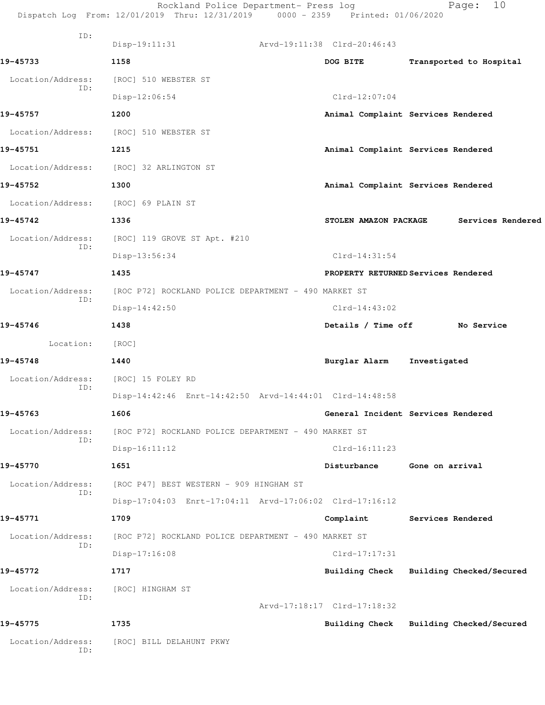|                          | Rockland Police Department- Press log<br>Dispatch Log From: 12/01/2019 Thru: 12/31/2019 0000 - 2359 Printed: 01/06/2020 |                             | 10<br>Page:                             |
|--------------------------|-------------------------------------------------------------------------------------------------------------------------|-----------------------------|-----------------------------------------|
| ID:                      | $Disp-19:11:31$<br>Arvd-19:11:38 Clrd-20:46:43                                                                          |                             |                                         |
| 19-45733                 | 1158                                                                                                                    | DOG BITE                    | Transported to Hospital                 |
| Location/Address:        | [ROC] 510 WEBSTER ST                                                                                                    |                             |                                         |
| ID:                      | Disp-12:06:54                                                                                                           | $Clrd-12:07:04$             |                                         |
| 19-45757                 | 1200                                                                                                                    |                             | Animal Complaint Services Rendered      |
|                          | Location/Address: [ROC] 510 WEBSTER ST                                                                                  |                             |                                         |
| 19-45751                 | 1215                                                                                                                    |                             | Animal Complaint Services Rendered      |
| Location/Address:        | [ROC] 32 ARLINGTON ST                                                                                                   |                             |                                         |
| 19-45752                 | 1300                                                                                                                    |                             | Animal Complaint Services Rendered      |
| Location/Address:        | [ROC] 69 PLAIN ST                                                                                                       |                             |                                         |
| 19-45742                 | 1336                                                                                                                    | STOLEN AMAZON PACKAGE       | Services Rendered                       |
| Location/Address:        | [ROC] 119 GROVE ST Apt. #210                                                                                            |                             |                                         |
| ID:                      | Disp-13:56:34                                                                                                           | $Clrd-14:31:54$             |                                         |
| 19-45747                 | 1435                                                                                                                    |                             | PROPERTY RETURNED Services Rendered     |
| Location/Address:        | [ROC P72] ROCKLAND POLICE DEPARTMENT - 490 MARKET ST                                                                    |                             |                                         |
| ID:                      | Disp-14:42:50                                                                                                           | $Clrd-14:43:02$             |                                         |
| 19-45746                 | 1438                                                                                                                    |                             | Details / Time off No Service           |
| Location:                | [ROC]                                                                                                                   |                             |                                         |
| 19-45748                 | 1440                                                                                                                    | Burglar Alarm               | Investigated                            |
| Location/Address:        | [ROC] 15 FOLEY RD                                                                                                       |                             |                                         |
| ID:                      | Disp-14:42:46 Enrt-14:42:50 Arvd-14:44:01 Clrd-14:48:58                                                                 |                             |                                         |
| 19-45763                 | 1606                                                                                                                    |                             | General Incident Services Rendered      |
| Location/Address:        | [ROC P72] ROCKLAND POLICE DEPARTMENT - 490 MARKET ST                                                                    |                             |                                         |
| ID:                      | $Disp-16:11:12$                                                                                                         | $Clrd-16:11:23$             |                                         |
| 19-45770                 | 1651                                                                                                                    | Disturbance                 | Gone on arrival                         |
| Location/Address:        | [ROC P47] BEST WESTERN - 909 HINGHAM ST                                                                                 |                             |                                         |
| ID:                      | Disp-17:04:03 Enrt-17:04:11 Arvd-17:06:02 Clrd-17:16:12                                                                 |                             |                                         |
| 19-45771                 | 1709                                                                                                                    | Complaint                   | Services Rendered                       |
| Location/Address:<br>ID: | [ROC P72] ROCKLAND POLICE DEPARTMENT - 490 MARKET ST                                                                    |                             |                                         |
|                          | $Disp-17:16:08$                                                                                                         | $Clrd-17:17:31$             |                                         |
| 19-45772                 | 1717                                                                                                                    |                             | Building Check Building Checked/Secured |
| Location/Address:<br>ID: | [ROC] HINGHAM ST                                                                                                        |                             |                                         |
|                          |                                                                                                                         | Arvd-17:18:17 Clrd-17:18:32 |                                         |
| 19-45775                 | 1735                                                                                                                    |                             | Building Check Building Checked/Secured |
| Location/Address:<br>ID: | [ROC] BILL DELAHUNT PKWY                                                                                                |                             |                                         |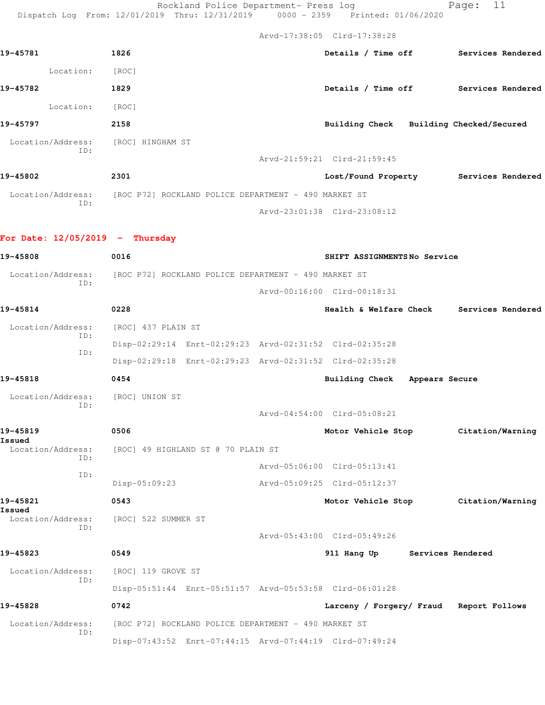Rockland Police Department- Press log entitled Page: 11

Dispatch Log From: 12/01/2019 Thru: 12/31/2019 0000 - 2359 Printed: 01/06/2020

|                                           |                                                                        | Arvd-17:38:05 Clrd-17:38:28              |                   |  |
|-------------------------------------------|------------------------------------------------------------------------|------------------------------------------|-------------------|--|
| 19-45781                                  | 1826                                                                   | Details / Time off Services Rendered     |                   |  |
| Location:                                 | [ROC]                                                                  |                                          |                   |  |
| 19-45782                                  | 1829                                                                   | Details / Time off Services Rendered     |                   |  |
| Location:                                 | [ROC]                                                                  |                                          |                   |  |
| 19-45797                                  | 2158                                                                   | Building Check Building Checked/Secured  |                   |  |
| Location/Address: [ROC] HINGHAM ST<br>ID: |                                                                        |                                          |                   |  |
|                                           |                                                                        | Arvd-21:59:21 Clrd-21:59:45              |                   |  |
| 19-45802                                  | 2301                                                                   | Lost/Found Property Services Rendered    |                   |  |
| ID:                                       | Location/Address: [ROC P72] ROCKLAND POLICE DEPARTMENT - 490 MARKET ST |                                          |                   |  |
|                                           |                                                                        | Arvd-23:01:38 Clrd-23:08:12              |                   |  |
| For Date: $12/05/2019$ - Thursday         |                                                                        |                                          |                   |  |
| 19-45808                                  | 0016                                                                   | SHIFT ASSIGNMENTSNo Service              |                   |  |
| Location/Address:                         | [ROC P72] ROCKLAND POLICE DEPARTMENT - 490 MARKET ST                   |                                          |                   |  |
| ID:                                       |                                                                        | Arvd-00:16:00 Clrd-00:18:31              |                   |  |
| 19-45814                                  | 0228                                                                   | Health & Welfare Check Services Rendered |                   |  |
| Location/Address:                         | [ROC] 437 PLAIN ST                                                     |                                          |                   |  |
| ID:                                       | Disp-02:29:14 Enrt-02:29:23 Arvd-02:31:52 Clrd-02:35:28                |                                          |                   |  |
| ID:                                       | Disp-02:29:18 Enrt-02:29:23 Arvd-02:31:52 Clrd-02:35:28                |                                          |                   |  |
| 19-45818                                  | 0454                                                                   | Building Check Appears Secure            |                   |  |
| Location/Address: [ROC] UNION ST<br>ID:   |                                                                        |                                          |                   |  |
|                                           |                                                                        | Arvd-04:54:00 Clrd-05:08:21              |                   |  |
| 19-45819<br>Issued                        | 0506                                                                   | Motor Vehicle Stop Citation/Warning      |                   |  |
| Location/Address:<br>ID:                  | [ROC] 49 HIGHLAND ST @ 70 PLAIN ST                                     |                                          |                   |  |
| ID:                                       |                                                                        | Arvd-05:06:00 Clrd-05:13:41              |                   |  |
|                                           | Disp-05:09:23                                                          | Arvd-05:09:25 Clrd-05:12:37              |                   |  |
| 19-45821<br>Issued                        | 0543                                                                   | Motor Vehicle Stop                       | Citation/Warning  |  |
| Location/Address:<br>ID:                  | [ROC] 522 SUMMER ST                                                    |                                          |                   |  |
|                                           |                                                                        | Arvd-05:43:00 Clrd-05:49:26              |                   |  |
| 19-45823                                  | 0549                                                                   | 911 Hang Up                              | Services Rendered |  |
| Location/Address:<br>ID:                  | [ROC] 119 GROVE ST                                                     |                                          |                   |  |
|                                           | Disp-05:51:44 Enrt-05:51:57 Arvd-05:53:58 Clrd-06:01:28                |                                          |                   |  |
| 19-45828                                  | 0742                                                                   | Larceny / Forgery/ Fraud Report Follows  |                   |  |
| Location/Address:<br>ID:                  | [ROC P72] ROCKLAND POLICE DEPARTMENT - 490 MARKET ST                   |                                          |                   |  |
|                                           | Disp-07:43:52 Enrt-07:44:15 Arvd-07:44:19 Clrd-07:49:24                |                                          |                   |  |
|                                           |                                                                        |                                          |                   |  |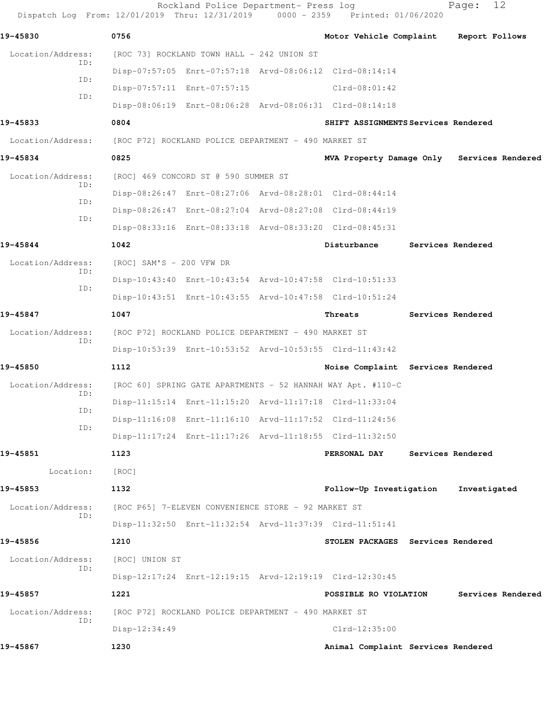| Dispatch Log From: 12/01/2019 Thru: 12/31/2019 0000 - 2359 Printed: 01/06/2020 |                                                      | Rockland Police Department- Press log                |                                                             | 12<br>Page:                                |  |
|--------------------------------------------------------------------------------|------------------------------------------------------|------------------------------------------------------|-------------------------------------------------------------|--------------------------------------------|--|
| 19-45830                                                                       | 0756                                                 |                                                      | Motor Vehicle Complaint                                     | Report Follows                             |  |
| Location/Address:                                                              |                                                      | [ROC 73] ROCKLAND TOWN HALL - 242 UNION ST           |                                                             |                                            |  |
| ID:                                                                            |                                                      |                                                      | Disp-07:57:05 Enrt-07:57:18 Arvd-08:06:12 Clrd-08:14:14     |                                            |  |
| ID:                                                                            |                                                      | Disp-07:57:11 Enrt-07:57:15                          | $Clrd-08:01:42$                                             |                                            |  |
| ID:                                                                            |                                                      |                                                      | Disp-08:06:19 Enrt-08:06:28 Arvd-08:06:31 Clrd-08:14:18     |                                            |  |
| 19-45833                                                                       | 0804                                                 |                                                      | SHIFT ASSIGNMENTS Services Rendered                         |                                            |  |
| Location/Address:                                                              | [ROC P72] ROCKLAND POLICE DEPARTMENT - 490 MARKET ST |                                                      |                                                             |                                            |  |
| 19-45834                                                                       | 0825                                                 |                                                      |                                                             | MVA Property Damage Only Services Rendered |  |
| Location/Address:                                                              |                                                      | [ROC] 469 CONCORD ST @ 590 SUMMER ST                 |                                                             |                                            |  |
| ID:                                                                            |                                                      |                                                      | Disp-08:26:47 Enrt-08:27:06 Arvd-08:28:01 Clrd-08:44:14     |                                            |  |
| ID:                                                                            |                                                      |                                                      | Disp-08:26:47 Enrt-08:27:04 Arvd-08:27:08 Clrd-08:44:19     |                                            |  |
| ID:                                                                            |                                                      |                                                      | Disp-08:33:16 Enrt-08:33:18 Arvd-08:33:20 Clrd-08:45:31     |                                            |  |
| 19-45844                                                                       | 1042                                                 |                                                      | Disturbance                                                 | Services Rendered                          |  |
| Location/Address:                                                              | $[ROC]$ SAM'S - 200 VFW DR                           |                                                      |                                                             |                                            |  |
| ID:                                                                            |                                                      |                                                      | Disp-10:43:40 Enrt-10:43:54 Arvd-10:47:58 Clrd-10:51:33     |                                            |  |
| ID:                                                                            |                                                      |                                                      | Disp-10:43:51 Enrt-10:43:55 Arvd-10:47:58 Clrd-10:51:24     |                                            |  |
| 19-45847                                                                       | 1047                                                 |                                                      | Threats                                                     | Services Rendered                          |  |
| Location/Address:                                                              |                                                      | [ROC P72] ROCKLAND POLICE DEPARTMENT - 490 MARKET ST |                                                             |                                            |  |
| ID:                                                                            |                                                      |                                                      | Disp-10:53:39 Enrt-10:53:52 Arvd-10:53:55 Clrd-11:43:42     |                                            |  |
| 19-45850                                                                       | 1112                                                 |                                                      | Noise Complaint Services Rendered                           |                                            |  |
| Location/Address:                                                              |                                                      |                                                      | [ROC 60] SPRING GATE APARTMENTS - 52 HANNAH WAY Apt. #110-C |                                            |  |
| ID:                                                                            |                                                      |                                                      | Disp-11:15:14 Enrt-11:15:20 Arvd-11:17:18 Clrd-11:33:04     |                                            |  |
| ID:                                                                            |                                                      |                                                      | Disp-11:16:08 Enrt-11:16:10 Arvd-11:17:52 Clrd-11:24:56     |                                            |  |
| ID:                                                                            |                                                      |                                                      | Disp-11:17:24 Enrt-11:17:26 Arvd-11:18:55 Clrd-11:32:50     |                                            |  |
| 19-45851                                                                       | 1123                                                 |                                                      | PERSONAL DAY                                                | Services Rendered                          |  |
| Location:                                                                      | [ROC]                                                |                                                      |                                                             |                                            |  |
| 19-45853                                                                       | 1132                                                 |                                                      | Follow-Up Investigation                                     | Investigated                               |  |
| Location/Address:                                                              |                                                      | [ROC P65] 7-ELEVEN CONVENIENCE STORE - 92 MARKET ST  |                                                             |                                            |  |
| ID:                                                                            |                                                      |                                                      | Disp-11:32:50 Enrt-11:32:54 Arvd-11:37:39 Clrd-11:51:41     |                                            |  |
| 19-45856                                                                       | 1210                                                 |                                                      | STOLEN PACKAGES Services Rendered                           |                                            |  |
| Location/Address:                                                              | [ROC] UNION ST                                       |                                                      |                                                             |                                            |  |
| ID:                                                                            |                                                      |                                                      | Disp-12:17:24 Enrt-12:19:15 Arvd-12:19:19 Clrd-12:30:45     |                                            |  |
| 19-45857                                                                       | 1221                                                 |                                                      | POSSIBLE RO VIOLATION                                       | Services Rendered                          |  |
| Location/Address:                                                              |                                                      | [ROC P72] ROCKLAND POLICE DEPARTMENT - 490 MARKET ST |                                                             |                                            |  |
| ID:                                                                            | Disp-12:34:49                                        |                                                      | Clrd-12:35:00                                               |                                            |  |
| 19-45867                                                                       | 1230                                                 |                                                      | Animal Complaint Services Rendered                          |                                            |  |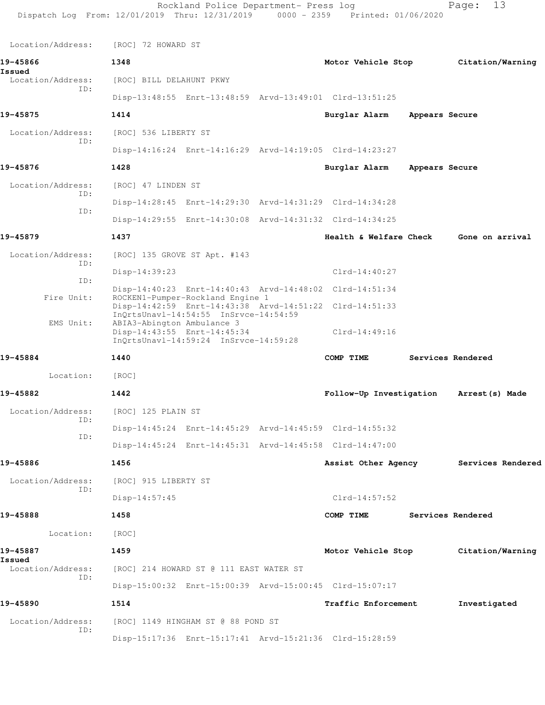| Dispatch Log From: 12/01/2019 Thru: 12/31/2019 0000 - 2359 Printed: 01/06/2020 |                                                           | Rockland Police Department- Press log |                                                         |                | 13<br>Page:                           |
|--------------------------------------------------------------------------------|-----------------------------------------------------------|---------------------------------------|---------------------------------------------------------|----------------|---------------------------------------|
| Location/Address:                                                              | [ROC] 72 HOWARD ST                                        |                                       |                                                         |                |                                       |
| 19-45866                                                                       | 1348                                                      |                                       | Motor Vehicle Stop                                      |                | Citation/Warning                      |
| Issued<br>Location/Address:                                                    | [ROC] BILL DELAHUNT PKWY                                  |                                       |                                                         |                |                                       |
| ID:                                                                            |                                                           |                                       | Disp-13:48:55 Enrt-13:48:59 Arvd-13:49:01 Clrd-13:51:25 |                |                                       |
| 19-45875                                                                       | 1414                                                      |                                       | Burglar Alarm                                           | Appears Secure |                                       |
| Location/Address:                                                              | [ROC] 536 LIBERTY ST                                      |                                       |                                                         |                |                                       |
| ID:                                                                            |                                                           |                                       | Disp-14:16:24 Enrt-14:16:29 Arvd-14:19:05 Clrd-14:23:27 |                |                                       |
| 19-45876                                                                       | 1428                                                      |                                       | Burglar Alarm                                           | Appears Secure |                                       |
| Location/Address:<br>ID:                                                       | [ROC] 47 LINDEN ST                                        |                                       |                                                         |                |                                       |
| ID:                                                                            |                                                           |                                       | Disp-14:28:45 Enrt-14:29:30 Arvd-14:31:29 Clrd-14:34:28 |                |                                       |
|                                                                                |                                                           |                                       | Disp-14:29:55 Enrt-14:30:08 Arvd-14:31:32 Clrd-14:34:25 |                |                                       |
| 19-45879                                                                       | 1437                                                      |                                       | Health & Welfare Check                                  |                | Gone on arrival                       |
| Location/Address:<br>ID:                                                       | [ROC] 135 GROVE ST Apt. #143                              |                                       |                                                         |                |                                       |
| ID:                                                                            | $Disp-14:39:23$                                           |                                       | $Clrd-14:40:27$                                         |                |                                       |
| Fire Unit:                                                                     |                                                           | ROCKEN1-Pumper-Rockland Engine 1      | Disp-14:40:23 Enrt-14:40:43 Arvd-14:48:02 Clrd-14:51:34 |                |                                       |
|                                                                                |                                                           | InQrtsUnavl-14:54:55 InSrvce-14:54:59 | Disp-14:42:59 Enrt-14:43:38 Arvd-14:51:22 Clrd-14:51:33 |                |                                       |
| EMS Unit:                                                                      | ABIA3-Abington Ambulance 3<br>Disp-14:43:55 Enrt-14:45:34 | InQrtsUnavl-14:59:24 InSrvce-14:59:28 | $Clrd-14:49:16$                                         |                |                                       |
| 19-45884                                                                       | 1440                                                      |                                       | COMP TIME                                               |                | Services Rendered                     |
| Location:                                                                      | [ROC]                                                     |                                       |                                                         |                |                                       |
| 19-45882                                                                       | 1442                                                      |                                       | Follow-Up Investigation                                 |                | Arrest (s) Made                       |
| Location/Address:<br>ID:                                                       | [ROC] 125 PLAIN ST                                        |                                       |                                                         |                |                                       |
| ID:                                                                            |                                                           |                                       | Disp-14:45:24 Enrt-14:45:29 Arvd-14:45:59 Clrd-14:55:32 |                |                                       |
|                                                                                |                                                           |                                       | Disp-14:45:24 Enrt-14:45:31 Arvd-14:45:58 Clrd-14:47:00 |                |                                       |
| 19-45886                                                                       | 1456                                                      |                                       |                                                         |                | Assist Other Agency Services Rendered |
| Location/Address:<br>ID:                                                       | [ROC] 915 LIBERTY ST                                      |                                       |                                                         |                |                                       |
|                                                                                | $Disp-14:57:45$                                           |                                       | $Clrd-14:57:52$                                         |                |                                       |
| 19-45888                                                                       | 1458                                                      |                                       | COMP TIME Services Rendered                             |                |                                       |
| Location: [ROC]                                                                |                                                           |                                       |                                                         |                |                                       |
| 19-45887<br>Issued                                                             | 1459                                                      |                                       |                                                         |                | Motor Vehicle Stop Citation/Warning   |
| Location/Address:<br>ID:                                                       | [ROC] 214 HOWARD ST @ 111 EAST WATER ST                   |                                       |                                                         |                |                                       |
|                                                                                |                                                           |                                       | Disp-15:00:32 Enrt-15:00:39 Arvd-15:00:45 Clrd-15:07:17 |                |                                       |
| 19-45890                                                                       | 1514                                                      |                                       | <b>Traffic Enforcement</b>                              |                | Investigated                          |
| Location/Address:<br>ID:                                                       | [ROC] 1149 HINGHAM ST @ 88 POND ST                        |                                       |                                                         |                |                                       |
|                                                                                |                                                           |                                       | Disp-15:17:36 Enrt-15:17:41 Arvd-15:21:36 Clrd-15:28:59 |                |                                       |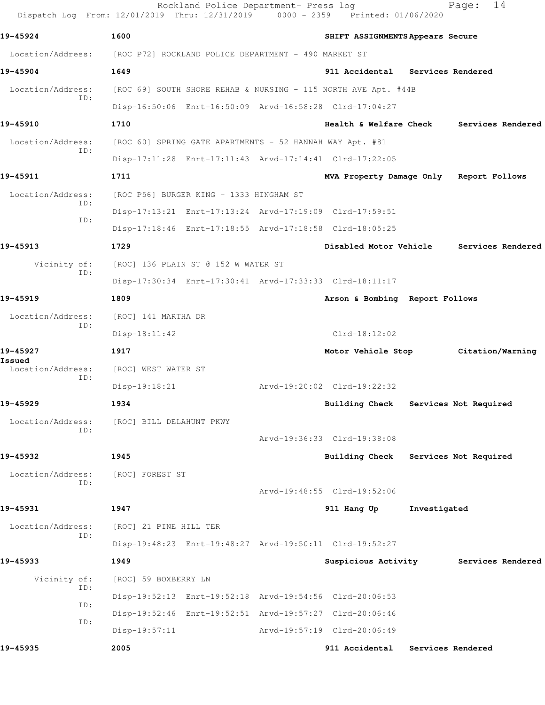| Dispatch Log From: 12/01/2019 Thru: 12/31/2019 |                                                      | Rockland Police Department- Press log                    | $0000 - 2359$ | Printed: 01/06/2020                                            |              | 14<br>Page:                         |
|------------------------------------------------|------------------------------------------------------|----------------------------------------------------------|---------------|----------------------------------------------------------------|--------------|-------------------------------------|
| 19-45924                                       | 1600                                                 |                                                          |               | SHIFT ASSIGNMENTS Appears Secure                               |              |                                     |
| Location/Address:                              | [ROC P72] ROCKLAND POLICE DEPARTMENT - 490 MARKET ST |                                                          |               |                                                                |              |                                     |
| 19-45904                                       | 1649                                                 |                                                          |               | 911 Accidental Services Rendered                               |              |                                     |
| Location/Address:                              |                                                      |                                                          |               | [ROC 69] SOUTH SHORE REHAB & NURSING - 115 NORTH AVE Apt. #44B |              |                                     |
| TD:                                            |                                                      |                                                          |               | Disp-16:50:06 Enrt-16:50:09 Arvd-16:58:28 Clrd-17:04:27        |              |                                     |
| 19-45910                                       | 1710                                                 |                                                          |               | Health & Welfare Check                                         |              | Services Rendered                   |
| Location/Address:                              |                                                      | [ROC 60] SPRING GATE APARTMENTS - 52 HANNAH WAY Apt. #81 |               |                                                                |              |                                     |
| ID:                                            |                                                      |                                                          |               | Disp-17:11:28 Enrt-17:11:43 Arvd-17:14:41 Clrd-17:22:05        |              |                                     |
| 19-45911                                       | 1711                                                 |                                                          |               | MVA Property Damage Only Report Follows                        |              |                                     |
| Location/Address:                              |                                                      | [ROC P56] BURGER KING - 1333 HINGHAM ST                  |               |                                                                |              |                                     |
| ID:                                            |                                                      |                                                          |               | Disp-17:13:21 Enrt-17:13:24 Arvd-17:19:09 Clrd-17:59:51        |              |                                     |
| ID:                                            |                                                      |                                                          |               | Disp-17:18:46 Enrt-17:18:55 Arvd-17:18:58 Clrd-18:05:25        |              |                                     |
| 19-45913                                       | 1729                                                 |                                                          |               | Disabled Motor Vehicle                                         |              | Services Rendered                   |
| Vicinity of:<br>ID:                            |                                                      | [ROC] 136 PLAIN ST @ 152 W WATER ST                      |               |                                                                |              |                                     |
|                                                |                                                      |                                                          |               | Disp-17:30:34 Enrt-17:30:41 Arvd-17:33:33 Clrd-18:11:17        |              |                                     |
| 19-45919                                       | 1809                                                 |                                                          |               | Arson & Bombing Report Follows                                 |              |                                     |
| Location/Address:<br>ID:                       | [ROC] 141 MARTHA DR                                  |                                                          |               |                                                                |              |                                     |
|                                                | $Disp-18:11:42$                                      |                                                          |               | $Clrd-18:12:02$                                                |              |                                     |
| 19-45927<br>Issued                             | 1917                                                 |                                                          |               |                                                                |              | Motor Vehicle Stop Citation/Warning |
| Location/Address:<br>ID:                       | [ROC] WEST WATER ST                                  |                                                          |               |                                                                |              |                                     |
|                                                | Disp-19:18:21                                        |                                                          |               | Arvd-19:20:02 Clrd-19:22:32                                    |              |                                     |
| 19-45929                                       | 1934                                                 |                                                          |               | <b>Building Check</b>                                          |              | Services Not Required               |
| Location/Address:<br>ID:                       | [ROC] BILL DELAHUNT PKWY                             |                                                          |               |                                                                |              |                                     |
|                                                |                                                      |                                                          |               | Arvd-19:36:33 Clrd-19:38:08                                    |              |                                     |
| 19-45932                                       | 1945                                                 |                                                          |               | Building Check Services Not Required                           |              |                                     |
| Location/Address:<br>ID:                       | [ROC] FOREST ST                                      |                                                          |               |                                                                |              |                                     |
|                                                |                                                      |                                                          |               | Arvd-19:48:55 Clrd-19:52:06                                    |              |                                     |
| 19-45931                                       | 1947                                                 |                                                          |               | 911 Hang Up                                                    | Investigated |                                     |
| Location/Address:<br>ID:                       | [ROC] 21 PINE HILL TER                               |                                                          |               |                                                                |              |                                     |
|                                                |                                                      |                                                          |               | Disp-19:48:23 Enrt-19:48:27 Arvd-19:50:11 Clrd-19:52:27        |              |                                     |
| 19-45933                                       | 1949                                                 |                                                          |               | Suspicious Activity                                            |              | Services Rendered                   |
| Vicinity of:<br>ID:                            | [ROC] 59 BOXBERRY LN                                 |                                                          |               |                                                                |              |                                     |
| ID:                                            |                                                      |                                                          |               | Disp-19:52:13 Enrt-19:52:18 Arvd-19:54:56 Clrd-20:06:53        |              |                                     |
| ID:                                            |                                                      |                                                          |               | Disp-19:52:46 Enrt-19:52:51 Arvd-19:57:27 Clrd-20:06:46        |              |                                     |
|                                                | $Disp-19:57:11$                                      |                                                          |               | Arvd-19:57:19 Clrd-20:06:49                                    |              |                                     |
| 19-45935                                       | 2005                                                 |                                                          |               | 911 Accidental                                                 |              | Services Rendered                   |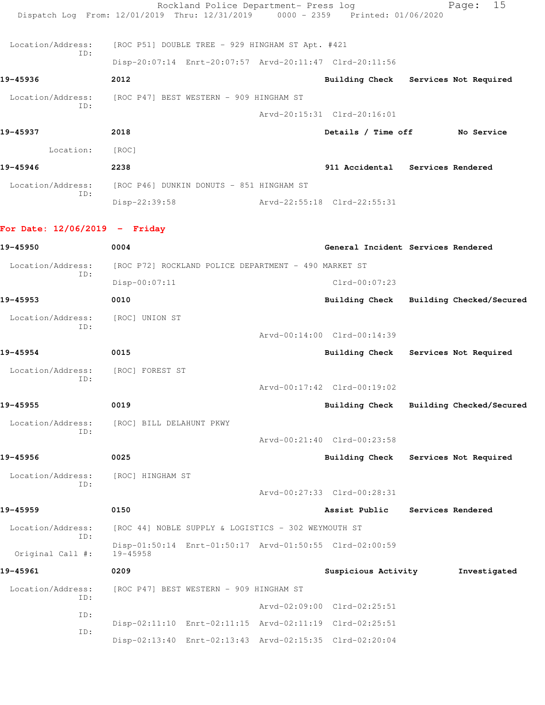|                                   | Rockland Police Department- Press log<br>Dispatch Log From: 12/01/2019 Thru: 12/31/2019 0000 - 2359 Printed: 01/06/2020 |                                         | 15<br>Page:              |
|-----------------------------------|-------------------------------------------------------------------------------------------------------------------------|-----------------------------------------|--------------------------|
| Location/Address:                 | [ROC P51] DOUBLE TREE - 929 HINGHAM ST Apt. #421                                                                        |                                         |                          |
| TD:                               | Disp-20:07:14 Enrt-20:07:57 Arvd-20:11:47 Clrd-20:11:56                                                                 |                                         |                          |
| 19-45936                          | 2012                                                                                                                    | Building Check Services Not Required    |                          |
| Location/Address:                 | [ROC P47] BEST WESTERN - 909 HINGHAM ST                                                                                 |                                         |                          |
| ID:                               |                                                                                                                         | Arvd-20:15:31 Clrd-20:16:01             |                          |
| 19-45937                          | 2018                                                                                                                    | Details / Time off No Service           |                          |
| Location: [ROC]                   |                                                                                                                         |                                         |                          |
| 19-45946                          | 2238                                                                                                                    | 911 Accidental Services Rendered        |                          |
| Location/Address:                 | [ROC P46] DUNKIN DONUTS - 851 HINGHAM ST                                                                                |                                         |                          |
| ID:                               | Disp-22:39:58 Arvd-22:55:18 Clrd-22:55:31                                                                               |                                         |                          |
| For Date: $12/06/2019$ - Friday   |                                                                                                                         |                                         |                          |
| 19-45950                          |                                                                                                                         |                                         |                          |
|                                   | 0004                                                                                                                    | General Incident Services Rendered      |                          |
| Location/Address:<br>ID:          | [ROC P72] ROCKLAND POLICE DEPARTMENT - 490 MARKET ST<br>Disp-00:07:11                                                   | $Clrd-00:07:23$                         |                          |
| 19-45953                          | 0010                                                                                                                    | Building Check Building Checked/Secured |                          |
| Location/Address:                 | [ROC] UNION ST                                                                                                          |                                         |                          |
| ID:                               |                                                                                                                         | Arvd-00:14:00 Clrd-00:14:39             |                          |
| 19-45954                          | 0015                                                                                                                    | Building Check Services Not Required    |                          |
| Location/Address: [ROC] FOREST ST |                                                                                                                         |                                         |                          |
| ID:                               |                                                                                                                         | Arvd-00:17:42 Clrd-00:19:02             |                          |
| 19-45955                          | 0019                                                                                                                    | <b>Building Check</b>                   | Building Checked/Secured |
| Location/Address:                 | [ROC] BILL DELAHUNT PKWY                                                                                                |                                         |                          |
| ID:                               |                                                                                                                         | Arvd-00:21:40 Clrd-00:23:58             |                          |
| 19-45956                          | 0025                                                                                                                    | <b>Building Check</b>                   | Services Not Required    |
| Location/Address:                 | [ROC] HINGHAM ST                                                                                                        |                                         |                          |
| ID:                               |                                                                                                                         | Arvd-00:27:33 Clrd-00:28:31             |                          |
| 19-45959                          | 0150                                                                                                                    | Assist Public                           | Services Rendered        |
| Location/Address:                 | [ROC 44] NOBLE SUPPLY & LOGISTICS - 302 WEYMOUTH ST                                                                     |                                         |                          |
| ID:<br>Original Call #:           | Disp-01:50:14 Enrt-01:50:17 Arvd-01:50:55 Clrd-02:00:59<br>$19 - 45958$                                                 |                                         |                          |
| 19-45961                          | 0209                                                                                                                    | Suspicious Activity                     | Investigated             |
| Location/Address:                 | [ROC P47] BEST WESTERN - 909 HINGHAM ST                                                                                 |                                         |                          |
| ID:                               |                                                                                                                         | Arvd-02:09:00 Clrd-02:25:51             |                          |
| ID:                               | Disp-02:11:10 Enrt-02:11:15 Arvd-02:11:19 Clrd-02:25:51                                                                 |                                         |                          |
| ID:                               | Disp-02:13:40 Enrt-02:13:43 Arvd-02:15:35 Clrd-02:20:04                                                                 |                                         |                          |
|                                   |                                                                                                                         |                                         |                          |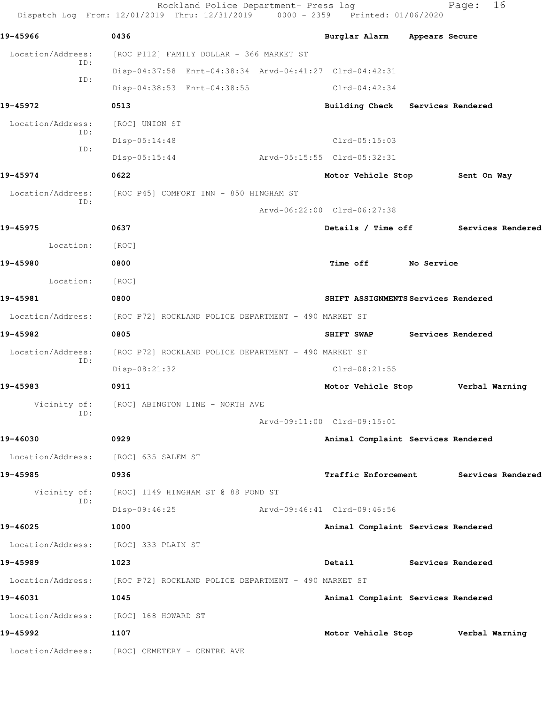|                   | Rockland Police Department- Press log<br>Dispatch Log From: 12/01/2019 Thru: 12/31/2019 0000 - 2359 Printed: 01/06/2020 |                                      |            | 16<br>Page:       |  |
|-------------------|-------------------------------------------------------------------------------------------------------------------------|--------------------------------------|------------|-------------------|--|
| 19-45966          | 0436                                                                                                                    | Burglar Alarm Appears Secure         |            |                   |  |
| Location/Address: | [ROC P112] FAMILY DOLLAR - 366 MARKET ST                                                                                |                                      |            |                   |  |
| ID:               | Disp-04:37:58 Enrt-04:38:34 Arvd-04:41:27 Clrd-04:42:31                                                                 |                                      |            |                   |  |
| ID:               | Disp-04:38:53 Enrt-04:38:55                                                                                             | $Clrd-04:42:34$                      |            |                   |  |
| 19-45972          | 0513                                                                                                                    | Building Check Services Rendered     |            |                   |  |
| Location/Address: | [ROC] UNION ST                                                                                                          |                                      |            |                   |  |
| ID:               | $Disp-05:14:48$                                                                                                         | $Clrd-05:15:03$                      |            |                   |  |
| ID:               | $Disp-05:15:44$                                                                                                         | Arvd-05:15:55 Clrd-05:32:31          |            |                   |  |
| 19-45974          | 0622                                                                                                                    | Motor Vehicle Stop                   |            | Sent On Way       |  |
| Location/Address: | [ROC P45] COMFORT INN - 850 HINGHAM ST                                                                                  |                                      |            |                   |  |
| ID:               |                                                                                                                         | Arvd-06:22:00 Clrd-06:27:38          |            |                   |  |
| 19-45975          | 0637                                                                                                                    | Details / Time off Services Rendered |            |                   |  |
| Location:         | [ROC]                                                                                                                   |                                      |            |                   |  |
| 19-45980          | 0800                                                                                                                    | <b>Time off</b>                      | No Service |                   |  |
| Location:         | [ROC]                                                                                                                   |                                      |            |                   |  |
| 19-45981          | 0800                                                                                                                    | SHIFT ASSIGNMENTS Services Rendered  |            |                   |  |
| Location/Address: | [ROC P72] ROCKLAND POLICE DEPARTMENT - 490 MARKET ST                                                                    |                                      |            |                   |  |
| 19-45982          | 0805                                                                                                                    | SHIFT SWAP                           |            | Services Rendered |  |
| Location/Address: | [ROC P72] ROCKLAND POLICE DEPARTMENT - 490 MARKET ST                                                                    |                                      |            |                   |  |
| ID:               | Disp-08:21:32                                                                                                           | $Clrd-08:21:55$                      |            |                   |  |
| 19-45983          | 0911                                                                                                                    | Motor Vehicle Stop Verbal Warning    |            |                   |  |
| Vicinity of:      | [ROC] ABINGTON LINE - NORTH AVE                                                                                         |                                      |            |                   |  |
| ID:               |                                                                                                                         | Arvd-09:11:00 Clrd-09:15:01          |            |                   |  |
| 19-46030          | 0929                                                                                                                    | Animal Complaint Services Rendered   |            |                   |  |
|                   | Location/Address: [ROC] 635 SALEM ST                                                                                    |                                      |            |                   |  |
| 19-45985          | 0936                                                                                                                    | <b>Traffic Enforcement</b>           |            | Services Rendered |  |
| Vicinity of:      | [ROC] 1149 HINGHAM ST @ 88 POND ST                                                                                      |                                      |            |                   |  |
| ID:               | Disp-09:46:25                                                                                                           | Arvd-09:46:41 Clrd-09:46:56          |            |                   |  |
| 19-46025          | 1000                                                                                                                    | Animal Complaint Services Rendered   |            |                   |  |
| Location/Address: | [ROC] 333 PLAIN ST                                                                                                      |                                      |            |                   |  |
| 19-45989          | 1023                                                                                                                    | Detail                               |            | Services Rendered |  |
|                   | Location/Address: [ROC P72] ROCKLAND POLICE DEPARTMENT - 490 MARKET ST                                                  |                                      |            |                   |  |
| 19-46031          | 1045                                                                                                                    | Animal Complaint Services Rendered   |            |                   |  |
| Location/Address: | [ROC] 168 HOWARD ST                                                                                                     |                                      |            |                   |  |
| 19-45992          | 1107                                                                                                                    | Motor Vehicle Stop                   |            | Verbal Warning    |  |
|                   | Location/Address: [ROC] CEMETERY - CENTRE AVE                                                                           |                                      |            |                   |  |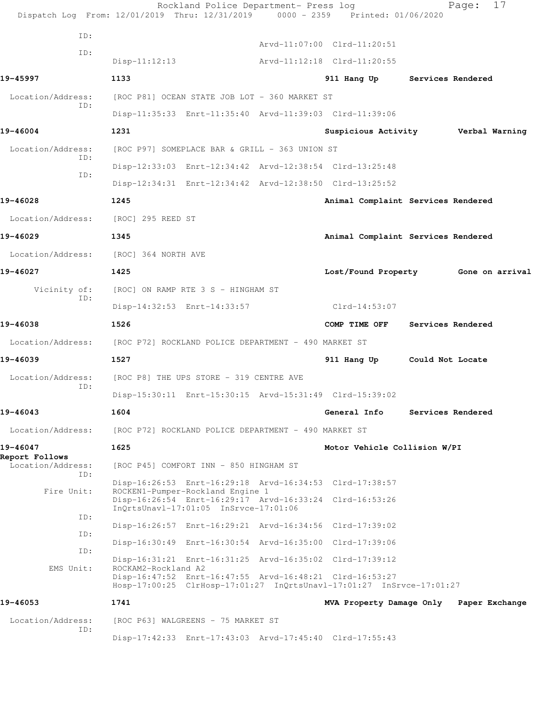|                                     | Rockland Police Department- Press log<br>Dispatch Log From: 12/01/2019 Thru: 12/31/2019 0000 - 2359                                                                                                               | Printed: 01/06/2020          | Page:<br>17                             |
|-------------------------------------|-------------------------------------------------------------------------------------------------------------------------------------------------------------------------------------------------------------------|------------------------------|-----------------------------------------|
| ID:                                 |                                                                                                                                                                                                                   | Arvd-11:07:00 Clrd-11:20:51  |                                         |
| ID:                                 | $Disp-11:12:13$                                                                                                                                                                                                   | Arvd-11:12:18 Clrd-11:20:55  |                                         |
| 19-45997                            | 1133                                                                                                                                                                                                              | 911 Hang Up                  | Services Rendered                       |
| Location/Address:                   | [ROC P81] OCEAN STATE JOB LOT - 360 MARKET ST                                                                                                                                                                     |                              |                                         |
| TD:                                 | Disp-11:35:33 Enrt-11:35:40 Arvd-11:39:03 Clrd-11:39:06                                                                                                                                                           |                              |                                         |
| 19-46004                            | 1231                                                                                                                                                                                                              | Suspicious Activity          | Verbal Warning                          |
| Location/Address:                   | [ROC P97] SOMEPLACE BAR & GRILL - 363 UNION ST                                                                                                                                                                    |                              |                                         |
| ID:                                 | Disp-12:33:03 Enrt-12:34:42 Arvd-12:38:54 Clrd-13:25:48                                                                                                                                                           |                              |                                         |
| ID:                                 | Disp-12:34:31 Enrt-12:34:42 Arvd-12:38:50 Clrd-13:25:52                                                                                                                                                           |                              |                                         |
| 19-46028                            | 1245                                                                                                                                                                                                              |                              | Animal Complaint Services Rendered      |
| Location/Address:                   | [ROC] 295 REED ST                                                                                                                                                                                                 |                              |                                         |
| 19-46029                            | 1345                                                                                                                                                                                                              |                              | Animal Complaint Services Rendered      |
| Location/Address:                   | [ROC] 364 NORTH AVE                                                                                                                                                                                               |                              |                                         |
| 19-46027                            | 1425                                                                                                                                                                                                              | Lost/Found Property          | Gone on arrival                         |
| Vicinity of:                        | [ROC] ON RAMP RTE 3 S - HINGHAM ST                                                                                                                                                                                |                              |                                         |
| ID:                                 | Disp-14:32:53 Enrt-14:33:57                                                                                                                                                                                       | Clrd-14:53:07                |                                         |
| 19-46038                            | 1526                                                                                                                                                                                                              | COMP TIME OFF                | Services Rendered                       |
| Location/Address:                   | [ROC P72] ROCKLAND POLICE DEPARTMENT - 490 MARKET ST                                                                                                                                                              |                              |                                         |
| 19-46039                            | 1527                                                                                                                                                                                                              | 911 Hang Up                  | Could Not Locate                        |
| Location/Address:                   | [ROC P8] THE UPS STORE - 319 CENTRE AVE                                                                                                                                                                           |                              |                                         |
| ID:                                 | Disp-15:30:11 Enrt-15:30:15 Arvd-15:31:49 Clrd-15:39:02                                                                                                                                                           |                              |                                         |
| 19-46043                            | 1604                                                                                                                                                                                                              | General Info                 | Services Rendered                       |
| Location/Address:                   | [ROC P72] ROCKLAND POLICE DEPARTMENT - 490 MARKET ST                                                                                                                                                              |                              |                                         |
| 19-46047                            | 1625                                                                                                                                                                                                              | Motor Vehicle Collision W/PI |                                         |
| Report Follows<br>Location/Address: | [ROC P45] COMFORT INN - 850 HINGHAM ST                                                                                                                                                                            |                              |                                         |
| ID:                                 | Disp-16:26:53 Enrt-16:29:18 Arvd-16:34:53 Clrd-17:38:57                                                                                                                                                           |                              |                                         |
| Fire Unit:                          | ROCKEN1-Pumper-Rockland Engine 1<br>Disp-16:26:54 Enrt-16:29:17 Arvd-16:33:24 Clrd-16:53:26<br>InOrtsUnavl-17:01:05 InSrvce-17:01:06                                                                              |                              |                                         |
| ID:                                 |                                                                                                                                                                                                                   |                              |                                         |
| ID:                                 | Disp-16:26:57 Enrt-16:29:21 Arvd-16:34:56 Clrd-17:39:02                                                                                                                                                           |                              |                                         |
| ID:                                 | Disp-16:30:49 Enrt-16:30:54 Arvd-16:35:00 Clrd-17:39:06                                                                                                                                                           |                              |                                         |
| EMS Unit:                           | Disp-16:31:21 Enrt-16:31:25 Arvd-16:35:02 Clrd-17:39:12<br>ROCKAM2-Rockland A2<br>Disp-16:47:52 Enrt-16:47:55 Arvd-16:48:21 Clrd-16:53:27<br>Hosp-17:00:25 ClrHosp-17:01:27 InQrtsUnavl-17:01:27 InSrvce-17:01:27 |                              |                                         |
| 19-46053                            | 1741                                                                                                                                                                                                              |                              | MVA Property Damage Only Paper Exchange |
| Location/Address:                   | [ROC P63] WALGREENS - 75 MARKET ST                                                                                                                                                                                |                              |                                         |
| ID:                                 | Disp-17:42:33 Enrt-17:43:03 Arvd-17:45:40 Clrd-17:55:43                                                                                                                                                           |                              |                                         |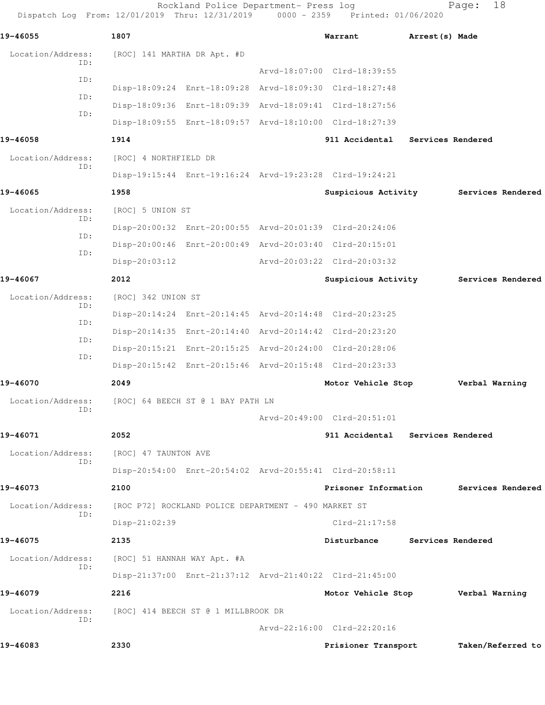Rockland Police Department- Press log Fage: 18 Dispatch Log From: 12/01/2019 Thru: 12/31/2019 0000 - 2359 Printed: 01/06/2020 **19-46055 1807 Warrant Arrest(s) Made** Location/Address: [ROC] 141 MARTHA DR Apt. #D ID: Arvd-18:07:00 Clrd-18:39:55 ID: Disp-18:09:24 Enrt-18:09:28 Arvd-18:09:30 Clrd-18:27:48 ID: Disp-18:09:36 Enrt-18:09:39 Arvd-18:09:41 Clrd-18:27:56 ID: Disp-18:09:55 Enrt-18:09:57 Arvd-18:10:00 Clrd-18:27:39 **19-46058 1914 911 Accidental Services Rendered** Location/Address: [ROC] 4 NORTHFIELD DR ID: Disp-19:15:44 Enrt-19:16:24 Arvd-19:23:28 Clrd-19:24:21 **19-46065 1958 Suspicious Activity Services Rendered** Location/Address: [ROC] 5 UNION ST ID: Disp-20:00:32 Enrt-20:00:55 Arvd-20:01:39 Clrd-20:24:06 ID: Disp-20:00:46 Enrt-20:00:49 Arvd-20:03:40 Clrd-20:15:01 ID: Disp-20:03:12 Arvd-20:03:22 Clrd-20:03:32 **19-46067 2012 Suspicious Activity Services Rendered** Location/Address: [ROC] 342 UNION ST ID: Disp-20:14:24 Enrt-20:14:45 Arvd-20:14:48 Clrd-20:23:25 ID: Disp-20:14:35 Enrt-20:14:40 Arvd-20:14:42 Clrd-20:23:20 ID: Disp-20:15:21 Enrt-20:15:25 Arvd-20:24:00 Clrd-20:28:06 ID: Disp-20:15:42 Enrt-20:15:46 Arvd-20:15:48 Clrd-20:23:33 **19-46070 2049 Motor Vehicle Stop Verbal Warning** Location/Address: [ROC] 64 BEECH ST @ 1 BAY PATH LN ID: Arvd-20:49:00 Clrd-20:51:01 **19-46071 2052 911 Accidental Services Rendered** Location/Address: [ROC] 47 TAUNTON AVE ID: Disp-20:54:00 Enrt-20:54:02 Arvd-20:55:41 Clrd-20:58:11 **19-46073 2100 Prisoner Information Services Rendered** Location/Address: [ROC P72] ROCKLAND POLICE DEPARTMENT - 490 MARKET ST ID: Disp-21:02:39 Clrd-21:17:58 **19-46075 2135 Disturbance Services Rendered** Location/Address: [ROC] 51 HANNAH WAY Apt. #A ID: Disp-21:37:00 Enrt-21:37:12 Arvd-21:40:22 Clrd-21:45:00 **19-46079 2216 Motor Vehicle Stop Verbal Warning** Location/Address: [ROC] 414 BEECH ST @ 1 MILLBROOK DR ID: Arvd-22:16:00 Clrd-22:20:16 **19-46083 2330 Prisioner Transport Taken/Referred to**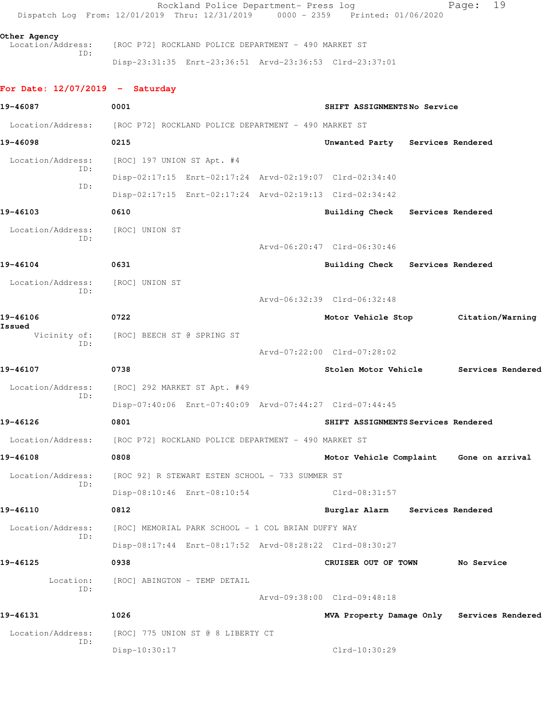Rockland Police Department- Press log Fage: 19 Dispatch Log From: 12/01/2019 Thru: 12/31/2019 0000 - 2359 Printed: 01/06/2020 **Other Agency**  Location/Address: [ROC P72] ROCKLAND POLICE DEPARTMENT - 490 MARKET ST ID: Disp-23:31:35 Enrt-23:36:51 Arvd-23:36:53 Clrd-23:37:01 **For Date: 12/07/2019 - Saturday 19-46087 0001 SHIFT ASSIGNMENTS No Service** Location/Address: [ROC P72] ROCKLAND POLICE DEPARTMENT - 490 MARKET ST **19-46098 0215 Unwanted Party Services Rendered** Location/Address: [ROC] 197 UNION ST Apt. #4 ID: Disp-02:17:15 Enrt-02:17:24 Arvd-02:19:07 Clrd-02:34:40 ID: Disp-02:17:15 Enrt-02:17:24 Arvd-02:19:13 Clrd-02:34:42 **19-46103 0610 Building Check Services Rendered** Location/Address: [ROC] UNION ST ID: Arvd-06:20:47 Clrd-06:30:46 **19-46104 0631 Building Check Services Rendered** Location/Address: [ROC] UNION ST ID: Arvd-06:32:39 Clrd-06:32:48 **19-46106 0722 Motor Vehicle Stop Citation/Warning Issued**  Vicinity of: [ROC] BEECH ST @ SPRING ST ID: Arvd-07:22:00 Clrd-07:28:02 **19-46107 0738 Stolen Motor Vehicle Services Rendered** Location/Address: [ROC] 292 MARKET ST Apt. #49 ID: Disp-07:40:06 Enrt-07:40:09 Arvd-07:44:27 Clrd-07:44:45 **19-46126 0801 SHIFT ASSIGNMENTS Services Rendered** Location/Address: [ROC P72] ROCKLAND POLICE DEPARTMENT - 490 MARKET ST **19-46108 0808 Motor Vehicle Complaint Gone on arrival** Location/Address: [ROC 92] R STEWART ESTEN SCHOOL - 733 SUMMER ST ID: Disp-08:10:46 Enrt-08:10:54 Clrd-08:31:57 **19-46110 0812 Burglar Alarm Services Rendered** Location/Address: [ROC] MEMORIAL PARK SCHOOL - 1 COL BRIAN DUFFY WAY ID: Disp-08:17:44 Enrt-08:17:52 Arvd-08:28:22 Clrd-08:30:27 **19-46125 0938 CRUISER OUT OF TOWN No Service** Location: [ROC] ABINGTON - TEMP DETAIL ID: Arvd-09:38:00 Clrd-09:48:18 **19-46131 1026 MVA Property Damage Only Services Rendered** Location/Address: [ROC] 775 UNION ST @ 8 LIBERTY CT ID: Disp-10:30:17 Clrd-10:30:29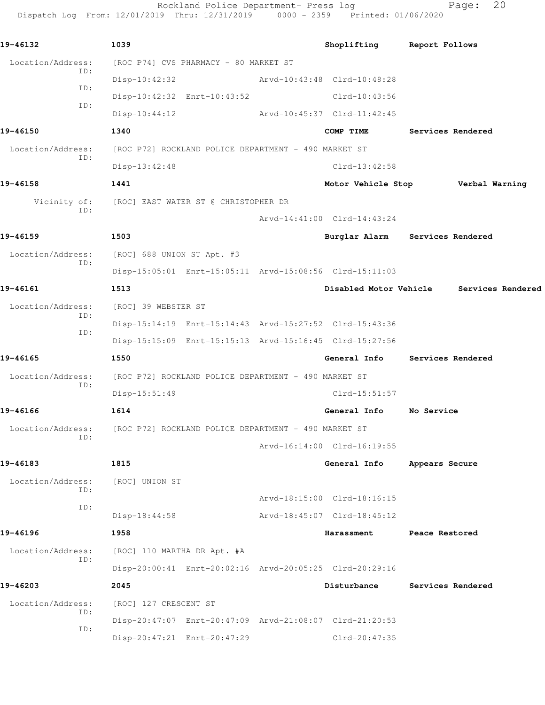Rockland Police Department- Press log Fage: 20 Dispatch Log From: 12/01/2019 Thru: 12/31/2019 0000 - 2359 Printed: 01/06/2020

**19-46132 1039 Shoplifting Report Follows** Location/Address: [ROC P74] CVS PHARMACY - 80 MARKET ST ID: Disp-10:42:32 Arvd-10:43:48 Clrd-10:48:28 ID: Disp-10:42:32 Enrt-10:43:52 Clrd-10:43:56 ID: Disp-10:44:12 Arvd-10:45:37 Clrd-11:42:45 **19-46150 1340 COMP TIME Services Rendered** Location/Address: [ROC P72] ROCKLAND POLICE DEPARTMENT - 490 MARKET ST ID: Disp-13:42:48 Clrd-13:42:58 **19-46158 1441 Motor Vehicle Stop Verbal Warning** Vicinity of: [ROC] EAST WATER ST @ CHRISTOPHER DR ID: Arvd-14:41:00 Clrd-14:43:24 **19-46159 1503 Burglar Alarm Services Rendered** Location/Address: [ROC] 688 UNION ST Apt. #3 ID: Disp-15:05:01 Enrt-15:05:11 Arvd-15:08:56 Clrd-15:11:03 **19-46161 1513 Disabled Motor Vehicle Services Rendered** Location/Address: [ROC] 39 WEBSTER ST ID: Disp-15:14:19 Enrt-15:14:43 Arvd-15:27:52 Clrd-15:43:36 ID: Disp-15:15:09 Enrt-15:15:13 Arvd-15:16:45 Clrd-15:27:56 **19-46165 1550 General Info Services Rendered** Location/Address: [ROC P72] ROCKLAND POLICE DEPARTMENT - 490 MARKET ST ID: Disp-15:51:49 Clrd-15:51:57 **19-46166 1614 General Info No Service** Location/Address: [ROC P72] ROCKLAND POLICE DEPARTMENT - 490 MARKET ST ID: Arvd-16:14:00 Clrd-16:19:55 **19-46183 1815 General Info Appears Secure** Location/Address: [ROC] UNION ST ID: Arvd-18:15:00 Clrd-18:16:15 ID: Disp-18:44:58 Arvd-18:45:07 Clrd-18:45:12 **19-46196 1958 Harassment Peace Restored** Location/Address: [ROC] 110 MARTHA DR Apt. #A ID: Disp-20:00:41 Enrt-20:02:16 Arvd-20:05:25 Clrd-20:29:16 **19-46203 2045 Disturbance Services Rendered** Location/Address: [ROC] 127 CRESCENT ST ID: Disp-20:47:07 Enrt-20:47:09 Arvd-21:08:07 Clrd-21:20:53 ID: Disp-20:47:21 Enrt-20:47:29 Clrd-20:47:35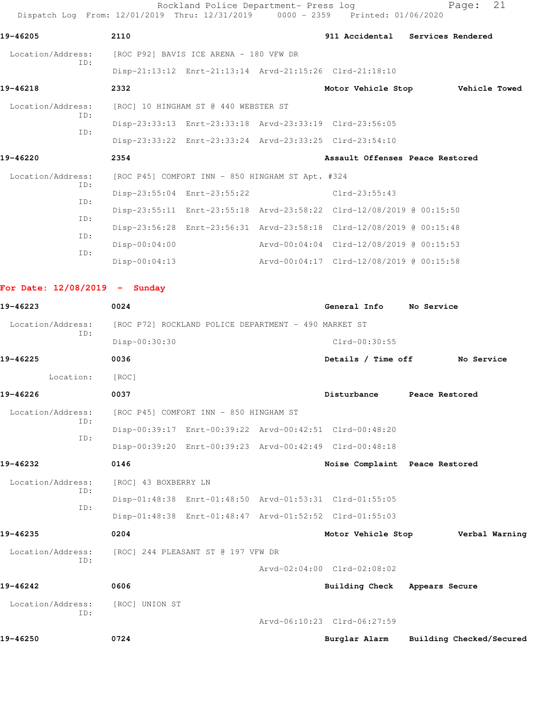Rockland Police Department- Press log entitled Page: 21 Dispatch Log From: 12/01/2019 Thru: 12/31/2019 0000 - 2359 Printed: 01/06/2020

| 19-46205                        | 2110                                                 |                                                  |                                                                                           | 911 Accidental Services Rendered |
|---------------------------------|------------------------------------------------------|--------------------------------------------------|-------------------------------------------------------------------------------------------|----------------------------------|
| Location/Address:               | [ROC P92] BAVIS ICE ARENA - 180 VFW DR               |                                                  |                                                                                           |                                  |
| TD:                             |                                                      |                                                  | Disp-21:13:12 Enrt-21:13:14 Arvd-21:15:26 Clrd-21:18:10                                   |                                  |
| 19-46218                        | 2332                                                 |                                                  |                                                                                           | Motor Vehicle Stop Vehicle Towed |
| Location/Address:               |                                                      | [ROC] 10 HINGHAM ST @ 440 WEBSTER ST             |                                                                                           |                                  |
| ID:                             |                                                      |                                                  | Disp-23:33:13 Enrt-23:33:18 Arvd-23:33:19 Clrd-23:56:05                                   |                                  |
| ID:                             |                                                      |                                                  | Disp-23:33:22 Enrt-23:33:24 Arvd-23:33:25 Clrd-23:54:10                                   |                                  |
| 19-46220                        | 2354                                                 |                                                  | Assault Offenses Peace Restored                                                           |                                  |
| Location/Address:               |                                                      | [ROC P45] COMFORT INN - 850 HINGHAM ST Apt. #324 |                                                                                           |                                  |
| ID:                             |                                                      | Disp-23:55:04 Enrt-23:55:22                      | $Clrd-23:55:43$                                                                           |                                  |
| ID:<br>ID:                      |                                                      |                                                  | Disp-23:55:11 Enrt-23:55:18 Arvd-23:58:22 Clrd-12/08/2019 @ 00:15:50                      |                                  |
| ID:                             |                                                      |                                                  | Disp-23:56:28 Enrt-23:56:31 Arvd-23:58:18 Clrd-12/08/2019 @ 00:15:48                      |                                  |
| ID:                             | $Disp-00:04:00$                                      |                                                  | Arvd-00:04:04 Clrd-12/08/2019 @ 00:15:53                                                  |                                  |
|                                 | $Disp-00:04:13$                                      |                                                  | Arvd-00:04:17 Clrd-12/08/2019 @ 00:15:58                                                  |                                  |
| For Date: $12/08/2019$ - Sunday |                                                      |                                                  |                                                                                           |                                  |
| 19-46223                        | 0024                                                 |                                                  | General Info                                                                              | No Service                       |
| Location/Address:               | [ROC P72] ROCKLAND POLICE DEPARTMENT - 490 MARKET ST |                                                  |                                                                                           |                                  |
| ID:                             | Disp-00:30:30                                        |                                                  | $Clrd-00:30:55$                                                                           |                                  |
| 19-46225                        | 0036                                                 |                                                  | Details / Time off                                                                        | No Service                       |
| Location:                       | [ROC]                                                |                                                  |                                                                                           |                                  |
| 19-46226                        | 0037                                                 |                                                  | Disturbance Peace Restored                                                                |                                  |
| Location/Address:               | [ROC P45] COMFORT INN - 850 HINGHAM ST               |                                                  |                                                                                           |                                  |
| ID:                             |                                                      |                                                  | Disp-00:39:17 Enrt-00:39:22 Arvd-00:42:51 Clrd-00:48:20                                   |                                  |
| ID:                             |                                                      |                                                  |                                                                                           |                                  |
| 19-46232                        | 0146                                                 |                                                  | Disp-00:39:20 Enrt-00:39:23 Arvd-00:42:49 Clrd-00:48:18<br>Noise Complaint Peace Restored |                                  |
| Location/Address:               |                                                      |                                                  |                                                                                           |                                  |
| ID:                             | [ROC] 43 BOXBERRY LN                                 |                                                  | Disp-01:48:38 Enrt-01:48:50 Arvd-01:53:31 Clrd-01:55:05                                   |                                  |
| ID:                             |                                                      |                                                  | Disp-01:48:38 Enrt-01:48:47 Arvd-01:52:52 Clrd-01:55:03                                   |                                  |
| 19-46235                        | 0204                                                 |                                                  |                                                                                           |                                  |
|                                 |                                                      |                                                  | Motor Vehicle Stop                                                                        | Verbal Warning                   |
| Location/Address:<br>ID:        |                                                      | [ROC] 244 PLEASANT ST @ 197 VFW DR               | Arvd-02:04:00 Clrd-02:08:02                                                               |                                  |
|                                 |                                                      |                                                  |                                                                                           |                                  |
| 19-46242                        | 0606                                                 |                                                  | Building Check Appears Secure                                                             |                                  |
| Location/Address:<br>TD:        | [ROC] UNION ST                                       |                                                  |                                                                                           |                                  |
|                                 |                                                      |                                                  | Arvd-06:10:23 Clrd-06:27:59                                                               |                                  |
| 19-46250                        | 0724                                                 |                                                  | Burglar Alarm                                                                             | Building Checked/Secured         |
|                                 |                                                      |                                                  |                                                                                           |                                  |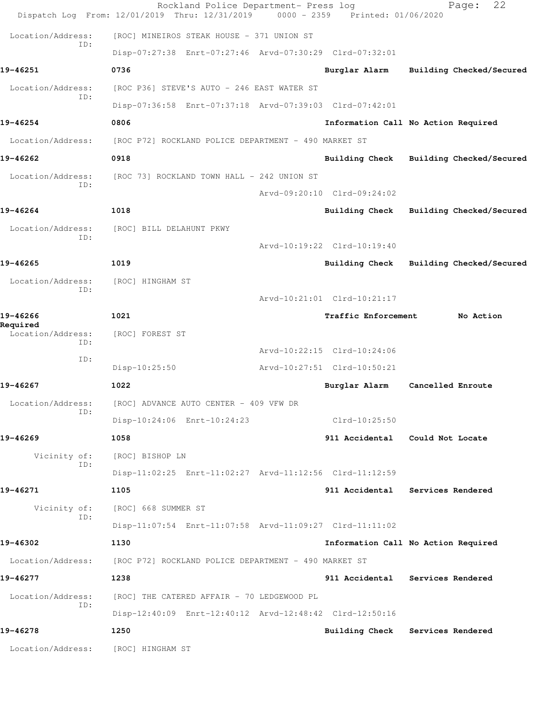|                               | Rockland Police Department- Press log<br>Dispatch Log From: 12/01/2019 Thru: 12/31/2019 0000 - 2359 Printed: 01/06/2020 |                             | 22<br>Page:                             |
|-------------------------------|-------------------------------------------------------------------------------------------------------------------------|-----------------------------|-----------------------------------------|
| Location/Address:             | [ROC] MINEIROS STEAK HOUSE - 371 UNION ST                                                                               |                             |                                         |
| ID:                           | Disp-07:27:38 Enrt-07:27:46 Arvd-07:30:29 Clrd-07:32:01                                                                 |                             |                                         |
| 19-46251                      | 0736                                                                                                                    | Burglar Alarm               | Building Checked/Secured                |
| Location/Address:             | [ROC P36] STEVE'S AUTO - 246 EAST WATER ST                                                                              |                             |                                         |
| ID:                           | Disp-07:36:58 Enrt-07:37:18 Arvd-07:39:03 Clrd-07:42:01                                                                 |                             |                                         |
| 19-46254                      | 0806                                                                                                                    |                             | Information Call No Action Required     |
| Location/Address:             | [ROC P72] ROCKLAND POLICE DEPARTMENT - 490 MARKET ST                                                                    |                             |                                         |
| 19-46262                      | 0918                                                                                                                    |                             | Building Check Building Checked/Secured |
| Location/Address:             | [ROC 73] ROCKLAND TOWN HALL - 242 UNION ST                                                                              |                             |                                         |
| TD:                           |                                                                                                                         | Arvd-09:20:10 Clrd-09:24:02 |                                         |
| 19-46264                      | 1018                                                                                                                    | Building Check              | Building Checked/Secured                |
| Location/Address:             | [ROC] BILL DELAHUNT PKWY                                                                                                |                             |                                         |
| ID:                           |                                                                                                                         | Arvd-10:19:22 Clrd-10:19:40 |                                         |
| 19-46265                      | 1019                                                                                                                    | Building Check              | Building Checked/Secured                |
| Location/Address:             | [ROC] HINGHAM ST                                                                                                        |                             |                                         |
| ID:                           |                                                                                                                         | Arvd-10:21:01 Clrd-10:21:17 |                                         |
| 19-46266                      | 1021                                                                                                                    | Traffic Enforcement         | No Action                               |
| Required<br>Location/Address: | [ROC] FOREST ST                                                                                                         |                             |                                         |
| ID:<br>ID:                    |                                                                                                                         | Arvd-10:22:15 Clrd-10:24:06 |                                         |
|                               | Disp-10:25:50                                                                                                           | Arvd-10:27:51 Clrd-10:50:21 |                                         |
| 19-46267                      | 1022                                                                                                                    | Burglar Alarm               | Cancelled Enroute                       |
| Location/Address:<br>ID:      | [ROC] ADVANCE AUTO CENTER - 409 VFW DR                                                                                  |                             |                                         |
|                               | Disp-10:24:06 Enrt-10:24:23                                                                                             | Clrd-10:25:50               |                                         |
| 19-46269                      | 1058                                                                                                                    |                             | 911 Accidental Could Not Locate         |
| Vicinity of:<br>ID:           | [ROC] BISHOP LN                                                                                                         |                             |                                         |
|                               | Disp-11:02:25 Enrt-11:02:27 Arvd-11:12:56 Clrd-11:12:59                                                                 |                             |                                         |
| 19-46271                      | 1105                                                                                                                    |                             | 911 Accidental Services Rendered        |
| Vicinity of:<br>ID:           | [ROC] 668 SUMMER ST                                                                                                     |                             |                                         |
|                               | Disp-11:07:54 Enrt-11:07:58 Arvd-11:09:27 Clrd-11:11:02                                                                 |                             |                                         |
| 19-46302                      | 1130                                                                                                                    |                             | Information Call No Action Required     |
| Location/Address:             | [ROC P72] ROCKLAND POLICE DEPARTMENT - 490 MARKET ST                                                                    |                             |                                         |
| 19-46277                      | 1238                                                                                                                    |                             | 911 Accidental Services Rendered        |
| Location/Address:<br>ID:      | [ROC] THE CATERED AFFAIR - 70 LEDGEWOOD PL                                                                              |                             |                                         |
|                               | Disp-12:40:09 Enrt-12:40:12 Arvd-12:48:42 Clrd-12:50:16                                                                 |                             |                                         |
| 19-46278                      | 1250                                                                                                                    |                             | Building Check Services Rendered        |
| Location/Address:             | [ROC] HINGHAM ST                                                                                                        |                             |                                         |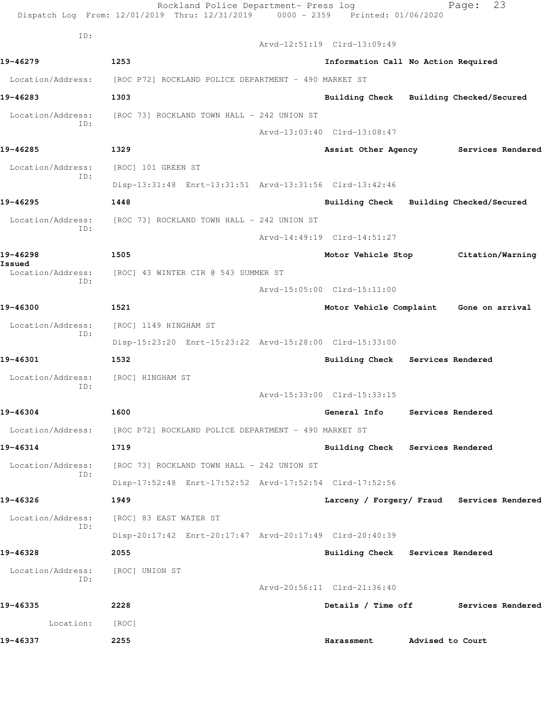|                          | Rockland Police Department- Press log<br>Dispatch Log From: 12/01/2019 Thru: 12/31/2019 0000 - 2359 Printed: 01/06/2020 |                                            |                  | 23<br>Page:       |  |
|--------------------------|-------------------------------------------------------------------------------------------------------------------------|--------------------------------------------|------------------|-------------------|--|
| ID:                      |                                                                                                                         |                                            |                  |                   |  |
|                          |                                                                                                                         | Arvd-12:51:19 Clrd-13:09:49                |                  |                   |  |
| 19-46279                 | 1253                                                                                                                    | Information Call No Action Required        |                  |                   |  |
|                          | Location/Address: [ROC P72] ROCKLAND POLICE DEPARTMENT - 490 MARKET ST                                                  |                                            |                  |                   |  |
| 19-46283                 | 1303                                                                                                                    | Building Check Building Checked/Secured    |                  |                   |  |
| Location/Address:<br>ID: | [ROC 73] ROCKLAND TOWN HALL - 242 UNION ST                                                                              |                                            |                  |                   |  |
|                          |                                                                                                                         | Arvd-13:03:40 Clrd-13:08:47                |                  |                   |  |
| 19-46285                 | 1329                                                                                                                    | Assist Other Agency Services Rendered      |                  |                   |  |
| Location/Address:<br>ID: | [ROC] 101 GREEN ST                                                                                                      |                                            |                  |                   |  |
|                          | Disp-13:31:48 Enrt-13:31:51 Arvd-13:31:56 Clrd-13:42:46                                                                 |                                            |                  |                   |  |
| 19-46295                 | 1448                                                                                                                    | Building Check Building Checked/Secured    |                  |                   |  |
| Location/Address:<br>TD: | [ROC 73] ROCKLAND TOWN HALL – 242 UNION ST                                                                              |                                            |                  |                   |  |
|                          |                                                                                                                         | Arvd-14:49:19 Clrd-14:51:27                |                  |                   |  |
| 19-46298<br>Issued       | 1505                                                                                                                    | Motor Vehicle Stop Citation/Warning        |                  |                   |  |
| Location/Address:        | [ROC] 43 WINTER CIR @ 543 SUMMER ST                                                                                     |                                            |                  |                   |  |
| ID:                      |                                                                                                                         | Arvd-15:05:00 Clrd-15:11:00                |                  |                   |  |
| 19-46300                 | 1521                                                                                                                    | Motor Vehicle Complaint Gone on arrival    |                  |                   |  |
| Location/Address:        | [ROC] 1149 HINGHAM ST                                                                                                   |                                            |                  |                   |  |
| ID:                      | Disp-15:23:20 Enrt-15:23:22 Arvd-15:28:00 Clrd-15:33:00                                                                 |                                            |                  |                   |  |
| 19-46301                 | 1532                                                                                                                    | Building Check Services Rendered           |                  |                   |  |
| Location/Address:        | [ROC] HINGHAM ST                                                                                                        |                                            |                  |                   |  |
| ID:                      |                                                                                                                         | Arvd-15:33:00 Clrd-15:33:15                |                  |                   |  |
| 19-46304                 | 1600                                                                                                                    | General Info                               |                  | Services Rendered |  |
| Location/Address:        | [ROC P72] ROCKLAND POLICE DEPARTMENT - 490 MARKET ST                                                                    |                                            |                  |                   |  |
| 19-46314                 | 1719                                                                                                                    | Building Check Services Rendered           |                  |                   |  |
| Location/Address:        | [ROC 73] ROCKLAND TOWN HALL - 242 UNION ST                                                                              |                                            |                  |                   |  |
| ID:                      | Disp-17:52:48 Enrt-17:52:52 Arvd-17:52:54 Clrd-17:52:56                                                                 |                                            |                  |                   |  |
| 19-46326                 | 1949                                                                                                                    | Larceny / Forgery/ Fraud Services Rendered |                  |                   |  |
| Location/Address:        | [ROC] 83 EAST WATER ST                                                                                                  |                                            |                  |                   |  |
| ID:                      | Disp-20:17:42 Enrt-20:17:47 Arvd-20:17:49 Clrd-20:40:39                                                                 |                                            |                  |                   |  |
| 19-46328                 | 2055                                                                                                                    | Building Check Services Rendered           |                  |                   |  |
| Location/Address:        | [ROC] UNION ST                                                                                                          |                                            |                  |                   |  |
| ID:                      |                                                                                                                         | Arvd-20:56:11 Clrd-21:36:40                |                  |                   |  |
| 19-46335                 | 2228                                                                                                                    | Details / Time off                         |                  | Services Rendered |  |
|                          |                                                                                                                         |                                            |                  |                   |  |
| Location:                | [ROC]                                                                                                                   |                                            |                  |                   |  |
| 19-46337                 | 2255                                                                                                                    | Harassment                                 | Advised to Court |                   |  |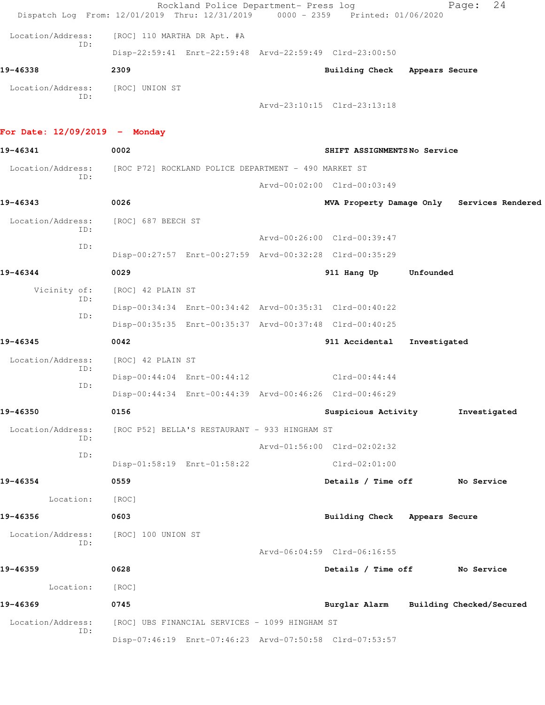|                                         | Rockland Police Department- Press log<br>Dispatch Log From: 12/01/2019 Thru: 12/31/2019 | 0000 - 2359 Printed: 01/06/2020        |              | 24<br>Page:                                |
|-----------------------------------------|-----------------------------------------------------------------------------------------|----------------------------------------|--------------|--------------------------------------------|
| Location/Address:                       | [ROC] 110 MARTHA DR Apt. #A                                                             |                                        |              |                                            |
| TD:                                     | Disp-22:59:41 Enrt-22:59:48 Arvd-22:59:49 Clrd-23:00:50                                 |                                        |              |                                            |
| 19-46338                                | 2309                                                                                    | Building Check Appears Secure          |              |                                            |
| Location/Address: [ROC] UNION ST<br>ID: |                                                                                         | Arvd-23:10:15 Clrd-23:13:18            |              |                                            |
| For Date: $12/09/2019$ - Monday         |                                                                                         |                                        |              |                                            |
| 19-46341                                | 0002                                                                                    | SHIFT ASSIGNMENTSNo Service            |              |                                            |
| ID:                                     | Location/Address: [ROC P72] ROCKLAND POLICE DEPARTMENT - 490 MARKET ST                  |                                        |              |                                            |
|                                         |                                                                                         | Arvd-00:02:00 Clrd-00:03:49            |              |                                            |
| 19-46343                                | 0026                                                                                    |                                        |              | MVA Property Damage Only Services Rendered |
| Location/Address:<br>ID:                | [ROC] 687 BEECH ST                                                                      |                                        |              |                                            |
| ID:                                     |                                                                                         | Arvd-00:26:00 Clrd-00:39:47            |              |                                            |
|                                         | Disp-00:27:57 Enrt-00:27:59 Arvd-00:32:28 Clrd-00:35:29                                 |                                        |              |                                            |
| 19-46344                                | 0029                                                                                    | 911 Hang Up                            | Unfounded    |                                            |
| Vicinity of:<br>ID:                     | [ROC] 42 PLAIN ST                                                                       |                                        |              |                                            |
| ID:                                     | Disp-00:34:34 Enrt-00:34:42 Arvd-00:35:31 Clrd-00:40:22                                 |                                        |              |                                            |
|                                         | Disp-00:35:35 Enrt-00:35:37 Arvd-00:37:48 Clrd-00:40:25                                 |                                        |              |                                            |
| 19-46345                                | 0042                                                                                    | 911 Accidental                         | Investigated |                                            |
| Location/Address:<br>ID:                | [ROC] 42 PLAIN ST                                                                       |                                        |              |                                            |
| ID:                                     | Disp-00:44:04 Enrt-00:44:12                                                             | $Clrd-00:44:44$                        |              |                                            |
| 19-46350                                | Disp-00:44:34 Enrt-00:44:39 Arvd-00:46:26 Clrd-00:46:29<br>0156                         |                                        |              |                                            |
| Location/Address:                       | [ROC P52] BELLA'S RESTAURANT - 933 HINGHAM ST                                           | Suspicious Activity                    |              | Investigated                               |
| ID:                                     |                                                                                         | Arvd-01:56:00 Clrd-02:02:32            |              |                                            |
| ID:                                     | Disp-01:58:19 Enrt-01:58:22                                                             | $Clrd-02:01:00$                        |              |                                            |
| 19-46354                                | 0559                                                                                    | Details / Time off No Service          |              |                                            |
| Location:                               | [ROC]                                                                                   |                                        |              |                                            |
| 19-46356                                | 0603                                                                                    | Building Check Appears Secure          |              |                                            |
| Location/Address:                       | [ROC] 100 UNION ST                                                                      |                                        |              |                                            |
| ID:                                     |                                                                                         | Arvd-06:04:59 Clrd-06:16:55            |              |                                            |
| 19-46359                                | 0628                                                                                    | Details / Time off Mo Service          |              |                                            |
| Location:                               | [ROC]                                                                                   |                                        |              |                                            |
| 19-46369                                | 0745                                                                                    | Burglar Alarm Building Checked/Secured |              |                                            |
| Location/Address:<br>ID:                | [ROC] UBS FINANCIAL SERVICES - 1099 HINGHAM ST                                          |                                        |              |                                            |
|                                         | Disp-07:46:19 Enrt-07:46:23 Arvd-07:50:58 Clrd-07:53:57                                 |                                        |              |                                            |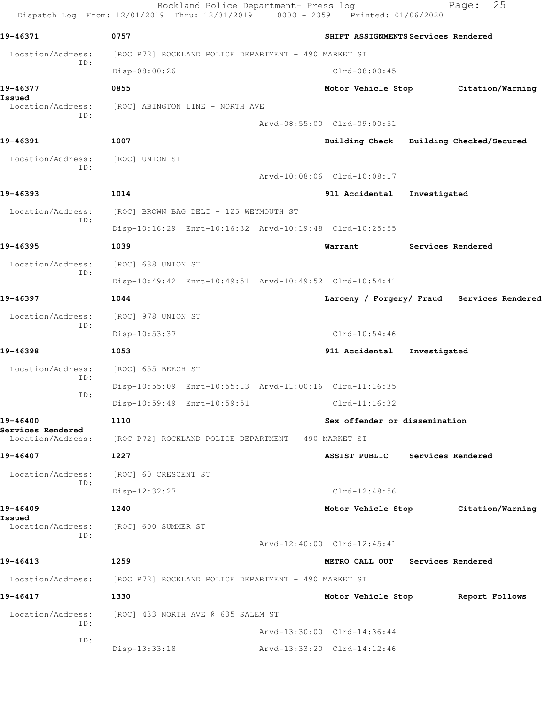Rockland Police Department- Press log Fage: 25 Dispatch Log From: 12/01/2019 Thru: 12/31/2019 0000 - 2359 Printed: 01/06/2020 **19-46371 0757 SHIFT ASSIGNMENTS Services Rendered** Location/Address: [ROC P72] ROCKLAND POLICE DEPARTMENT - 490 MARKET ST ID: Disp-08:00:26 Clrd-08:00:45 **19-46377 0855 Motor Vehicle Stop Citation/Warning Issued**  Location/Address: [ROC] ABINGTON LINE - NORTH AVE ID: Arvd-08:55:00 Clrd-09:00:51 **19-46391 1007 Building Check Building Checked/Secured** Location/Address: [ROC] UNION ST ID: Arvd-10:08:06 Clrd-10:08:17 **19-46393 1014 911 Accidental Investigated** Location/Address: [ROC] BROWN BAG DELI - 125 WEYMOUTH ST ID: Disp-10:16:29 Enrt-10:16:32 Arvd-10:19:48 Clrd-10:25:55 **19-46395 1039 Warrant Services Rendered** Location/Address: [ROC] 688 UNION ST ID: Disp-10:49:42 Enrt-10:49:51 Arvd-10:49:52 Clrd-10:54:41 **19-46397 1044 Larceny / Forgery/ Fraud Services Rendered** Location/Address: [ROC] 978 UNION ST ID: Disp-10:53:37 Clrd-10:54:46 **19-46398 1053 911 Accidental Investigated** Location/Address: [ROC] 655 BEECH ST ID: Disp-10:55:09 Enrt-10:55:13 Arvd-11:00:16 Clrd-11:16:35 ID: Disp-10:59:49 Enrt-10:59:51 Clrd-11:16:32 **19-46400 1110 Sex offender or dissemination Services Rendered**  Location/Address: [ROC P72] ROCKLAND POLICE DEPARTMENT - 490 MARKET ST **19-46407 1227 ASSIST PUBLIC Services Rendered** Location/Address: [ROC] 60 CRESCENT ST ID: Disp-12:32:27 Clrd-12:48:56 **19-46409 1240 Motor Vehicle Stop Citation/Warning Issued**  Location/Address: [ROC] 600 SUMMER ST ID: Arvd-12:40:00 Clrd-12:45:41 **19-46413 1259 METRO CALL OUT Services Rendered** Location/Address: [ROC P72] ROCKLAND POLICE DEPARTMENT - 490 MARKET ST **19-46417 1330 Motor Vehicle Stop Report Follows** Location/Address: [ROC] 433 NORTH AVE @ 635 SALEM ST ID: Arvd-13:30:00 Clrd-14:36:44 ID: Disp-13:33:18 Arvd-13:33:20 Clrd-14:12:46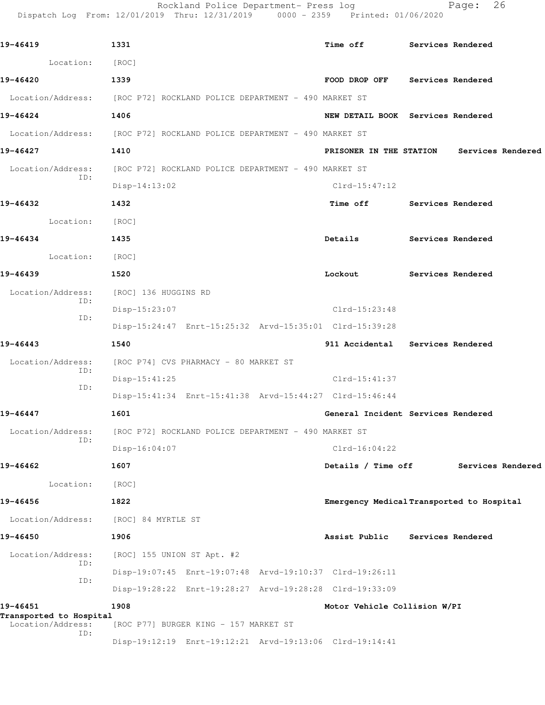| 19-46419                            | 1331                                                                   | <b>Time off</b>              | Services Rendered                         |  |
|-------------------------------------|------------------------------------------------------------------------|------------------------------|-------------------------------------------|--|
| Location:                           | [ROC]                                                                  |                              |                                           |  |
| 19-46420                            | 1339                                                                   |                              | FOOD DROP OFF Services Rendered           |  |
|                                     | Location/Address: [ROC P72] ROCKLAND POLICE DEPARTMENT - 490 MARKET ST |                              |                                           |  |
| 19-46424                            | 1406                                                                   |                              | NEW DETAIL BOOK Services Rendered         |  |
|                                     | Location/Address: [ROC P72] ROCKLAND POLICE DEPARTMENT - 490 MARKET ST |                              |                                           |  |
| 19-46427                            | 1410                                                                   |                              | PRISONER IN THE STATION Services Rendered |  |
| Location/Address:<br>ID:            | [ROC P72] ROCKLAND POLICE DEPARTMENT - 490 MARKET ST                   |                              |                                           |  |
|                                     | $Disp-14:13:02$                                                        | $Clrd-15:47:12$              |                                           |  |
| 19-46432                            | 1432                                                                   |                              | Time off Services Rendered                |  |
| Location:                           | [ROC]                                                                  |                              |                                           |  |
| 19-46434                            | 1435                                                                   | Details                      | Services Rendered                         |  |
| Location: [ROC]                     |                                                                        |                              |                                           |  |
| 19-46439                            | 1520                                                                   | Lockout                      | Services Rendered                         |  |
| Location/Address:<br>ID:            | [ROC] 136 HUGGINS RD                                                   |                              |                                           |  |
| ID:                                 | $Disp-15:23:07$                                                        | Clrd-15:23:48                |                                           |  |
|                                     | Disp-15:24:47 Enrt-15:25:32 Arvd-15:35:01 Clrd-15:39:28                |                              |                                           |  |
| 19-46443                            | 1540                                                                   |                              | 911 Accidental Services Rendered          |  |
| Location/Address:<br>ID:            | [ROC P74] CVS PHARMACY - 80 MARKET ST                                  |                              |                                           |  |
| ID:                                 | $Disp-15:41:25$                                                        | Clrd-15:41:37                |                                           |  |
|                                     | Disp-15:41:34 Enrt-15:41:38 Arvd-15:44:27 Clrd-15:46:44                |                              |                                           |  |
| 19-46447                            | 1601                                                                   |                              | General Incident Services Rendered        |  |
| Location/Address:<br>ID:            | [ROC P72] ROCKLAND POLICE DEPARTMENT - 490 MARKET ST                   |                              |                                           |  |
|                                     | Disp-16:04:07                                                          | $Clrd-16:04:22$              |                                           |  |
| 19-46462                            | 1607                                                                   | Details / Time off           | Services Rendered                         |  |
| Location:                           | [ROC]                                                                  |                              |                                           |  |
| 19-46456                            | 1822                                                                   |                              | Emergency Medical Transported to Hospital |  |
| Location/Address:                   | [ROC] 84 MYRTLE ST                                                     |                              |                                           |  |
| 19-46450                            | 1906                                                                   | Assist Public                | <b>Services Rendered</b>                  |  |
| Location/Address:<br>ID:            | [ROC] 155 UNION ST Apt. #2                                             |                              |                                           |  |
| ID:                                 | Disp-19:07:45 Enrt-19:07:48 Arvd-19:10:37 Clrd-19:26:11                |                              |                                           |  |
|                                     | Disp-19:28:22 Enrt-19:28:27 Arvd-19:28:28 Clrd-19:33:09                |                              |                                           |  |
| 19-46451<br>Transported to Hospital | 1908                                                                   | Motor Vehicle Collision W/PI |                                           |  |
| Location/Address:                   | [ROC P77] BURGER KING - 157 MARKET ST                                  |                              |                                           |  |
| ID:                                 |                                                                        |                              |                                           |  |

Rockland Police Department- Press log Page: 26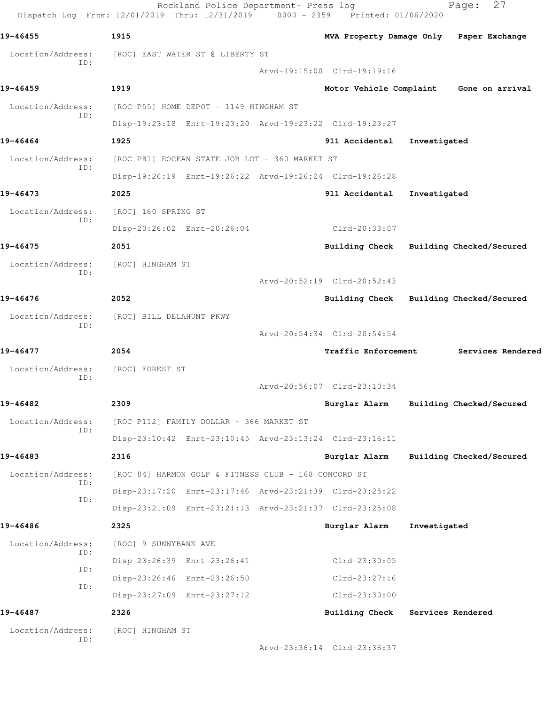|                          | Rockland Police Department- Press log<br>Dispatch Log From: 12/01/2019 Thru: 12/31/2019 0000 - 2359 Printed: 01/06/2020 |                             |                   | 27<br>Page:                             |
|--------------------------|-------------------------------------------------------------------------------------------------------------------------|-----------------------------|-------------------|-----------------------------------------|
| 19-46455                 | 1915                                                                                                                    |                             |                   | MVA Property Damage Only Paper Exchange |
| Location/Address:<br>ID: | [ROC] EAST WATER ST @ LIBERTY ST                                                                                        |                             |                   |                                         |
|                          |                                                                                                                         | Arvd-19:15:00 Clrd-19:19:16 |                   |                                         |
| 19-46459                 | 1919                                                                                                                    |                             |                   | Motor Vehicle Complaint Gone on arrival |
| Location/Address:<br>ID: | [ROC P55] HOME DEPOT - 1149 HINGHAM ST                                                                                  |                             |                   |                                         |
|                          | Disp-19:23:18 Enrt-19:23:20 Arvd-19:23:22 Clrd-19:23:27                                                                 |                             |                   |                                         |
| 19-46464                 | 1925                                                                                                                    | 911 Accidental              | Investigated      |                                         |
| Location/Address:<br>ID: | [ROC P81] EOCEAN STATE JOB LOT - 360 MARKET ST                                                                          |                             |                   |                                         |
|                          | Disp-19:26:19 Enrt-19:26:22 Arvd-19:26:24 Clrd-19:26:28                                                                 |                             |                   |                                         |
| 19-46473                 | 2025                                                                                                                    | 911 Accidental              | Investigated      |                                         |
| Location/Address:<br>ID: | [ROC] 160 SPRING ST                                                                                                     |                             |                   |                                         |
|                          | Disp-20:26:02 Enrt-20:26:04                                                                                             | Clrd-20:33:07               |                   |                                         |
| 19-46475                 | 2051                                                                                                                    |                             |                   | Building Check Building Checked/Secured |
| Location/Address:<br>ID: | [ROC] HINGHAM ST                                                                                                        |                             |                   |                                         |
|                          |                                                                                                                         | Arvd-20:52:19 Clrd-20:52:43 |                   |                                         |
| 19-46476                 | 2052                                                                                                                    |                             |                   | Building Check Building Checked/Secured |
| Location/Address:<br>ID: | [ROC] BILL DELAHUNT PKWY                                                                                                |                             |                   |                                         |
|                          |                                                                                                                         | Arvd-20:54:34 Clrd-20:54:54 |                   |                                         |
| 19-46477                 | 2054                                                                                                                    | <b>Traffic Enforcement</b>  |                   | Services Rendered                       |
| Location/Address:<br>TD: | [ROC] FOREST ST                                                                                                         |                             |                   |                                         |
|                          |                                                                                                                         | Arvd-20:56:07 Clrd-23:10:34 |                   |                                         |
| 19-46482                 | 2309                                                                                                                    | Burglar Alarm               |                   | Building Checked/Secured                |
| Location/Address:<br>ID: | [ROC P112] FAMILY DOLLAR - 366 MARKET ST                                                                                |                             |                   |                                         |
|                          | Disp-23:10:42 Enrt-23:10:45 Arvd-23:13:24 Clrd-23:16:11                                                                 |                             |                   |                                         |
| 19-46483                 | 2316                                                                                                                    | Burglar Alarm               |                   | Building Checked/Secured                |
| Location/Address:<br>ID: | [ROC 84] HARMON GOLF & FITNESS CLUB - 168 CONCORD ST                                                                    |                             |                   |                                         |
| ID:                      | Disp-23:17:20 Enrt-23:17:46 Arvd-23:21:39 Clrd-23:25:22                                                                 |                             |                   |                                         |
|                          | Disp-23:21:09 Enrt-23:21:13 Arvd-23:21:37 Clrd-23:25:08                                                                 |                             |                   |                                         |
| 19-46486                 | 2325                                                                                                                    | Burglar Alarm               | Investigated      |                                         |
| Location/Address:<br>ID: | [ROC] 9 SUNNYBANK AVE                                                                                                   |                             |                   |                                         |
| ID:                      | Disp-23:26:39 Enrt-23:26:41                                                                                             | Clrd-23:30:05               |                   |                                         |
| ID:                      | Disp-23:26:46 Enrt-23:26:50                                                                                             | $Clrd-23:27:16$             |                   |                                         |
|                          | Disp-23:27:09 Enrt-23:27:12                                                                                             | $Clrd-23:30:00$             |                   |                                         |
| 19-46487                 | 2326                                                                                                                    | <b>Building Check</b>       | Services Rendered |                                         |
| Location/Address:<br>ID: | [ROC] HINGHAM ST                                                                                                        |                             |                   |                                         |
|                          |                                                                                                                         | Arvd-23:36:14 Clrd-23:36:37 |                   |                                         |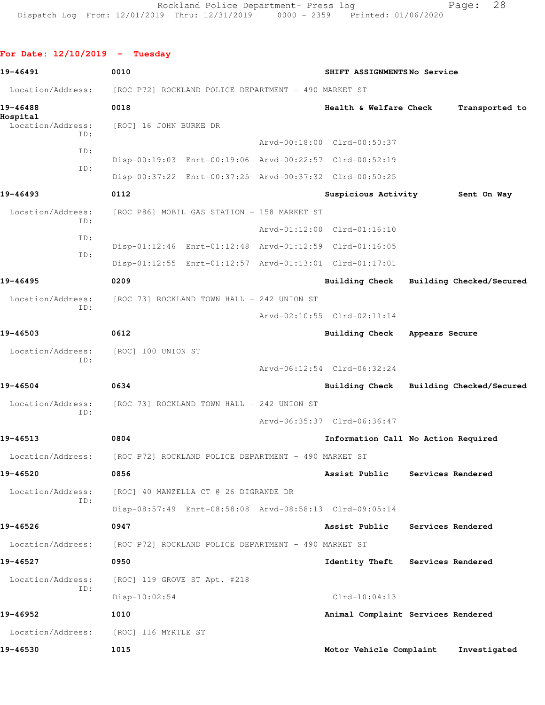```
For Date: 12/10/2019 - Tuesday 
19-46491 0010 SHIFT ASSIGNMENTS No Service
Location/Address: [ROC P72] ROCKLAND POLICE DEPARTMENT - 490 MARKET ST
19-46488 0018 Health & Welfare Check Transported to
Hospital 
  Location/Address: [ROC] 16 JOHN BURKE DR
            ID: 
                                       Arvd-00:18:00 Clrd-00:50:37
            ID: 
                 Disp-00:19:03 Enrt-00:19:06 Arvd-00:22:57 Clrd-00:52:19
            ID: 
                 Disp-00:37:22 Enrt-00:37:25 Arvd-00:37:32 Clrd-00:50:25
19-46493 0112 Suspicious Activity Sent On Way
 Location/Address: [ROC P86] MOBIL GAS STATION - 158 MARKET ST
            ID: 
                                       Arvd-01:12:00 Clrd-01:16:10
            ID: 
                 Disp-01:12:46 Enrt-01:12:48 Arvd-01:12:59 Clrd-01:16:05
            ID: 
                 Disp-01:12:55 Enrt-01:12:57 Arvd-01:13:01 Clrd-01:17:01
19-46495 0209 Building Check Building Checked/Secured
 Location/Address: [ROC 73] ROCKLAND TOWN HALL - 242 UNION ST
            ID: 
                                       Arvd-02:10:55 Clrd-02:11:14
19-46503 0612 Building Check Appears Secure
  Location/Address: [ROC] 100 UNION ST
            ID: 
                                       Arvd-06:12:54 Clrd-06:32:24
19-46504 0634 Building Check Building Checked/Secured
 Location/Address: [ROC 73] ROCKLAND TOWN HALL - 242 UNION ST
            ID: 
                                       Arvd-06:35:37 Clrd-06:36:47
19-46513 0804 Information Call No Action Required
  Location/Address: [ROC P72] ROCKLAND POLICE DEPARTMENT - 490 MARKET ST
19-46520 0856 Assist Public Services Rendered
  Location/Address: [ROC] 40 MANZELLA CT @ 26 DIGRANDE DR
            ID: 
                 Disp-08:57:49 Enrt-08:58:08 Arvd-08:58:13 Clrd-09:05:14
19-46526 0947 Assist Public Services Rendered
 Location/Address: [ROC P72] ROCKLAND POLICE DEPARTMENT - 490 MARKET ST
19-46527 0950 Identity Theft Services Rendered
  Location/Address: [ROC] 119 GROVE ST Apt. #218
            ID: 
                Disp-10:02:54 Clrd-10:04:13
19-46952 1010 Animal Complaint Services Rendered
  Location/Address: [ROC] 116 MYRTLE ST
```
**19-46530 1015 Motor Vehicle Complaint Investigated**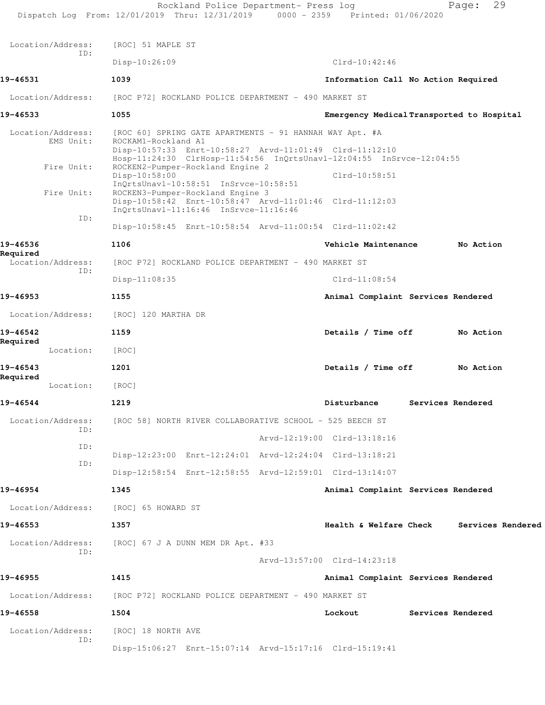|                                | Rockland Police Department- Press log<br>Dispatch Log From: 12/01/2019 Thru: 12/31/2019 0000 - 2359 Printed: 01/06/2020                                                                                           |                                     | 29<br>Page:                               |  |
|--------------------------------|-------------------------------------------------------------------------------------------------------------------------------------------------------------------------------------------------------------------|-------------------------------------|-------------------------------------------|--|
| Location/Address:              | [ROC] 51 MAPLE ST                                                                                                                                                                                                 |                                     |                                           |  |
| ID:                            | $Disp-10:26:09$                                                                                                                                                                                                   | $Clrd-10:42:46$                     |                                           |  |
| 19-46531                       | 1039                                                                                                                                                                                                              | Information Call No Action Required |                                           |  |
| Location/Address:              | [ROC P72] ROCKLAND POLICE DEPARTMENT - 490 MARKET ST                                                                                                                                                              |                                     |                                           |  |
| 19-46533                       | 1055                                                                                                                                                                                                              |                                     | Emergency Medical Transported to Hospital |  |
| Location/Address:<br>EMS Unit: | [ROC 60] SPRING GATE APARTMENTS - 91 HANNAH WAY Apt. #A<br>ROCKAM1-Rockland A1<br>Disp-10:57:33 Enrt-10:58:27 Arvd-11:01:49 Clrd-11:12:10<br>Hosp-11:24:30 ClrHosp-11:54:56 InQrtsUnavl-12:04:55 InSrvce-12:04:55 |                                     |                                           |  |
| Fire Unit:                     | ROCKEN2-Pumper-Rockland Engine 2<br>Disp-10:58:00                                                                                                                                                                 | $Clrd-10:58:51$                     |                                           |  |
| Fire Unit:                     | InQrtsUnavl-10:58:51 InSrvce-10:58:51<br>ROCKEN3-Pumper-Rockland Engine 3<br>Disp-10:58:42 Enrt-10:58:47 Arvd-11:01:46 Clrd-11:12:03<br>InOrtsUnavl-11:16:46 InSrvce-11:16:46                                     |                                     |                                           |  |
| ID:                            | Disp-10:58:45 Enrt-10:58:54 Arvd-11:00:54 Clrd-11:02:42                                                                                                                                                           |                                     |                                           |  |
| 19-46536                       | 1106                                                                                                                                                                                                              | Vehicle Maintenance                 | No Action                                 |  |
| Required<br>Location/Address:  | [ROC P72] ROCKLAND POLICE DEPARTMENT - 490 MARKET ST                                                                                                                                                              |                                     |                                           |  |
| TD:                            | $Disp-11:08:35$                                                                                                                                                                                                   | $Clrd-11:08:54$                     |                                           |  |
| 19-46953                       | 1155                                                                                                                                                                                                              | Animal Complaint Services Rendered  |                                           |  |
| Location/Address:              | [ROC] 120 MARTHA DR                                                                                                                                                                                               |                                     |                                           |  |
| 19-46542<br>Required           | 1159                                                                                                                                                                                                              | Details / Time off                  | No Action                                 |  |
| Location:                      | [ROC]                                                                                                                                                                                                             |                                     |                                           |  |
| 19-46543<br>Required           | 1201                                                                                                                                                                                                              | Details / Time off                  | No Action                                 |  |
| Location:                      | [ROC]                                                                                                                                                                                                             |                                     |                                           |  |
| 19-46544                       | 1219                                                                                                                                                                                                              | Disturbance                         | Services Rendered                         |  |
| Location/Address:<br>ID:       | [ROC 58] NORTH RIVER COLLABORATIVE SCHOOL - 525 BEECH ST                                                                                                                                                          |                                     |                                           |  |
| ID:                            |                                                                                                                                                                                                                   | Arvd-12:19:00 Clrd-13:18:16         |                                           |  |
| ID:                            | Disp-12:23:00 Enrt-12:24:01 Arvd-12:24:04 Clrd-13:18:21                                                                                                                                                           |                                     |                                           |  |
|                                | Disp-12:58:54 Enrt-12:58:55 Arvd-12:59:01 Clrd-13:14:07                                                                                                                                                           |                                     |                                           |  |
| 19-46954                       | 1345                                                                                                                                                                                                              | Animal Complaint Services Rendered  |                                           |  |
| Location/Address:              | [ROC] 65 HOWARD ST                                                                                                                                                                                                |                                     |                                           |  |
| 19-46553                       | 1357                                                                                                                                                                                                              | Health & Welfare Check              | Services Rendered                         |  |
| Location/Address:<br>ID:       | [ROC] 67 J A DUNN MEM DR Apt. #33                                                                                                                                                                                 |                                     |                                           |  |
|                                |                                                                                                                                                                                                                   | Arvd-13:57:00 Clrd-14:23:18         |                                           |  |
| 19-46955                       | 1415                                                                                                                                                                                                              | Animal Complaint Services Rendered  |                                           |  |
| Location/Address:              | [ROC P72] ROCKLAND POLICE DEPARTMENT - 490 MARKET ST                                                                                                                                                              |                                     |                                           |  |
| 19-46558                       | 1504                                                                                                                                                                                                              | Lockout                             | Services Rendered                         |  |
| Location/Address:<br>ID:       | [ROC] 18 NORTH AVE                                                                                                                                                                                                |                                     |                                           |  |
|                                | Disp-15:06:27 Enrt-15:07:14 Arvd-15:17:16 Clrd-15:19:41                                                                                                                                                           |                                     |                                           |  |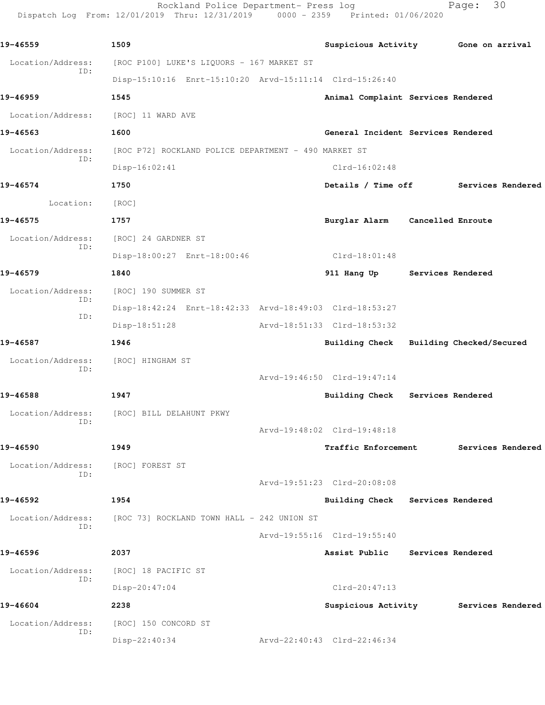Rockland Police Department- Press log Fage: 30 Dispatch Log From: 12/01/2019 Thru: 12/31/2019 0000 - 2359 Printed: 01/06/2020

**19-46559 1509 Suspicious Activity Gone on arrival** Location/Address: [ROC P100] LUKE'S LIQUORS - 167 MARKET ST ID: Disp-15:10:16 Enrt-15:10:20 Arvd-15:11:14 Clrd-15:26:40 **19-46959 1545 Animal Complaint Services Rendered** Location/Address: [ROC] 11 WARD AVE **19-46563 1600 General Incident Services Rendered** Location/Address: [ROC P72] ROCKLAND POLICE DEPARTMENT - 490 MARKET ST ID: Disp-16:02:41 Clrd-16:02:48 **19-46574 1750 Details / Time off Services Rendered** Location: [ROC] **19-46575 1757 Burglar Alarm Cancelled Enroute** Location/Address: [ROC] 24 GARDNER ST ID: Disp-18:00:27 Enrt-18:00:46 Clrd-18:01:48 **19-46579 1840 911 Hang Up Services Rendered** Location/Address: [ROC] 190 SUMMER ST ID: Disp-18:42:24 Enrt-18:42:33 Arvd-18:49:03 Clrd-18:53:27 ID: Disp-18:51:28 Arvd-18:51:33 Clrd-18:53:32 **19-46587 1946 Building Check Building Checked/Secured** Location/Address: [ROC] HINGHAM ST ID: Arvd-19:46:50 Clrd-19:47:14 **19-46588 1947 Building Check Services Rendered** Location/Address: [ROC] BILL DELAHUNT PKWY ID: Arvd-19:48:02 Clrd-19:48:18 **19-46590 1949 Traffic Enforcement Services Rendered** Location/Address: [ROC] FOREST ST ID: Arvd-19:51:23 Clrd-20:08:08 **19-46592 1954 Building Check Services Rendered** Location/Address: [ROC 73] ROCKLAND TOWN HALL - 242 UNION ST ID: Arvd-19:55:16 Clrd-19:55:40 **19-46596 2037 Assist Public Services Rendered** Location/Address: [ROC] 18 PACIFIC ST ID: Disp-20:47:04 Clrd-20:47:13 **19-46604 2238 Suspicious Activity Services Rendered** Location/Address: [ROC] 150 CONCORD ST ID: Disp-22:40:34 Arvd-22:40:43 Clrd-22:46:34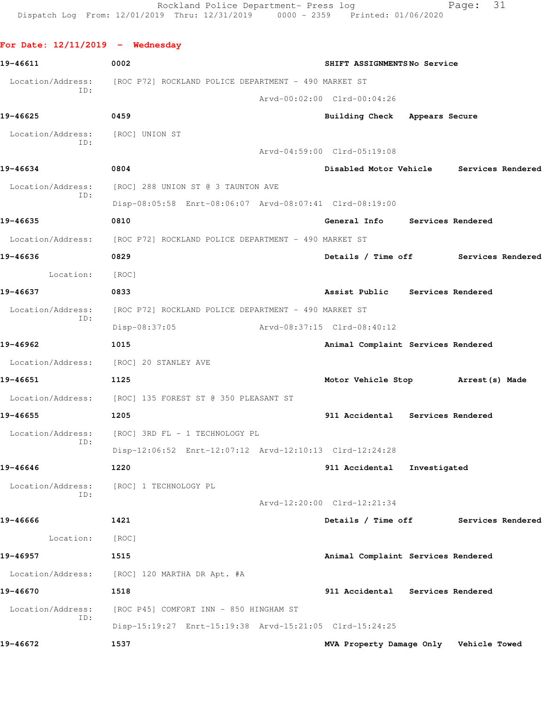```
For Date: 12/11/2019 - Wednesday 
19-46611 0002 SHIFT ASSIGNMENTS No Service
Location/Address: [ROC P72] ROCKLAND POLICE DEPARTMENT - 490 MARKET ST
           ID: 
                                    Arvd-00:02:00 Clrd-00:04:26
19-46625 0459 Building Check Appears Secure
 Location/Address: [ROC] UNION ST
           ID: 
                                    Arvd-04:59:00 Clrd-05:19:08
19-46634 0804 Disabled Motor Vehicle Services Rendered
  Location/Address: [ROC] 288 UNION ST @ 3 TAUNTON AVE
           ID: 
                Disp-08:05:58 Enrt-08:06:07 Arvd-08:07:41 Clrd-08:19:00
19-46635 0810 General Info Services Rendered
 Location/Address: [ROC P72] ROCKLAND POLICE DEPARTMENT - 490 MARKET ST
19-46636 0829 Details / Time off Services Rendered
      Location: [ROC] 
19-46637 0833 Assist Public Services Rendered
  Location/Address: [ROC P72] ROCKLAND POLICE DEPARTMENT - 490 MARKET ST
           ID: 
               Disp-08:37:05 Arvd-08:37:15 Clrd-08:40:12
19-46962 1015 Animal Complaint Services Rendered
  Location/Address: [ROC] 20 STANLEY AVE
19-46651 1125 Motor Vehicle Stop Arrest(s) Made
 Location/Address: [ROC] 135 FOREST ST @ 350 PLEASANT ST
19-46655 1205 911 Accidental Services Rendered
  Location/Address: [ROC] 3RD FL - 1 TECHNOLOGY PL
           ID: 
                Disp-12:06:52 Enrt-12:07:12 Arvd-12:10:13 Clrd-12:24:28
19-46646 1220 911 Accidental Investigated
  Location/Address: [ROC] 1 TECHNOLOGY PL
           ID: 
                                    Arvd-12:20:00 Clrd-12:21:34
19-46666 1421 Details / Time off Services Rendered
       Location: [ROC] 
19-46957 1515 Animal Complaint Services Rendered
 Location/Address: [ROC] 120 MARTHA DR Apt. #A
19-46670 1518 911 Accidental Services Rendered
 Location/Address: [ROC P45] COMFORT INN - 850 HINGHAM ST
           ID: 
               Disp-15:19:27 Enrt-15:19:38 Arvd-15:21:05 Clrd-15:24:25
19-46672 1537 MVA Property Damage Only Vehicle Towed
```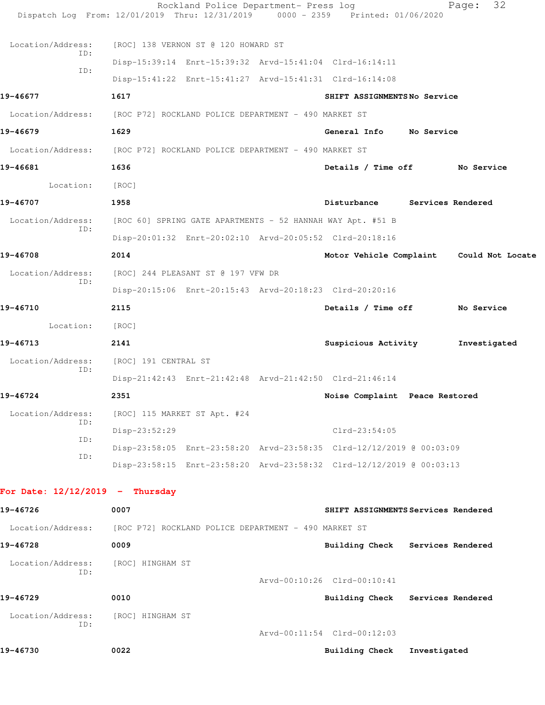|                                    |                                                                        | Rockland Police Department- Press log                                  |  | Dispatch Log From: 12/01/2019 Thru: 12/31/2019 0000 - 2359 Printed: 01/06/2020 |                 | 32<br>Page: |  |  |  |
|------------------------------------|------------------------------------------------------------------------|------------------------------------------------------------------------|--|--------------------------------------------------------------------------------|-----------------|-------------|--|--|--|
| Location/Address:                  | [ROC] 138 VERNON ST @ 120 HOWARD ST                                    |                                                                        |  |                                                                                |                 |             |  |  |  |
| ID:<br>ID:                         |                                                                        | Disp-15:39:14 Enrt-15:39:32 Arvd-15:41:04 Clrd-16:14:11                |  |                                                                                |                 |             |  |  |  |
|                                    |                                                                        |                                                                        |  | Disp-15:41:22 Enrt-15:41:27 Arvd-15:41:31 Clrd-16:14:08                        |                 |             |  |  |  |
| 19-46677                           | 1617                                                                   |                                                                        |  | SHIFT ASSIGNMENTSNo Service                                                    |                 |             |  |  |  |
|                                    | Location/Address: [ROC P72] ROCKLAND POLICE DEPARTMENT - 490 MARKET ST |                                                                        |  |                                                                                |                 |             |  |  |  |
| 19-46679                           | 1629<br>General Info No Service                                        |                                                                        |  |                                                                                |                 |             |  |  |  |
|                                    | Location/Address: [ROC P72] ROCKLAND POLICE DEPARTMENT - 490 MARKET ST |                                                                        |  |                                                                                |                 |             |  |  |  |
| 19-46681                           | 1636                                                                   | Details / Time off No Service                                          |  |                                                                                |                 |             |  |  |  |
| Location:                          | [ROC]                                                                  |                                                                        |  |                                                                                |                 |             |  |  |  |
| 19-46707                           | 1958                                                                   |                                                                        |  | Disturbance Services Rendered                                                  |                 |             |  |  |  |
| Location/Address:<br>ID:           | [ROC 60] SPRING GATE APARTMENTS - 52 HANNAH WAY Apt. #51 B             |                                                                        |  |                                                                                |                 |             |  |  |  |
|                                    |                                                                        |                                                                        |  | Disp-20:01:32 Enrt-20:02:10 Arvd-20:05:52 Clrd-20:18:16                        |                 |             |  |  |  |
| 19-46708                           | 2014                                                                   |                                                                        |  | Motor Vehicle Complaint Could Not Locate                                       |                 |             |  |  |  |
| Location/Address:<br>ID:           |                                                                        | [ROC] 244 PLEASANT ST @ 197 VFW DR                                     |  |                                                                                |                 |             |  |  |  |
|                                    |                                                                        |                                                                        |  | Disp-20:15:06 Enrt-20:15:43 Arvd-20:18:23 Clrd-20:20:16                        |                 |             |  |  |  |
| 19-46710                           | 2115                                                                   |                                                                        |  | Details / Time off                                                             |                 | No Service  |  |  |  |
| Location:                          | [ROC]                                                                  |                                                                        |  |                                                                                |                 |             |  |  |  |
| 19-46713                           | 2141                                                                   |                                                                        |  | Suspicious Activity<br>Investigated                                            |                 |             |  |  |  |
| Location/Address:<br>ID:           | [ROC] 191 CENTRAL ST                                                   |                                                                        |  |                                                                                |                 |             |  |  |  |
|                                    |                                                                        |                                                                        |  | Disp-21:42:43 Enrt-21:42:48 Arvd-21:42:50 Clrd-21:46:14                        |                 |             |  |  |  |
| 19-46724                           | 2351                                                                   |                                                                        |  | Noise Complaint Peace Restored                                                 |                 |             |  |  |  |
| Location/Address:<br>ID:           |                                                                        | [ROC] 115 MARKET ST Apt. #24                                           |  |                                                                                |                 |             |  |  |  |
| ID:                                | Disp-23:52:29                                                          |                                                                        |  |                                                                                | $Clrd-23:54:05$ |             |  |  |  |
| ID:                                |                                                                        |                                                                        |  | Disp-23:58:05 Enrt-23:58:20 Arvd-23:58:35 Clrd-12/12/2019 @ 00:03:09           |                 |             |  |  |  |
|                                    |                                                                        |                                                                        |  | Disp-23:58:15 Enrt-23:58:20 Arvd-23:58:32 Clrd-12/12/2019 @ 00:03:13           |                 |             |  |  |  |
| For Date: $12/12/2019$ - Thursday  |                                                                        |                                                                        |  |                                                                                |                 |             |  |  |  |
| 19-46726                           | 0007<br>SHIFT ASSIGNMENTS Services Rendered                            |                                                                        |  |                                                                                |                 |             |  |  |  |
|                                    |                                                                        | Location/Address: [ROC P72] ROCKLAND POLICE DEPARTMENT - 490 MARKET ST |  |                                                                                |                 |             |  |  |  |
| 19-46728                           | 0009                                                                   |                                                                        |  | Building Check Services Rendered                                               |                 |             |  |  |  |
| Location/Address:                  | [ROC] HINGHAM ST                                                       |                                                                        |  |                                                                                |                 |             |  |  |  |
| ID:                                |                                                                        |                                                                        |  | Arvd-00:10:26 Clrd-00:10:41                                                    |                 |             |  |  |  |
| 19-46729                           | 0010                                                                   |                                                                        |  | Building Check Services Rendered                                               |                 |             |  |  |  |
| Location/Address: [ROC] HINGHAM ST |                                                                        |                                                                        |  |                                                                                |                 |             |  |  |  |
| ID:                                |                                                                        |                                                                        |  | Arvd-00:11:54 Clrd-00:12:03                                                    |                 |             |  |  |  |
| 19-46730                           | 0022                                                                   |                                                                        |  | <b>Building Check</b>                                                          | Investigated    |             |  |  |  |
|                                    |                                                                        |                                                                        |  |                                                                                |                 |             |  |  |  |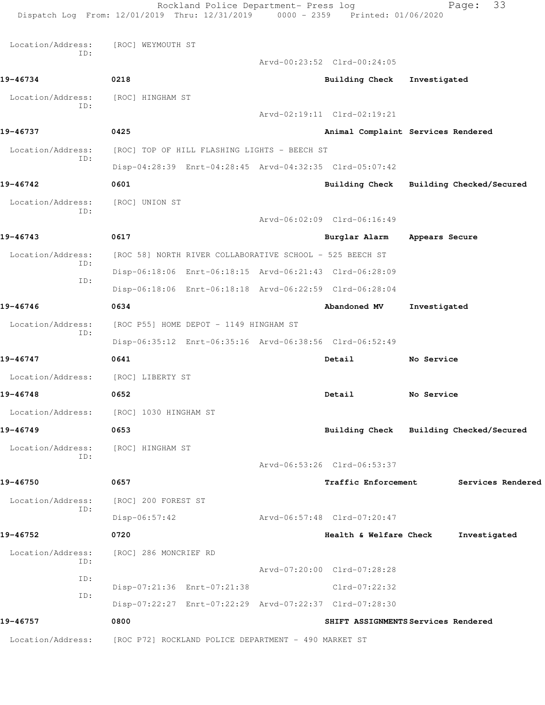Rockland Police Department- Press log Fage: 33 Dispatch Log From: 12/01/2019 Thru: 12/31/2019 0000 - 2359 Printed: 01/06/2020 Location/Address: [ROC] WEYMOUTH ST ID: Arvd-00:23:52 Clrd-00:24:05 **19-46734 0218 Building Check Investigated** Location/Address: [ROC] HINGHAM ST ID: Arvd-02:19:11 Clrd-02:19:21 **19-46737 0425 Animal Complaint Services Rendered** Location/Address: [ROC] TOP OF HILL FLASHING LIGHTS - BEECH ST ID: Disp-04:28:39 Enrt-04:28:45 Arvd-04:32:35 Clrd-05:07:42 **19-46742 0601 Building Check Building Checked/Secured** Location/Address: [ROC] UNION ST ID: Arvd-06:02:09 Clrd-06:16:49 **19-46743 0617 Burglar Alarm Appears Secure** Location/Address: [ROC 58] NORTH RIVER COLLABORATIVE SCHOOL - 525 BEECH ST ID: Disp-06:18:06 Enrt-06:18:15 Arvd-06:21:43 Clrd-06:28:09 ID: Disp-06:18:06 Enrt-06:18:18 Arvd-06:22:59 Clrd-06:28:04 **19-46746 0634 Abandoned MV Investigated** Location/Address: [ROC P55] HOME DEPOT - 1149 HINGHAM ST ID: Disp-06:35:12 Enrt-06:35:16 Arvd-06:38:56 Clrd-06:52:49 **19-46747 0641 Detail No Service** Location/Address: [ROC] LIBERTY ST **19-46748 0652 Detail No Service** Location/Address: [ROC] 1030 HINGHAM ST **19-46749 0653 Building Check Building Checked/Secured** Location/Address: [ROC] HINGHAM ST ID: Arvd-06:53:26 Clrd-06:53:37 **19-46750 0657 Traffic Enforcement Services Rendered** Location/Address: [ROC] 200 FOREST ST ID: Disp-06:57:42 Arvd-06:57:48 Clrd-07:20:47 **19-46752 0720 Health & Welfare Check Investigated** Location/Address: [ROC] 286 MONCRIEF RD ID: Arvd-07:20:00 Clrd-07:28:28 ID: Disp-07:21:36 Enrt-07:21:38 Clrd-07:22:32 ID: Disp-07:22:27 Enrt-07:22:29 Arvd-07:22:37 Clrd-07:28:30 **19-46757 0800 SHIFT ASSIGNMENTS Services Rendered** Location/Address: [ROC P72] ROCKLAND POLICE DEPARTMENT - 490 MARKET ST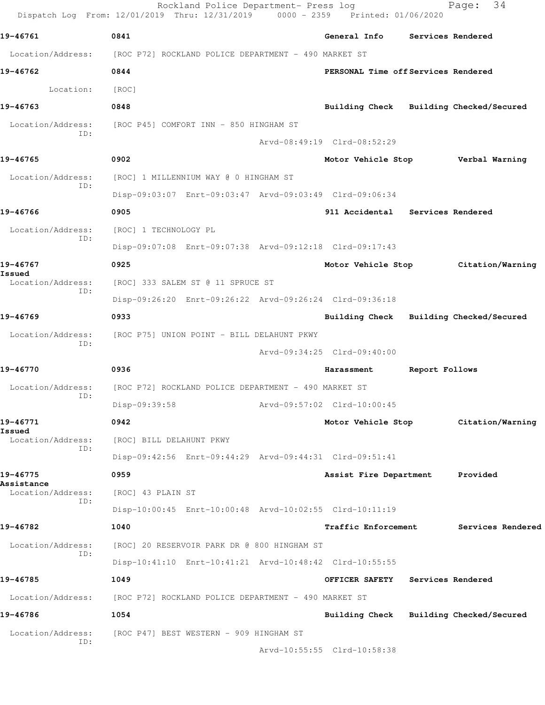|                                    | Rockland Police Department- Press log<br>Dispatch Log From: 12/01/2019 Thru: 12/31/2019 0000 - 2359 Printed: 01/06/2020 |                                     |                                         |                | 34<br>Page:                         |  |  |  |
|------------------------------------|-------------------------------------------------------------------------------------------------------------------------|-------------------------------------|-----------------------------------------|----------------|-------------------------------------|--|--|--|
| 19-46761                           | 0841                                                                                                                    |                                     | General Info Services Rendered          |                |                                     |  |  |  |
|                                    | Location/Address: [ROC P72] ROCKLAND POLICE DEPARTMENT - 490 MARKET ST                                                  |                                     |                                         |                |                                     |  |  |  |
| 19-46762                           | 0844                                                                                                                    | PERSONAL Time off Services Rendered |                                         |                |                                     |  |  |  |
| Location:                          | [ROC]                                                                                                                   |                                     |                                         |                |                                     |  |  |  |
| 19-46763                           | 0848                                                                                                                    |                                     | Building Check Building Checked/Secured |                |                                     |  |  |  |
| Location/Address:<br>ID:           | [ROC P45] COMFORT INN - 850 HINGHAM ST                                                                                  |                                     |                                         |                |                                     |  |  |  |
|                                    |                                                                                                                         |                                     | Arvd-08:49:19 Clrd-08:52:29             |                |                                     |  |  |  |
| 19-46765                           | 0902                                                                                                                    |                                     | Motor Vehicle Stop Verbal Warning       |                |                                     |  |  |  |
| Location/Address:<br>ID:           | [ROC] 1 MILLENNIUM WAY @ 0 HINGHAM ST                                                                                   |                                     |                                         |                |                                     |  |  |  |
|                                    | Disp-09:03:07 Enrt-09:03:47 Arvd-09:03:49 Clrd-09:06:34                                                                 |                                     |                                         |                |                                     |  |  |  |
| 19-46766                           | 0905                                                                                                                    |                                     | 911 Accidental Services Rendered        |                |                                     |  |  |  |
| Location/Address:<br>ID:           | [ROC] 1 TECHNOLOGY PL                                                                                                   |                                     |                                         |                |                                     |  |  |  |
|                                    | Disp-09:07:08 Enrt-09:07:38 Arvd-09:12:18 Clrd-09:17:43                                                                 |                                     |                                         |                |                                     |  |  |  |
| 19-46767                           | 0925                                                                                                                    |                                     |                                         |                | Motor Vehicle Stop Citation/Warning |  |  |  |
| Issued<br>Location/Address:<br>ID: | [ROC] 333 SALEM ST @ 11 SPRUCE ST                                                                                       |                                     |                                         |                |                                     |  |  |  |
|                                    | Disp-09:26:20 Enrt-09:26:22 Arvd-09:26:24 Clrd-09:36:18                                                                 |                                     |                                         |                |                                     |  |  |  |
| 19-46769                           | 0933                                                                                                                    |                                     | Building Check Building Checked/Secured |                |                                     |  |  |  |
| Location/Address:<br>ID:           | [ROC P75] UNION POINT - BILL DELAHUNT PKWY                                                                              |                                     |                                         |                |                                     |  |  |  |
|                                    |                                                                                                                         |                                     | Arvd-09:34:25 Clrd-09:40:00             |                |                                     |  |  |  |
| 19-46770                           | 0936                                                                                                                    |                                     | Harassment                              | Report Follows |                                     |  |  |  |
| Location/Address:<br>ID:           | [ROC P72] ROCKLAND POLICE DEPARTMENT - 490 MARKET ST                                                                    |                                     |                                         |                |                                     |  |  |  |
|                                    | Disp-09:39:58                                                                                                           |                                     | Arvd-09:57:02 Clrd-10:00:45             |                |                                     |  |  |  |
| 19-46771                           | 0942                                                                                                                    |                                     | Motor Vehicle Stop                      |                | Citation/Warning                    |  |  |  |
| Issued<br>Location/Address:<br>ID: | [ROC] BILL DELAHUNT PKWY                                                                                                |                                     |                                         |                |                                     |  |  |  |
|                                    | Disp-09:42:56 Enrt-09:44:29 Arvd-09:44:31 Clrd-09:51:41                                                                 |                                     |                                         |                |                                     |  |  |  |
| 19-46775<br>Assistance             | 0959                                                                                                                    | Assist Fire Department              |                                         | Provided       |                                     |  |  |  |
| Location/Address:<br>ID:           | [ROC] 43 PLAIN ST                                                                                                       |                                     |                                         |                |                                     |  |  |  |
|                                    | Disp-10:00:45 Enrt-10:00:48 Arvd-10:02:55 Clrd-10:11:19                                                                 |                                     |                                         |                |                                     |  |  |  |
| 19-46782                           | 1040                                                                                                                    |                                     | Traffic Enforcement                     |                | Services Rendered                   |  |  |  |
| Location/Address:<br>ID:           | [ROC] 20 RESERVOIR PARK DR @ 800 HINGHAM ST                                                                             |                                     |                                         |                |                                     |  |  |  |
|                                    | Disp-10:41:10 Enrt-10:41:21 Arvd-10:48:42 Clrd-10:55:55                                                                 |                                     |                                         |                |                                     |  |  |  |
| 19-46785                           | 1049                                                                                                                    |                                     | OFFICER SAFETY                          |                | Services Rendered                   |  |  |  |
| Location/Address:                  | [ROC P72] ROCKLAND POLICE DEPARTMENT - 490 MARKET ST                                                                    |                                     |                                         |                |                                     |  |  |  |
| 19-46786                           | 1054                                                                                                                    |                                     | Building Check Building Checked/Secured |                |                                     |  |  |  |
| Location/Address:<br>ID:           | [ROC P47] BEST WESTERN - 909 HINGHAM ST                                                                                 |                                     |                                         |                |                                     |  |  |  |
|                                    |                                                                                                                         |                                     | Arvd-10:55:55 Clrd-10:58:38             |                |                                     |  |  |  |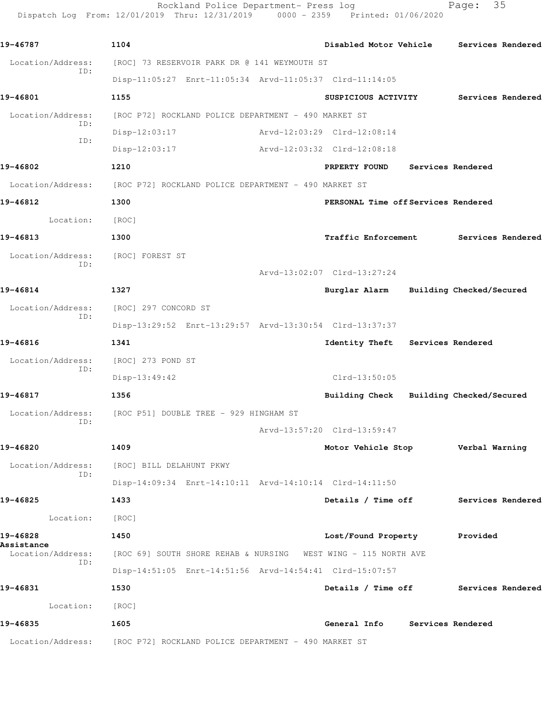Rockland Police Department- Press log Fage: 35 Dispatch Log From: 12/01/2019 Thru: 12/31/2019 0000 - 2359 Printed: 01/06/2020

**19-46787 1104 Disabled Motor Vehicle Services Rendered** Location/Address: [ROC] 73 RESERVOIR PARK DR @ 141 WEYMOUTH ST ID: Disp-11:05:27 Enrt-11:05:34 Arvd-11:05:37 Clrd-11:14:05 **19-46801 1155 SUSPICIOUS ACTIVITY Services Rendered** Location/Address: [ROC P72] ROCKLAND POLICE DEPARTMENT - 490 MARKET ST ID: Disp-12:03:17 Arvd-12:03:29 Clrd-12:08:14 ID: Disp-12:03:17 Arvd-12:03:32 Clrd-12:08:18 **19-46802 1210 PRPERTY FOUND Services Rendered** Location/Address: [ROC P72] ROCKLAND POLICE DEPARTMENT - 490 MARKET ST **19-46812 1300 PERSONAL Time off Services Rendered** Location: [ROC] **19-46813 1300 Traffic Enforcement Services Rendered** Location/Address: [ROC] FOREST ST ID: Arvd-13:02:07 Clrd-13:27:24 **19-46814 1327 Burglar Alarm Building Checked/Secured** Location/Address: [ROC] 297 CONCORD ST ID: Disp-13:29:52 Enrt-13:29:57 Arvd-13:30:54 Clrd-13:37:37 **19-46816 1341 Identity Theft Services Rendered** Location/Address: [ROC] 273 POND ST ID: Disp-13:49:42 Clrd-13:50:05 **19-46817 1356 Building Check Building Checked/Secured** Location/Address: [ROC P51] DOUBLE TREE - 929 HINGHAM ST ID: Arvd-13:57:20 Clrd-13:59:47 **19-46820 1409 Motor Vehicle Stop Verbal Warning** Location/Address: [ROC] BILL DELAHUNT PKWY ID: Disp-14:09:34 Enrt-14:10:11 Arvd-14:10:14 Clrd-14:11:50 **19-46825 1433 Details / Time off Services Rendered** Location: [ROC] **19-46828 1450 Lost/Found Property Provided Assistance**  Location/Address: [ROC 69] SOUTH SHORE REHAB & NURSING WEST WING - 115 NORTH AVE ID: Disp-14:51:05 Enrt-14:51:56 Arvd-14:54:41 Clrd-15:07:57 **19-46831 1530 Details / Time off Services Rendered** Location: [ROC] **19-46835 1605 General Info Services Rendered** Location/Address: [ROC P72] ROCKLAND POLICE DEPARTMENT - 490 MARKET ST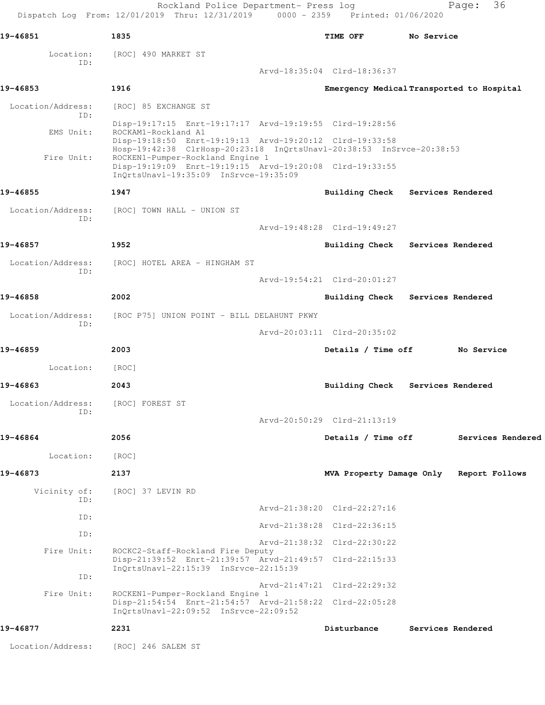Rockland Police Department- Press log Fage: 36 Dispatch Log From: 12/01/2019 Thru: 12/31/2019 0000 - 2359 Printed: 01/06/2020 **19-46851 1835 TIME OFF No Service** Location: [ROC] 490 MARKET ST ID: Arvd-18:35:04 Clrd-18:36:37 **19-46853 1916 Emergency Medical Transported to Hospital** Location/Address: [ROC] 85 EXCHANGE ST ID: Disp-19:17:15 Enrt-19:17:17 Arvd-19:19:55 Clrd-19:28:56<br>EMS Unit: ROCKAM1-Rockland A1 ROCKAM1-Rockland A1 Disp-19:18:50 Enrt-19:19:13 Arvd-19:20:12 Clrd-19:33:58 Hosp-19:42:38 ClrHosp-20:23:18 InQrtsUnavl-20:38:53 InSrvce-20:38:53 Fire Unit: ROCKEN1-Pumper-Rockland Engine 1 Disp-19:19:09 Enrt-19:19:15 Arvd-19:20:08 Clrd-19:33:55 InQrtsUnavl-19:35:09 InSrvce-19:35:09 **19-46855 1947 Building Check Services Rendered** Location/Address: [ROC] TOWN HALL - UNION ST ID: Arvd-19:48:28 Clrd-19:49:27 **19-46857 1952 Building Check Services Rendered** Location/Address: [ROC] HOTEL AREA - HINGHAM ST ID: Arvd-19:54:21 Clrd-20:01:27 **19-46858 2002 Building Check Services Rendered** Location/Address: [ROC P75] UNION POINT - BILL DELAHUNT PKWY ID: Arvd-20:03:11 Clrd-20:35:02 **19-46859 2003 Details / Time off No Service** Location: [ROC] **19-46863 2043 Building Check Services Rendered** Location/Address: [ROC] FOREST ST ID: Arvd-20:50:29 Clrd-21:13:19 **19-46864 2056 Details / Time off Services Rendered** Location: [ROC] **19-46873 2137 MVA Property Damage Only Report Follows** Vicinity of: [ROC] 37 LEVIN RD ID: Arvd-21:38:20 Clrd-22:27:16 ID: Arvd-21:38:28 Clrd-22:36:15 ID: Arvd-21:38:32 Clrd-22:30:22 Fire Unit: ROCKC2-Staff-Rockland Fire Deputy Disp-21:39:52 Enrt-21:39:57 Arvd-21:49:57 Clrd-22:15:33 InQrtsUnavl-22:15:39 InSrvce-22:15:39 ID: Arvd-21:47:21 Clrd-22:29:32 Fire Unit: ROCKEN1-Pumper-Rockland Engine 1 Disp-21:54:54 Enrt-21:54:57 Arvd-21:58:22 Clrd-22:05:28 InQrtsUnavl-22:09:52 InSrvce-22:09:52 **19-46877 2231 Disturbance Services Rendered** Location/Address: [ROC] 246 SALEM ST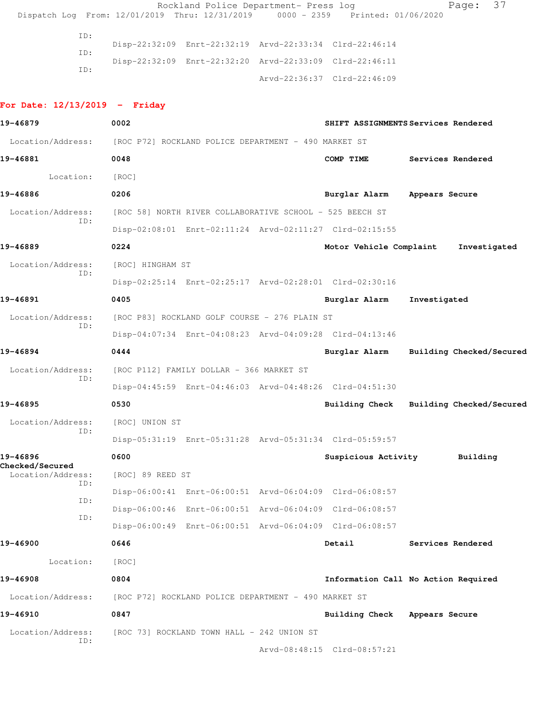Rockland Police Department- Press log Fage: 37 Dispatch Log From: 12/01/2019 Thru: 12/31/2019 0000 - 2359 Printed: 01/06/2020 ID: Disp-22:32:09 Enrt-22:32:19 Arvd-22:33:34 Clrd-22:46:14 ID: Disp-22:32:09 Enrt-22:32:20 Arvd-22:33:09 Clrd-22:46:11 ID: Arvd-22:36:37 Clrd-22:46:09 **For Date: 12/13/2019 - Friday 19-46879 0002 SHIFT ASSIGNMENTS Services Rendered** Location/Address: [ROC P72] ROCKLAND POLICE DEPARTMENT - 490 MARKET ST **19-46881 0048 COMP TIME Services Rendered** Location: [ROC] **19-46886 0206 Burglar Alarm Appears Secure** Location/Address: [ROC 58] NORTH RIVER COLLABORATIVE SCHOOL - 525 BEECH ST ID: Disp-02:08:01 Enrt-02:11:24 Arvd-02:11:27 Clrd-02:15:55 **19-46889 0224 Motor Vehicle Complaint Investigated** Location/Address: [ROC] HINGHAM ST ID: Disp-02:25:14 Enrt-02:25:17 Arvd-02:28:01 Clrd-02:30:16 **19-46891 0405 Burglar Alarm Investigated** Location/Address: [ROC P83] ROCKLAND GOLF COURSE - 276 PLAIN ST ID: Disp-04:07:34 Enrt-04:08:23 Arvd-04:09:28 Clrd-04:13:46 **19-46894 0444 Burglar Alarm Building Checked/Secured** Location/Address: [ROC P112] FAMILY DOLLAR - 366 MARKET ST ID: Disp-04:45:59 Enrt-04:46:03 Arvd-04:48:26 Clrd-04:51:30 **19-46895 0530 Building Check Building Checked/Secured** Location/Address: [ROC] UNION ST ID: Disp-05:31:19 Enrt-05:31:28 Arvd-05:31:34 Clrd-05:59:57 **19-46896 0600 Suspicious Activity Building Checked/Secured**  Location/Address: [ROC] 89 REED ST ID: Disp-06:00:41 Enrt-06:00:51 Arvd-06:04:09 Clrd-06:08:57 ID: Disp-06:00:46 Enrt-06:00:51 Arvd-06:04:09 Clrd-06:08:57 ID: Disp-06:00:49 Enrt-06:00:51 Arvd-06:04:09 Clrd-06:08:57 **19-46900 0646 Detail Services Rendered** Location: [ROC] **19-46908 0804 Information Call No Action Required** Location/Address: [ROC P72] ROCKLAND POLICE DEPARTMENT - 490 MARKET ST **19-46910 0847 Building Check Appears Secure** Location/Address: [ROC 73] ROCKLAND TOWN HALL - 242 UNION ST ID:

Arvd-08:48:15 Clrd-08:57:21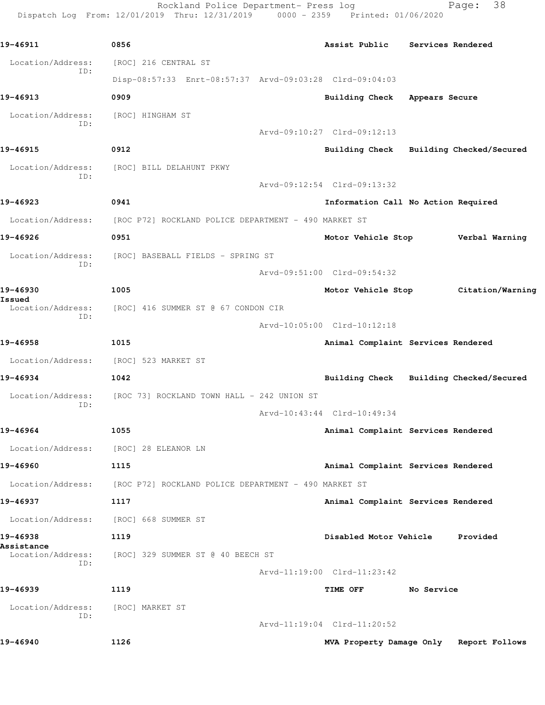Rockland Police Department- Press log Fage: 38 Dispatch Log From: 12/01/2019 Thru: 12/31/2019 0000 - 2359 Printed: 01/06/2020

**19-46911 0856 Assist Public Services Rendered** Location/Address: [ROC] 216 CENTRAL ST ID: Disp-08:57:33 Enrt-08:57:37 Arvd-09:03:28 Clrd-09:04:03 **19-46913 0909 Building Check Appears Secure** Location/Address: [ROC] HINGHAM ST ID: Arvd-09:10:27 Clrd-09:12:13 **19-46915 0912 Building Check Building Checked/Secured** Location/Address: [ROC] BILL DELAHUNT PKWY ID: Arvd-09:12:54 Clrd-09:13:32 **19-46923 0941 Information Call No Action Required** Location/Address: [ROC P72] ROCKLAND POLICE DEPARTMENT - 490 MARKET ST **19-46926 0951 Motor Vehicle Stop Verbal Warning** Location/Address: [ROC] BASEBALL FIELDS - SPRING ST ID: Arvd-09:51:00 Clrd-09:54:32 **19-46930 1005 Motor Vehicle Stop Citation/Warning Issued**  Location/Address: [ROC] 416 SUMMER ST @ 67 CONDON CIR ID: Arvd-10:05:00 Clrd-10:12:18 **19-46958 1015 Animal Complaint Services Rendered** Location/Address: [ROC] 523 MARKET ST **19-46934 1042 Building Check Building Checked/Secured** Location/Address: [ROC 73] ROCKLAND TOWN HALL - 242 UNION ST ID: Arvd-10:43:44 Clrd-10:49:34 **19-46964 1055 Animal Complaint Services Rendered** Location/Address: [ROC] 28 ELEANOR LN **19-46960 1115 Animal Complaint Services Rendered** Location/Address: [ROC P72] ROCKLAND POLICE DEPARTMENT - 490 MARKET ST **19-46937 1117 Animal Complaint Services Rendered** Location/Address: [ROC] 668 SUMMER ST **19-46938 1119 Disabled Motor Vehicle Provided Assistance**  Location/Address: [ROC] 329 SUMMER ST @ 40 BEECH ST ID: Arvd-11:19:00 Clrd-11:23:42 **19-46939 1119 TIME OFF No Service** Location/Address: [ROC] MARKET ST ID: Arvd-11:19:04 Clrd-11:20:52 **19-46940 1126 MVA Property Damage Only Report Follows**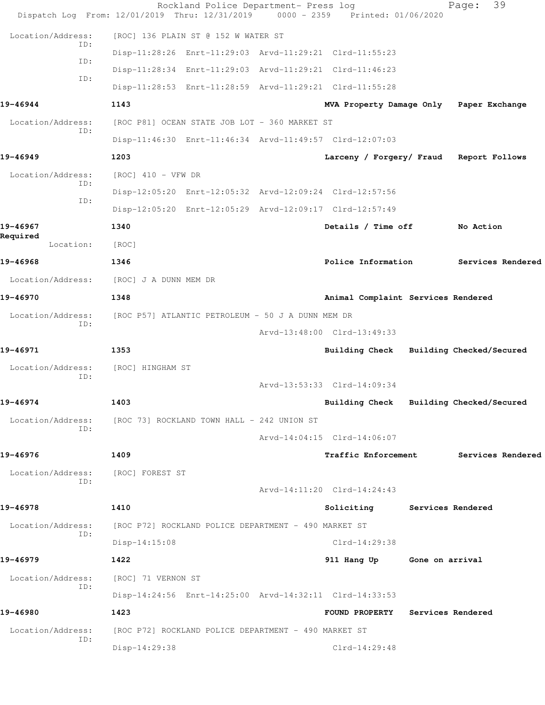|                          | Dispatch Log From: 12/01/2019 Thru: 12/31/2019          | Rockland Police Department- Press log | 0000 - 2359 Printed: 01/06/2020         | 39<br>Page:              |  |
|--------------------------|---------------------------------------------------------|---------------------------------------|-----------------------------------------|--------------------------|--|
| Location/Address:        | [ROC] 136 PLAIN ST @ 152 W WATER ST                     |                                       |                                         |                          |  |
| ID:                      | Disp-11:28:26 Enrt-11:29:03 Arvd-11:29:21 Clrd-11:55:23 |                                       |                                         |                          |  |
| ID:                      | Disp-11:28:34 Enrt-11:29:03 Arvd-11:29:21 Clrd-11:46:23 |                                       |                                         |                          |  |
| ID:                      | Disp-11:28:53 Enrt-11:28:59 Arvd-11:29:21 Clrd-11:55:28 |                                       |                                         |                          |  |
| 19-46944                 | 1143                                                    |                                       | MVA Property Damage Only Paper Exchange |                          |  |
| Location/Address:        | [ROC P81] OCEAN STATE JOB LOT - 360 MARKET ST           |                                       |                                         |                          |  |
| TD:                      | Disp-11:46:30 Enrt-11:46:34 Arvd-11:49:57 Clrd-12:07:03 |                                       |                                         |                          |  |
| 19-46949                 | 1203                                                    |                                       | Larceny / Forgery/ Fraud Report Follows |                          |  |
| Location/Address:        | $[ROC]$ 410 - VFW DR                                    |                                       |                                         |                          |  |
| ID:<br>ID:               | Disp-12:05:20 Enrt-12:05:32 Arvd-12:09:24 Clrd-12:57:56 |                                       |                                         |                          |  |
|                          | Disp-12:05:20 Enrt-12:05:29 Arvd-12:09:17 Clrd-12:57:49 |                                       |                                         |                          |  |
| 19-46967                 | 1340                                                    |                                       | Details / Time off                      | No Action                |  |
| Required<br>Location:    | [ROC]                                                   |                                       |                                         |                          |  |
| 19-46968                 | 1346                                                    |                                       | Police Information                      | Services Rendered        |  |
| Location/Address:        | [ROC] J A DUNN MEM DR                                   |                                       |                                         |                          |  |
| 19-46970                 | 1348                                                    |                                       | Animal Complaint Services Rendered      |                          |  |
| Location/Address:<br>ID: | [ROC P57] ATLANTIC PETROLEUM - 50 J A DUNN MEM DR       |                                       |                                         |                          |  |
|                          |                                                         |                                       | Arvd-13:48:00 Clrd-13:49:33             |                          |  |
| 19-46971                 | 1353                                                    |                                       | Building Check                          | Building Checked/Secured |  |
| Location/Address:<br>TD: | [ROC] HINGHAM ST                                        |                                       |                                         |                          |  |
|                          |                                                         |                                       | Arvd-13:53:33 Clrd-14:09:34             |                          |  |
| 19-46974                 | 1403                                                    |                                       | Building Check Building Checked/Secured |                          |  |
| Location/Address:<br>ID: | [ROC 73] ROCKLAND TOWN HALL - 242 UNION ST              |                                       |                                         |                          |  |
|                          |                                                         |                                       | Arvd-14:04:15 Clrd-14:06:07             |                          |  |
| 19-46976                 | 1409                                                    |                                       | <b>Traffic Enforcement</b>              | Services Rendered        |  |
| Location/Address:<br>ID: | [ROC] FOREST ST                                         |                                       |                                         |                          |  |
|                          |                                                         |                                       | Arvd-14:11:20 Clrd-14:24:43             |                          |  |
| 19-46978                 | 1410                                                    |                                       | Soliciting Services Rendered            |                          |  |
| Location/Address:<br>ID: | [ROC P72] ROCKLAND POLICE DEPARTMENT - 490 MARKET ST    |                                       |                                         |                          |  |
|                          | $Disp-14:15:08$                                         |                                       | $Clrd-14:29:38$                         |                          |  |
| 19-46979                 | 1422                                                    |                                       | 911 Hang Up Gone on arrival             |                          |  |
| Location/Address:<br>ID: | [ROC] 71 VERNON ST                                      |                                       |                                         |                          |  |
|                          | Disp-14:24:56 Enrt-14:25:00 Arvd-14:32:11 Clrd-14:33:53 |                                       |                                         |                          |  |
| 19-46980                 | 1423                                                    |                                       | <b>FOUND PROPERTY</b>                   | <b>Services Rendered</b> |  |
| Location/Address:<br>ID: | [ROC P72] ROCKLAND POLICE DEPARTMENT - 490 MARKET ST    |                                       |                                         |                          |  |
|                          | Disp-14:29:38                                           |                                       | Clrd-14:29:48                           |                          |  |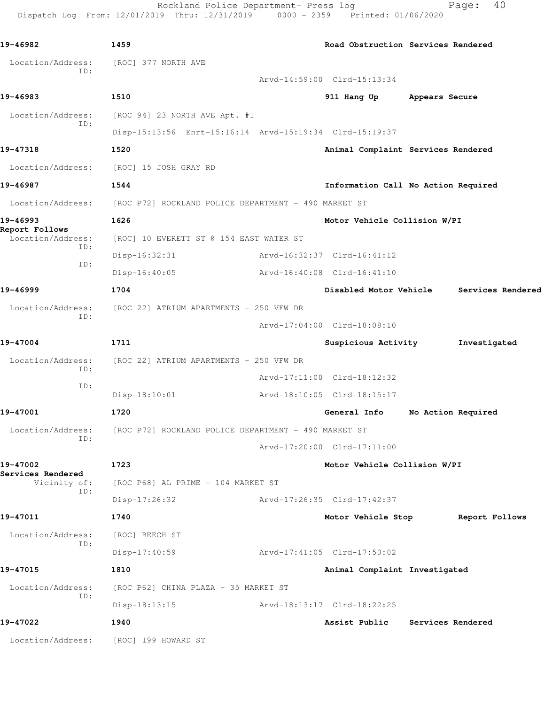Rockland Police Department- Press log Fage: 40 Dispatch Log From: 12/01/2019 Thru: 12/31/2019 0000 - 2359 Printed: 01/06/2020

```
19-46982 1459 Road Obstruction Services Rendered
  Location/Address: [ROC] 377 NORTH AVE
           ID: 
                                     Arvd-14:59:00 Clrd-15:13:34
19-46983 1510 911 Hang Up Appears Secure
 Location/Address: [ROC 94] 23 NORTH AVE Apt. #1
           ID: 
                Disp-15:13:56 Enrt-15:16:14 Arvd-15:19:34 Clrd-15:19:37
19-47318 1520 Animal Complaint Services Rendered
 Location/Address: [ROC] 15 JOSH GRAY RD
19-46987 1544 Information Call No Action Required
 Location/Address: [ROC P72] ROCKLAND POLICE DEPARTMENT - 490 MARKET ST
19-46993 1626 Motor Vehicle Collision W/PI
Report Follows 
  Location/Address: [ROC] 10 EVERETT ST @ 154 EAST WATER ST
           ID: 
                Disp-16:32:31 Arvd-16:32:37 Clrd-16:41:12
           ID: 
                Disp-16:40:05 Arvd-16:40:08 Clrd-16:41:10
19-46999 1704 Disabled Motor Vehicle Services Rendered
  Location/Address: [ROC 22] ATRIUM APARTMENTS - 250 VFW DR
           ID: 
                                     Arvd-17:04:00 Clrd-18:08:10
19-47004 1711 Suspicious Activity Investigated
Location/Address: [ROC 22] ATRIUM APARTMENTS - 250 VFW DR
           ID: 
                                     Arvd-17:11:00 Clrd-18:12:32
           ID: 
                Disp-18:10:01 Arvd-18:10:05 Clrd-18:15:17
19-47001 1720 General Info No Action Required
 Location/Address: [ROC P72] ROCKLAND POLICE DEPARTMENT - 490 MARKET ST
           ID: 
                                     Arvd-17:20:00 Clrd-17:11:00
19-47002 1723 Motor Vehicle Collision W/PI
Services Rendered 
    Vicinity of: [ROC P68] AL PRIME - 104 MARKET ST
           ID: 
                Disp-17:26:32 Arvd-17:26:35 Clrd-17:42:37
19-47011 1740 Motor Vehicle Stop Report Follows
 Location/Address: [ROC] BEECH ST
           ID: 
                Disp-17:40:59 Arvd-17:41:05 Clrd-17:50:02
19-47015 1810 Animal Complaint Investigated
 Location/Address: [ROC P62] CHINA PLAZA - 35 MARKET ST
           ID: 
                Disp-18:13:15 Arvd-18:13:17 Clrd-18:22:25
19-47022 1940 Assist Public Services Rendered
 Location/Address: [ROC] 199 HOWARD ST
```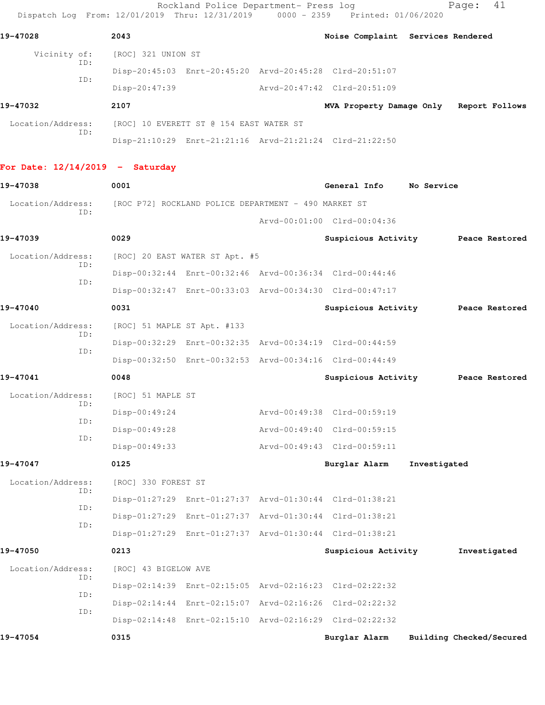| Dispatch Log From: 12/01/2019 Thru: 12/31/2019 0000 - 2359 Printed: 01/06/2020 |                             | Rockland Police Department- Press log                |                                                         | 41<br>Page:                             |
|--------------------------------------------------------------------------------|-----------------------------|------------------------------------------------------|---------------------------------------------------------|-----------------------------------------|
| 19-47028                                                                       | 2043                        |                                                      |                                                         | Noise Complaint Services Rendered       |
| Vicinity of:                                                                   | [ROC] 321 UNION ST          |                                                      |                                                         |                                         |
| ID:                                                                            |                             |                                                      | Disp-20:45:03 Enrt-20:45:20 Arvd-20:45:28 Clrd-20:51:07 |                                         |
| ID:                                                                            | $Disp-20:47:39$             |                                                      | Arvd-20:47:42 Clrd-20:51:09                             |                                         |
| 19-47032                                                                       | 2107                        |                                                      |                                                         | MVA Property Damage Only Report Follows |
| Location/Address:<br>ID:                                                       |                             | [ROC] 10 EVERETT ST @ 154 EAST WATER ST              |                                                         |                                         |
|                                                                                |                             |                                                      | Disp-21:10:29 Enrt-21:21:16 Arvd-21:21:24 Clrd-21:22:50 |                                         |
| For Date: $12/14/2019$ - Saturday                                              |                             |                                                      |                                                         |                                         |
| 19-47038                                                                       | 0001                        |                                                      | General Info                                            | No Service                              |
| Location/Address:<br>ID:                                                       |                             | [ROC P72] ROCKLAND POLICE DEPARTMENT - 490 MARKET ST |                                                         |                                         |
|                                                                                |                             |                                                      | Arvd-00:01:00 Clrd-00:04:36                             |                                         |
| 19-47039                                                                       | 0029                        |                                                      |                                                         | Suspicious Activity Peace Restored      |
| Location/Address:<br>ID:                                                       |                             | [ROC] 20 EAST WATER ST Apt. #5                       |                                                         |                                         |
| ID:                                                                            |                             |                                                      | Disp-00:32:44 Enrt-00:32:46 Arvd-00:36:34 Clrd-00:44:46 |                                         |
|                                                                                |                             |                                                      | Disp-00:32:47 Enrt-00:33:03 Arvd-00:34:30 Clrd-00:47:17 |                                         |
| 19-47040                                                                       | 0031                        |                                                      |                                                         | Suspicious Activity Peace Restored      |
| Location/Address:<br>ID:                                                       | [ROC] 51 MAPLE ST Apt. #133 |                                                      |                                                         |                                         |
| ID:                                                                            |                             |                                                      | Disp-00:32:29 Enrt-00:32:35 Arvd-00:34:19 Clrd-00:44:59 |                                         |
|                                                                                |                             |                                                      | Disp-00:32:50 Enrt-00:32:53 Arvd-00:34:16 Clrd-00:44:49 |                                         |
| 19-47041                                                                       | 0048                        |                                                      | Suspicious Activity                                     | Peace Restored                          |
| Location/Address:<br>ID:                                                       | [ROC] 51 MAPLE ST           |                                                      |                                                         |                                         |
| ID:                                                                            | Disp-00:49:24               |                                                      | Arvd-00:49:38 Clrd-00:59:19                             |                                         |
| ID:                                                                            | Disp-00:49:28               |                                                      | Arvd-00:49:40 Clrd-00:59:15                             |                                         |
|                                                                                | $Disp-00:49:33$             |                                                      | Arvd-00:49:43 Clrd-00:59:11                             |                                         |
| 19-47047                                                                       | 0125                        |                                                      | Burglar Alarm                                           | Investigated                            |
| Location/Address:<br>ID:                                                       | [ROC] 330 FOREST ST         |                                                      |                                                         |                                         |
| ID:                                                                            |                             |                                                      | Disp-01:27:29 Enrt-01:27:37 Arvd-01:30:44 Clrd-01:38:21 |                                         |
| ID:                                                                            |                             |                                                      | Disp-01:27:29 Enrt-01:27:37 Arvd-01:30:44 Clrd-01:38:21 |                                         |
|                                                                                |                             |                                                      | Disp-01:27:29 Enrt-01:27:37 Arvd-01:30:44 Clrd-01:38:21 |                                         |
| 19-47050                                                                       | 0213                        |                                                      | Suspicious Activity                                     | Investigated                            |
| Location/Address:<br>ID:                                                       | [ROC] 43 BIGELOW AVE        |                                                      |                                                         |                                         |
| ID:                                                                            |                             |                                                      | Disp-02:14:39 Enrt-02:15:05 Arvd-02:16:23 Clrd-02:22:32 |                                         |
| ID:                                                                            |                             |                                                      | Disp-02:14:44 Enrt-02:15:07 Arvd-02:16:26 Clrd-02:22:32 |                                         |
|                                                                                |                             |                                                      | Disp-02:14:48 Enrt-02:15:10 Arvd-02:16:29 Clrd-02:22:32 |                                         |
| 19-47054                                                                       | 0315                        |                                                      | Burglar Alarm                                           | Building Checked/Secured                |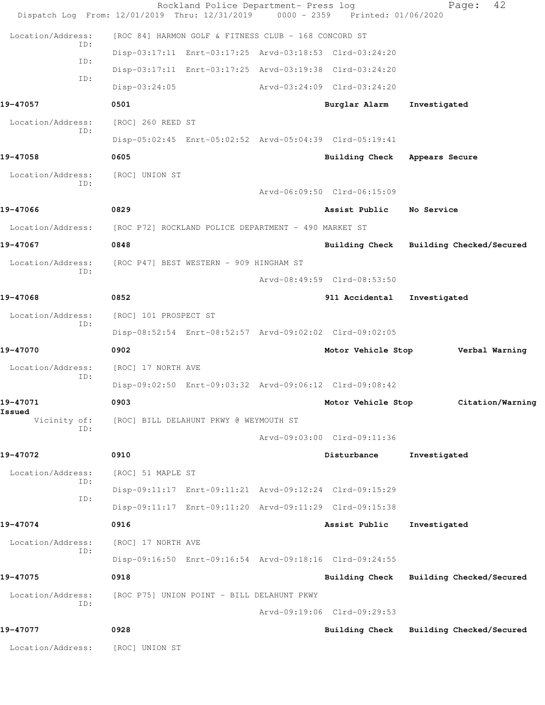|                          | Dispatch Log From: 12/01/2019 Thru: 12/31/2019 0000 - 2359 Printed: 01/06/2020 | Rockland Police Department- Press log                   |                             | 42<br>Page:                             |
|--------------------------|--------------------------------------------------------------------------------|---------------------------------------------------------|-----------------------------|-----------------------------------------|
| Location/Address:        |                                                                                | [ROC 84] HARMON GOLF & FITNESS CLUB - 168 CONCORD ST    |                             |                                         |
| ID:                      |                                                                                | Disp-03:17:11 Enrt-03:17:25 Arvd-03:18:53 Clrd-03:24:20 |                             |                                         |
| ID:                      |                                                                                | Disp-03:17:11 Enrt-03:17:25 Arvd-03:19:38 Clrd-03:24:20 |                             |                                         |
| ID:                      | $Disp-03:24:05$                                                                |                                                         | Arvd-03:24:09 Clrd-03:24:20 |                                         |
| 19-47057                 | 0501                                                                           |                                                         | Burglar Alarm               | Investigated                            |
| Location/Address:        | [ROC] 260 REED ST                                                              |                                                         |                             |                                         |
| TD:                      |                                                                                | Disp-05:02:45 Enrt-05:02:52 Arvd-05:04:39 Clrd-05:19:41 |                             |                                         |
| 19-47058                 | 0605                                                                           |                                                         |                             | Building Check Appears Secure           |
| Location/Address:        | [ROC] UNION ST                                                                 |                                                         |                             |                                         |
| TD:                      |                                                                                |                                                         | Arvd-06:09:50 Clrd-06:15:09 |                                         |
| 19-47066                 | 0829                                                                           |                                                         | Assist Public               | No Service                              |
|                          | Location/Address: [ROC P72] ROCKLAND POLICE DEPARTMENT - 490 MARKET ST         |                                                         |                             |                                         |
| 19-47067                 | 0848                                                                           |                                                         |                             | Building Check Building Checked/Secured |
| Location/Address:        | [ROC P47] BEST WESTERN - 909 HINGHAM ST                                        |                                                         |                             |                                         |
| TD:                      |                                                                                |                                                         | Arvd-08:49:59 Clrd-08:53:50 |                                         |
| 19-47068                 | 0852                                                                           |                                                         | 911 Accidental              | Investigated                            |
| Location/Address:        | [ROC] 101 PROSPECT ST                                                          |                                                         |                             |                                         |
| ID:                      |                                                                                | Disp-08:52:54 Enrt-08:52:57 Arvd-09:02:02 Clrd-09:02:05 |                             |                                         |
| 19-47070                 | 0902                                                                           |                                                         | Motor Vehicle Stop          | Verbal Warning                          |
| Location/Address:        | [ROC] 17 NORTH AVE                                                             |                                                         |                             |                                         |
| ID:                      |                                                                                | Disp-09:02:50 Enrt-09:03:32 Arvd-09:06:12 Clrd-09:08:42 |                             |                                         |
| 19-47071                 | 0903                                                                           |                                                         | Motor Vehicle Stop          | Citation/Warning                        |
| Issued<br>Vicinity of:   | [ROC] BILL DELAHUNT PKWY @ WEYMOUTH ST                                         |                                                         |                             |                                         |
| ID:                      |                                                                                |                                                         | Arvd-09:03:00 Clrd-09:11:36 |                                         |
| 19-47072                 | 0910                                                                           |                                                         | Disturbance                 | Investigated                            |
| Location/Address:        | [ROC] 51 MAPLE ST                                                              |                                                         |                             |                                         |
| ID:<br>ID:               |                                                                                | Disp-09:11:17 Enrt-09:11:21 Arvd-09:12:24 Clrd-09:15:29 |                             |                                         |
|                          |                                                                                | Disp-09:11:17 Enrt-09:11:20 Arvd-09:11:29 Clrd-09:15:38 |                             |                                         |
| 19-47074                 | 0916                                                                           |                                                         | Assist Public               | Investigated                            |
| Location/Address:<br>ID: | [ROC] 17 NORTH AVE                                                             |                                                         |                             |                                         |
|                          |                                                                                | Disp-09:16:50 Enrt-09:16:54 Arvd-09:18:16 Clrd-09:24:55 |                             |                                         |
| 19-47075                 | 0918                                                                           |                                                         | Building Check              | Building Checked/Secured                |
| Location/Address:<br>ID: |                                                                                | [ROC P75] UNION POINT - BILL DELAHUNT PKWY              |                             |                                         |
|                          |                                                                                |                                                         | Arvd-09:19:06 Clrd-09:29:53 |                                         |
| 19-47077                 | 0928                                                                           |                                                         | Building Check              | Building Checked/Secured                |
| Location/Address:        | [ROC] UNION ST                                                                 |                                                         |                             |                                         |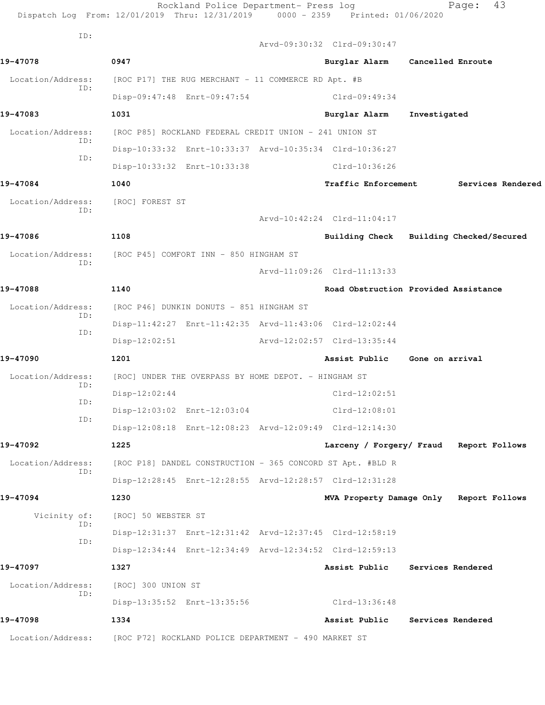|                          | Rockland Police Department- Press log<br>Dispatch Log From: 12/01/2019 Thru: 12/31/2019 | 0000 - 2359 Printed: 01/06/2020 | 43<br>Page:                             |
|--------------------------|-----------------------------------------------------------------------------------------|---------------------------------|-----------------------------------------|
| ID:                      |                                                                                         | Arvd-09:30:32 Clrd-09:30:47     |                                         |
| 19-47078                 | 0947                                                                                    | Burglar Alarm                   | Cancelled Enroute                       |
| Location/Address:        | [ROC P17] THE RUG MERCHANT - 11 COMMERCE RD Apt. #B                                     |                                 |                                         |
| ID:                      | Disp-09:47:48 Enrt-09:47:54                                                             | Clrd-09:49:34                   |                                         |
| 19-47083                 | 1031                                                                                    | Burglar Alarm                   | Investigated                            |
| Location/Address:        | [ROC P85] ROCKLAND FEDERAL CREDIT UNION - 241 UNION ST                                  |                                 |                                         |
| ID:                      | Disp-10:33:32 Enrt-10:33:37 Arvd-10:35:34 Clrd-10:36:27                                 |                                 |                                         |
| TD:                      | Disp-10:33:32 Enrt-10:33:38                                                             | Clrd-10:36:26                   |                                         |
| 19-47084                 | 1040                                                                                    | <b>Traffic Enforcement</b>      | Services Rendered                       |
| Location/Address:        | [ROC] FOREST ST                                                                         |                                 |                                         |
| ID:                      |                                                                                         | Arvd-10:42:24 Clrd-11:04:17     |                                         |
| 19-47086                 | 1108                                                                                    |                                 | Building Check Building Checked/Secured |
| Location/Address:        | [ROC P45] COMFORT INN - 850 HINGHAM ST                                                  |                                 |                                         |
| ID:                      |                                                                                         | Arvd-11:09:26 Clrd-11:13:33     |                                         |
| 19-47088                 | 1140                                                                                    |                                 | Road Obstruction Provided Assistance    |
| Location/Address:        | [ROC P46] DUNKIN DONUTS - 851 HINGHAM ST                                                |                                 |                                         |
| ID:                      | Disp-11:42:27 Enrt-11:42:35 Arvd-11:43:06 Clrd-12:02:44                                 |                                 |                                         |
| ID:                      | $Disp-12:02:51$                                                                         | Arvd-12:02:57 Clrd-13:35:44     |                                         |
| 19-47090                 | 1201                                                                                    | Assist Public Gone on arrival   |                                         |
| Location/Address:        | [ROC] UNDER THE OVERPASS BY HOME DEPOT. - HINGHAM ST                                    |                                 |                                         |
| ID:                      | $Disp-12:02:44$                                                                         | $Clrd-12:02:51$                 |                                         |
| ID:<br>ID:               | Disp-12:03:02 Enrt-12:03:04                                                             | $Clrd-12:08:01$                 |                                         |
|                          | Disp-12:08:18 Enrt-12:08:23 Arvd-12:09:49 Clrd-12:14:30                                 |                                 |                                         |
| 19-47092                 | 1225                                                                                    |                                 | Larceny / Forgery/ Fraud Report Follows |
| Location/Address:<br>ID: | [ROC P18] DANDEL CONSTRUCTION - 365 CONCORD ST Apt. #BLD R                              |                                 |                                         |
|                          | Disp-12:28:45 Enrt-12:28:55 Arvd-12:28:57 Clrd-12:31:28                                 |                                 |                                         |
| 19-47094                 | 1230                                                                                    |                                 | MVA Property Damage Only Report Follows |
| Vicinity of:             | [ROC] 50 WEBSTER ST                                                                     |                                 |                                         |
| ID:<br>ID:               | Disp-12:31:37 Enrt-12:31:42 Arvd-12:37:45 Clrd-12:58:19                                 |                                 |                                         |
|                          | Disp-12:34:44 Enrt-12:34:49 Arvd-12:34:52 Clrd-12:59:13                                 |                                 |                                         |
| 19-47097                 | 1327                                                                                    | Assist Public                   | Services Rendered                       |
| Location/Address:        | [ROC] 300 UNION ST                                                                      |                                 |                                         |
| ID:                      | Disp-13:35:52 Enrt-13:35:56                                                             | Clrd-13:36:48                   |                                         |
| 19-47098                 | 1334                                                                                    | Assist Public                   | Services Rendered                       |
| Location/Address:        | [ROC P72] ROCKLAND POLICE DEPARTMENT - 490 MARKET ST                                    |                                 |                                         |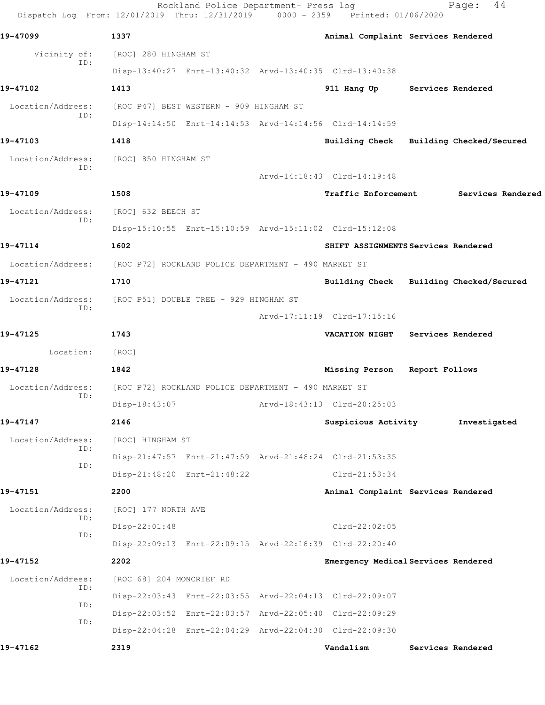|                          | Rockland Police Department- Press log<br>Dispatch Log From: 12/01/2019 Thru: 12/31/2019 0000 - 2359 Printed: 01/06/2020 |                                         |                | 44<br>Page:       |
|--------------------------|-------------------------------------------------------------------------------------------------------------------------|-----------------------------------------|----------------|-------------------|
| 19-47099                 | 1337                                                                                                                    | Animal Complaint Services Rendered      |                |                   |
| Vicinity of:             | [ROC] 280 HINGHAM ST                                                                                                    |                                         |                |                   |
| ID:                      | Disp-13:40:27 Enrt-13:40:32 Arvd-13:40:35 Clrd-13:40:38                                                                 |                                         |                |                   |
| 19-47102                 | 1413                                                                                                                    | 911 Hang Up Services Rendered           |                |                   |
| Location/Address:        | [ROC P47] BEST WESTERN - 909 HINGHAM ST                                                                                 |                                         |                |                   |
| ID:                      | Disp-14:14:50 Enrt-14:14:53 Arvd-14:14:56 Clrd-14:14:59                                                                 |                                         |                |                   |
| 19-47103                 | 1418                                                                                                                    | Building Check Building Checked/Secured |                |                   |
| Location/Address:        | [ROC] 850 HINGHAM ST                                                                                                    |                                         |                |                   |
| ID:                      |                                                                                                                         | Arvd-14:18:43 Clrd-14:19:48             |                |                   |
| 19-47109                 | 1508                                                                                                                    | <b>Traffic Enforcement</b>              |                | Services Rendered |
| Location/Address:        | [ROC] 632 BEECH ST                                                                                                      |                                         |                |                   |
| ID:                      | Disp-15:10:55 Enrt-15:10:59 Arvd-15:11:02 Clrd-15:12:08                                                                 |                                         |                |                   |
| 19-47114                 | 1602                                                                                                                    | SHIFT ASSIGNMENTS Services Rendered     |                |                   |
| Location/Address:        | [ROC P72] ROCKLAND POLICE DEPARTMENT - 490 MARKET ST                                                                    |                                         |                |                   |
| 19-47121                 | 1710                                                                                                                    | Building Check Building Checked/Secured |                |                   |
| Location/Address:        | [ROC P51] DOUBLE TREE - 929 HINGHAM ST                                                                                  |                                         |                |                   |
| ID:                      |                                                                                                                         | Arvd-17:11:19 Clrd-17:15:16             |                |                   |
| 19-47125                 | 1743                                                                                                                    | <b>VACATION NIGHT</b>                   |                | Services Rendered |
| Location:                | [ROC]                                                                                                                   |                                         |                |                   |
| 19-47128                 | 1842                                                                                                                    | Missing Person                          | Report Follows |                   |
| Location/Address:<br>ID: | [ROC P72] ROCKLAND POLICE DEPARTMENT - 490 MARKET ST                                                                    |                                         |                |                   |
|                          | Disp-18:43:07                                                                                                           | Arvd-18:43:13 Clrd-20:25:03             |                |                   |
| 19-47147                 | 2146                                                                                                                    | Suspicious Activity                     |                | Investigated      |
| Location/Address:<br>ID: | [ROC] HINGHAM ST                                                                                                        |                                         |                |                   |
| ID:                      | Disp-21:47:57 Enrt-21:47:59 Arvd-21:48:24 Clrd-21:53:35                                                                 |                                         |                |                   |
|                          | Disp-21:48:20 Enrt-21:48:22                                                                                             | $Clrd-21:53:34$                         |                |                   |
| 19-47151                 | 2200                                                                                                                    | Animal Complaint Services Rendered      |                |                   |
| Location/Address:<br>ID: | [ROC] 177 NORTH AVE                                                                                                     |                                         |                |                   |
| ID:                      | Disp-22:01:48                                                                                                           | $Clrd-22:02:05$                         |                |                   |
|                          | Disp-22:09:13 Enrt-22:09:15 Arvd-22:16:39 Clrd-22:20:40                                                                 |                                         |                |                   |
| 19-47152                 | 2202                                                                                                                    | Emergency Medical Services Rendered     |                |                   |
| Location/Address:<br>ID: | [ROC 68] 204 MONCRIEF RD                                                                                                |                                         |                |                   |
| ID:                      | Disp-22:03:43 Enrt-22:03:55 Arvd-22:04:13 Clrd-22:09:07                                                                 |                                         |                |                   |
| ID:                      | Disp-22:03:52 Enrt-22:03:57 Arvd-22:05:40 Clrd-22:09:29                                                                 |                                         |                |                   |
|                          | Disp-22:04:28 Enrt-22:04:29 Arvd-22:04:30 Clrd-22:09:30                                                                 |                                         |                |                   |
| 19-47162                 | 2319                                                                                                                    | Vandalism                               |                | Services Rendered |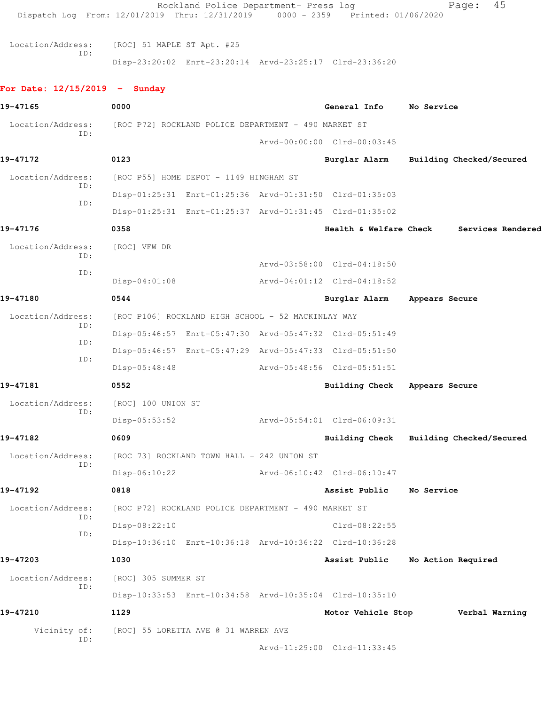Rockland Police Department- Press log Fage: 45 Dispatch Log From: 12/01/2019 Thru: 12/31/2019 0000 - 2359 Printed: 01/06/2020 Location/Address: [ROC] 51 MAPLE ST Apt. #25 ID: Disp-23:20:02 Enrt-23:20:14 Arvd-23:25:17 Clrd-23:36:20 **For Date: 12/15/2019 - Sunday 19-47165 0000 General Info No Service** Location/Address: [ROC P72] ROCKLAND POLICE DEPARTMENT - 490 MARKET ST ID: Arvd-00:00:00 Clrd-00:03:45 **19-47172 0123 Burglar Alarm Building Checked/Secured** Location/Address: [ROC P55] HOME DEPOT - 1149 HINGHAM ST ID: Disp-01:25:31 Enrt-01:25:36 Arvd-01:31:50 Clrd-01:35:03 ID: Disp-01:25:31 Enrt-01:25:37 Arvd-01:31:45 Clrd-01:35:02 **19-47176 0358 Health & Welfare Check Services Rendered** Location/Address: [ROC] VFW DR ID: Arvd-03:58:00 Clrd-04:18:50 ID: Disp-04:01:08 Arvd-04:01:12 Clrd-04:18:52 **19-47180 0544 Burglar Alarm Appears Secure** Location/Address: [ROC P106] ROCKLAND HIGH SCHOOL - 52 MACKINLAY WAY ID: Disp-05:46:57 Enrt-05:47:30 Arvd-05:47:32 Clrd-05:51:49 ID: Disp-05:46:57 Enrt-05:47:29 Arvd-05:47:33 Clrd-05:51:50 ID: Disp-05:48:48 Arvd-05:48:56 Clrd-05:51:51 **19-47181 0552 Building Check Appears Secure** Location/Address: [ROC] 100 UNION ST ID: Disp-05:53:52 Arvd-05:54:01 Clrd-06:09:31 **19-47182 0609 Building Check Building Checked/Secured** Location/Address: [ROC 73] ROCKLAND TOWN HALL - 242 UNION ST ID: Disp-06:10:22 Arvd-06:10:42 Clrd-06:10:47 **19-47192 0818 Assist Public No Service** Location/Address: [ROC P72] ROCKLAND POLICE DEPARTMENT - 490 MARKET ST ID: Disp-08:22:10 Clrd-08:22:55 ID: Disp-10:36:10 Enrt-10:36:18 Arvd-10:36:22 Clrd-10:36:28 **19-47203 1030 Assist Public No Action Required** Location/Address: [ROC] 305 SUMMER ST ID: Disp-10:33:53 Enrt-10:34:58 Arvd-10:35:04 Clrd-10:35:10 **19-47210 1129 Motor Vehicle Stop Verbal Warning** Vicinity of: [ROC] 55 LORETTA AVE @ 31 WARREN AVE ID: Arvd-11:29:00 Clrd-11:33:45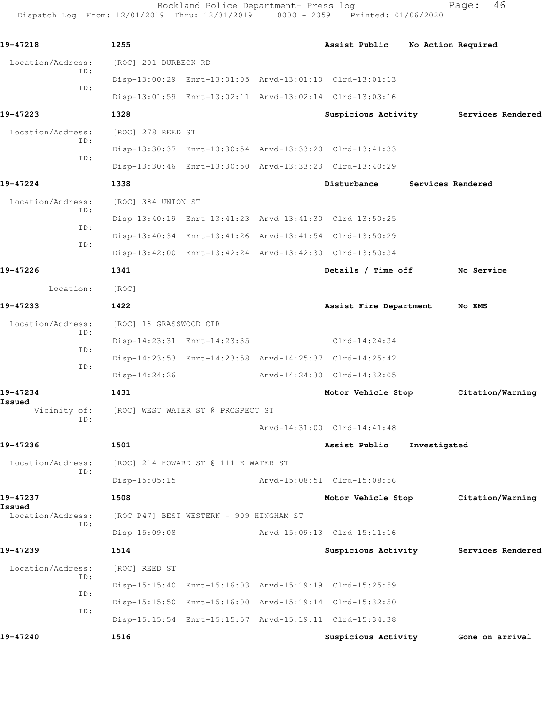Rockland Police Department- Press log entitled and Page: 46 Dispatch Log From: 12/01/2019 Thru: 12/31/2019 0000 - 2359 Printed: 01/06/2020

| 19-47218                    |            | 1255                              |                                         | Assist Public                                           | No Action Required |                                       |
|-----------------------------|------------|-----------------------------------|-----------------------------------------|---------------------------------------------------------|--------------------|---------------------------------------|
| Location/Address:           | ID:        | [ROC] 201 DURBECK RD              |                                         |                                                         |                    |                                       |
|                             | ID:        |                                   |                                         | Disp-13:00:29 Enrt-13:01:05 Arvd-13:01:10 Clrd-13:01:13 |                    |                                       |
|                             |            |                                   |                                         | Disp-13:01:59 Enrt-13:02:11 Arvd-13:02:14 Clrd-13:03:16 |                    |                                       |
| 19-47223                    |            | 1328                              |                                         |                                                         |                    | Suspicious Activity Services Rendered |
| Location/Address:           |            | [ROC] 278 REED ST                 |                                         |                                                         |                    |                                       |
|                             | ID:<br>ID: |                                   |                                         | Disp-13:30:37 Enrt-13:30:54 Arvd-13:33:20 Clrd-13:41:33 |                    |                                       |
|                             |            |                                   |                                         | Disp-13:30:46 Enrt-13:30:50 Arvd-13:33:23 Clrd-13:40:29 |                    |                                       |
| 19-47224                    |            | 1338                              |                                         | Disturbance                                             | Services Rendered  |                                       |
| Location/Address:           |            | [ROC] 384 UNION ST                |                                         |                                                         |                    |                                       |
|                             | ID:        |                                   |                                         | Disp-13:40:19 Enrt-13:41:23 Arvd-13:41:30 Clrd-13:50:25 |                    |                                       |
|                             | ID:        |                                   |                                         | Disp-13:40:34 Enrt-13:41:26 Arvd-13:41:54 Clrd-13:50:29 |                    |                                       |
|                             | ID:        |                                   |                                         | Disp-13:42:00 Enrt-13:42:24 Arvd-13:42:30 Clrd-13:50:34 |                    |                                       |
| 19-47226                    |            | 1341                              |                                         | Details / Time off No Service                           |                    |                                       |
| Location:                   |            | [ROC]                             |                                         |                                                         |                    |                                       |
| 19-47233                    |            | 1422                              |                                         | Assist Fire Department                                  |                    | No EMS                                |
| Location/Address:           |            | [ROC] 16 GRASSWOOD CIR            |                                         |                                                         |                    |                                       |
|                             | ID:        |                                   |                                         | Disp-14:23:31 Enrt-14:23:35 Clrd-14:24:34               |                    |                                       |
|                             | ID:        |                                   |                                         | Disp-14:23:53 Enrt-14:23:58 Arvd-14:25:37 Clrd-14:25:42 |                    |                                       |
|                             | ID:        | Disp-14:24:26                     |                                         | Arvd-14:24:30 Clrd-14:32:05                             |                    |                                       |
| 19-47234                    |            | 1431                              |                                         |                                                         |                    | Motor Vehicle Stop Citation/Warning   |
| Issued<br>Vicinity of:      |            | [ROC] WEST WATER ST @ PROSPECT ST |                                         |                                                         |                    |                                       |
|                             | ID:        |                                   |                                         | Arvd-14:31:00 Clrd-14:41:48                             |                    |                                       |
| 19-47236                    |            | 1501                              |                                         | Assist Public                                           | Investigated       |                                       |
| Location/Address:           |            |                                   | [ROC] 214 HOWARD ST @ 111 E WATER ST    |                                                         |                    |                                       |
|                             | ID:        | $Disp-15:05:15$                   |                                         | Arvd-15:08:51 Clrd-15:08:56                             |                    |                                       |
| 19-47237                    |            | 1508                              |                                         | Motor Vehicle Stop                                      |                    | Citation/Warning                      |
| Issued<br>Location/Address: |            |                                   | [ROC P47] BEST WESTERN - 909 HINGHAM ST |                                                         |                    |                                       |
|                             | ID:        | $Disp-15:09:08$                   |                                         | Arvd-15:09:13 Clrd-15:11:16                             |                    |                                       |
| 19-47239                    |            | 1514                              |                                         |                                                         |                    | Suspicious Activity Services Rendered |
| Location/Address:           |            | [ROC] REED ST                     |                                         |                                                         |                    |                                       |
|                             | ID:        |                                   |                                         | Disp-15:15:40 Enrt-15:16:03 Arvd-15:19:19 Clrd-15:25:59 |                    |                                       |
|                             | ID:        |                                   |                                         | Disp-15:15:50 Enrt-15:16:00 Arvd-15:19:14 Clrd-15:32:50 |                    |                                       |
|                             | ID:        |                                   |                                         | Disp-15:15:54 Enrt-15:15:57 Arvd-15:19:11 Clrd-15:34:38 |                    |                                       |
| 19-47240                    |            | 1516                              |                                         | Suspicious Activity Gone on arrival                     |                    |                                       |
|                             |            |                                   |                                         |                                                         |                    |                                       |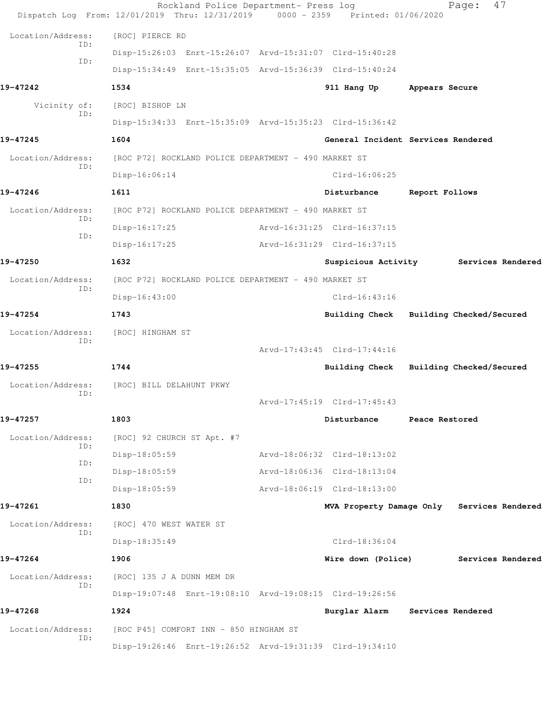|                          | Rockland Police Department- Press log<br>Dispatch Log From: 12/01/2019 Thru: 12/31/2019 0000 - 2359 Printed: 01/06/2020 |                                            |                | 47<br>Page:              |  |
|--------------------------|-------------------------------------------------------------------------------------------------------------------------|--------------------------------------------|----------------|--------------------------|--|
| Location/Address:        | [ROC] PIERCE RD                                                                                                         |                                            |                |                          |  |
| ID:                      | Disp-15:26:03 Enrt-15:26:07 Arvd-15:31:07 Clrd-15:40:28                                                                 |                                            |                |                          |  |
| ID:                      | Disp-15:34:49 Enrt-15:35:05 Arvd-15:36:39 Clrd-15:40:24                                                                 |                                            |                |                          |  |
| 19-47242                 | 1534                                                                                                                    | 911 Hang Up                                | Appears Secure |                          |  |
| Vicinity of:             | [ROC] BISHOP LN                                                                                                         |                                            |                |                          |  |
| ID:                      | Disp-15:34:33 Enrt-15:35:09 Arvd-15:35:23 Clrd-15:36:42                                                                 |                                            |                |                          |  |
| 19-47245                 | 1604                                                                                                                    | General Incident Services Rendered         |                |                          |  |
| Location/Address:        | [ROC P72] ROCKLAND POLICE DEPARTMENT - 490 MARKET ST                                                                    |                                            |                |                          |  |
| ID:                      | Disp-16:06:14                                                                                                           | $Clrd-16:06:25$                            |                |                          |  |
| 19-47246                 | 1611                                                                                                                    | Disturbance                                | Report Follows |                          |  |
| Location/Address:        | [ROC P72] ROCKLAND POLICE DEPARTMENT - 490 MARKET ST                                                                    |                                            |                |                          |  |
| ID:                      | $Disp-16:17:25$                                                                                                         | Arvd-16:31:25 Clrd-16:37:15                |                |                          |  |
| ID:                      | $Disp-16:17:25$                                                                                                         | Arvd-16:31:29 Clrd-16:37:15                |                |                          |  |
| 19-47250                 | 1632                                                                                                                    | Suspicious Activity                        |                | Services Rendered        |  |
| Location/Address:        | [ROC P72] ROCKLAND POLICE DEPARTMENT - 490 MARKET ST                                                                    |                                            |                |                          |  |
| ID:                      | Disp-16:43:00                                                                                                           | $Clrd-16:43:16$                            |                |                          |  |
| 19-47254                 | 1743                                                                                                                    | Building Check Building Checked/Secured    |                |                          |  |
| Location/Address:<br>ID: | [ROC] HINGHAM ST                                                                                                        |                                            |                |                          |  |
|                          |                                                                                                                         | Arvd-17:43:45 Clrd-17:44:16                |                |                          |  |
| 19-47255                 | 1744                                                                                                                    | <b>Building Check</b>                      |                | Building Checked/Secured |  |
| Location/Address:<br>ID: | [ROC] BILL DELAHUNT PKWY                                                                                                |                                            |                |                          |  |
|                          |                                                                                                                         | Arvd-17:45:19 Clrd-17:45:43                |                |                          |  |
| 19-47257                 | 1803                                                                                                                    | Disturbance                                | Peace Restored |                          |  |
| Location/Address:<br>ID: | [ROC] 92 CHURCH ST Apt. #7                                                                                              |                                            |                |                          |  |
| ID:                      | Disp-18:05:59                                                                                                           | Arvd-18:06:32 Clrd-18:13:02                |                |                          |  |
| ID:                      | Disp-18:05:59                                                                                                           | Arvd-18:06:36 Clrd-18:13:04                |                |                          |  |
|                          | $Disp-18:05:59$                                                                                                         | Arvd-18:06:19 Clrd-18:13:00                |                |                          |  |
| 19-47261                 | 1830                                                                                                                    | MVA Property Damage Only Services Rendered |                |                          |  |
| Location/Address:<br>ID: | [ROC] 470 WEST WATER ST                                                                                                 |                                            |                |                          |  |
|                          | Disp-18:35:49                                                                                                           | $Clrd-18:36:04$                            |                |                          |  |
| 19-47264                 | 1906                                                                                                                    | Wire down (Police)                         |                | Services Rendered        |  |
| Location/Address:<br>ID: | [ROC] 135 J A DUNN MEM DR                                                                                               |                                            |                |                          |  |
|                          | Disp-19:07:48 Enrt-19:08:10 Arvd-19:08:15 Clrd-19:26:56                                                                 |                                            |                |                          |  |
| 19-47268                 | 1924                                                                                                                    | Burglar Alarm                              |                | Services Rendered        |  |
| Location/Address:<br>ID: | [ROC P45] COMFORT INN - 850 HINGHAM ST                                                                                  |                                            |                |                          |  |
|                          | Disp-19:26:46 Enrt-19:26:52 Arvd-19:31:39 Clrd-19:34:10                                                                 |                                            |                |                          |  |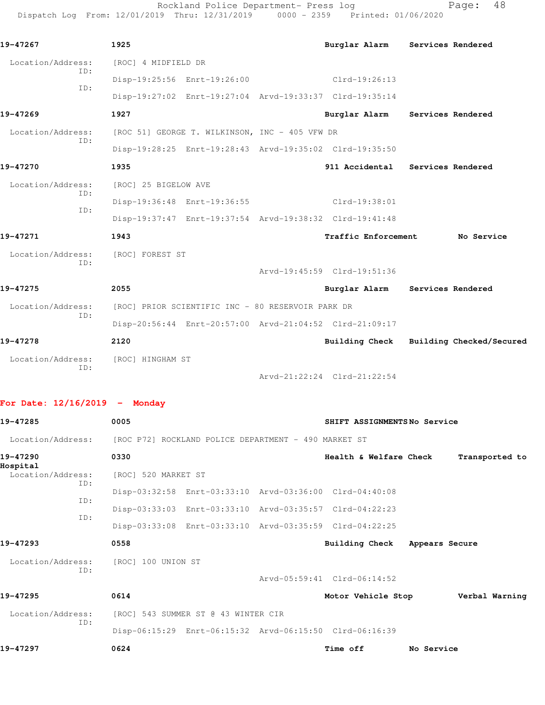Rockland Police Department- Press log entitled and Page: 48 Dispatch Log From: 12/01/2019 Thru: 12/31/2019 0000 - 2359 Printed: 01/06/2020

| 19-47267          |     | 1925                 |                                                   | Burglar Alarm                                           | Services Rendered |
|-------------------|-----|----------------------|---------------------------------------------------|---------------------------------------------------------|-------------------|
| Location/Address: |     | [ROC] 4 MIDFIELD DR  |                                                   |                                                         |                   |
|                   | ID: |                      | Disp-19:25:56 Enrt-19:26:00                       | $Clrd-19:26:13$                                         |                   |
|                   | TD: |                      |                                                   | Disp-19:27:02 Enrt-19:27:04 Arvd-19:33:37 Clrd-19:35:14 |                   |
| 19-47269          |     | 1927                 |                                                   | Burglar Alarm Services Rendered                         |                   |
| Location/Address: |     |                      | [ROC 51] GEORGE T. WILKINSON, INC - 405 VFW DR    |                                                         |                   |
|                   | ID: |                      |                                                   | Disp-19:28:25 Enrt-19:28:43 Arvd-19:35:02 Clrd-19:35:50 |                   |
| 19-47270          |     | 1935                 |                                                   | 911 Accidental                                          | Services Rendered |
| Location/Address: |     | [ROC] 25 BIGELOW AVE |                                                   |                                                         |                   |
| TD:               | TD: |                      | Disp-19:36:48 Enrt-19:36:55                       | Clrd-19:38:01                                           |                   |
|                   |     |                      |                                                   | Disp-19:37:47 Enrt-19:37:54 Arvd-19:38:32 Clrd-19:41:48 |                   |
| 19-47271          |     | 1943                 |                                                   | <b>Traffic Enforcement</b>                              | No Service        |
| Location/Address: |     | [ROC] FOREST ST      |                                                   |                                                         |                   |
|                   | TD: |                      |                                                   | Arvd-19:45:59 Clrd-19:51:36                             |                   |
| 19-47275          |     | 2055                 |                                                   | Burglar Alarm Services Rendered                         |                   |
| Location/Address: |     |                      | [ROC] PRIOR SCIENTIFIC INC - 80 RESERVOIR PARK DR |                                                         |                   |
|                   | TD: |                      |                                                   | Disp-20:56:44 Enrt-20:57:00 Arvd-21:04:52 Clrd-21:09:17 |                   |
| 19-47278          |     | 2120                 |                                                   | Building Check Building Checked/Secured                 |                   |
| Location/Address: |     | [ROC] HINGHAM ST     |                                                   |                                                         |                   |
|                   | TD: |                      |                                                   | Arvd-21:22:24 Clrd-21:22:54                             |                   |

## **For Date: 12/16/2019 - Monday**

| 19-47285                 | 0005                                                 |                                     | SHIFT ASSIGNMENTSNo Service                             |                |                |
|--------------------------|------------------------------------------------------|-------------------------------------|---------------------------------------------------------|----------------|----------------|
| Location/Address:        | [ROC P72] ROCKLAND POLICE DEPARTMENT - 490 MARKET ST |                                     |                                                         |                |                |
| 19-47290<br>Hospital     | 0330                                                 |                                     | Health & Welfare Check                                  |                | Transported to |
| Location/Address:<br>ID: | [ROC] 520 MARKET ST                                  |                                     |                                                         |                |                |
|                          |                                                      |                                     | Disp-03:32:58 Enrt-03:33:10 Arvd-03:36:00 Clrd-04:40:08 |                |                |
| ID:                      |                                                      |                                     | Disp-03:33:03 Enrt-03:33:10 Arvd-03:35:57 Clrd-04:22:23 |                |                |
| TD:                      |                                                      |                                     | Disp-03:33:08 Enrt-03:33:10 Arvd-03:35:59 Clrd-04:22:25 |                |                |
| 19-47293                 | 0558                                                 |                                     | Building Check                                          | Appears Secure |                |
| Location/Address:        | [ROC] 100 UNION ST                                   |                                     |                                                         |                |                |
| ID:                      |                                                      |                                     | Arvd-05:59:41 Clrd-06:14:52                             |                |                |
| 19-47295                 | 0614                                                 |                                     | Motor Vehicle Stop                                      |                | Verbal Warning |
| Location/Address:        |                                                      | [ROC] 543 SUMMER ST @ 43 WINTER CIR |                                                         |                |                |
| ID:                      |                                                      |                                     | Disp-06:15:29 Enrt-06:15:32 Arvd-06:15:50 Clrd-06:16:39 |                |                |
| 19-47297                 | 0624                                                 |                                     | Time off                                                | No Service     |                |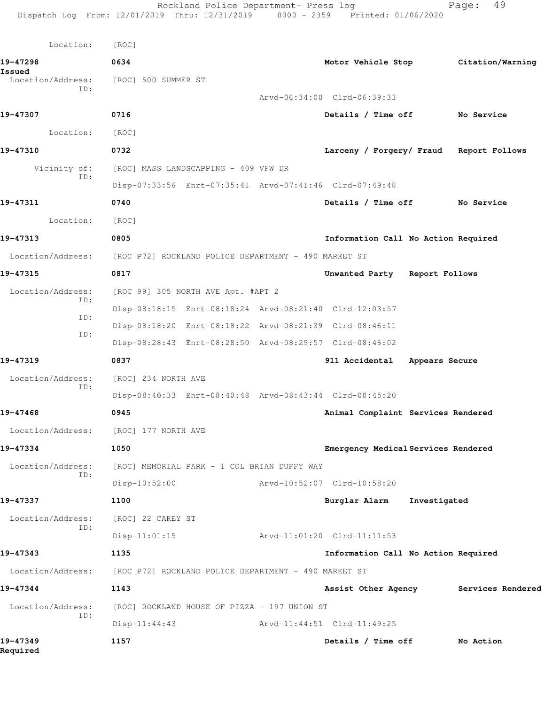| Location:                | [ROC]                                                   |                                         |              |                   |
|--------------------------|---------------------------------------------------------|-----------------------------------------|--------------|-------------------|
| 19-47298<br>Issued       | 0634                                                    | Motor Vehicle Stop                      |              | Citation/Warning  |
| Location/Address:<br>ID: | [ROC] 500 SUMMER ST                                     |                                         |              |                   |
|                          |                                                         | Arvd-06:34:00 Clrd-06:39:33             |              |                   |
| 19-47307                 | 0716                                                    | Details / Time off                      |              | No Service        |
| Location:                | [ROC]                                                   |                                         |              |                   |
| 19-47310                 | 0732                                                    | Larceny / Forgery/ Fraud Report Follows |              |                   |
| Vicinity of:             | [ROC] MASS LANDSCAPPING - 409 VFW DR                    |                                         |              |                   |
| ID:                      | Disp-07:33:56 Enrt-07:35:41 Arvd-07:41:46 Clrd-07:49:48 |                                         |              |                   |
| 19-47311                 | 0740                                                    | Details / Time off No Service           |              |                   |
| Location:                | [ROC]                                                   |                                         |              |                   |
| 19-47313                 | 0805                                                    | Information Call No Action Required     |              |                   |
| Location/Address:        | [ROC P72] ROCKLAND POLICE DEPARTMENT - 490 MARKET ST    |                                         |              |                   |
| 19-47315                 | 0817                                                    | Unwanted Party Report Follows           |              |                   |
| Location/Address:        | [ROC 99] 305 NORTH AVE Apt. #APT 2                      |                                         |              |                   |
| ID:                      | Disp-08:18:15 Enrt-08:18:24 Arvd-08:21:40 Clrd-12:03:57 |                                         |              |                   |
| ID:                      | Disp-08:18:20 Enrt-08:18:22 Arvd-08:21:39 Clrd-08:46:11 |                                         |              |                   |
| ID:                      | Disp-08:28:43 Enrt-08:28:50 Arvd-08:29:57 Clrd-08:46:02 |                                         |              |                   |
| 19-47319                 | 0837                                                    | 911 Accidental Appears Secure           |              |                   |
| Location/Address:        | [ROC] 234 NORTH AVE                                     |                                         |              |                   |
| ID:                      | Disp-08:40:33 Enrt-08:40:48 Arvd-08:43:44 Clrd-08:45:20 |                                         |              |                   |
| 19-47468                 | 0945                                                    | Animal Complaint Services Rendered      |              |                   |
| Location/Address:        | [ROC] 177 NORTH AVE                                     |                                         |              |                   |
| 19-47334                 | 1050                                                    | Emergency Medical Services Rendered     |              |                   |
| Location/Address:        | [ROC] MEMORIAL PARK - 1 COL BRIAN DUFFY WAY             |                                         |              |                   |
| ID:                      | $Disp-10:52:00$                                         | Arvd-10:52:07 Clrd-10:58:20             |              |                   |
| 19-47337                 | 1100                                                    | Burglar Alarm                           | Investigated |                   |
| Location/Address:        | [ROC] 22 CAREY ST                                       |                                         |              |                   |
| ID:                      | $Disp-11:01:15$                                         | Arvd-11:01:20 Clrd-11:11:53             |              |                   |
| 19-47343                 | 1135                                                    | Information Call No Action Required     |              |                   |
| Location/Address:        | [ROC P72] ROCKLAND POLICE DEPARTMENT - 490 MARKET ST    |                                         |              |                   |
| 19-47344                 | 1143                                                    | Assist Other Agency                     |              | Services Rendered |
| Location/Address:        | [ROC] ROCKLAND HOUSE OF PIZZA - 197 UNION ST            |                                         |              |                   |
| ID:                      | $Disp-11:44:43$                                         | Arvd-11:44:51 Clrd-11:49:25             |              |                   |
| 19-47349<br>Required     | 1157                                                    | Details / Time off                      |              | No Action         |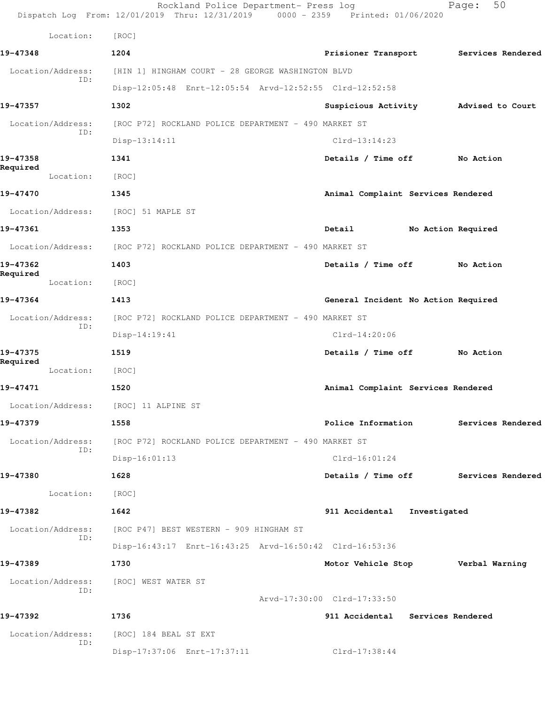|                          | Rockland Police Department- Press log<br>Dispatch Log From: 12/01/2019 Thru: 12/31/2019 0000 - 2359 Printed: 01/06/2020 |                                       | 50<br>Page:        |
|--------------------------|-------------------------------------------------------------------------------------------------------------------------|---------------------------------------|--------------------|
| Location:                | [ROC]                                                                                                                   |                                       |                    |
| 19-47348                 | 1204                                                                                                                    | Prisioner Transport Services Rendered |                    |
| Location/Address:<br>ID: | [HIN 1] HINGHAM COURT - 28 GEORGE WASHINGTON BLVD                                                                       |                                       |                    |
|                          | Disp-12:05:48 Enrt-12:05:54 Arvd-12:52:55 Clrd-12:52:58                                                                 |                                       |                    |
| 19-47357                 | 1302                                                                                                                    | Suspicious Activity Medised to Court  |                    |
| Location/Address:<br>ID: | [ROC P72] ROCKLAND POLICE DEPARTMENT - 490 MARKET ST                                                                    |                                       |                    |
|                          | $Disp-13:14:11$                                                                                                         | $Clrd-13:14:23$                       |                    |
| 19-47358<br>Required     | 1341                                                                                                                    | Details / Time off                    | No Action          |
| Location:                | [ROC]                                                                                                                   |                                       |                    |
| 19-47470                 | 1345                                                                                                                    | Animal Complaint Services Rendered    |                    |
| Location/Address:        | [ROC] 51 MAPLE ST                                                                                                       |                                       |                    |
| 19-47361                 | 1353                                                                                                                    | Detail                                | No Action Required |
|                          | Location/Address: [ROC P72] ROCKLAND POLICE DEPARTMENT - 490 MARKET ST                                                  |                                       |                    |
| 19-47362                 | 1403                                                                                                                    | Details / Time off                    | No Action          |
| Required<br>Location:    | [ROC]                                                                                                                   |                                       |                    |
| 19-47364                 | 1413                                                                                                                    | General Incident No Action Required   |                    |
| Location/Address:        | [ROC P72] ROCKLAND POLICE DEPARTMENT - 490 MARKET ST                                                                    |                                       |                    |
| ID:                      | $Disp-14:19:41$                                                                                                         | $Clrd-14:20:06$                       |                    |
| 19-47375                 | 1519                                                                                                                    | Details / Time off                    | No Action          |
| Required<br>Location:    | [ROC]                                                                                                                   |                                       |                    |
| 19-47471                 | 1520                                                                                                                    | Animal Complaint Services Rendered    |                    |
|                          | Location/Address: [ROC] 11 ALPINE ST                                                                                    |                                       |                    |
| 19-47379                 | 1558                                                                                                                    | Police Information                    | Services Rendered  |
| Location/Address:        | [ROC P72] ROCKLAND POLICE DEPARTMENT - 490 MARKET ST                                                                    |                                       |                    |
| ID:                      | $Disp-16:01:13$                                                                                                         | $Clrd-16:01:24$                       |                    |
| 19-47380                 | 1628                                                                                                                    | Details / Time off                    | Services Rendered  |
| Location:                | [ROC]                                                                                                                   |                                       |                    |
| 19-47382                 | 1642                                                                                                                    | 911 Accidental                        | Investigated       |
| Location/Address:        | [ROC P47] BEST WESTERN - 909 HINGHAM ST                                                                                 |                                       |                    |
| ID:                      | Disp-16:43:17 Enrt-16:43:25 Arvd-16:50:42 Clrd-16:53:36                                                                 |                                       |                    |
| 19-47389                 | 1730                                                                                                                    | Motor Vehicle Stop Verbal Warning     |                    |
| Location/Address:        | [ROC] WEST WATER ST                                                                                                     |                                       |                    |
| ID:                      |                                                                                                                         | Arvd-17:30:00 Clrd-17:33:50           |                    |
| 19-47392                 | 1736                                                                                                                    | 911 Accidental Services Rendered      |                    |
|                          |                                                                                                                         |                                       |                    |
| Location/Address:<br>ID: | [ROC] 184 BEAL ST EXT                                                                                                   |                                       |                    |
|                          | Disp-17:37:06 Enrt-17:37:11                                                                                             | Clrd-17:38:44                         |                    |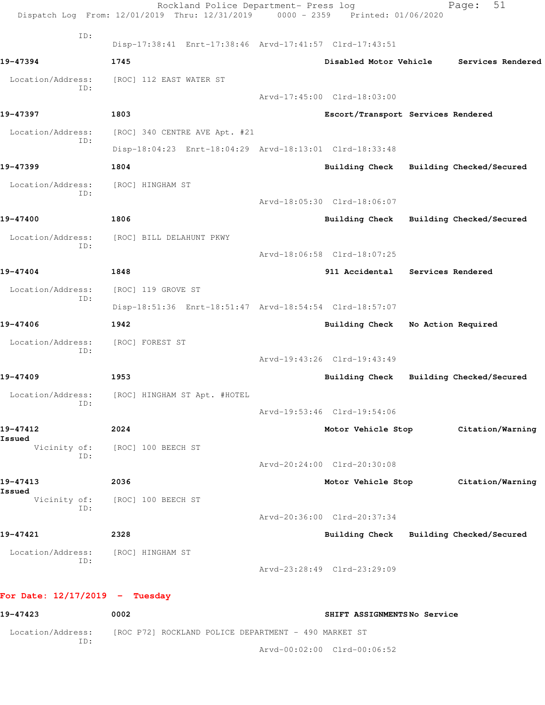| ID:                                       | Disp-17:38:41 Enrt-17:38:46 Arvd-17:41:57 Clrd-17:43:51 |                                         |                          |
|-------------------------------------------|---------------------------------------------------------|-----------------------------------------|--------------------------|
| 19-47394                                  | 1745                                                    | Disabled Motor Vehicle                  | Services Rendered        |
| Location/Address:<br>ID:                  | [ROC] 112 EAST WATER ST                                 |                                         |                          |
|                                           |                                                         | Arvd-17:45:00 Clrd-18:03:00             |                          |
| 19-47397                                  | 1803                                                    | Escort/Transport Services Rendered      |                          |
| Location/Address:<br>ID:                  | [ROC] 340 CENTRE AVE Apt. #21                           |                                         |                          |
|                                           | Disp-18:04:23 Enrt-18:04:29 Arvd-18:13:01 Clrd-18:33:48 |                                         |                          |
| 19-47399                                  | 1804                                                    | Building Check Building Checked/Secured |                          |
| Location/Address:<br>TD:                  | [ROC] HINGHAM ST                                        |                                         |                          |
|                                           |                                                         | Arvd-18:05:30 Clrd-18:06:07             |                          |
| 19-47400                                  | 1806                                                    | Building Check                          | Building Checked/Secured |
| Location/Address:<br>ID:                  | [ROC] BILL DELAHUNT PKWY                                |                                         |                          |
|                                           |                                                         | Arvd-18:06:58 Clrd-18:07:25             |                          |
| 19-47404                                  | 1848                                                    | 911 Accidental Services Rendered        |                          |
| Location/Address:<br>ID:                  | [ROC] 119 GROVE ST                                      |                                         |                          |
|                                           | Disp-18:51:36 Enrt-18:51:47 Arvd-18:54:54 Clrd-18:57:07 |                                         |                          |
| 19-47406                                  | 1942                                                    | Building Check                          | No Action Required       |
| Location/Address:<br>ID:                  | [ROC] FOREST ST                                         |                                         |                          |
|                                           |                                                         | Arvd-19:43:26 Clrd-19:43:49             |                          |
| 19-47409                                  | 1953                                                    | Building Check                          | Building Checked/Secured |
| ID:                                       | Location/Address: [ROC] HINGHAM ST Apt. #HOTEL          |                                         |                          |
|                                           |                                                         | Arvd-19:53:46 Clrd-19:54:06             |                          |
| 19-47412<br>Issued                        | 2024                                                    | Motor Vehicle Stop                      | Citation/Warning         |
| Vicinity of:<br>ID:                       | [ROC] 100 BEECH ST                                      |                                         |                          |
|                                           |                                                         | Arvd-20:24:00 Clrd-20:30:08             |                          |
| 19-47413<br>Issued                        | 2036                                                    | Motor Vehicle Stop                      | Citation/Warning         |
| Vicinity of:<br>ID:                       | [ROC] 100 BEECH ST                                      |                                         |                          |
|                                           |                                                         | Arvd-20:36:00 Clrd-20:37:34             |                          |
| 19-47421                                  | 2328                                                    | Building Check                          | Building Checked/Secured |
| Location/Address: [ROC] HINGHAM ST<br>ID: |                                                         |                                         |                          |
|                                           |                                                         | Arvd-23:28:49 Clrd-23:29:09             |                          |

**19-47423 0002 SHIFT ASSIGNMENTS No Service** Location/Address: [ROC P72] ROCKLAND POLICE DEPARTMENT - 490 MARKET ST ID:

Arvd-00:02:00 Clrd-00:06:52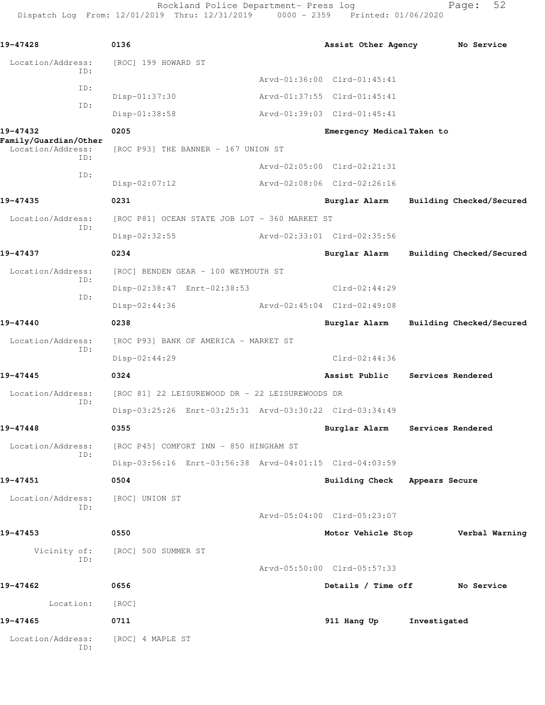Rockland Police Department- Press log Fage: 52 Dispatch Log From: 12/01/2019 Thru: 12/31/2019 0000 - 2359 Printed: 01/06/2020

**19-47428 0136 Assist Other Agency No Service** Location/Address: [ROC] 199 HOWARD ST ID: Arvd-01:36:00 Clrd-01:45:41 ID: Disp-01:37:30 Arvd-01:37:55 Clrd-01:45:41 ID: Disp-01:38:58 Arvd-01:39:03 Clrd-01:45:41 **19-47432 0205 Emergency Medical Taken to Family/Guardian/Other**  Location/Address: [ROC P93] THE BANNER - 167 UNION ST ID: Arvd-02:05:00 Clrd-02:21:31 ID: Disp-02:07:12 Arvd-02:08:06 Clrd-02:26:16 **19-47435 0231 Burglar Alarm Building Checked/Secured** Location/Address: [ROC P81] OCEAN STATE JOB LOT - 360 MARKET ST ID: Disp-02:32:55 Arvd-02:33:01 Clrd-02:35:56 **19-47437 0234 Burglar Alarm Building Checked/Secured** Location/Address: [ROC] BENDEN GEAR - 100 WEYMOUTH ST ID: Disp-02:38:47 Enrt-02:38:53 Clrd-02:44:29 ID: Disp-02:44:36 Arvd-02:45:04 Clrd-02:49:08 **19-47440 0238 Burglar Alarm Building Checked/Secured** Location/Address: [ROC P93] BANK OF AMERICA - MARKET ST ID: Disp-02:44:29 Clrd-02:44:36 **19-47445 0324 Assist Public Services Rendered** Location/Address: [ROC 81] 22 LEISUREWOOD DR - 22 LEISUREWOODS DR ID: Disp-03:25:26 Enrt-03:25:31 Arvd-03:30:22 Clrd-03:34:49 **19-47448 0355 Burglar Alarm Services Rendered** Location/Address: [ROC P45] COMFORT INN - 850 HINGHAM ST ID: Disp-03:56:16 Enrt-03:56:38 Arvd-04:01:15 Clrd-04:03:59 **19-47451 0504 Building Check Appears Secure** Location/Address: [ROC] UNION ST ID: Arvd-05:04:00 Clrd-05:23:07 **19-47453 0550 Motor Vehicle Stop Verbal Warning** Vicinity of: [ROC] 500 SUMMER ST ID: Arvd-05:50:00 Clrd-05:57:33 **19-47462 0656 Details / Time off No Service** Location: [ROC] **19-47465 0711 911 Hang Up Investigated** Location/Address: [ROC] 4 MAPLE ST ID: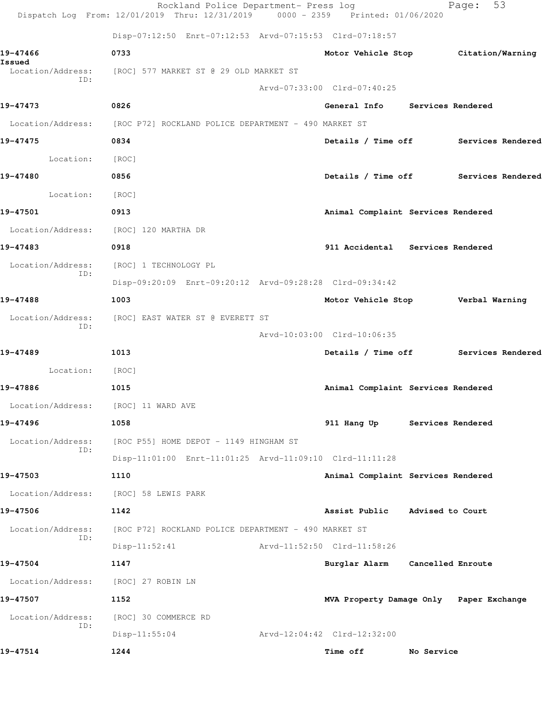|                             | Rockland Police Department- Press log<br>Dispatch Log From: 12/01/2019 Thru: 12/31/2019 0000 - 2359 Printed: 01/06/2020 |                                         |                   | 53<br>Page:       |  |
|-----------------------------|-------------------------------------------------------------------------------------------------------------------------|-----------------------------------------|-------------------|-------------------|--|
|                             | Disp-07:12:50 Enrt-07:12:53 Arvd-07:15:53 Clrd-07:18:57                                                                 |                                         |                   |                   |  |
| 19-47466                    | 0733                                                                                                                    | Motor Vehicle Stop Citation/Warning     |                   |                   |  |
| Issued<br>Location/Address: | [ROC] 577 MARKET ST @ 29 OLD MARKET ST                                                                                  |                                         |                   |                   |  |
| ID:                         |                                                                                                                         | Arvd-07:33:00 Clrd-07:40:25             |                   |                   |  |
| 19-47473                    | 0826                                                                                                                    | General Info Services Rendered          |                   |                   |  |
| Location/Address:           | [ROC P72] ROCKLAND POLICE DEPARTMENT - 490 MARKET ST                                                                    |                                         |                   |                   |  |
| 19-47475                    | 0834                                                                                                                    | Details / Time off Services Rendered    |                   |                   |  |
| Location:                   | [ROC]                                                                                                                   |                                         |                   |                   |  |
| 19-47480                    | 0856                                                                                                                    | Details / Time off Services Rendered    |                   |                   |  |
| Location:                   | [ROC]                                                                                                                   |                                         |                   |                   |  |
| 19-47501                    | 0913                                                                                                                    | Animal Complaint Services Rendered      |                   |                   |  |
| Location/Address:           | [ROC] 120 MARTHA DR                                                                                                     |                                         |                   |                   |  |
| 19-47483                    | 0918                                                                                                                    | 911 Accidental Services Rendered        |                   |                   |  |
| Location/Address:<br>ID:    | [ROC] 1 TECHNOLOGY PL                                                                                                   |                                         |                   |                   |  |
|                             | Disp-09:20:09 Enrt-09:20:12 Arvd-09:28:28 Clrd-09:34:42                                                                 |                                         |                   |                   |  |
| 19-47488                    | 1003                                                                                                                    | Motor Vehicle Stop Verbal Warning       |                   |                   |  |
| Location/Address:<br>ID:    | [ROC] EAST WATER ST @ EVERETT ST                                                                                        |                                         |                   |                   |  |
|                             |                                                                                                                         | Arvd-10:03:00 Clrd-10:06:35             |                   |                   |  |
| 19-47489                    | 1013                                                                                                                    | Details / Time off Services Rendered    |                   |                   |  |
| Location:                   | [ROC]                                                                                                                   |                                         |                   |                   |  |
| 19-47886                    | 1015                                                                                                                    | Animal Complaint Services Rendered      |                   |                   |  |
| Location/Address:           | [ROC] 11 WARD AVE                                                                                                       |                                         |                   |                   |  |
| 19-47496                    | 1058                                                                                                                    | 911 Hang Up                             |                   | Services Rendered |  |
| Location/Address:<br>ID:    | [ROC P55] HOME DEPOT - 1149 HINGHAM ST                                                                                  |                                         |                   |                   |  |
|                             | Disp-11:01:00 Enrt-11:01:25 Arvd-11:09:10 Clrd-11:11:28                                                                 |                                         |                   |                   |  |
| 19-47503                    | 1110                                                                                                                    | Animal Complaint Services Rendered      |                   |                   |  |
| Location/Address:           | [ROC] 58 LEWIS PARK                                                                                                     |                                         |                   |                   |  |
| 19-47506                    | 1142                                                                                                                    | Assist Public                           | Advised to Court  |                   |  |
| Location/Address:<br>ID:    | [ROC P72] ROCKLAND POLICE DEPARTMENT - 490 MARKET ST                                                                    |                                         |                   |                   |  |
|                             | $Disp-11:52:41$                                                                                                         | Arvd-11:52:50 Clrd-11:58:26             |                   |                   |  |
| 19-47504                    | 1147                                                                                                                    | Burglar Alarm                           | Cancelled Enroute |                   |  |
| Location/Address:           | [ROC] 27 ROBIN LN                                                                                                       |                                         |                   |                   |  |
| 19-47507                    | 1152                                                                                                                    | MVA Property Damage Only Paper Exchange |                   |                   |  |
| Location/Address:<br>ID:    | [ROC] 30 COMMERCE RD                                                                                                    |                                         |                   |                   |  |
|                             | $Disp-11:55:04$                                                                                                         | Arvd-12:04:42 Clrd-12:32:00             |                   |                   |  |
| 19-47514                    | 1244                                                                                                                    | Time off                                | No Service        |                   |  |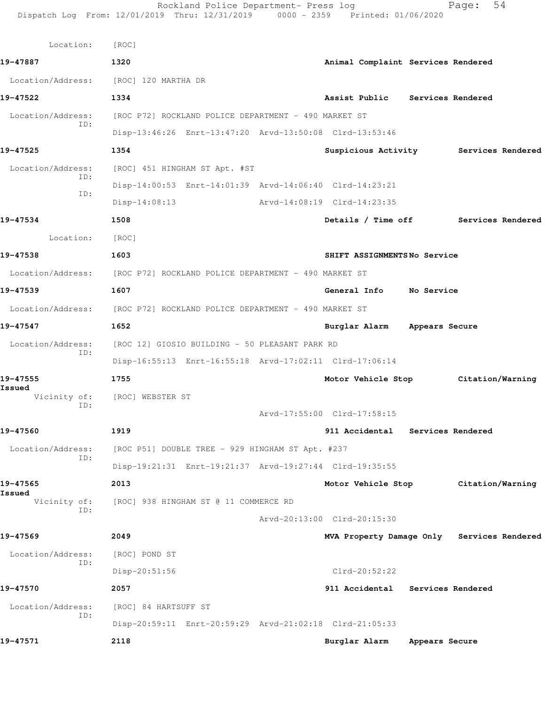|                          | Rockland Police Department- Press log<br>Dispatch Log From: 12/01/2019 Thru: 12/31/2019 0000 - 2359 Printed: 01/06/2020 |                                    |                | 54<br>Page:                                |
|--------------------------|-------------------------------------------------------------------------------------------------------------------------|------------------------------------|----------------|--------------------------------------------|
| Location:                | [ROC]                                                                                                                   |                                    |                |                                            |
| 19-47887                 | 1320                                                                                                                    | Animal Complaint Services Rendered |                |                                            |
|                          | Location/Address: [ROC] 120 MARTHA DR                                                                                   |                                    |                |                                            |
| 19-47522                 | 1334                                                                                                                    | Assist Public Services Rendered    |                |                                            |
| Location/Address:<br>ID: | [ROC P72] ROCKLAND POLICE DEPARTMENT - 490 MARKET ST                                                                    |                                    |                |                                            |
|                          | Disp-13:46:26 Enrt-13:47:20 Arvd-13:50:08 Clrd-13:53:46                                                                 |                                    |                |                                            |
| 19-47525                 | 1354                                                                                                                    |                                    |                | Suspicious Activity Services Rendered      |
| Location/Address:<br>ID: | [ROC] 451 HINGHAM ST Apt. #ST                                                                                           |                                    |                |                                            |
| ID:                      | Disp-14:00:53 Enrt-14:01:39 Arvd-14:06:40 Clrd-14:23:21                                                                 |                                    |                |                                            |
|                          | $Disp-14:08:13$                                                                                                         | Arvd-14:08:19 Clrd-14:23:35        |                |                                            |
| 19-47534                 | 1508                                                                                                                    |                                    |                | Details / Time off Services Rendered       |
| Location:                | [ROC]                                                                                                                   |                                    |                |                                            |
| 19-47538                 | 1603                                                                                                                    | SHIFT ASSIGNMENTSNo Service        |                |                                            |
|                          | Location/Address: [ROC P72] ROCKLAND POLICE DEPARTMENT - 490 MARKET ST                                                  |                                    |                |                                            |
| 19-47539                 | 1607                                                                                                                    | General Info No Service            |                |                                            |
|                          | Location/Address: [ROC P72] ROCKLAND POLICE DEPARTMENT - 490 MARKET ST                                                  |                                    |                |                                            |
| 19-47547                 | 1652                                                                                                                    | Burglar Alarm Appears Secure       |                |                                            |
| Location/Address:        | [ROC 12] GIOSIO BUILDING - 50 PLEASANT PARK RD                                                                          |                                    |                |                                            |
| ID:                      | Disp-16:55:13 Enrt-16:55:18 Arvd-17:02:11 Clrd-17:06:14                                                                 |                                    |                |                                            |
| 19-47555                 | 1755                                                                                                                    |                                    |                | Motor Vehicle Stop Citation/Warning        |
| Issued<br>Vicinity of:   | [ROC] WEBSTER ST                                                                                                        |                                    |                |                                            |
| ID:                      |                                                                                                                         | Arvd-17:55:00 Clrd-17:58:15        |                |                                            |
| 19-47560                 | 1919                                                                                                                    | 911 Accidental                     |                | Services Rendered                          |
| Location/Address:        | [ROC P51] DOUBLE TREE - 929 HINGHAM ST Apt. #237                                                                        |                                    |                |                                            |
| ID:                      | Disp-19:21:31 Enrt-19:21:37 Arvd-19:27:44 Clrd-19:35:55                                                                 |                                    |                |                                            |
| 19-47565                 | 2013                                                                                                                    | Motor Vehicle Stop                 |                | Citation/Warning                           |
| Issued<br>Vicinity of:   | [ROC] 938 HINGHAM ST @ 11 COMMERCE RD                                                                                   |                                    |                |                                            |
| ID:                      |                                                                                                                         | Arvd-20:13:00 Clrd-20:15:30        |                |                                            |
| 19-47569                 | 2049                                                                                                                    |                                    |                | MVA Property Damage Only Services Rendered |
| Location/Address:        | [ROC] POND ST                                                                                                           |                                    |                |                                            |
| ID:                      | Disp-20:51:56                                                                                                           | $Clrd-20:52:22$                    |                |                                            |
| 19-47570                 | 2057                                                                                                                    | 911 Accidental Services Rendered   |                |                                            |
| Location/Address:        | [ROC] 84 HARTSUFF ST                                                                                                    |                                    |                |                                            |
| ID:                      | Disp-20:59:11 Enrt-20:59:29 Arvd-21:02:18 Clrd-21:05:33                                                                 |                                    |                |                                            |
| 19-47571                 | 2118                                                                                                                    | Burglar Alarm                      | Appears Secure |                                            |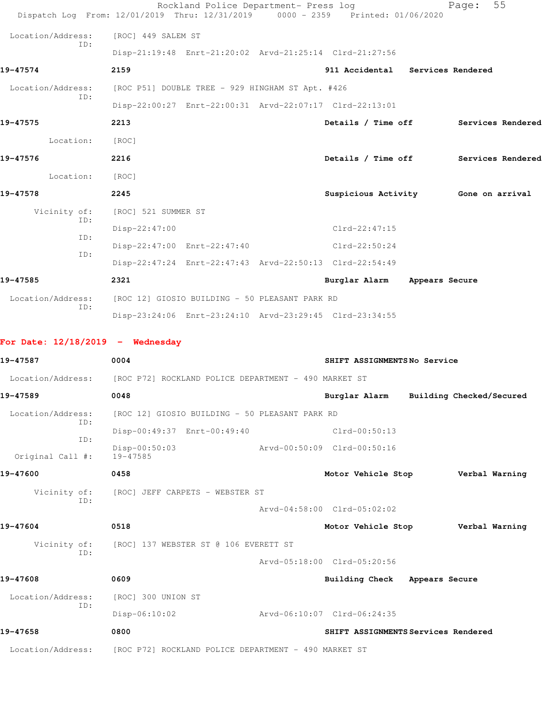|                                    | Rockland Police Department- Press log<br>Dispatch Log From: 12/01/2019 Thru: 12/31/2019 0000 - 2359 Printed: 01/06/2020 |                                      | Page:                    | 55 |
|------------------------------------|-------------------------------------------------------------------------------------------------------------------------|--------------------------------------|--------------------------|----|
| Location/Address:                  | [ROC] 449 SALEM ST                                                                                                      |                                      |                          |    |
| ID:                                | Disp-21:19:48 Enrt-21:20:02 Arvd-21:25:14 Clrd-21:27:56                                                                 |                                      |                          |    |
| 19-47574                           | 2159                                                                                                                    | 911 Accidental Services Rendered     |                          |    |
|                                    | Location/Address: [ROC P51] DOUBLE TREE - 929 HINGHAM ST Apt. #426                                                      |                                      |                          |    |
| ID:                                | Disp-22:00:27 Enrt-22:00:31 Arvd-22:07:17 Clrd-22:13:01                                                                 |                                      |                          |    |
| 19-47575                           | 2213                                                                                                                    | Details / Time off Services Rendered |                          |    |
| Location: [ROC]                    |                                                                                                                         |                                      |                          |    |
| 19-47576                           | 2216                                                                                                                    | Details / Time off Services Rendered |                          |    |
| Location:                          | [ROC]                                                                                                                   |                                      |                          |    |
| 19-47578                           | 2245                                                                                                                    | Suspicious Activity 6one on arrival  |                          |    |
| Vicinity of:                       | [ROC] 521 SUMMER ST                                                                                                     |                                      |                          |    |
| ID:                                | Disp-22:47:00                                                                                                           | $Clrd-22:47:15$                      |                          |    |
| ID:                                | Disp-22:47:00 Enrt-22:47:40                                                                                             | $Clrd-22:50:24$                      |                          |    |
| ID:                                | Disp-22:47:24 Enrt-22:47:43 Arvd-22:50:13 Clrd-22:54:49                                                                 |                                      |                          |    |
| 19-47585                           | 2321                                                                                                                    | Burglar Alarm Appears Secure         |                          |    |
|                                    | Location/Address: [ROC 12] GIOSIO BUILDING - 50 PLEASANT PARK RD                                                        |                                      |                          |    |
| ID:                                | Disp-23:24:06 Enrt-23:24:10 Arvd-23:29:45 Clrd-23:34:55                                                                 |                                      |                          |    |
| For Date: $12/18/2019$ - Wednesday |                                                                                                                         |                                      |                          |    |
| 19-47587                           | 0004                                                                                                                    | SHIFT ASSIGNMENTSNo Service          |                          |    |
|                                    | Location/Address: [ROC P72] ROCKLAND POLICE DEPARTMENT - 490 MARKET ST                                                  |                                      |                          |    |
| 19-47589                           | 0048                                                                                                                    | Burglar Alarm                        | Building Checked/Secured |    |
| Location/Address:                  | [ROC 12] GIOSIO BUILDING - 50 PLEASANT PARK RD                                                                          |                                      |                          |    |
| ID:                                | Disp-00:49:37 Enrt-00:49:40                                                                                             | Clrd-00:50:13                        |                          |    |
| ID:                                | $Disp-00:50:03$                                                                                                         | Arvd-00:50:09 Clrd-00:50:16          |                          |    |
| Original Call #:                   | 19-47585                                                                                                                |                                      |                          |    |
| 19-47600                           | 0458                                                                                                                    | Motor Vehicle Stop Verbal Warning    |                          |    |
| Vicinity of:<br>ID:                | [ROC] JEFF CARPETS - WEBSTER ST                                                                                         |                                      |                          |    |
|                                    |                                                                                                                         | Arvd-04:58:00 Clrd-05:02:02          |                          |    |
| 19-47604                           | 0518                                                                                                                    | Motor Vehicle Stop Verbal Warning    |                          |    |
| Vicinity of:<br>ID:                | [ROC] 137 WEBSTER ST @ 106 EVERETT ST                                                                                   |                                      |                          |    |
|                                    |                                                                                                                         | Arvd-05:18:00 Clrd-05:20:56          |                          |    |
| 19-47608                           | 0609                                                                                                                    | Building Check Appears Secure        |                          |    |
| Location/Address:<br>ID:           | [ROC] 300 UNION ST                                                                                                      |                                      |                          |    |
|                                    | $Disp-06:10:02$                                                                                                         | Arvd-06:10:07 Clrd-06:24:35          |                          |    |
| 19-47658                           | 0800                                                                                                                    | SHIFT ASSIGNMENTS Services Rendered  |                          |    |
|                                    | Location/Address: [ROC P72] ROCKLAND POLICE DEPARTMENT - 490 MARKET ST                                                  |                                      |                          |    |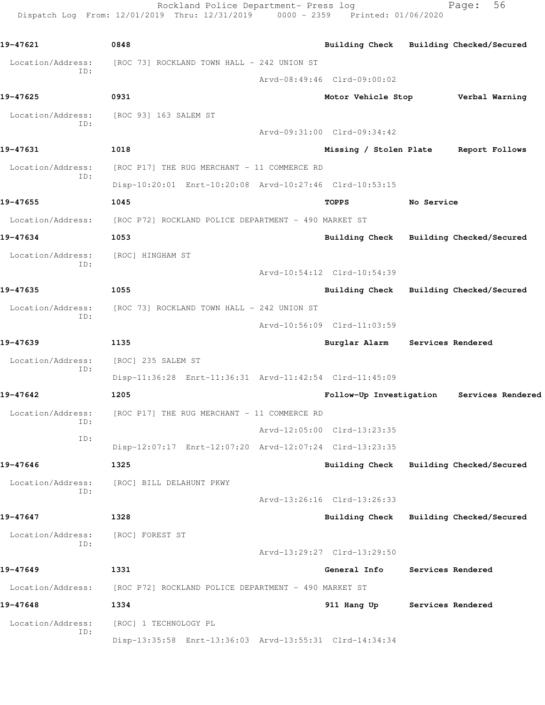Rockland Police Department- Press log Fage: 56 Dispatch Log From: 12/01/2019 Thru: 12/31/2019 0000 - 2359 Printed: 01/06/2020

**19-47621 0848 Building Check Building Checked/Secured** Location/Address: [ROC 73] ROCKLAND TOWN HALL - 242 UNION ST ID: Arvd-08:49:46 Clrd-09:00:02 **19-47625 0931 Motor Vehicle Stop Verbal Warning** Location/Address: [ROC 93] 163 SALEM ST ID: Arvd-09:31:00 Clrd-09:34:42 **19-47631 1018 Missing / Stolen Plate Report Follows** Location/Address: [ROC P17] THE RUG MERCHANT - 11 COMMERCE RD ID: Disp-10:20:01 Enrt-10:20:08 Arvd-10:27:46 Clrd-10:53:15 **19-47655 1045 TOPPS No Service** Location/Address: [ROC P72] ROCKLAND POLICE DEPARTMENT - 490 MARKET ST **19-47634 1053 Building Check Building Checked/Secured** Location/Address: [ROC] HINGHAM ST ID: Arvd-10:54:12 Clrd-10:54:39 **19-47635 1055 Building Check Building Checked/Secured** Location/Address: [ROC 73] ROCKLAND TOWN HALL - 242 UNION ST ID: Arvd-10:56:09 Clrd-11:03:59 **19-47639 1135 Burglar Alarm Services Rendered** Location/Address: [ROC] 235 SALEM ST ID: Disp-11:36:28 Enrt-11:36:31 Arvd-11:42:54 Clrd-11:45:09 **19-47642 1205 Follow-Up Investigation Services Rendered** Location/Address: [ROC P17] THE RUG MERCHANT - 11 COMMERCE RD ID: Arvd-12:05:00 Clrd-13:23:35 ID: Disp-12:07:17 Enrt-12:07:20 Arvd-12:07:24 Clrd-13:23:35 **19-47646 1325 Building Check Building Checked/Secured** Location/Address: [ROC] BILL DELAHUNT PKWY ID: Arvd-13:26:16 Clrd-13:26:33 **19-47647 1328 Building Check Building Checked/Secured** Location/Address: [ROC] FOREST ST ID: Arvd-13:29:27 Clrd-13:29:50 **19-47649 1331 General Info Services Rendered** Location/Address: [ROC P72] ROCKLAND POLICE DEPARTMENT - 490 MARKET ST **19-47648 1334 911 Hang Up Services Rendered** Location/Address: [ROC] 1 TECHNOLOGY PL ID: Disp-13:35:58 Enrt-13:36:03 Arvd-13:55:31 Clrd-14:34:34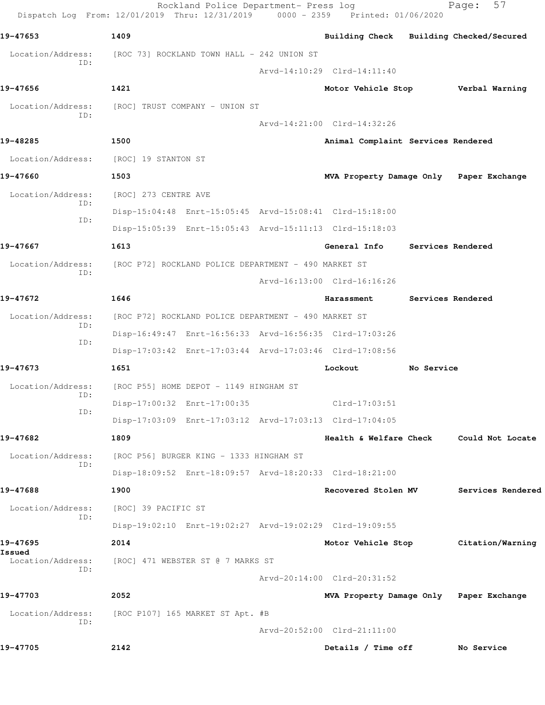|                          | Rockland Police Department- Press log<br>Dispatch Log From: 12/01/2019 Thru: 12/31/2019 0000 - 2359 Printed: 01/06/2020 |                                         |            | 57<br>Page:                             |
|--------------------------|-------------------------------------------------------------------------------------------------------------------------|-----------------------------------------|------------|-----------------------------------------|
| 19-47653                 | 1409                                                                                                                    | Building Check Building Checked/Secured |            |                                         |
| Location/Address:        | [ROC 73] ROCKLAND TOWN HALL – 242 UNION ST                                                                              |                                         |            |                                         |
| ID:                      |                                                                                                                         | Arvd-14:10:29 Clrd-14:11:40             |            |                                         |
| 19-47656                 | 1421                                                                                                                    | Motor Vehicle Stop Verbal Warning       |            |                                         |
| Location/Address:        | [ROC] TRUST COMPANY - UNION ST                                                                                          |                                         |            |                                         |
| ID:                      |                                                                                                                         | Arvd-14:21:00 Clrd-14:32:26             |            |                                         |
| 19-48285                 | 1500                                                                                                                    | Animal Complaint Services Rendered      |            |                                         |
| Location/Address:        | [ROC] 19 STANTON ST                                                                                                     |                                         |            |                                         |
| 19-47660                 | 1503                                                                                                                    | MVA Property Damage Only Paper Exchange |            |                                         |
| Location/Address:        | [ROC] 273 CENTRE AVE                                                                                                    |                                         |            |                                         |
| ID:                      | Disp-15:04:48 Enrt-15:05:45 Arvd-15:08:41 Clrd-15:18:00                                                                 |                                         |            |                                         |
| ID:                      | Disp-15:05:39 Enrt-15:05:43 Arvd-15:11:13 Clrd-15:18:03                                                                 |                                         |            |                                         |
| 19-47667                 | 1613                                                                                                                    | General Info                            |            | Services Rendered                       |
| Location/Address:<br>ID: | [ROC P72] ROCKLAND POLICE DEPARTMENT - 490 MARKET ST                                                                    |                                         |            |                                         |
|                          |                                                                                                                         | Arvd-16:13:00 Clrd-16:16:26             |            |                                         |
| 19-47672                 | 1646                                                                                                                    | Harassment                              |            | Services Rendered                       |
| Location/Address:<br>ID: | [ROC P72] ROCKLAND POLICE DEPARTMENT - 490 MARKET ST                                                                    |                                         |            |                                         |
| ID:                      | Disp-16:49:47 Enrt-16:56:33 Arvd-16:56:35 Clrd-17:03:26                                                                 |                                         |            |                                         |
|                          | Disp-17:03:42 Enrt-17:03:44 Arvd-17:03:46 Clrd-17:08:56                                                                 |                                         |            |                                         |
| 19-47673                 | 1651                                                                                                                    | Lockout                                 | No Service |                                         |
| Location/Address:<br>ID: | [ROC P55] HOME DEPOT - 1149 HINGHAM ST                                                                                  |                                         |            |                                         |
| ID:                      | Disp-17:00:32 Enrt-17:00:35                                                                                             | $Clrd-17:03:51$                         |            |                                         |
|                          | Disp-17:03:09 Enrt-17:03:12 Arvd-17:03:13 Clrd-17:04:05                                                                 |                                         |            |                                         |
| 19-47682                 | 1809                                                                                                                    |                                         |            | Health & Welfare Check Could Not Locate |
| Location/Address:<br>ID: | [ROC P56] BURGER KING - 1333 HINGHAM ST                                                                                 |                                         |            |                                         |
|                          | Disp-18:09:52 Enrt-18:09:57 Arvd-18:20:33 Clrd-18:21:00                                                                 |                                         |            |                                         |
| 19-47688                 | 1900                                                                                                                    | Recovered Stolen MV                     |            | Services Rendered                       |
| Location/Address:<br>ID: | [ROC] 39 PACIFIC ST                                                                                                     |                                         |            |                                         |
|                          | Disp-19:02:10 Enrt-19:02:27 Arvd-19:02:29 Clrd-19:09:55                                                                 |                                         |            |                                         |
| 19-47695<br>Issued       | 2014                                                                                                                    | Motor Vehicle Stop                      |            | Citation/Warning                        |
| Location/Address:<br>ID: | [ROC] 471 WEBSTER ST @ 7 MARKS ST                                                                                       |                                         |            |                                         |
|                          |                                                                                                                         | Arvd-20:14:00 Clrd-20:31:52             |            |                                         |
| 19-47703                 | 2052                                                                                                                    | MVA Property Damage Only Paper Exchange |            |                                         |
| Location/Address:<br>ID: | [ROC P107] 165 MARKET ST Apt. #B                                                                                        |                                         |            |                                         |
|                          |                                                                                                                         | Arvd-20:52:00 Clrd-21:11:00             |            |                                         |
| 19-47705                 | 2142                                                                                                                    | Details / Time off                      |            | No Service                              |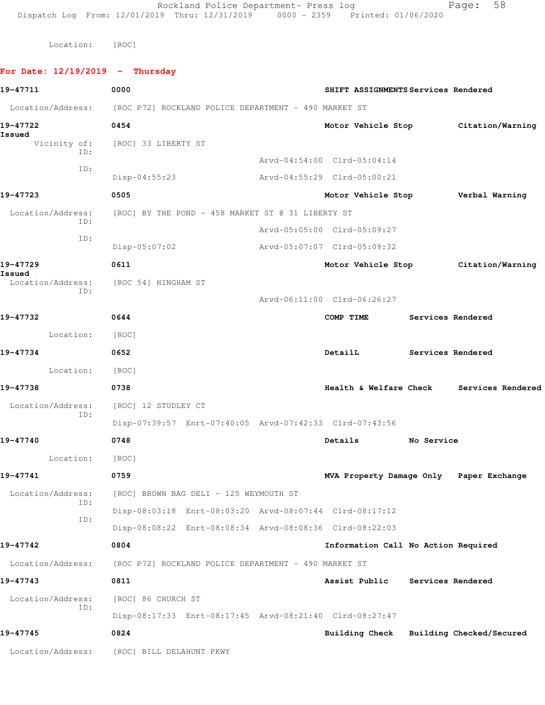Rockland Police Department- Press log Page: 58 Dispatch Log From: 12/01/2019 Thru: 12/31/2019 0000 - 2359 Printed: 01/06/2020

Location: [ROC]

**For Date: 12/19/2019 - Thursday 19-47711 0000 SHIFT ASSIGNMENTS Services Rendered** Location/Address: [ROC P72] ROCKLAND POLICE DEPARTMENT - 490 MARKET ST **19-47722 0454 Motor Vehicle Stop Citation/Warning Issued**  Vicinity of: [ROC] 33 LIBERTY ST ID: Arvd-04:54:00 Clrd-05:04:14 ID: Disp-04:55:23 Arvd-04:55:29 Clrd-05:00:21 **19-47723 0505 Motor Vehicle Stop Verbal Warning** Location/Address: [ROC] BY THE POND - 458 MARKET ST @ 31 LIBERTY ST ID: Arvd-05:05:00 Clrd-05:09:27 ID: Disp-05:07:02 Arvd-05:07:07 Clrd-05:09:32 **19-47729 0611 Motor Vehicle Stop Citation/Warning Issued**  Location/Address: [ROC 54] HINGHAM ST ID: Arvd-06:11:00 Clrd-06:26:27 **19-47732 0644 COMP TIME Services Rendered** Location: [ROC] **19-47734 0652 DetailL Services Rendered** Location: [ROC] **19-47738 0738 Health & Welfare Check Services Rendered** Location/Address: [ROC] 12 STUDLEY CT ID: Disp-07:39:57 Enrt-07:40:05 Arvd-07:42:33 Clrd-07:43:56 **19-47740 0748 Details No Service** Location: [ROC] **19-47741 0759 MVA Property Damage Only Paper Exchange** Location/Address: [ROC] BROWN BAG DELI - 125 WEYMOUTH ST ID: Disp-08:03:18 Enrt-08:03:20 Arvd-08:07:44 Clrd-08:17:12 ID: Disp-08:08:22 Enrt-08:08:34 Arvd-08:08:36 Clrd-08:22:03 **19-47742 0804 Information Call No Action Required** Location/Address: [ROC P72] ROCKLAND POLICE DEPARTMENT - 490 MARKET ST **19-47743 0811 Assist Public Services Rendered** Location/Address: [ROC] 86 CHURCH ST ID: Disp-08:17:33 Enrt-08:17:45 Arvd-08:21:40 Clrd-08:27:47 **19-47745 0824 Building Check Building Checked/Secured** Location/Address: [ROC] BILL DELAHUNT PKWY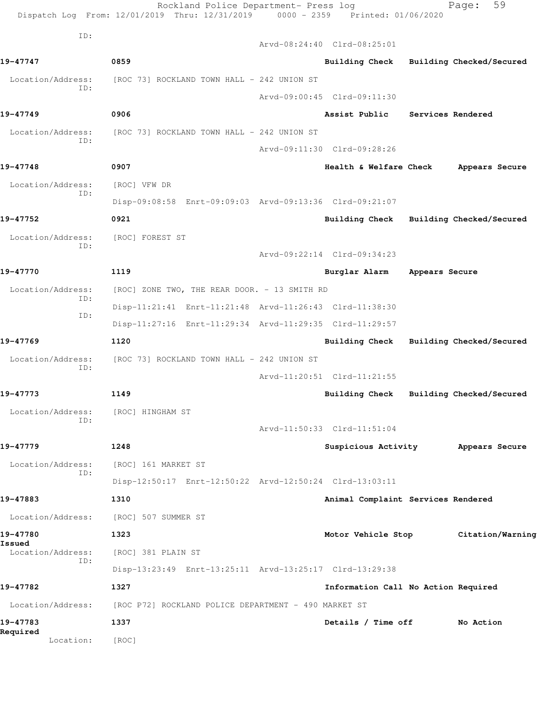|                             | Rockland Police Department- Press log<br>Dispatch Log From: 12/01/2019 Thru: 12/31/2019 0000 - 2359 Printed: 01/06/2020 |                                         |                   | 59<br>Page:              |
|-----------------------------|-------------------------------------------------------------------------------------------------------------------------|-----------------------------------------|-------------------|--------------------------|
| ID:                         |                                                                                                                         | Arvd-08:24:40 Clrd-08:25:01             |                   |                          |
| 19-47747                    | 0859                                                                                                                    | Building Check Building Checked/Secured |                   |                          |
| Location/Address:           | [ROC 73] ROCKLAND TOWN HALL – 242 UNION ST                                                                              |                                         |                   |                          |
| TD:                         |                                                                                                                         | Arvd-09:00:45 Clrd-09:11:30             |                   |                          |
| 19-47749                    | 0906                                                                                                                    | Assist Public                           | Services Rendered |                          |
| Location/Address:           | [ROC 73] ROCKLAND TOWN HALL – 242 UNION ST                                                                              |                                         |                   |                          |
| ID:                         |                                                                                                                         | Arvd-09:11:30 Clrd-09:28:26             |                   |                          |
| 19-47748                    | 0907                                                                                                                    | Health & Welfare Check                  |                   | Appears Secure           |
| Location/Address:           | [ROC] VFW DR                                                                                                            |                                         |                   |                          |
| ID:                         | Disp-09:08:58 Enrt-09:09:03 Arvd-09:13:36 Clrd-09:21:07                                                                 |                                         |                   |                          |
| 19-47752                    | 0921                                                                                                                    | Building Check Building Checked/Secured |                   |                          |
| Location/Address:           | [ROC] FOREST ST                                                                                                         |                                         |                   |                          |
| ID:                         |                                                                                                                         | Arvd-09:22:14 Clrd-09:34:23             |                   |                          |
| 19-47770                    | 1119                                                                                                                    | Burglar Alarm                           | Appears Secure    |                          |
| Location/Address:           | [ROC] ZONE TWO, THE REAR DOOR. - 13 SMITH RD                                                                            |                                         |                   |                          |
| ID:                         | Disp-11:21:41 Enrt-11:21:48 Arvd-11:26:43 Clrd-11:38:30                                                                 |                                         |                   |                          |
| ID:                         | Disp-11:27:16 Enrt-11:29:34 Arvd-11:29:35 Clrd-11:29:57                                                                 |                                         |                   |                          |
| 19-47769                    | 1120                                                                                                                    | Building Check Building Checked/Secured |                   |                          |
| Location/Address:           | [ROC 73] ROCKLAND TOWN HALL - 242 UNION ST                                                                              |                                         |                   |                          |
| ID:                         |                                                                                                                         | Arvd-11:20:51 Clrd-11:21:55             |                   |                          |
| 19-47773                    | 1149                                                                                                                    | Building Check                          |                   | Building Checked/Secured |
| Location/Address:           | [ROC] HINGHAM ST                                                                                                        |                                         |                   |                          |
| ID:                         |                                                                                                                         | Arvd-11:50:33 Clrd-11:51:04             |                   |                          |
| 19-47779                    | 1248                                                                                                                    | Suspicious Activity                     |                   | Appears Secure           |
| Location/Address:           | [ROC] 161 MARKET ST                                                                                                     |                                         |                   |                          |
| ID:                         | Disp-12:50:17 Enrt-12:50:22 Arvd-12:50:24 Clrd-13:03:11                                                                 |                                         |                   |                          |
| 19-47883                    | 1310                                                                                                                    | Animal Complaint Services Rendered      |                   |                          |
| Location/Address:           | [ROC] 507 SUMMER ST                                                                                                     |                                         |                   |                          |
| 19-47780                    | 1323                                                                                                                    | Motor Vehicle Stop                      |                   | Citation/Warning         |
| Issued<br>Location/Address: | [ROC] 381 PLAIN ST                                                                                                      |                                         |                   |                          |
| ID:                         | Disp-13:23:49 Enrt-13:25:11 Arvd-13:25:17 Clrd-13:29:38                                                                 |                                         |                   |                          |
| 19-47782                    | 1327                                                                                                                    | Information Call No Action Required     |                   |                          |
| Location/Address:           | [ROC P72] ROCKLAND POLICE DEPARTMENT - 490 MARKET ST                                                                    |                                         |                   |                          |
| 19-47783                    | 1337                                                                                                                    | Details / Time off                      |                   | No Action                |
| Required<br>Location:       | [ROC]                                                                                                                   |                                         |                   |                          |
|                             |                                                                                                                         |                                         |                   |                          |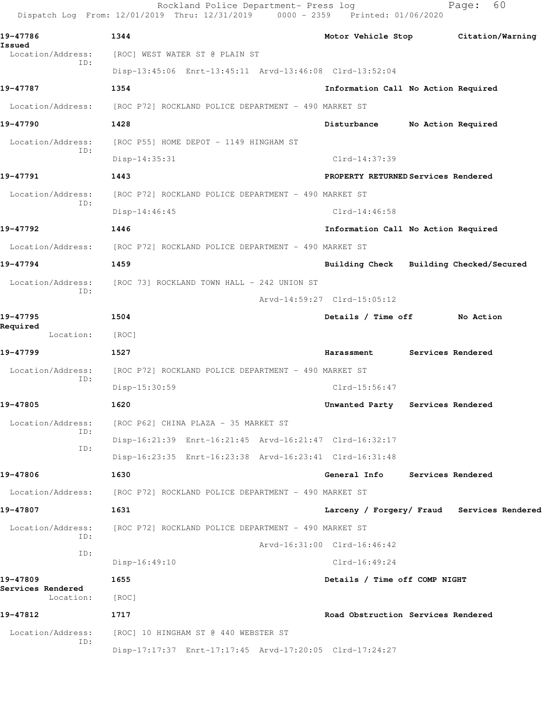Rockland Police Department- Press log Fage: 60 Dispatch Log From: 12/01/2019 Thru: 12/31/2019 0000 - 2359 Printed: 01/06/2020 **19-47786 1344 Motor Vehicle Stop Citation/Warning Issued**  [ROC] WEST WATER ST @ PLAIN ST ID: Disp-13:45:06 Enrt-13:45:11 Arvd-13:46:08 Clrd-13:52:04 **19-47787 1354 Information Call No Action Required** Location/Address: [ROC P72] ROCKLAND POLICE DEPARTMENT - 490 MARKET ST **19-47790 1428 Disturbance No Action Required** Location/Address: [ROC P55] HOME DEPOT - 1149 HINGHAM ST ID: Disp-14:35:31 Clrd-14:37:39 **19-47791 1443 PROPERTY RETURNED Services Rendered** Location/Address: [ROC P72] ROCKLAND POLICE DEPARTMENT - 490 MARKET ST ID: Disp-14:46:45 Clrd-14:46:58 **19-47792 1446 Information Call No Action Required** Location/Address: [ROC P72] ROCKLAND POLICE DEPARTMENT - 490 MARKET ST **19-47794 1459 Building Check Building Checked/Secured** Location/Address: [ROC 73] ROCKLAND TOWN HALL - 242 UNION ST ID: Arvd-14:59:27 Clrd-15:05:12 **19-47795 1504 Details / Time off No Action Required**  Location: [ROC] **19-47799 1527 Harassment Services Rendered** Location/Address: [ROC P72] ROCKLAND POLICE DEPARTMENT - 490 MARKET ST ID: Disp-15:30:59 Clrd-15:56:47 **19-47805 1620 Unwanted Party Services Rendered** Location/Address: [ROC P62] CHINA PLAZA - 35 MARKET ST ID: Disp-16:21:39 Enrt-16:21:45 Arvd-16:21:47 Clrd-16:32:17 ID: Disp-16:23:35 Enrt-16:23:38 Arvd-16:23:41 Clrd-16:31:48 **19-47806 1630 General Info Services Rendered** Location/Address: [ROC P72] ROCKLAND POLICE DEPARTMENT - 490 MARKET ST **19-47807 1631 Larceny / Forgery/ Fraud Services Rendered** Location/Address: [ROC P72] ROCKLAND POLICE DEPARTMENT - 490 MARKET ST ID: Arvd-16:31:00 Clrd-16:46:42 ID: Disp-16:49:10 Clrd-16:49:24 **19-47809 1655 Details / Time off COMP NIGHT Services Rendered**  Location: [ROC] **19-47812 1717 Road Obstruction Services Rendered** Location/Address: [ROC] 10 HINGHAM ST @ 440 WEBSTER ST ID: Disp-17:17:37 Enrt-17:17:45 Arvd-17:20:05 Clrd-17:24:27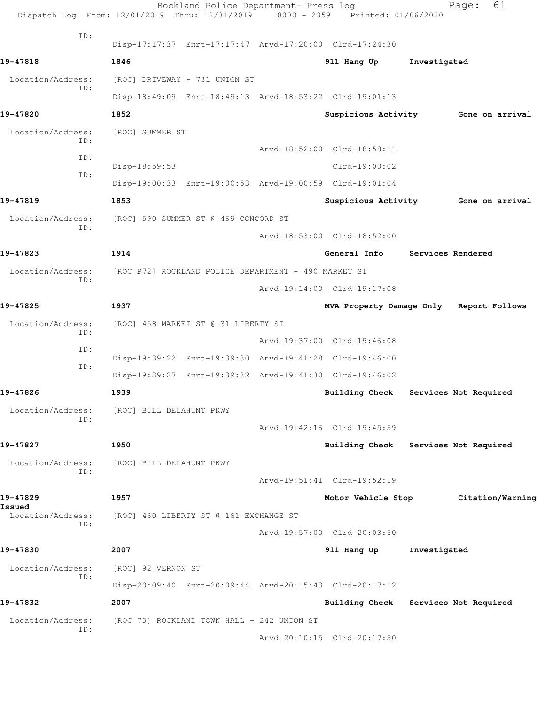|                          |                                                                                                                                                                                                      | 61<br>Page:                                                                                                                                                                                                                                                                                                                                                                                                                                                                                                                                                                                                                                                                                                                                                                                               |
|--------------------------|------------------------------------------------------------------------------------------------------------------------------------------------------------------------------------------------------|-----------------------------------------------------------------------------------------------------------------------------------------------------------------------------------------------------------------------------------------------------------------------------------------------------------------------------------------------------------------------------------------------------------------------------------------------------------------------------------------------------------------------------------------------------------------------------------------------------------------------------------------------------------------------------------------------------------------------------------------------------------------------------------------------------------|
|                          |                                                                                                                                                                                                      |                                                                                                                                                                                                                                                                                                                                                                                                                                                                                                                                                                                                                                                                                                                                                                                                           |
| 1846                     | 911 Hang Up                                                                                                                                                                                          | Investigated                                                                                                                                                                                                                                                                                                                                                                                                                                                                                                                                                                                                                                                                                                                                                                                              |
|                          |                                                                                                                                                                                                      |                                                                                                                                                                                                                                                                                                                                                                                                                                                                                                                                                                                                                                                                                                                                                                                                           |
|                          |                                                                                                                                                                                                      |                                                                                                                                                                                                                                                                                                                                                                                                                                                                                                                                                                                                                                                                                                                                                                                                           |
| 1852                     | Suspicious Activity                                                                                                                                                                                  | Gone on arrival                                                                                                                                                                                                                                                                                                                                                                                                                                                                                                                                                                                                                                                                                                                                                                                           |
| [ROC] SUMMER ST          |                                                                                                                                                                                                      |                                                                                                                                                                                                                                                                                                                                                                                                                                                                                                                                                                                                                                                                                                                                                                                                           |
|                          |                                                                                                                                                                                                      |                                                                                                                                                                                                                                                                                                                                                                                                                                                                                                                                                                                                                                                                                                                                                                                                           |
| Disp-18:59:53            | $Clrd-19:00:02$                                                                                                                                                                                      |                                                                                                                                                                                                                                                                                                                                                                                                                                                                                                                                                                                                                                                                                                                                                                                                           |
|                          |                                                                                                                                                                                                      |                                                                                                                                                                                                                                                                                                                                                                                                                                                                                                                                                                                                                                                                                                                                                                                                           |
| 1853                     | Suspicious Activity                                                                                                                                                                                  | Gone on arrival                                                                                                                                                                                                                                                                                                                                                                                                                                                                                                                                                                                                                                                                                                                                                                                           |
|                          |                                                                                                                                                                                                      |                                                                                                                                                                                                                                                                                                                                                                                                                                                                                                                                                                                                                                                                                                                                                                                                           |
|                          |                                                                                                                                                                                                      |                                                                                                                                                                                                                                                                                                                                                                                                                                                                                                                                                                                                                                                                                                                                                                                                           |
| 1914                     | General Info                                                                                                                                                                                         | Services Rendered                                                                                                                                                                                                                                                                                                                                                                                                                                                                                                                                                                                                                                                                                                                                                                                         |
|                          |                                                                                                                                                                                                      |                                                                                                                                                                                                                                                                                                                                                                                                                                                                                                                                                                                                                                                                                                                                                                                                           |
|                          |                                                                                                                                                                                                      |                                                                                                                                                                                                                                                                                                                                                                                                                                                                                                                                                                                                                                                                                                                                                                                                           |
| 1937                     | MVA Property Damage Only                                                                                                                                                                             | Report Follows                                                                                                                                                                                                                                                                                                                                                                                                                                                                                                                                                                                                                                                                                                                                                                                            |
|                          |                                                                                                                                                                                                      |                                                                                                                                                                                                                                                                                                                                                                                                                                                                                                                                                                                                                                                                                                                                                                                                           |
|                          |                                                                                                                                                                                                      |                                                                                                                                                                                                                                                                                                                                                                                                                                                                                                                                                                                                                                                                                                                                                                                                           |
|                          |                                                                                                                                                                                                      |                                                                                                                                                                                                                                                                                                                                                                                                                                                                                                                                                                                                                                                                                                                                                                                                           |
|                          |                                                                                                                                                                                                      |                                                                                                                                                                                                                                                                                                                                                                                                                                                                                                                                                                                                                                                                                                                                                                                                           |
| 1939                     | <b>Building Check</b>                                                                                                                                                                                | Services Not Required                                                                                                                                                                                                                                                                                                                                                                                                                                                                                                                                                                                                                                                                                                                                                                                     |
| [ROC] BILL DELAHUNT PKWY |                                                                                                                                                                                                      |                                                                                                                                                                                                                                                                                                                                                                                                                                                                                                                                                                                                                                                                                                                                                                                                           |
|                          |                                                                                                                                                                                                      |                                                                                                                                                                                                                                                                                                                                                                                                                                                                                                                                                                                                                                                                                                                                                                                                           |
| 1950                     |                                                                                                                                                                                                      | Building Check Services Not Required                                                                                                                                                                                                                                                                                                                                                                                                                                                                                                                                                                                                                                                                                                                                                                      |
| [ROC] BILL DELAHUNT PKWY |                                                                                                                                                                                                      |                                                                                                                                                                                                                                                                                                                                                                                                                                                                                                                                                                                                                                                                                                                                                                                                           |
|                          |                                                                                                                                                                                                      |                                                                                                                                                                                                                                                                                                                                                                                                                                                                                                                                                                                                                                                                                                                                                                                                           |
| 1957                     | Motor Vehicle Stop                                                                                                                                                                                   | Citation/Warning                                                                                                                                                                                                                                                                                                                                                                                                                                                                                                                                                                                                                                                                                                                                                                                          |
|                          |                                                                                                                                                                                                      |                                                                                                                                                                                                                                                                                                                                                                                                                                                                                                                                                                                                                                                                                                                                                                                                           |
|                          |                                                                                                                                                                                                      |                                                                                                                                                                                                                                                                                                                                                                                                                                                                                                                                                                                                                                                                                                                                                                                                           |
| 2007                     | 911 Hang Up                                                                                                                                                                                          | Investigated                                                                                                                                                                                                                                                                                                                                                                                                                                                                                                                                                                                                                                                                                                                                                                                              |
| [ROC] 92 VERNON ST       |                                                                                                                                                                                                      |                                                                                                                                                                                                                                                                                                                                                                                                                                                                                                                                                                                                                                                                                                                                                                                                           |
|                          |                                                                                                                                                                                                      |                                                                                                                                                                                                                                                                                                                                                                                                                                                                                                                                                                                                                                                                                                                                                                                                           |
| 2007                     |                                                                                                                                                                                                      | Building Check Services Not Required                                                                                                                                                                                                                                                                                                                                                                                                                                                                                                                                                                                                                                                                                                                                                                      |
|                          |                                                                                                                                                                                                      |                                                                                                                                                                                                                                                                                                                                                                                                                                                                                                                                                                                                                                                                                                                                                                                                           |
|                          |                                                                                                                                                                                                      |                                                                                                                                                                                                                                                                                                                                                                                                                                                                                                                                                                                                                                                                                                                                                                                                           |
|                          | [ROC] DRIVEWAY - 731 UNION ST<br>[ROC] 590 SUMMER ST @ 469 CONCORD ST<br>[ROC] 458 MARKET ST @ 31 LIBERTY ST<br>[ROC] 430 LIBERTY ST @ 161 EXCHANGE ST<br>[ROC 73] ROCKLAND TOWN HALL - 242 UNION ST | Rockland Police Department- Press log<br>Dispatch Log From: 12/01/2019 Thru: 12/31/2019 0000 - 2359 Printed: 01/06/2020<br>Disp-17:17:37 Enrt-17:17:47 Arvd-17:20:00 Clrd-17:24:30<br>Disp-18:49:09 Enrt-18:49:13 Arvd-18:53:22 Clrd-19:01:13<br>Arvd-18:52:00 Clrd-18:58:11<br>Disp-19:00:33 Enrt-19:00:53 Arvd-19:00:59 Clrd-19:01:04<br>Arvd-18:53:00 Clrd-18:52:00<br>[ROC P72] ROCKLAND POLICE DEPARTMENT - 490 MARKET ST<br>Arvd-19:14:00 Clrd-19:17:08<br>Arvd-19:37:00 Clrd-19:46:08<br>Disp-19:39:22 Enrt-19:39:30 Arvd-19:41:28 Clrd-19:46:00<br>Disp-19:39:27 Enrt-19:39:32 Arvd-19:41:30 Clrd-19:46:02<br>Arvd-19:42:16 Clrd-19:45:59<br>Arvd-19:51:41 Clrd-19:52:19<br>Arvd-19:57:00 Clrd-20:03:50<br>Disp-20:09:40 Enrt-20:09:44 Arvd-20:15:43 Clrd-20:17:12<br>Arvd-20:10:15 Clrd-20:17:50 |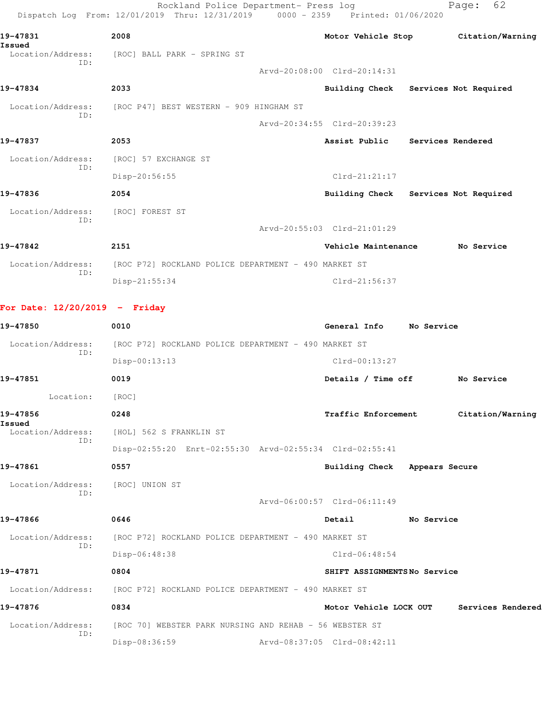|                                 | Rockland Police Department- Press log<br>Dispatch Log From: 12/01/2019 Thru: 12/31/2019 0000 - 2359 Printed: 01/06/2020 |                                      |            | 62<br>Page:       |  |
|---------------------------------|-------------------------------------------------------------------------------------------------------------------------|--------------------------------------|------------|-------------------|--|
| 19-47831<br>Issued              | 2008                                                                                                                    | Motor Vehicle Stop                   |            | Citation/Warning  |  |
| Location/Address:<br>ID:        | [ROC] BALL PARK - SPRING ST                                                                                             |                                      |            |                   |  |
| 19-47834                        | 2033                                                                                                                    | Arvd-20:08:00 Clrd-20:14:31          |            |                   |  |
|                                 |                                                                                                                         | Building Check Services Not Required |            |                   |  |
| Location/Address:<br>TD:        | [ROC P47] BEST WESTERN - 909 HINGHAM ST                                                                                 |                                      |            |                   |  |
|                                 |                                                                                                                         | Arvd-20:34:55 Clrd-20:39:23          |            |                   |  |
| 19-47837                        | 2053                                                                                                                    | Assist Public                        |            | Services Rendered |  |
| Location/Address:               | [ROC] 57 EXCHANGE ST                                                                                                    |                                      |            |                   |  |
| TD:                             | Disp-20:56:55                                                                                                           | $Clrd-21:21:17$                      |            |                   |  |
| 19-47836                        | 2054                                                                                                                    | Building Check Services Not Required |            |                   |  |
| Location/Address:               | [ROC] FOREST ST                                                                                                         |                                      |            |                   |  |
| TD:                             |                                                                                                                         | Arvd-20:55:03 Clrd-21:01:29          |            |                   |  |
| 19-47842                        | 2151                                                                                                                    | Vehicle Maintenance                  |            | No Service        |  |
| Location/Address:               | [ROC P72] ROCKLAND POLICE DEPARTMENT - 490 MARKET ST                                                                    |                                      |            |                   |  |
| TD:                             | Disp-21:55:34                                                                                                           | Clrd-21:56:37                        |            |                   |  |
| For Date: $12/20/2019$ - Friday |                                                                                                                         |                                      |            |                   |  |
| 19-47850                        | 0010                                                                                                                    | General Info                         | No Service |                   |  |
| Location/Address:               | [ROC P72] ROCKLAND POLICE DEPARTMENT - 490 MARKET ST                                                                    |                                      |            |                   |  |
| ID:                             | Disp-00:13:13                                                                                                           | $Clrd-00:13:27$                      |            |                   |  |
| 19-47851                        | 0019                                                                                                                    | Details / Time off                   |            | No Service        |  |
| Location:                       | [ROC]                                                                                                                   |                                      |            |                   |  |

**19-47856 0248 Traffic Enforcement Citation/Warning Issued**  Location/Address: [HOL] 562 S FRANKLIN ST ID:

 Disp-02:55:20 Enrt-02:55:30 Arvd-02:55:34 Clrd-02:55:41 **19-47861 0557 Building Check Appears Secure**

Arvd-06:00:57 Clrd-06:11:49

Location/Address: [ROC] UNION ST

ID:

**19-47866 0646 Detail No Service** Location/Address: [ROC P72] ROCKLAND POLICE DEPARTMENT - 490 MARKET ST ID: Disp-06:48:38 Clrd-06:48:54

**19-47871 0804 SHIFT ASSIGNMENTS No Service** Location/Address: [ROC P72] ROCKLAND POLICE DEPARTMENT - 490 MARKET ST **19-47876 0834 Motor Vehicle LOCK OUT Services Rendered** Location/Address: [ROC 70] WEBSTER PARK NURSING AND REHAB - 56 WEBSTER ST ID:

Disp-08:36:59 Arvd-08:37:05 Clrd-08:42:11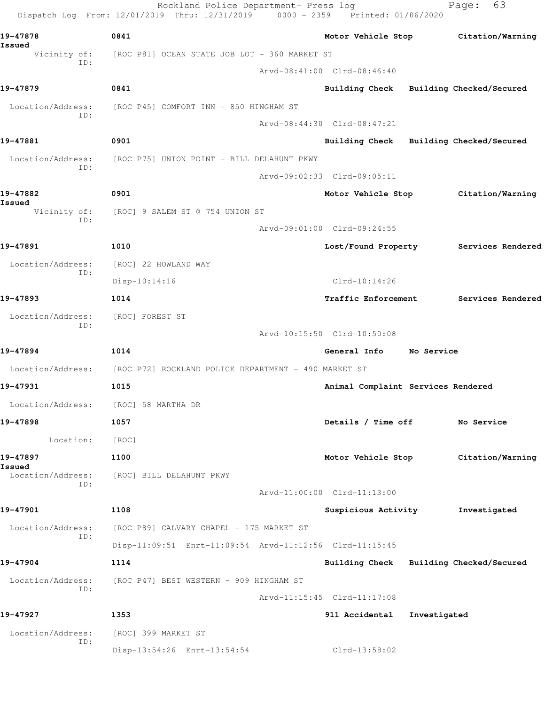| 0841<br>19-47878<br>Issued<br>[ROC P81] OCEAN STATE JOB LOT - 360 MARKET ST<br>Vicinity of:<br>ID:<br>Arvd-08:41:00 Clrd-08:46:40<br>0841<br>[ROC P45] COMFORT INN - 850 HINGHAM ST<br>Location/Address:<br>ID:<br>Arvd-08:44:30 Clrd-08:47:21<br>0901<br>Location/Address:<br>[ROC P75] UNION POINT - BILL DELAHUNT PKWY<br>ID:<br>Arvd-09:02:33 Clrd-09:05:11<br>0901<br>Vicinity of:<br>[ROC] 9 SALEM ST @ 754 UNION ST<br>ID:<br>Arvd-09:01:00 Clrd-09:24:55<br>1010<br>Lost/Found Property<br>Location/Address:<br>[ROC] 22 HOWLAND WAY<br>ID: | Motor Vehicle Stop Citation/Warning     |
|-----------------------------------------------------------------------------------------------------------------------------------------------------------------------------------------------------------------------------------------------------------------------------------------------------------------------------------------------------------------------------------------------------------------------------------------------------------------------------------------------------------------------------------------------------|-----------------------------------------|
|                                                                                                                                                                                                                                                                                                                                                                                                                                                                                                                                                     |                                         |
| 19-47879<br>19-47881<br>19-47882<br>Issued<br>19-47891                                                                                                                                                                                                                                                                                                                                                                                                                                                                                              |                                         |
|                                                                                                                                                                                                                                                                                                                                                                                                                                                                                                                                                     |                                         |
|                                                                                                                                                                                                                                                                                                                                                                                                                                                                                                                                                     | Building Check Building Checked/Secured |
|                                                                                                                                                                                                                                                                                                                                                                                                                                                                                                                                                     |                                         |
|                                                                                                                                                                                                                                                                                                                                                                                                                                                                                                                                                     |                                         |
|                                                                                                                                                                                                                                                                                                                                                                                                                                                                                                                                                     | Building Check Building Checked/Secured |
|                                                                                                                                                                                                                                                                                                                                                                                                                                                                                                                                                     |                                         |
|                                                                                                                                                                                                                                                                                                                                                                                                                                                                                                                                                     |                                         |
|                                                                                                                                                                                                                                                                                                                                                                                                                                                                                                                                                     | Motor Vehicle Stop Citation/Warning     |
|                                                                                                                                                                                                                                                                                                                                                                                                                                                                                                                                                     |                                         |
|                                                                                                                                                                                                                                                                                                                                                                                                                                                                                                                                                     |                                         |
|                                                                                                                                                                                                                                                                                                                                                                                                                                                                                                                                                     | Services Rendered                       |
|                                                                                                                                                                                                                                                                                                                                                                                                                                                                                                                                                     |                                         |
| $Clrd-10:14:26$<br>$Disp-10:14:16$                                                                                                                                                                                                                                                                                                                                                                                                                                                                                                                  |                                         |
| 19-47893<br>1014<br><b>Traffic Enforcement</b>                                                                                                                                                                                                                                                                                                                                                                                                                                                                                                      | Services Rendered                       |
| Location/Address:<br>[ROC] FOREST ST<br>ID:                                                                                                                                                                                                                                                                                                                                                                                                                                                                                                         |                                         |
| Arvd-10:15:50 Clrd-10:50:08                                                                                                                                                                                                                                                                                                                                                                                                                                                                                                                         |                                         |
| 1014<br>19-47894<br>General Info                                                                                                                                                                                                                                                                                                                                                                                                                                                                                                                    | No Service                              |
| Location/Address:<br>[ROC P72] ROCKLAND POLICE DEPARTMENT - 490 MARKET ST                                                                                                                                                                                                                                                                                                                                                                                                                                                                           |                                         |
| 19-47931<br>1015<br>Animal Complaint Services Rendered                                                                                                                                                                                                                                                                                                                                                                                                                                                                                              |                                         |
| Location/Address:<br>[ROC] 58 MARTHA DR                                                                                                                                                                                                                                                                                                                                                                                                                                                                                                             |                                         |
| 19-47898<br>1057<br>Details / Time off                                                                                                                                                                                                                                                                                                                                                                                                                                                                                                              | No Service                              |
| Location:<br>[ROC]                                                                                                                                                                                                                                                                                                                                                                                                                                                                                                                                  |                                         |
| 19-47897<br>1100<br>Motor Vehicle Stop<br>Issued                                                                                                                                                                                                                                                                                                                                                                                                                                                                                                    | Citation/Warning                        |
| Location/Address:<br>[ROC] BILL DELAHUNT PKWY<br>ID:                                                                                                                                                                                                                                                                                                                                                                                                                                                                                                |                                         |
| Arvd-11:00:00 Clrd-11:13:00                                                                                                                                                                                                                                                                                                                                                                                                                                                                                                                         |                                         |
| 19-47901<br>1108<br>Suspicious Activity                                                                                                                                                                                                                                                                                                                                                                                                                                                                                                             | Investigated                            |
| Location/Address:<br>[ROC P89] CALVARY CHAPEL - 175 MARKET ST<br>ID:                                                                                                                                                                                                                                                                                                                                                                                                                                                                                |                                         |
| Disp-11:09:51 Enrt-11:09:54 Arvd-11:12:56 Clrd-11:15:45                                                                                                                                                                                                                                                                                                                                                                                                                                                                                             |                                         |
| 19-47904<br>1114                                                                                                                                                                                                                                                                                                                                                                                                                                                                                                                                    | Building Check Building Checked/Secured |
| [ROC P47] BEST WESTERN - 909 HINGHAM ST<br>Location/Address:<br>ID:                                                                                                                                                                                                                                                                                                                                                                                                                                                                                 |                                         |
| Arvd-11:15:45 Clrd-11:17:08                                                                                                                                                                                                                                                                                                                                                                                                                                                                                                                         |                                         |
| 19-47927<br>1353<br>911 Accidental                                                                                                                                                                                                                                                                                                                                                                                                                                                                                                                  | Investigated                            |
| Location/Address:<br>[ROC] 399 MARKET ST<br>ID:                                                                                                                                                                                                                                                                                                                                                                                                                                                                                                     |                                         |
| Disp-13:54:26 Enrt-13:54:54<br>Clrd-13:58:02                                                                                                                                                                                                                                                                                                                                                                                                                                                                                                        |                                         |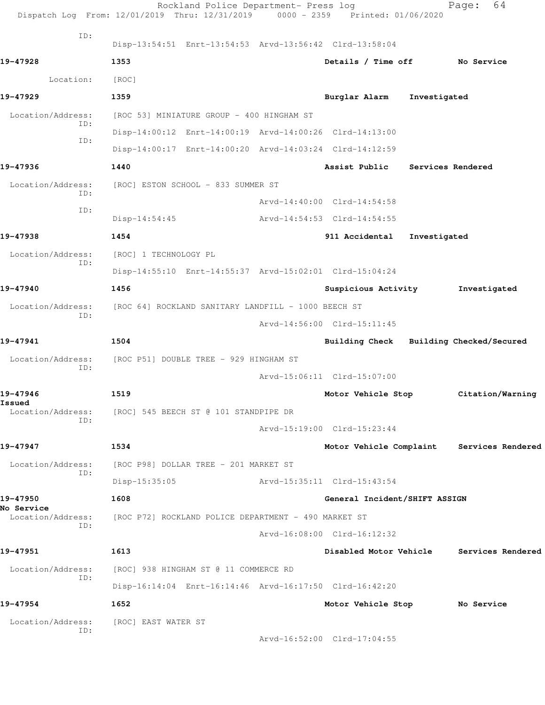|                                        | Rockland Police Department- Press log<br>Dispatch Log From: 12/01/2019 Thru: 12/31/2019 0000 - 2359 Printed: 01/06/2020 |                                 |              | 64<br>Page:                               |
|----------------------------------------|-------------------------------------------------------------------------------------------------------------------------|---------------------------------|--------------|-------------------------------------------|
| ID:                                    | Disp-13:54:51 Enrt-13:54:53 Arvd-13:56:42 Clrd-13:58:04                                                                 |                                 |              |                                           |
| 19-47928                               | 1353                                                                                                                    | Details / Time off No Service   |              |                                           |
| Location:                              | [ROC]                                                                                                                   |                                 |              |                                           |
| 19-47929                               | 1359                                                                                                                    | Burglar Alarm                   | Investigated |                                           |
| Location/Address:                      | [ROC 53] MINIATURE GROUP - 400 HINGHAM ST                                                                               |                                 |              |                                           |
| ID:                                    | Disp-14:00:12 Enrt-14:00:19 Arvd-14:00:26 Clrd-14:13:00                                                                 |                                 |              |                                           |
| ID:                                    | Disp-14:00:17 Enrt-14:00:20 Arvd-14:03:24 Clrd-14:12:59                                                                 |                                 |              |                                           |
| 19-47936                               | 1440                                                                                                                    | Assist Public Services Rendered |              |                                           |
| Location/Address:                      | [ROC] ESTON SCHOOL - 833 SUMMER ST                                                                                      |                                 |              |                                           |
| ID:                                    |                                                                                                                         | Arvd-14:40:00 Clrd-14:54:58     |              |                                           |
| ID:                                    | $Disp-14:54:45$                                                                                                         | Arvd-14:54:53 Clrd-14:54:55     |              |                                           |
| 19-47938                               | 1454                                                                                                                    | 911 Accidental                  | Investigated |                                           |
| Location/Address:                      | [ROC] 1 TECHNOLOGY PL                                                                                                   |                                 |              |                                           |
| ID:                                    | Disp-14:55:10 Enrt-14:55:37 Arvd-15:02:01 Clrd-15:04:24                                                                 |                                 |              |                                           |
| 19-47940                               | 1456                                                                                                                    | Suspicious Activity             |              | Investigated                              |
| Location/Address:                      | [ROC 64] ROCKLAND SANITARY LANDFILL - 1000 BEECH ST                                                                     |                                 |              |                                           |
| ID:                                    |                                                                                                                         | Arvd-14:56:00 Clrd-15:11:45     |              |                                           |
| 19-47941                               | 1504                                                                                                                    |                                 |              | Building Check Building Checked/Secured   |
| Location/Address:                      | [ROC P51] DOUBLE TREE - 929 HINGHAM ST                                                                                  |                                 |              |                                           |
| ID:                                    |                                                                                                                         | Arvd-15:06:11 Clrd-15:07:00     |              |                                           |
| 19-47946                               | 1519                                                                                                                    | Motor Vehicle Stop              |              | Citation/Warning                          |
| Issued<br>Location/Address:            | [ROC] 545 BEECH ST @ 101 STANDPIPE DR                                                                                   |                                 |              |                                           |
| ID:                                    |                                                                                                                         | Arvd-15:19:00 Clrd-15:23:44     |              |                                           |
| 19-47947                               | 1534                                                                                                                    |                                 |              | Motor Vehicle Complaint Services Rendered |
| Location/Address:                      | [ROC P98] DOLLAR TREE - 201 MARKET ST                                                                                   |                                 |              |                                           |
| ID:                                    | $Disp-15:35:05$                                                                                                         | Arvd-15:35:11 Clrd-15:43:54     |              |                                           |
| 19-47950                               | 1608                                                                                                                    | General Incident/SHIFT ASSIGN   |              |                                           |
| <b>No Service</b><br>Location/Address: | [ROC P72] ROCKLAND POLICE DEPARTMENT - 490 MARKET ST                                                                    |                                 |              |                                           |
| ID:                                    |                                                                                                                         | Arvd-16:08:00 Clrd-16:12:32     |              |                                           |
| 19-47951                               | 1613                                                                                                                    | Disabled Motor Vehicle          |              | Services Rendered                         |
| Location/Address:                      | [ROC] 938 HINGHAM ST @ 11 COMMERCE RD                                                                                   |                                 |              |                                           |
| ID:                                    | Disp-16:14:04 Enrt-16:14:46 Arvd-16:17:50 Clrd-16:42:20                                                                 |                                 |              |                                           |
| 19-47954                               | 1652                                                                                                                    | Motor Vehicle Stop              |              | No Service                                |
| Location/Address:                      | [ROC] EAST WATER ST                                                                                                     |                                 |              |                                           |
| ID:                                    |                                                                                                                         | Arvd-16:52:00 Clrd-17:04:55     |              |                                           |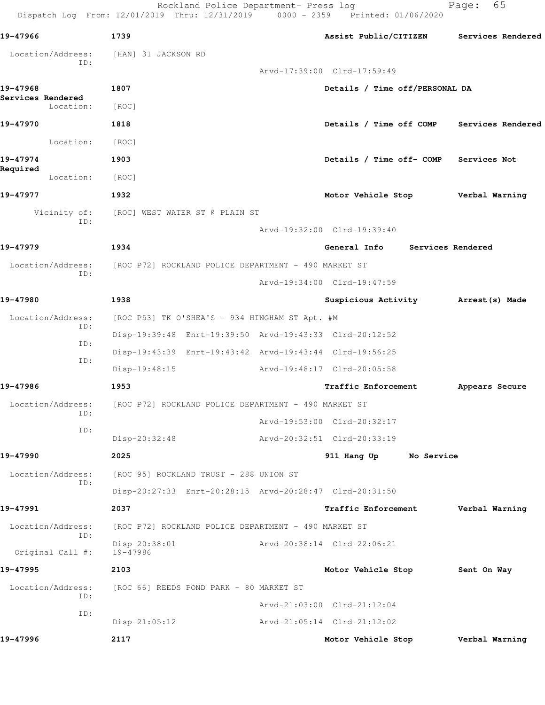Rockland Police Department- Press log entitled and Page: 65

Dispatch Log From: 12/01/2019 Thru: 12/31/2019 0000 - 2359 Printed: 01/06/2020

| 19-47966<br>1739<br>Assist Public/CITIZEN<br>Location/Address:<br>[HAN] 31 JACKSON RD<br>ID:<br>Arvd-17:39:00 Clrd-17:59:49<br>19-47968<br>1807<br>Details / Time off/PERSONAL DA<br>Services Rendered<br>Location:<br>[ROC]<br>19-47970<br>1818<br>Details / Time off COMP Services Rendered<br>Location:<br>[ROC]<br>19-47974<br>1903<br>Details / Time off- COMP Services Not<br>Required<br>Location:<br>[ROC]<br>19-47977<br>1932<br>Motor Vehicle Stop Verbal Warning<br>Vicinity of:<br>[ROC] WEST WATER ST @ PLAIN ST<br>ID:<br>Arvd-19:32:00 Clrd-19:39:40<br>19-47979<br>1934<br>General Info Services Rendered<br>Location/Address:<br>[ROC P72] ROCKLAND POLICE DEPARTMENT - 490 MARKET ST<br>ID:<br>Arvd-19:34:00 Clrd-19:47:59<br>19-47980<br>1938<br>Suspicious Activity Marrest (s) Made<br>Location/Address:<br>[ROC P53] TK O'SHEA'S - 934 HINGHAM ST Apt. #M<br>ID:<br>Disp-19:39:48 Enrt-19:39:50 Arvd-19:43:33 Clrd-20:12:52<br>ID:<br>Disp-19:43:39 Enrt-19:43:42 Arvd-19:43:44 Clrd-19:56:25<br>ID:<br>Arvd-19:48:17 Clrd-20:05:58<br>$Disp-19:48:15$<br>19-47986<br>1953<br><b>Traffic Enforcement</b><br>Location/Address:<br>[ROC P72] ROCKLAND POLICE DEPARTMENT - 490 MARKET ST<br>ID:<br>Arvd-19:53:00 Clrd-20:32:17<br>ID:<br>Arvd-20:32:51 Clrd-20:33:19<br>Disp-20:32:48<br>19-47990<br>2025<br>911 Hang Up<br>No Service<br>Location/Address:<br>[ROC 95] ROCKLAND TRUST - 288 UNION ST<br>ID:<br>Disp-20:27:33 Enrt-20:28:15 Arvd-20:28:47 Clrd-20:31:50<br>19-47991<br>2037<br><b>Traffic Enforcement</b><br>Location/Address:<br>[ROC P72] ROCKLAND POLICE DEPARTMENT - 490 MARKET ST<br>ID:<br>Disp-20:38:01<br>Arvd-20:38:14 Clrd-22:06:21<br>Original Call #:<br>19-47986<br>19-47995<br>2103<br>Motor Vehicle Stop<br>Location/Address:<br>[ROC 66] REEDS POND PARK - 80 MARKET ST<br>ID:<br>Arvd-21:03:00 Clrd-21:12:04<br>ID:<br>$Disp-21:05:12$<br>Arvd-21:05:14 Clrd-21:12:02<br>19-47996<br>2117<br>Motor Vehicle Stop |  |  |                   |
|---------------------------------------------------------------------------------------------------------------------------------------------------------------------------------------------------------------------------------------------------------------------------------------------------------------------------------------------------------------------------------------------------------------------------------------------------------------------------------------------------------------------------------------------------------------------------------------------------------------------------------------------------------------------------------------------------------------------------------------------------------------------------------------------------------------------------------------------------------------------------------------------------------------------------------------------------------------------------------------------------------------------------------------------------------------------------------------------------------------------------------------------------------------------------------------------------------------------------------------------------------------------------------------------------------------------------------------------------------------------------------------------------------------------------------------------------------------------------------------------------------------------------------------------------------------------------------------------------------------------------------------------------------------------------------------------------------------------------------------------------------------------------------------------------------------------------------------------------------------------------------------------------------------------------------------------------------------------|--|--|-------------------|
|                                                                                                                                                                                                                                                                                                                                                                                                                                                                                                                                                                                                                                                                                                                                                                                                                                                                                                                                                                                                                                                                                                                                                                                                                                                                                                                                                                                                                                                                                                                                                                                                                                                                                                                                                                                                                                                                                                                                                                     |  |  | Services Rendered |
|                                                                                                                                                                                                                                                                                                                                                                                                                                                                                                                                                                                                                                                                                                                                                                                                                                                                                                                                                                                                                                                                                                                                                                                                                                                                                                                                                                                                                                                                                                                                                                                                                                                                                                                                                                                                                                                                                                                                                                     |  |  |                   |
|                                                                                                                                                                                                                                                                                                                                                                                                                                                                                                                                                                                                                                                                                                                                                                                                                                                                                                                                                                                                                                                                                                                                                                                                                                                                                                                                                                                                                                                                                                                                                                                                                                                                                                                                                                                                                                                                                                                                                                     |  |  |                   |
|                                                                                                                                                                                                                                                                                                                                                                                                                                                                                                                                                                                                                                                                                                                                                                                                                                                                                                                                                                                                                                                                                                                                                                                                                                                                                                                                                                                                                                                                                                                                                                                                                                                                                                                                                                                                                                                                                                                                                                     |  |  |                   |
|                                                                                                                                                                                                                                                                                                                                                                                                                                                                                                                                                                                                                                                                                                                                                                                                                                                                                                                                                                                                                                                                                                                                                                                                                                                                                                                                                                                                                                                                                                                                                                                                                                                                                                                                                                                                                                                                                                                                                                     |  |  |                   |
|                                                                                                                                                                                                                                                                                                                                                                                                                                                                                                                                                                                                                                                                                                                                                                                                                                                                                                                                                                                                                                                                                                                                                                                                                                                                                                                                                                                                                                                                                                                                                                                                                                                                                                                                                                                                                                                                                                                                                                     |  |  |                   |
|                                                                                                                                                                                                                                                                                                                                                                                                                                                                                                                                                                                                                                                                                                                                                                                                                                                                                                                                                                                                                                                                                                                                                                                                                                                                                                                                                                                                                                                                                                                                                                                                                                                                                                                                                                                                                                                                                                                                                                     |  |  |                   |
|                                                                                                                                                                                                                                                                                                                                                                                                                                                                                                                                                                                                                                                                                                                                                                                                                                                                                                                                                                                                                                                                                                                                                                                                                                                                                                                                                                                                                                                                                                                                                                                                                                                                                                                                                                                                                                                                                                                                                                     |  |  |                   |
|                                                                                                                                                                                                                                                                                                                                                                                                                                                                                                                                                                                                                                                                                                                                                                                                                                                                                                                                                                                                                                                                                                                                                                                                                                                                                                                                                                                                                                                                                                                                                                                                                                                                                                                                                                                                                                                                                                                                                                     |  |  |                   |
|                                                                                                                                                                                                                                                                                                                                                                                                                                                                                                                                                                                                                                                                                                                                                                                                                                                                                                                                                                                                                                                                                                                                                                                                                                                                                                                                                                                                                                                                                                                                                                                                                                                                                                                                                                                                                                                                                                                                                                     |  |  |                   |
|                                                                                                                                                                                                                                                                                                                                                                                                                                                                                                                                                                                                                                                                                                                                                                                                                                                                                                                                                                                                                                                                                                                                                                                                                                                                                                                                                                                                                                                                                                                                                                                                                                                                                                                                                                                                                                                                                                                                                                     |  |  |                   |
|                                                                                                                                                                                                                                                                                                                                                                                                                                                                                                                                                                                                                                                                                                                                                                                                                                                                                                                                                                                                                                                                                                                                                                                                                                                                                                                                                                                                                                                                                                                                                                                                                                                                                                                                                                                                                                                                                                                                                                     |  |  |                   |
|                                                                                                                                                                                                                                                                                                                                                                                                                                                                                                                                                                                                                                                                                                                                                                                                                                                                                                                                                                                                                                                                                                                                                                                                                                                                                                                                                                                                                                                                                                                                                                                                                                                                                                                                                                                                                                                                                                                                                                     |  |  |                   |
|                                                                                                                                                                                                                                                                                                                                                                                                                                                                                                                                                                                                                                                                                                                                                                                                                                                                                                                                                                                                                                                                                                                                                                                                                                                                                                                                                                                                                                                                                                                                                                                                                                                                                                                                                                                                                                                                                                                                                                     |  |  |                   |
|                                                                                                                                                                                                                                                                                                                                                                                                                                                                                                                                                                                                                                                                                                                                                                                                                                                                                                                                                                                                                                                                                                                                                                                                                                                                                                                                                                                                                                                                                                                                                                                                                                                                                                                                                                                                                                                                                                                                                                     |  |  |                   |
|                                                                                                                                                                                                                                                                                                                                                                                                                                                                                                                                                                                                                                                                                                                                                                                                                                                                                                                                                                                                                                                                                                                                                                                                                                                                                                                                                                                                                                                                                                                                                                                                                                                                                                                                                                                                                                                                                                                                                                     |  |  |                   |
|                                                                                                                                                                                                                                                                                                                                                                                                                                                                                                                                                                                                                                                                                                                                                                                                                                                                                                                                                                                                                                                                                                                                                                                                                                                                                                                                                                                                                                                                                                                                                                                                                                                                                                                                                                                                                                                                                                                                                                     |  |  |                   |
|                                                                                                                                                                                                                                                                                                                                                                                                                                                                                                                                                                                                                                                                                                                                                                                                                                                                                                                                                                                                                                                                                                                                                                                                                                                                                                                                                                                                                                                                                                                                                                                                                                                                                                                                                                                                                                                                                                                                                                     |  |  |                   |
|                                                                                                                                                                                                                                                                                                                                                                                                                                                                                                                                                                                                                                                                                                                                                                                                                                                                                                                                                                                                                                                                                                                                                                                                                                                                                                                                                                                                                                                                                                                                                                                                                                                                                                                                                                                                                                                                                                                                                                     |  |  |                   |
|                                                                                                                                                                                                                                                                                                                                                                                                                                                                                                                                                                                                                                                                                                                                                                                                                                                                                                                                                                                                                                                                                                                                                                                                                                                                                                                                                                                                                                                                                                                                                                                                                                                                                                                                                                                                                                                                                                                                                                     |  |  |                   |
|                                                                                                                                                                                                                                                                                                                                                                                                                                                                                                                                                                                                                                                                                                                                                                                                                                                                                                                                                                                                                                                                                                                                                                                                                                                                                                                                                                                                                                                                                                                                                                                                                                                                                                                                                                                                                                                                                                                                                                     |  |  | Appears Secure    |
|                                                                                                                                                                                                                                                                                                                                                                                                                                                                                                                                                                                                                                                                                                                                                                                                                                                                                                                                                                                                                                                                                                                                                                                                                                                                                                                                                                                                                                                                                                                                                                                                                                                                                                                                                                                                                                                                                                                                                                     |  |  |                   |
|                                                                                                                                                                                                                                                                                                                                                                                                                                                                                                                                                                                                                                                                                                                                                                                                                                                                                                                                                                                                                                                                                                                                                                                                                                                                                                                                                                                                                                                                                                                                                                                                                                                                                                                                                                                                                                                                                                                                                                     |  |  |                   |
|                                                                                                                                                                                                                                                                                                                                                                                                                                                                                                                                                                                                                                                                                                                                                                                                                                                                                                                                                                                                                                                                                                                                                                                                                                                                                                                                                                                                                                                                                                                                                                                                                                                                                                                                                                                                                                                                                                                                                                     |  |  |                   |
|                                                                                                                                                                                                                                                                                                                                                                                                                                                                                                                                                                                                                                                                                                                                                                                                                                                                                                                                                                                                                                                                                                                                                                                                                                                                                                                                                                                                                                                                                                                                                                                                                                                                                                                                                                                                                                                                                                                                                                     |  |  |                   |
|                                                                                                                                                                                                                                                                                                                                                                                                                                                                                                                                                                                                                                                                                                                                                                                                                                                                                                                                                                                                                                                                                                                                                                                                                                                                                                                                                                                                                                                                                                                                                                                                                                                                                                                                                                                                                                                                                                                                                                     |  |  |                   |
|                                                                                                                                                                                                                                                                                                                                                                                                                                                                                                                                                                                                                                                                                                                                                                                                                                                                                                                                                                                                                                                                                                                                                                                                                                                                                                                                                                                                                                                                                                                                                                                                                                                                                                                                                                                                                                                                                                                                                                     |  |  |                   |
|                                                                                                                                                                                                                                                                                                                                                                                                                                                                                                                                                                                                                                                                                                                                                                                                                                                                                                                                                                                                                                                                                                                                                                                                                                                                                                                                                                                                                                                                                                                                                                                                                                                                                                                                                                                                                                                                                                                                                                     |  |  | Verbal Warning    |
|                                                                                                                                                                                                                                                                                                                                                                                                                                                                                                                                                                                                                                                                                                                                                                                                                                                                                                                                                                                                                                                                                                                                                                                                                                                                                                                                                                                                                                                                                                                                                                                                                                                                                                                                                                                                                                                                                                                                                                     |  |  |                   |
|                                                                                                                                                                                                                                                                                                                                                                                                                                                                                                                                                                                                                                                                                                                                                                                                                                                                                                                                                                                                                                                                                                                                                                                                                                                                                                                                                                                                                                                                                                                                                                                                                                                                                                                                                                                                                                                                                                                                                                     |  |  |                   |
|                                                                                                                                                                                                                                                                                                                                                                                                                                                                                                                                                                                                                                                                                                                                                                                                                                                                                                                                                                                                                                                                                                                                                                                                                                                                                                                                                                                                                                                                                                                                                                                                                                                                                                                                                                                                                                                                                                                                                                     |  |  | Sent On Way       |
|                                                                                                                                                                                                                                                                                                                                                                                                                                                                                                                                                                                                                                                                                                                                                                                                                                                                                                                                                                                                                                                                                                                                                                                                                                                                                                                                                                                                                                                                                                                                                                                                                                                                                                                                                                                                                                                                                                                                                                     |  |  |                   |
|                                                                                                                                                                                                                                                                                                                                                                                                                                                                                                                                                                                                                                                                                                                                                                                                                                                                                                                                                                                                                                                                                                                                                                                                                                                                                                                                                                                                                                                                                                                                                                                                                                                                                                                                                                                                                                                                                                                                                                     |  |  |                   |
|                                                                                                                                                                                                                                                                                                                                                                                                                                                                                                                                                                                                                                                                                                                                                                                                                                                                                                                                                                                                                                                                                                                                                                                                                                                                                                                                                                                                                                                                                                                                                                                                                                                                                                                                                                                                                                                                                                                                                                     |  |  |                   |
|                                                                                                                                                                                                                                                                                                                                                                                                                                                                                                                                                                                                                                                                                                                                                                                                                                                                                                                                                                                                                                                                                                                                                                                                                                                                                                                                                                                                                                                                                                                                                                                                                                                                                                                                                                                                                                                                                                                                                                     |  |  | Verbal Warning    |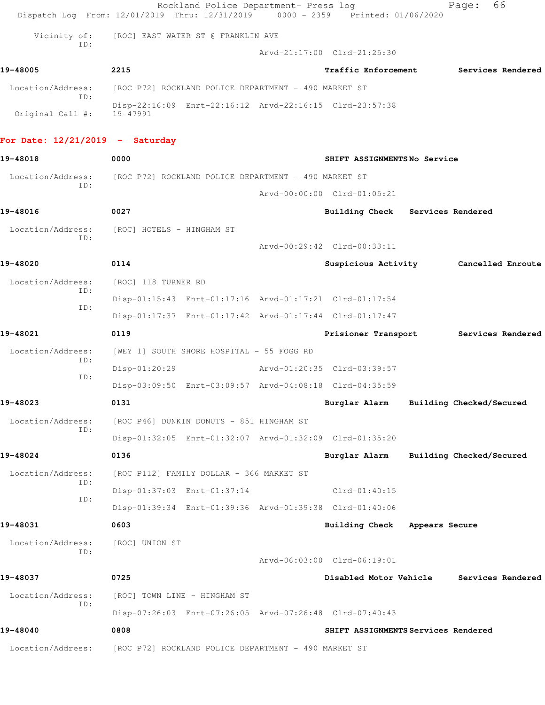|                                   | Dispatch Log From: 12/01/2019 Thru: 12/31/2019 0000 - 2359 Printed: 01/06/2020 | Rockland Police Department- Press log |                                        |                | 66<br>Page:              |  |
|-----------------------------------|--------------------------------------------------------------------------------|---------------------------------------|----------------------------------------|----------------|--------------------------|--|
| Vicinity of:                      | [ROC] EAST WATER ST @ FRANKLIN AVE                                             |                                       |                                        |                |                          |  |
| ID:                               |                                                                                |                                       | Arvd-21:17:00 Clrd-21:25:30            |                |                          |  |
| 19-48005                          | 2215                                                                           |                                       | <b>Traffic Enforcement</b>             |                | Services Rendered        |  |
| Location/Address:                 | [ROC P72] ROCKLAND POLICE DEPARTMENT - 490 MARKET ST                           |                                       |                                        |                |                          |  |
| TD:<br>Original Call #:           | Disp-22:16:09 Enrt-22:16:12 Arvd-22:16:15 Clrd-23:57:38<br>19-47991            |                                       |                                        |                |                          |  |
| For Date: $12/21/2019$ - Saturday |                                                                                |                                       |                                        |                |                          |  |
| 19-48018                          | 0000                                                                           |                                       | SHIFT ASSIGNMENTSNo Service            |                |                          |  |
| Location/Address:                 | [ROC P72] ROCKLAND POLICE DEPARTMENT - 490 MARKET ST                           |                                       |                                        |                |                          |  |
| ID:                               |                                                                                |                                       | Arvd-00:00:00 Clrd-01:05:21            |                |                          |  |
| 19-48016                          | 0027                                                                           |                                       | Building Check Services Rendered       |                |                          |  |
| Location/Address:                 | [ROC] HOTELS – HINGHAM ST                                                      |                                       |                                        |                |                          |  |
| ID:                               |                                                                                |                                       | Arvd-00:29:42 Clrd-00:33:11            |                |                          |  |
| 19-48020                          | 0114                                                                           |                                       | Suspicious Activity Cancelled Enroute  |                |                          |  |
| Location/Address:<br>ID:          | [ROC] 118 TURNER RD                                                            |                                       |                                        |                |                          |  |
| ID:                               | Disp-01:15:43 Enrt-01:17:16 Arvd-01:17:21 Clrd-01:17:54                        |                                       |                                        |                |                          |  |
|                                   | Disp-01:17:37 Enrt-01:17:42 Arvd-01:17:44 Clrd-01:17:47                        |                                       |                                        |                |                          |  |
| 19-48021                          | 0119                                                                           |                                       | Prisioner Transport                    |                | Services Rendered        |  |
| Location/Address:<br>ID:          | [WEY 1] SOUTH SHORE HOSPITAL - 55 FOGG RD                                      |                                       |                                        |                |                          |  |
| ID:                               | $Disp-01:20:29$                                                                |                                       | Arvd-01:20:35 Clrd-03:39:57            |                |                          |  |
|                                   | Disp-03:09:50 Enrt-03:09:57 Arvd-04:08:18 Clrd-04:35:59                        |                                       |                                        |                |                          |  |
| 19-48023                          | 0131                                                                           |                                       | Burglar Alarm Building Checked/Secured |                |                          |  |
| Location/Address:<br>ID:          | [ROC P46] DUNKIN DONUTS - 851 HINGHAM ST                                       |                                       |                                        |                |                          |  |
|                                   | Disp-01:32:05 Enrt-01:32:07 Arvd-01:32:09 Clrd-01:35:20                        |                                       |                                        |                |                          |  |
| 19-48024                          | 0136                                                                           |                                       | Burglar Alarm                          |                | Building Checked/Secured |  |
| Location/Address:<br>ID:          | [ROC P112] FAMILY DOLLAR - 366 MARKET ST                                       |                                       |                                        |                |                          |  |
| ID:                               | Disp-01:37:03 Enrt-01:37:14                                                    |                                       | $Clrd-01:40:15$                        |                |                          |  |
|                                   | Disp-01:39:34 Enrt-01:39:36 Arvd-01:39:38 Clrd-01:40:06                        |                                       |                                        |                |                          |  |
| 19-48031                          | 0603                                                                           |                                       | Building Check                         | Appears Secure |                          |  |
| Location/Address:<br>ID:          | [ROC] UNION ST                                                                 |                                       |                                        |                |                          |  |
|                                   |                                                                                |                                       | Arvd-06:03:00 Clrd-06:19:01            |                |                          |  |
| 19-48037                          | 0725                                                                           |                                       | Disabled Motor Vehicle                 |                | Services Rendered        |  |
| Location/Address:<br>ID:          | [ROC] TOWN LINE - HINGHAM ST                                                   |                                       |                                        |                |                          |  |
|                                   | Disp-07:26:03 Enrt-07:26:05 Arvd-07:26:48 Clrd-07:40:43                        |                                       |                                        |                |                          |  |
| 19-48040                          | 0808                                                                           |                                       | SHIFT ASSIGNMENTS Services Rendered    |                |                          |  |
| Location/Address:                 | [ROC P72] ROCKLAND POLICE DEPARTMENT - 490 MARKET ST                           |                                       |                                        |                |                          |  |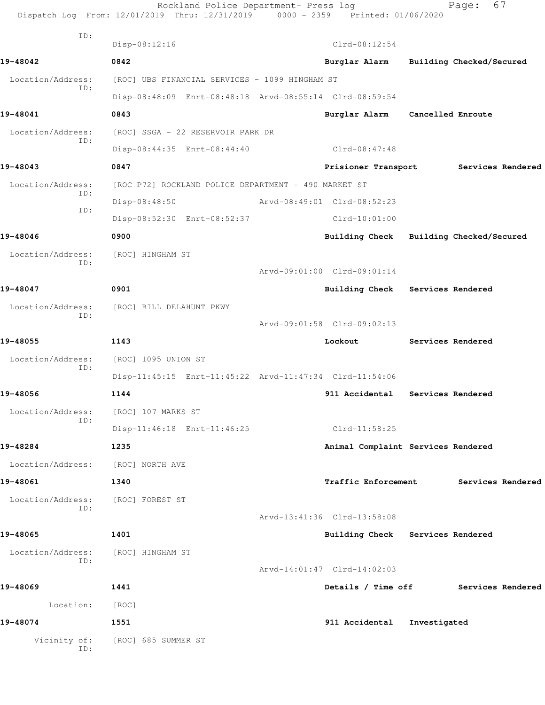|                     | Rockland Police Department- Press log<br>Dispatch Log From: 12/01/2019 Thru: 12/31/2019 0000 - 2359 Printed: 01/06/2020 |                                         |              | 67<br>Page:              |
|---------------------|-------------------------------------------------------------------------------------------------------------------------|-----------------------------------------|--------------|--------------------------|
| ID:                 | Disp-08:12:16                                                                                                           | $Clrd-08:12:54$                         |              |                          |
| 19-48042            | 0842                                                                                                                    | Burglar Alarm                           |              | Building Checked/Secured |
| Location/Address:   | [ROC] UBS FINANCIAL SERVICES - 1099 HINGHAM ST                                                                          |                                         |              |                          |
| ID:                 | Disp-08:48:09 Enrt-08:48:18 Arvd-08:55:14 Clrd-08:59:54                                                                 |                                         |              |                          |
| 19-48041            | 0843                                                                                                                    | Burglar Alarm Cancelled Enroute         |              |                          |
| Location/Address:   | [ROC] SSGA - 22 RESERVOIR PARK DR                                                                                       |                                         |              |                          |
| ID:                 | Disp-08:44:35 Enrt-08:44:40                                                                                             | Clrd-08:47:48                           |              |                          |
| 19-48043            | 0847                                                                                                                    | Prisioner Transport                     |              | Services Rendered        |
| Location/Address:   | [ROC P72] ROCKLAND POLICE DEPARTMENT - 490 MARKET ST                                                                    |                                         |              |                          |
| ID:                 | Disp-08:48:50                                                                                                           | Arvd-08:49:01 Clrd-08:52:23             |              |                          |
| ID:                 | Disp-08:52:30 Enrt-08:52:37                                                                                             | $Clrd-10:01:00$                         |              |                          |
| 19-48046            | 0900                                                                                                                    | Building Check Building Checked/Secured |              |                          |
| Location/Address:   | [ROC] HINGHAM ST                                                                                                        |                                         |              |                          |
| ID:                 |                                                                                                                         | Arvd-09:01:00 Clrd-09:01:14             |              |                          |
| 19-48047            | 0901                                                                                                                    | Building Check Services Rendered        |              |                          |
| Location/Address:   | [ROC] BILL DELAHUNT PKWY                                                                                                |                                         |              |                          |
| ID:                 |                                                                                                                         | Arvd-09:01:58 Clrd-09:02:13             |              |                          |
| 19-48055            | 1143                                                                                                                    | Lockout                                 |              | Services Rendered        |
| Location/Address:   | [ROC] 1095 UNION ST                                                                                                     |                                         |              |                          |
| ID:                 | Disp-11:45:15 Enrt-11:45:22 Arvd-11:47:34 Clrd-11:54:06                                                                 |                                         |              |                          |
| 19-48056            | 1144                                                                                                                    | 911 Accidental Services Rendered        |              |                          |
| Location/Address:   | [ROC] 107 MARKS ST                                                                                                      |                                         |              |                          |
| ID:                 | Disp-11:46:18 Enrt-11:46:25                                                                                             | $Clrd-11:58:25$                         |              |                          |
| 19-48284            | 1235                                                                                                                    | Animal Complaint Services Rendered      |              |                          |
| Location/Address:   | [ROC] NORTH AVE                                                                                                         |                                         |              |                          |
| 19-48061            | 1340                                                                                                                    | Traffic Enforcement                     |              | Services Rendered        |
| Location/Address:   | [ROC] FOREST ST                                                                                                         |                                         |              |                          |
| ID:                 |                                                                                                                         | Arvd-13:41:36 Clrd-13:58:08             |              |                          |
| 19-48065            | 1401                                                                                                                    | Building Check Services Rendered        |              |                          |
| Location/Address:   | [ROC] HINGHAM ST                                                                                                        |                                         |              |                          |
| ID:                 |                                                                                                                         | Arvd-14:01:47 Clrd-14:02:03             |              |                          |
| 19-48069            | 1441                                                                                                                    | Details / Time off                      |              | Services Rendered        |
| Location:           | [ROC]                                                                                                                   |                                         |              |                          |
| 19-48074            | 1551                                                                                                                    | 911 Accidental                          | Investigated |                          |
| Vicinity of:<br>ID: | [ROC] 685 SUMMER ST                                                                                                     |                                         |              |                          |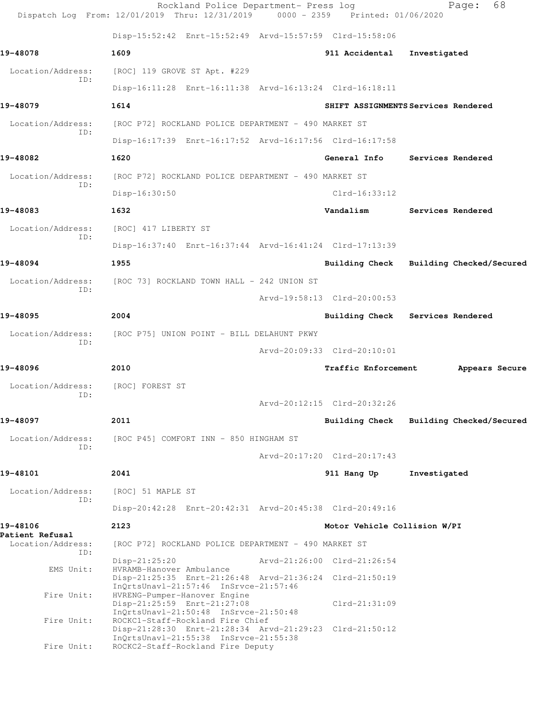|                             | Rockland Police Department- Press log<br>Dispatch Log From: 12/01/2019 Thru: 12/31/2019 0000 - 2359 Printed: 01/06/2020 |                              | 68<br>Page:                             |
|-----------------------------|-------------------------------------------------------------------------------------------------------------------------|------------------------------|-----------------------------------------|
|                             | Disp-15:52:42 Enrt-15:52:49 Arvd-15:57:59 Clrd-15:58:06                                                                 |                              |                                         |
| 19-48078                    | 1609                                                                                                                    | 911 Accidental               | Investigated                            |
| Location/Address:           | [ROC] 119 GROVE ST Apt. #229                                                                                            |                              |                                         |
| TD:                         | Disp-16:11:28 Enrt-16:11:38 Arvd-16:13:24 Clrd-16:18:11                                                                 |                              |                                         |
| 19-48079                    | 1614                                                                                                                    |                              | SHIFT ASSIGNMENTS Services Rendered     |
| Location/Address:<br>TD:    | [ROC P72] ROCKLAND POLICE DEPARTMENT - 490 MARKET ST                                                                    |                              |                                         |
|                             | Disp-16:17:39 Enrt-16:17:52 Arvd-16:17:56 Clrd-16:17:58                                                                 |                              |                                         |
| 19-48082                    | 1620                                                                                                                    | General Info                 | Services Rendered                       |
| Location/Address:<br>ID:    | [ROC P72] ROCKLAND POLICE DEPARTMENT - 490 MARKET ST                                                                    |                              |                                         |
|                             | Disp-16:30:50                                                                                                           | $Clrd-16:33:12$              |                                         |
| 19-48083                    | 1632                                                                                                                    | Vandalism                    | Services Rendered                       |
| Location/Address:<br>ID:    | [ROC] 417 LIBERTY ST                                                                                                    |                              |                                         |
|                             | Disp-16:37:40 Enrt-16:37:44 Arvd-16:41:24 Clrd-17:13:39                                                                 |                              |                                         |
| 19-48094                    | 1955                                                                                                                    |                              | Building Check Building Checked/Secured |
| Location/Address:<br>ID:    | [ROC 73] ROCKLAND TOWN HALL - 242 UNION ST                                                                              |                              |                                         |
|                             |                                                                                                                         | Arvd-19:58:13 Clrd-20:00:53  |                                         |
| 19-48095                    | 2004                                                                                                                    | Building Check               | Services Rendered                       |
| Location/Address:<br>ID:    | [ROC P75] UNION POINT - BILL DELAHUNT PKWY                                                                              |                              |                                         |
|                             |                                                                                                                         | Arvd-20:09:33 Clrd-20:10:01  |                                         |
| 19-48096                    | 2010                                                                                                                    | Traffic Enforcement          | Appears Secure                          |
| Location/Address:<br>ID:    | [ROC] FOREST ST                                                                                                         |                              |                                         |
|                             |                                                                                                                         | Arvd-20:12:15 Clrd-20:32:26  |                                         |
| 19-48097                    | 2011                                                                                                                    | Building Check               | Building Checked/Secured                |
| Location/Address:<br>TD:    | [ROC P45] COMFORT INN - 850 HINGHAM ST                                                                                  |                              |                                         |
|                             |                                                                                                                         | Arvd-20:17:20 Clrd-20:17:43  |                                         |
| 19-48101                    | 2041                                                                                                                    | 911 Hang Up                  | Investigated                            |
| Location/Address:<br>ID:    | [ROC] 51 MAPLE ST                                                                                                       |                              |                                         |
|                             | Disp-20:42:28 Enrt-20:42:31 Arvd-20:45:38 Clrd-20:49:16                                                                 |                              |                                         |
| 19-48106<br>Patient Refusal | 2123                                                                                                                    | Motor Vehicle Collision W/PI |                                         |
| Location/Address:<br>ID:    | [ROC P72] ROCKLAND POLICE DEPARTMENT - 490 MARKET ST                                                                    |                              |                                         |
| EMS Unit:                   | Disp-21:25:20<br>HVRAMB-Hanover Ambulance                                                                               | Arvd-21:26:00 Clrd-21:26:54  |                                         |
|                             | Disp-21:25:35 Enrt-21:26:48 Arvd-21:36:24 Clrd-21:50:19<br>InQrtsUnavl-21:57:46 InSrvce-21:57:46                        |                              |                                         |
| Fire Unit:                  | HVRENG-Pumper-Hanover Engine<br>Disp-21:25:59 Enrt-21:27:08                                                             | Clrd-21:31:09                |                                         |
| Fire Unit:                  | InQrtsUnavl-21:50:48 InSrvce-21:50:48<br>ROCKC1-Staff-Rockland Fire Chief                                               |                              |                                         |
|                             | Disp-21:28:30 Enrt-21:28:34 Arvd-21:29:23 Clrd-21:50:12<br>InQrtsUnavl-21:55:38 InSrvce-21:55:38                        |                              |                                         |
| Fire Unit:                  | ROCKC2-Staff-Rockland Fire Deputy                                                                                       |                              |                                         |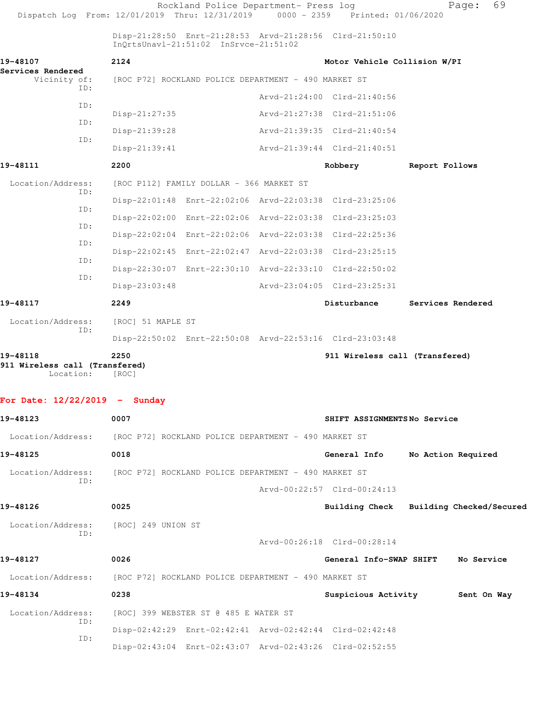| Dispatch Log From: 12/01/2019 Thru: 12/31/2019 0000 - 2359 Printed: 01/06/2020 |                                                      | Rockland Police Department- Press log                   |                                                         |                | 69<br>Page:                             |
|--------------------------------------------------------------------------------|------------------------------------------------------|---------------------------------------------------------|---------------------------------------------------------|----------------|-----------------------------------------|
|                                                                                |                                                      | InQrtsUnavl-21:51:02 InSrvce-21:51:02                   | Disp-21:28:50 Enrt-21:28:53 Arvd-21:28:56 Clrd-21:50:10 |                |                                         |
| 19-48107                                                                       | 2124                                                 |                                                         | Motor Vehicle Collision W/PI                            |                |                                         |
| Services Rendered<br>Vicinity of:                                              |                                                      | [ROC P72] ROCKLAND POLICE DEPARTMENT - 490 MARKET ST    |                                                         |                |                                         |
| ID:                                                                            |                                                      |                                                         | Arvd-21:24:00 Clrd-21:40:56                             |                |                                         |
| ID:                                                                            | $Disp-21:27:35$                                      |                                                         | Arvd-21:27:38 Clrd-21:51:06                             |                |                                         |
| ID:                                                                            | Disp-21:39:28                                        |                                                         | Arvd-21:39:35 Clrd-21:40:54                             |                |                                         |
| ID:                                                                            | $Disp-21:39:41$                                      |                                                         | Arvd-21:39:44 Clrd-21:40:51                             |                |                                         |
| 19-48111                                                                       | 2200                                                 |                                                         | Robbery                                                 | Report Follows |                                         |
| Location/Address:                                                              |                                                      | [ROC P112] FAMILY DOLLAR - 366 MARKET ST                |                                                         |                |                                         |
| ID:                                                                            |                                                      |                                                         | Disp-22:01:48 Enrt-22:02:06 Arvd-22:03:38 Clrd-23:25:06 |                |                                         |
| ID:                                                                            |                                                      |                                                         | Disp-22:02:00 Enrt-22:02:06 Arvd-22:03:38 Clrd-23:25:03 |                |                                         |
| ID:                                                                            |                                                      |                                                         | Disp-22:02:04 Enrt-22:02:06 Arvd-22:03:38 Clrd-22:25:36 |                |                                         |
| ID:                                                                            |                                                      | Disp-22:02:45 Enrt-22:02:47 Arvd-22:03:38 Clrd-23:25:15 |                                                         |                |                                         |
| ID:                                                                            |                                                      |                                                         | Disp-22:30:07 Enrt-22:30:10 Arvd-22:33:10 Clrd-22:50:02 |                |                                         |
| ID:                                                                            | $Disp-23:03:48$                                      |                                                         | Arvd-23:04:05 Clrd-23:25:31                             |                |                                         |
| 19-48117                                                                       | 2249                                                 |                                                         | Disturbance                                             |                | Services Rendered                       |
| Location/Address:                                                              | [ROC] 51 MAPLE ST                                    |                                                         |                                                         |                |                                         |
| ID:                                                                            |                                                      |                                                         | Disp-22:50:02 Enrt-22:50:08 Arvd-22:53:16 Clrd-23:03:48 |                |                                         |
| 19-48118<br>911 Wireless call (Transfered)<br>Location:                        | 2250<br>[ROC]                                        |                                                         | 911 Wireless call (Transfered)                          |                |                                         |
| For Date: $12/22/2019$ - Sunday                                                |                                                      |                                                         |                                                         |                |                                         |
| 19-48123                                                                       | 0007                                                 |                                                         | SHIFT ASSIGNMENTSNo Service                             |                |                                         |
| Location/Address: [ROC P72] ROCKLAND POLICE DEPARTMENT - 490 MARKET ST         |                                                      |                                                         |                                                         |                |                                         |
| 19-48125                                                                       | 0018                                                 |                                                         | General Info                                            |                | No Action Required                      |
| Location/Address:                                                              |                                                      | [ROC P72] ROCKLAND POLICE DEPARTMENT - 490 MARKET ST    |                                                         |                |                                         |
| ID:                                                                            |                                                      |                                                         | Arvd-00:22:57 Clrd-00:24:13                             |                |                                         |
| 19-48126                                                                       | 0025                                                 |                                                         |                                                         |                | Building Check Building Checked/Secured |
| Location/Address:                                                              | [ROC] 249 UNION ST                                   |                                                         |                                                         |                |                                         |
| ID:                                                                            |                                                      |                                                         | Arvd-00:26:18 Clrd-00:28:14                             |                |                                         |
| 19-48127                                                                       | 0026                                                 |                                                         | General Info-SWAP SHIFT                                 |                | No Service                              |
| Location/Address:                                                              | [ROC P72] ROCKLAND POLICE DEPARTMENT - 490 MARKET ST |                                                         |                                                         |                |                                         |
| 19-48134                                                                       | 0238                                                 |                                                         | Suspicious Activity 5ent On Way                         |                |                                         |
| Location/Address:                                                              |                                                      | [ROC] 399 WEBSTER ST @ 485 E WATER ST                   |                                                         |                |                                         |
| ID:                                                                            |                                                      | Disp-02:42:29 Enrt-02:42:41 Arvd-02:42:44 Clrd-02:42:48 |                                                         |                |                                         |
| ID:                                                                            |                                                      |                                                         | Disp-02:43:04 Enrt-02:43:07 Arvd-02:43:26 Clrd-02:52:55 |                |                                         |
|                                                                                |                                                      |                                                         |                                                         |                |                                         |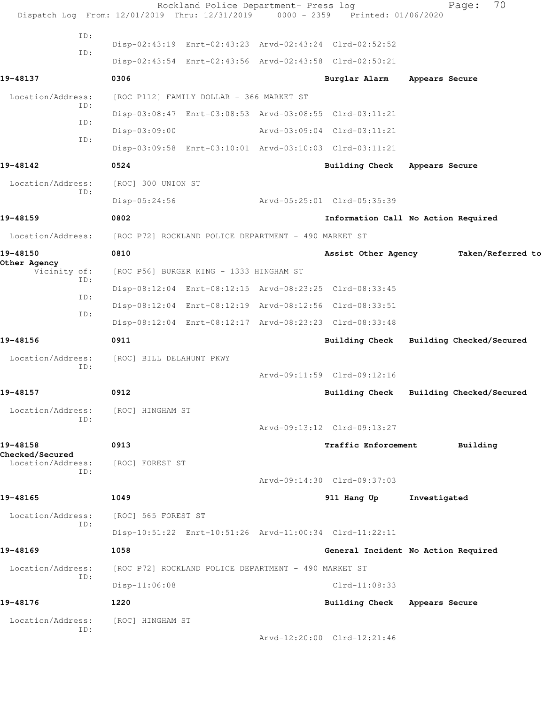|                                             | Rockland Police Department- Press log<br>Dispatch Log From: 12/01/2019 Thru: 12/31/2019 0000 - 2359 Printed: 01/06/2020 |                               | 70<br>Page:                             |
|---------------------------------------------|-------------------------------------------------------------------------------------------------------------------------|-------------------------------|-----------------------------------------|
| ID:                                         |                                                                                                                         |                               |                                         |
| ID:                                         | Disp-02:43:19 Enrt-02:43:23 Arvd-02:43:24 Clrd-02:52:52                                                                 |                               |                                         |
|                                             | Disp-02:43:54 Enrt-02:43:56 Arvd-02:43:58 Clrd-02:50:21                                                                 |                               |                                         |
| 19-48137                                    | 0306                                                                                                                    | Burglar Alarm                 | Appears Secure                          |
| Location/Address:<br>ID:                    | [ROC P112] FAMILY DOLLAR - 366 MARKET ST                                                                                |                               |                                         |
| ID:                                         | Disp-03:08:47 Enrt-03:08:53 Arvd-03:08:55 Clrd-03:11:21                                                                 |                               |                                         |
| ID:                                         | Disp-03:09:00                                                                                                           | Arvd-03:09:04 Clrd-03:11:21   |                                         |
|                                             | Disp-03:09:58 Enrt-03:10:01 Arvd-03:10:03 Clrd-03:11:21                                                                 |                               |                                         |
| 19-48142                                    | 0524                                                                                                                    | Building Check Appears Secure |                                         |
| Location/Address:                           | [ROC] 300 UNION ST                                                                                                      |                               |                                         |
| ID:                                         | $Disp-05:24:56$                                                                                                         | Arvd-05:25:01 Clrd-05:35:39   |                                         |
| 19-48159                                    | 0802                                                                                                                    |                               | Information Call No Action Required     |
| Location/Address:                           | [ROC P72] ROCKLAND POLICE DEPARTMENT - 490 MARKET ST                                                                    |                               |                                         |
| 19-48150                                    | 0810                                                                                                                    | Assist Other Agency           | Taken/Referred to                       |
| Other Agency<br>Vicinity of:                | [ROC P56] BURGER KING - 1333 HINGHAM ST                                                                                 |                               |                                         |
| ID:                                         | Disp-08:12:04 Enrt-08:12:15 Arvd-08:23:25 Clrd-08:33:45                                                                 |                               |                                         |
| ID:                                         | Disp-08:12:04 Enrt-08:12:19 Arvd-08:12:56 Clrd-08:33:51                                                                 |                               |                                         |
| ID:                                         | Disp-08:12:04 Enrt-08:12:17 Arvd-08:23:23 Clrd-08:33:48                                                                 |                               |                                         |
| 19-48156                                    | 0911                                                                                                                    |                               | Building Check Building Checked/Secured |
| Location/Address:                           | [ROC] BILL DELAHUNT PKWY                                                                                                |                               |                                         |
| ID:                                         |                                                                                                                         | Arvd-09:11:59 Clrd-09:12:16   |                                         |
| 19-48157                                    | 0912                                                                                                                    | Building Check                | Building Checked/Secured                |
| Location/Address:                           | [ROC] HINGHAM ST                                                                                                        |                               |                                         |
| ID:                                         |                                                                                                                         | Arvd-09:13:12 Clrd-09:13:27   |                                         |
| 19-48158                                    | 0913                                                                                                                    | Traffic Enforcement           | Building                                |
| <b>Checked/Secured</b><br>Location/Address: | [ROC] FOREST ST                                                                                                         |                               |                                         |
| ID:                                         |                                                                                                                         | Arvd-09:14:30 Clrd-09:37:03   |                                         |
| 19-48165                                    | 1049                                                                                                                    | 911 Hang Up                   | Investigated                            |
| Location/Address:                           | [ROC] 565 FOREST ST                                                                                                     |                               |                                         |
| ID:                                         | Disp-10:51:22 Enrt-10:51:26 Arvd-11:00:34 Clrd-11:22:11                                                                 |                               |                                         |
| 19-48169                                    | 1058                                                                                                                    |                               | General Incident No Action Required     |
| Location/Address:                           | [ROC P72] ROCKLAND POLICE DEPARTMENT - 490 MARKET ST                                                                    |                               |                                         |
| ID:                                         | $Disp-11:06:08$                                                                                                         | $Clrd-11:08:33$               |                                         |
| 19-48176                                    | 1220                                                                                                                    | Building Check                | Appears Secure                          |
| Location/Address:                           | [ROC] HINGHAM ST                                                                                                        |                               |                                         |
| ID:                                         |                                                                                                                         | Arvd-12:20:00 Clrd-12:21:46   |                                         |
|                                             |                                                                                                                         |                               |                                         |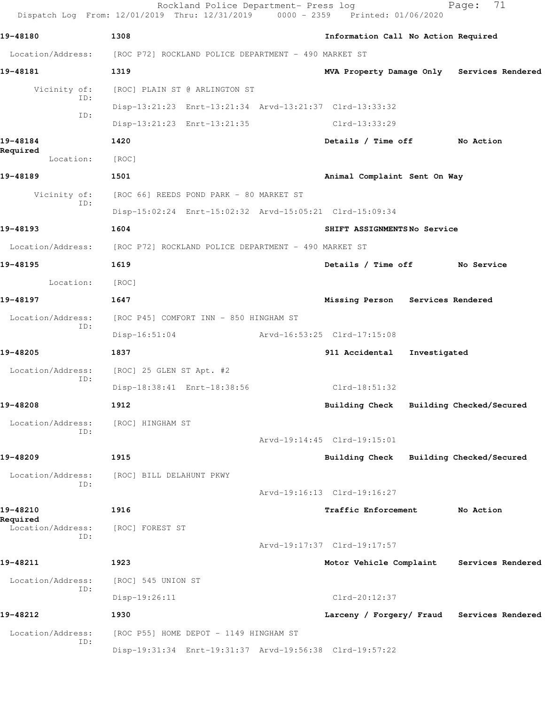|                          | Rockland Police Department- Press log<br>Dispatch Log From: 12/01/2019 Thru: 12/31/2019 0000 - 2359 Printed: 01/06/2020 |                                     | 71<br>Page:                                |
|--------------------------|-------------------------------------------------------------------------------------------------------------------------|-------------------------------------|--------------------------------------------|
| 19-48180                 | 1308                                                                                                                    | Information Call No Action Required |                                            |
|                          | Location/Address: [ROC P72] ROCKLAND POLICE DEPARTMENT - 490 MARKET ST                                                  |                                     |                                            |
| 19-48181                 | 1319                                                                                                                    |                                     | MVA Property Damage Only Services Rendered |
| Vicinity of:             | [ROC] PLAIN ST @ ARLINGTON ST                                                                                           |                                     |                                            |
| ID:                      | Disp-13:21:23 Enrt-13:21:34 Arvd-13:21:37 Clrd-13:33:32                                                                 |                                     |                                            |
| ID:                      | Disp-13:21:23 Enrt-13:21:35                                                                                             | $Clrd-13:33:29$                     |                                            |
| 19-48184                 | 1420                                                                                                                    | Details / Time off                  | No Action                                  |
| Required<br>Location:    | [ROC]                                                                                                                   |                                     |                                            |
| 19-48189                 | 1501                                                                                                                    | Animal Complaint Sent On Way        |                                            |
| Vicinity of:<br>ID:      | [ROC 66] REEDS POND PARK - 80 MARKET ST                                                                                 |                                     |                                            |
|                          | Disp-15:02:24 Enrt-15:02:32 Arvd-15:05:21 Clrd-15:09:34                                                                 |                                     |                                            |
| 19-48193                 | 1604                                                                                                                    | SHIFT ASSIGNMENTSNo Service         |                                            |
|                          | Location/Address: [ROC P72] ROCKLAND POLICE DEPARTMENT - 490 MARKET ST                                                  |                                     |                                            |
| 19-48195                 | 1619                                                                                                                    | Details / Time off                  | No Service                                 |
| Location:                | [ROC]                                                                                                                   |                                     |                                            |
| 19-48197                 | 1647                                                                                                                    | Missing Person Services Rendered    |                                            |
| Location/Address:<br>ID: | [ROC P45] COMFORT INN - 850 HINGHAM ST                                                                                  |                                     |                                            |
|                          | $Disp-16:51:04$                                                                                                         | Arvd-16:53:25 Clrd-17:15:08         |                                            |
| 19-48205                 | 1837                                                                                                                    | 911 Accidental Investigated         |                                            |
| Location/Address:<br>ID: | [ROC] 25 GLEN ST Apt. #2                                                                                                |                                     |                                            |
|                          | Disp-18:38:41 Enrt-18:38:56                                                                                             | $Clrd-18:51:32$                     |                                            |
| 19-48208                 | 1912                                                                                                                    | <b>Building Check</b>               | Building Checked/Secured                   |
| Location/Address:<br>ID: | [ROC] HINGHAM ST                                                                                                        |                                     |                                            |
|                          |                                                                                                                         | Arvd-19:14:45 Clrd-19:15:01         |                                            |
| 19-48209                 | 1915                                                                                                                    | Building Check                      | Building Checked/Secured                   |
| Location/Address:<br>ID: | [ROC] BILL DELAHUNT PKWY                                                                                                |                                     |                                            |
|                          |                                                                                                                         | Arvd-19:16:13 Clrd-19:16:27         |                                            |
| 19-48210<br>Required     | 1916                                                                                                                    | Traffic Enforcement                 | No Action                                  |
| Location/Address:<br>ID: | [ROC] FOREST ST                                                                                                         |                                     |                                            |
|                          |                                                                                                                         | Arvd-19:17:37 Clrd-19:17:57         |                                            |
| 19-48211                 | 1923                                                                                                                    | Motor Vehicle Complaint             | Services Rendered                          |
| Location/Address:<br>ID: | [ROC] 545 UNION ST                                                                                                      |                                     |                                            |
|                          | Disp-19:26:11                                                                                                           | $Clrd-20:12:37$                     |                                            |
| 19-48212                 | 1930                                                                                                                    |                                     | Larceny / Forgery/ Fraud Services Rendered |
| Location/Address:<br>ID: | [ROC P55] HOME DEPOT - 1149 HINGHAM ST                                                                                  |                                     |                                            |
|                          | Disp-19:31:34 Enrt-19:31:37 Arvd-19:56:38 Clrd-19:57:22                                                                 |                                     |                                            |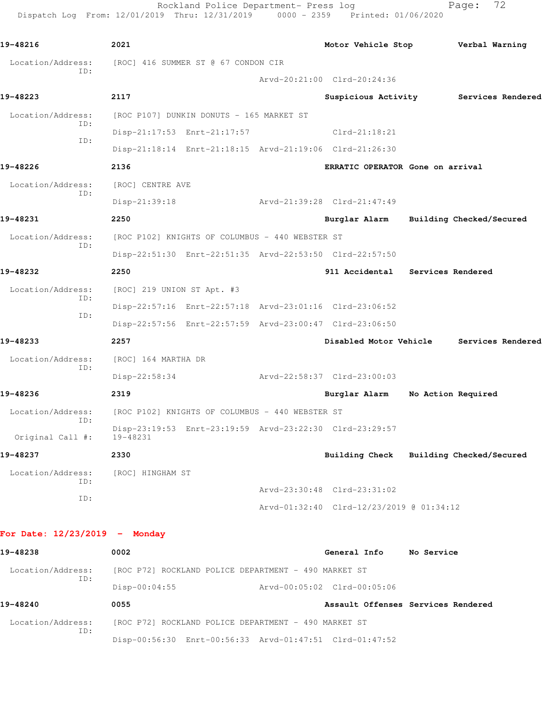Rockland Police Department- Press log entitled Page: 72 Dispatch Log From: 12/01/2019 Thru: 12/31/2019 0000 - 2359 Printed: 01/06/2020

| 19-48216                | 2021                                                                | Motor Vehicle Stop Verbal Warning        |                    |                                          |
|-------------------------|---------------------------------------------------------------------|------------------------------------------|--------------------|------------------------------------------|
| Location/Address:       | [ROC] 416 SUMMER ST @ 67 CONDON CIR                                 |                                          |                    |                                          |
| ID:                     |                                                                     | Arvd-20:21:00 Clrd-20:24:36              |                    |                                          |
| 19-48223                | 2117                                                                |                                          |                    | Suspicious Activity Services Rendered    |
| Location/Address:       | [ROC P107] DUNKIN DONUTS - 165 MARKET ST                            |                                          |                    |                                          |
| ID:<br>ID:              | Disp-21:17:53 Enrt-21:17:57 Clrd-21:18:21                           |                                          |                    |                                          |
|                         | Disp-21:18:14 Enrt-21:18:15 Arvd-21:19:06 Clrd-21:26:30             |                                          |                    |                                          |
| 19-48226                | 2136                                                                | ERRATIC OPERATOR Gone on arrival         |                    |                                          |
| Location/Address:       | [ROC] CENTRE AVE                                                    |                                          |                    |                                          |
| ID:                     | $Disp-21:39:18$                                                     | Arvd-21:39:28 Clrd-21:47:49              |                    |                                          |
| 19-48231                | 2250                                                                | Burglar Alarm Building Checked/Secured   |                    |                                          |
| Location/Address:       | [ROC P102] KNIGHTS OF COLUMBUS - 440 WEBSTER ST                     |                                          |                    |                                          |
| ID:                     | Disp-22:51:30 Enrt-22:51:35 Arvd-22:53:50 Clrd-22:57:50             |                                          |                    |                                          |
| 19-48232                | 2250                                                                | 911 Accidental Services Rendered         |                    |                                          |
| Location/Address:       | [ROC] 219 UNION ST Apt. #3                                          |                                          |                    |                                          |
| ID:                     | Disp-22:57:16 Enrt-22:57:18 Arvd-23:01:16 Clrd-23:06:52             |                                          |                    |                                          |
| ID:                     | Disp-22:57:56 Enrt-22:57:59 Arvd-23:00:47 Clrd-23:06:50             |                                          |                    |                                          |
| 19-48233                | 2257                                                                |                                          |                    | Disabled Motor Vehicle Services Rendered |
| Location/Address:       | [ROC] 164 MARTHA DR                                                 |                                          |                    |                                          |
| ID:                     | Disp-22:58:34                                                       | Arvd-22:58:37 Clrd-23:00:03              |                    |                                          |
| 19-48236                | 2319                                                                | Burglar Alarm                            | No Action Required |                                          |
| Location/Address:       | [ROC P102] KNIGHTS OF COLUMBUS - 440 WEBSTER ST                     |                                          |                    |                                          |
| ID:<br>Original Call #: | Disp-23:19:53 Enrt-23:19:59 Arvd-23:22:30 Clrd-23:29:57<br>19-48231 |                                          |                    |                                          |
| 19-48237                | 2330                                                                | Building Check                           |                    | Building Checked/Secured                 |
| Location/Address:       | [ROC] HINGHAM ST                                                    |                                          |                    |                                          |
| ID:                     |                                                                     | Arvd-23:30:48 Clrd-23:31:02              |                    |                                          |
| ID:                     |                                                                     | Arvd-01:32:40 Clrd-12/23/2019 @ 01:34:12 |                    |                                          |
|                         |                                                                     |                                          |                    |                                          |

## **For Date: 12/23/2019 - Monday**

| 19-48238                 | 0002                                                 | General Info                | No Service                         |
|--------------------------|------------------------------------------------------|-----------------------------|------------------------------------|
| Location/Address:        | [ROC P72] ROCKLAND POLICE DEPARTMENT - 490 MARKET ST |                             |                                    |
| ID:                      | $Disp-00:04:55$                                      | Arvd-00:05:02 Clrd-00:05:06 |                                    |
|                          |                                                      |                             |                                    |
| 19-48240                 | 0055                                                 |                             | Assault Offenses Services Rendered |
| Location/Address:<br>ID: | [ROC P72] ROCKLAND POLICE DEPARTMENT - 490 MARKET ST |                             |                                    |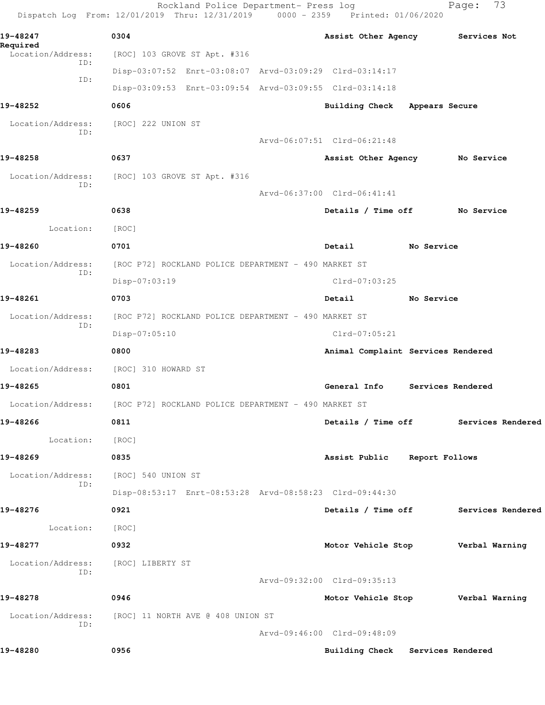| 19-48247<br>Required<br>Location/Address:<br>ID:<br>ID:<br>19-48252<br>Location/Address:<br>ID:<br>19-48258<br>Location/Address:<br>ID:<br>19-48259<br>Location:<br>19-48260<br>Location/Address:<br>ID:<br>19-48261 | 0304<br>[ROC] 103 GROVE ST Apt. #316<br>Disp-03:07:52 Enrt-03:08:07 Arvd-03:09:29 Clrd-03:14:17<br>Disp-03:09:53 Enrt-03:09:54 Arvd-03:09:55 Clrd-03:14:18<br>0606<br>[ROC] 222 UNION ST<br>0637<br>[ROC] 103 GROVE ST Apt. #316<br>0638<br>[ROC]<br>0701<br>[ROC P72] ROCKLAND POLICE DEPARTMENT - 490 MARKET ST<br>Disp-07:03:19<br>0703 | <b>Building Check</b><br>Arvd-06:07:51 Clrd-06:21:48<br>Assist Other Agency<br>Arvd-06:37:00 Clrd-06:41:41<br>Details / Time off<br>Detail<br>Clrd-07:03:25 | Assist Other Agency Services Not<br>Appears Secure<br>No Service<br>No Service<br>No Service |
|----------------------------------------------------------------------------------------------------------------------------------------------------------------------------------------------------------------------|--------------------------------------------------------------------------------------------------------------------------------------------------------------------------------------------------------------------------------------------------------------------------------------------------------------------------------------------|-------------------------------------------------------------------------------------------------------------------------------------------------------------|----------------------------------------------------------------------------------------------|
|                                                                                                                                                                                                                      |                                                                                                                                                                                                                                                                                                                                            |                                                                                                                                                             |                                                                                              |
|                                                                                                                                                                                                                      |                                                                                                                                                                                                                                                                                                                                            |                                                                                                                                                             |                                                                                              |
|                                                                                                                                                                                                                      |                                                                                                                                                                                                                                                                                                                                            |                                                                                                                                                             |                                                                                              |
|                                                                                                                                                                                                                      |                                                                                                                                                                                                                                                                                                                                            |                                                                                                                                                             |                                                                                              |
|                                                                                                                                                                                                                      |                                                                                                                                                                                                                                                                                                                                            |                                                                                                                                                             |                                                                                              |
|                                                                                                                                                                                                                      |                                                                                                                                                                                                                                                                                                                                            |                                                                                                                                                             |                                                                                              |
|                                                                                                                                                                                                                      |                                                                                                                                                                                                                                                                                                                                            |                                                                                                                                                             |                                                                                              |
|                                                                                                                                                                                                                      |                                                                                                                                                                                                                                                                                                                                            |                                                                                                                                                             |                                                                                              |
|                                                                                                                                                                                                                      |                                                                                                                                                                                                                                                                                                                                            |                                                                                                                                                             |                                                                                              |
|                                                                                                                                                                                                                      |                                                                                                                                                                                                                                                                                                                                            |                                                                                                                                                             |                                                                                              |
|                                                                                                                                                                                                                      |                                                                                                                                                                                                                                                                                                                                            |                                                                                                                                                             |                                                                                              |
|                                                                                                                                                                                                                      |                                                                                                                                                                                                                                                                                                                                            |                                                                                                                                                             |                                                                                              |
|                                                                                                                                                                                                                      |                                                                                                                                                                                                                                                                                                                                            |                                                                                                                                                             |                                                                                              |
|                                                                                                                                                                                                                      |                                                                                                                                                                                                                                                                                                                                            |                                                                                                                                                             |                                                                                              |
|                                                                                                                                                                                                                      |                                                                                                                                                                                                                                                                                                                                            |                                                                                                                                                             |                                                                                              |
|                                                                                                                                                                                                                      |                                                                                                                                                                                                                                                                                                                                            | Detail                                                                                                                                                      | No Service                                                                                   |
| Location/Address:                                                                                                                                                                                                    | [ROC P72] ROCKLAND POLICE DEPARTMENT - 490 MARKET ST                                                                                                                                                                                                                                                                                       |                                                                                                                                                             |                                                                                              |
| ID:                                                                                                                                                                                                                  | Disp-07:05:10                                                                                                                                                                                                                                                                                                                              | Clrd-07:05:21                                                                                                                                               |                                                                                              |
| 19-48283                                                                                                                                                                                                             | 0800                                                                                                                                                                                                                                                                                                                                       | Animal Complaint Services Rendered                                                                                                                          |                                                                                              |
| Location/Address:                                                                                                                                                                                                    | [ROC] 310 HOWARD ST                                                                                                                                                                                                                                                                                                                        |                                                                                                                                                             |                                                                                              |
| 19-48265                                                                                                                                                                                                             | 0801                                                                                                                                                                                                                                                                                                                                       | General Info                                                                                                                                                | Services Rendered                                                                            |
|                                                                                                                                                                                                                      | Location/Address: [ROC P72] ROCKLAND POLICE DEPARTMENT - 490 MARKET ST                                                                                                                                                                                                                                                                     |                                                                                                                                                             |                                                                                              |
| 19-48266                                                                                                                                                                                                             | 0811                                                                                                                                                                                                                                                                                                                                       |                                                                                                                                                             | Details / Time off Services Rendered                                                         |
| Location:                                                                                                                                                                                                            | [ROC]                                                                                                                                                                                                                                                                                                                                      |                                                                                                                                                             |                                                                                              |
| 19-48269                                                                                                                                                                                                             | 0835                                                                                                                                                                                                                                                                                                                                       | Assist Public Report Follows                                                                                                                                |                                                                                              |
| Location/Address:                                                                                                                                                                                                    | [ROC] 540 UNION ST                                                                                                                                                                                                                                                                                                                         |                                                                                                                                                             |                                                                                              |
| ID:                                                                                                                                                                                                                  | Disp-08:53:17 Enrt-08:53:28 Arvd-08:58:23 Clrd-09:44:30                                                                                                                                                                                                                                                                                    |                                                                                                                                                             |                                                                                              |
| 19-48276                                                                                                                                                                                                             | 0921                                                                                                                                                                                                                                                                                                                                       |                                                                                                                                                             | Details / Time off Services Rendered                                                         |
| Location:                                                                                                                                                                                                            | [ROC]                                                                                                                                                                                                                                                                                                                                      |                                                                                                                                                             |                                                                                              |
| 19-48277                                                                                                                                                                                                             | 0932                                                                                                                                                                                                                                                                                                                                       |                                                                                                                                                             | Motor Vehicle Stop Verbal Warning                                                            |
| Location/Address:                                                                                                                                                                                                    | [ROC] LIBERTY ST                                                                                                                                                                                                                                                                                                                           |                                                                                                                                                             |                                                                                              |
| ID:                                                                                                                                                                                                                  |                                                                                                                                                                                                                                                                                                                                            | Arvd-09:32:00 Clrd-09:35:13                                                                                                                                 |                                                                                              |
| 19-48278                                                                                                                                                                                                             | 0946                                                                                                                                                                                                                                                                                                                                       |                                                                                                                                                             | Motor Vehicle Stop Verbal Warning                                                            |
| Location/Address:                                                                                                                                                                                                    | [ROC] 11 NORTH AVE @ 408 UNION ST                                                                                                                                                                                                                                                                                                          |                                                                                                                                                             |                                                                                              |
| ID:                                                                                                                                                                                                                  |                                                                                                                                                                                                                                                                                                                                            | Arvd-09:46:00 Clrd-09:48:09                                                                                                                                 |                                                                                              |
| 19-48280                                                                                                                                                                                                             | 0956                                                                                                                                                                                                                                                                                                                                       | Building Check Services Rendered                                                                                                                            |                                                                                              |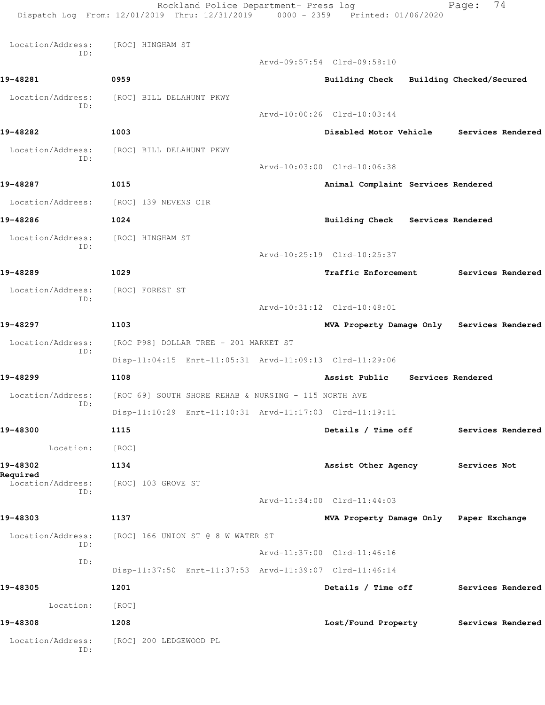|                               | Rockland Police Department- Press log<br>Dispatch Log From: 12/01/2019 Thru: 12/31/2019 0000 - 2359 Printed: 01/06/2020 |                                            | 74<br>Page:       |
|-------------------------------|-------------------------------------------------------------------------------------------------------------------------|--------------------------------------------|-------------------|
| Location/Address:             | [ROC] HINGHAM ST                                                                                                        |                                            |                   |
| ID:                           |                                                                                                                         | Arvd-09:57:54 Clrd-09:58:10                |                   |
| 19-48281                      | 0959                                                                                                                    | Building Check Building Checked/Secured    |                   |
| Location/Address:             | [ROC] BILL DELAHUNT PKWY                                                                                                |                                            |                   |
| ID:                           |                                                                                                                         | Arvd-10:00:26 Clrd-10:03:44                |                   |
| 19-48282                      | 1003                                                                                                                    | Disabled Motor Vehicle                     | Services Rendered |
| Location/Address:             | [ROC] BILL DELAHUNT PKWY                                                                                                |                                            |                   |
| ID:                           |                                                                                                                         | Arvd-10:03:00 Clrd-10:06:38                |                   |
| 19-48287                      | 1015                                                                                                                    | Animal Complaint Services Rendered         |                   |
| Location/Address:             | [ROC] 139 NEVENS CIR                                                                                                    |                                            |                   |
| 19-48286                      | 1024                                                                                                                    | <b>Building Check</b><br>Services Rendered |                   |
| Location/Address:             | [ROC] HINGHAM ST                                                                                                        |                                            |                   |
| ID:                           |                                                                                                                         | Arvd-10:25:19 Clrd-10:25:37                |                   |
| 19-48289                      | 1029                                                                                                                    | Traffic Enforcement                        | Services Rendered |
| Location/Address:             | [ROC] FOREST ST                                                                                                         |                                            |                   |
| ID:                           |                                                                                                                         | Arvd-10:31:12 Clrd-10:48:01                |                   |
| 19-48297                      | 1103                                                                                                                    | MVA Property Damage Only Services Rendered |                   |
| Location/Address:             | [ROC P98] DOLLAR TREE - 201 MARKET ST                                                                                   |                                            |                   |
| ID:                           | Disp-11:04:15 Enrt-11:05:31 Arvd-11:09:13 Clrd-11:29:06                                                                 |                                            |                   |
| 19-48299                      | 1108                                                                                                                    | Assist Public                              | Services Rendered |
| Location/Address:             | [ROC 69] SOUTH SHORE REHAB & NURSING - 115 NORTH AVE                                                                    |                                            |                   |
| ID:                           | Disp-11:10:29 Enrt-11:10:31 Arvd-11:17:03 Clrd-11:19:11                                                                 |                                            |                   |
| 19-48300                      | 1115                                                                                                                    | Details / Time off                         | Services Rendered |
| Location:                     | [ROC]                                                                                                                   |                                            |                   |
| 19-48302                      | 1134                                                                                                                    | Assist Other Agency                        | Services Not      |
| Required<br>Location/Address: | [ROC] 103 GROVE ST                                                                                                      |                                            |                   |
| ID:                           |                                                                                                                         | Arvd-11:34:00 Clrd-11:44:03                |                   |
| 19-48303                      | 1137                                                                                                                    | MVA Property Damage Only Paper Exchange    |                   |
| Location/Address:             | [ROC] 166 UNION ST @ 8 W WATER ST                                                                                       |                                            |                   |
| ID:                           |                                                                                                                         | Arvd-11:37:00 Clrd-11:46:16                |                   |
| ID:                           | Disp-11:37:50 Enrt-11:37:53 Arvd-11:39:07 Clrd-11:46:14                                                                 |                                            |                   |
| 19-48305                      | 1201                                                                                                                    | Details / Time off                         | Services Rendered |
| Location:                     | [ROC]                                                                                                                   |                                            |                   |
| 19-48308                      | 1208                                                                                                                    | Lost/Found Property                        | Services Rendered |
| Location/Address:<br>ID:      | [ROC] 200 LEDGEWOOD PL                                                                                                  |                                            |                   |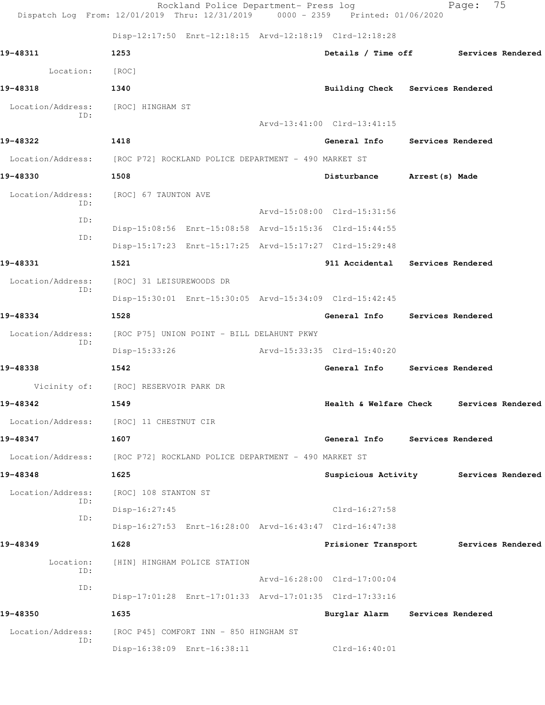|                          | Rockland Police Department- Press log<br>Dispatch Log From: 12/01/2019 Thru: 12/31/2019 0000 - 2359 Printed: 01/06/2020 |                                      |                   | Page:             | 75                |
|--------------------------|-------------------------------------------------------------------------------------------------------------------------|--------------------------------------|-------------------|-------------------|-------------------|
|                          | Disp-12:17:50 Enrt-12:18:15 Arvd-12:18:19 Clrd-12:18:28                                                                 |                                      |                   |                   |                   |
| 19-48311                 | 1253                                                                                                                    | Details / Time off Services Rendered |                   |                   |                   |
| Location:                | [ROC]                                                                                                                   |                                      |                   |                   |                   |
| 19-48318                 | 1340                                                                                                                    | Building Check Services Rendered     |                   |                   |                   |
| Location/Address:        | [ROC] HINGHAM ST                                                                                                        |                                      |                   |                   |                   |
| ID:                      |                                                                                                                         | Arvd-13:41:00 Clrd-13:41:15          |                   |                   |                   |
| 19-48322                 | 1418                                                                                                                    | General Info                         | Services Rendered |                   |                   |
|                          | Location/Address: [ROC P72] ROCKLAND POLICE DEPARTMENT - 490 MARKET ST                                                  |                                      |                   |                   |                   |
| 19-48330                 | 1508                                                                                                                    | Disturbance                          | Arrest(s) Made    |                   |                   |
| Location/Address:        | [ROC] 67 TAUNTON AVE                                                                                                    |                                      |                   |                   |                   |
| ID:                      |                                                                                                                         | Arvd-15:08:00 Clrd-15:31:56          |                   |                   |                   |
| ID:<br>ID:               | Disp-15:08:56 Enrt-15:08:58 Arvd-15:15:36 Clrd-15:44:55                                                                 |                                      |                   |                   |                   |
|                          | Disp-15:17:23 Enrt-15:17:25 Arvd-15:17:27 Clrd-15:29:48                                                                 |                                      |                   |                   |                   |
| 19-48331                 | 1521                                                                                                                    | 911 Accidental Services Rendered     |                   |                   |                   |
| Location/Address:        | [ROC] 31 LEISUREWOODS DR                                                                                                |                                      |                   |                   |                   |
| ID:                      | Disp-15:30:01 Enrt-15:30:05 Arvd-15:34:09 Clrd-15:42:45                                                                 |                                      |                   |                   |                   |
| 19-48334                 | 1528                                                                                                                    | General Info Services Rendered       |                   |                   |                   |
| Location/Address:<br>ID: | [ROC P75] UNION POINT - BILL DELAHUNT PKWY                                                                              |                                      |                   |                   |                   |
|                          | Disp-15:33:26                                                                                                           | Arvd-15:33:35 Clrd-15:40:20          |                   |                   |                   |
| 19-48338                 | 1542                                                                                                                    | General Info                         |                   | Services Rendered |                   |
| Vicinity of:             | [ROC] RESERVOIR PARK DR                                                                                                 |                                      |                   |                   |                   |
| 19-48342                 | 1549                                                                                                                    | Health & Welfare Check               |                   |                   | Services Rendered |
|                          | Location/Address: [ROC] 11 CHESTNUT CIR                                                                                 |                                      |                   |                   |                   |
| 19-48347                 | 1607                                                                                                                    | General Info Services Rendered       |                   |                   |                   |
| Location/Address:        | [ROC P72] ROCKLAND POLICE DEPARTMENT - 490 MARKET ST                                                                    |                                      |                   |                   |                   |
| 19-48348                 | 1625                                                                                                                    | Suspicious Activity                  |                   |                   | Services Rendered |
| Location/Address:        | [ROC] 108 STANTON ST                                                                                                    |                                      |                   |                   |                   |
| ID:<br>ID:               | Disp-16:27:45                                                                                                           | Clrd-16:27:58                        |                   |                   |                   |
|                          | Disp-16:27:53 Enrt-16:28:00 Arvd-16:43:47 Clrd-16:47:38                                                                 |                                      |                   |                   |                   |
| 19-48349                 | 1628                                                                                                                    | Prisioner Transport                  |                   |                   | Services Rendered |
| Location:<br>ID:         | [HIN] HINGHAM POLICE STATION                                                                                            |                                      |                   |                   |                   |
| ID:                      |                                                                                                                         | Arvd-16:28:00 Clrd-17:00:04          |                   |                   |                   |
|                          | Disp-17:01:28 Enrt-17:01:33 Arvd-17:01:35 Clrd-17:33:16                                                                 |                                      |                   |                   |                   |
| 19-48350                 | 1635                                                                                                                    | Burglar Alarm Services Rendered      |                   |                   |                   |
| Location/Address:<br>ID: | [ROC P45] COMFORT INN - 850 HINGHAM ST                                                                                  |                                      |                   |                   |                   |
|                          | Disp-16:38:09 Enrt-16:38:11                                                                                             | $Clrd-16:40:01$                      |                   |                   |                   |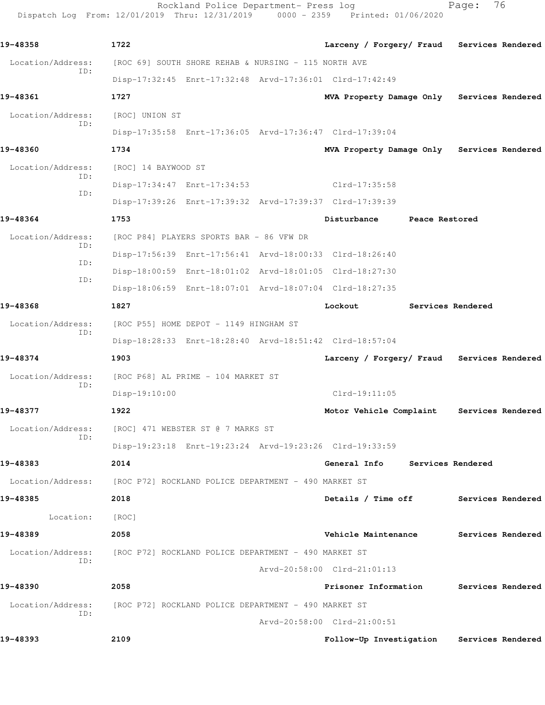Rockland Police Department- Press log entitled and Page: 76 Dispatch Log From: 12/01/2019 Thru: 12/31/2019 0000 - 2359 Printed: 01/06/2020

| 19-48358                                                               | 1722                                                 |                                                         |                             |                 | Larceny / Forgery/ Fraud Services Rendered |                   |  |
|------------------------------------------------------------------------|------------------------------------------------------|---------------------------------------------------------|-----------------------------|-----------------|--------------------------------------------|-------------------|--|
| Location/Address:                                                      |                                                      | [ROC 69] SOUTH SHORE REHAB & NURSING - 115 NORTH AVE    |                             |                 |                                            |                   |  |
| ID:                                                                    |                                                      | Disp-17:32:45 Enrt-17:32:48 Arvd-17:36:01 Clrd-17:42:49 |                             |                 |                                            |                   |  |
| 19-48361                                                               | 1727                                                 |                                                         |                             |                 | MVA Property Damage Only Services Rendered |                   |  |
| Location/Address:                                                      | [ROC] UNION ST                                       |                                                         |                             |                 |                                            |                   |  |
| ID:                                                                    |                                                      | Disp-17:35:58 Enrt-17:36:05 Arvd-17:36:47 Clrd-17:39:04 |                             |                 |                                            |                   |  |
| 19-48360                                                               | 1734                                                 |                                                         |                             |                 | MVA Property Damage Only Services Rendered |                   |  |
| Location/Address:                                                      | [ROC] 14 BAYWOOD ST                                  |                                                         |                             |                 |                                            |                   |  |
| ID:                                                                    |                                                      | Disp-17:34:47 Enrt-17:34:53                             |                             | $Clrd-17:35:58$ |                                            |                   |  |
| ID:                                                                    |                                                      | Disp-17:39:26 Enrt-17:39:32 Arvd-17:39:37 Clrd-17:39:39 |                             |                 |                                            |                   |  |
| 19-48364                                                               | 1753                                                 |                                                         |                             | Disturbance     | Peace Restored                             |                   |  |
| Location/Address:                                                      |                                                      | [ROC P84] PLAYERS SPORTS BAR - 86 VFW DR                |                             |                 |                                            |                   |  |
| ID:                                                                    |                                                      | Disp-17:56:39 Enrt-17:56:41 Arvd-18:00:33 Clrd-18:26:40 |                             |                 |                                            |                   |  |
| ID:                                                                    |                                                      | Disp-18:00:59 Enrt-18:01:02 Arvd-18:01:05 Clrd-18:27:30 |                             |                 |                                            |                   |  |
| ID:                                                                    |                                                      | Disp-18:06:59 Enrt-18:07:01 Arvd-18:07:04 Clrd-18:27:35 |                             |                 |                                            |                   |  |
| 19-48368                                                               | 1827                                                 |                                                         |                             | Lockout         |                                            | Services Rendered |  |
| Location/Address:                                                      |                                                      | [ROC P55] HOME DEPOT - 1149 HINGHAM ST                  |                             |                 |                                            |                   |  |
| ID:                                                                    |                                                      | Disp-18:28:33 Enrt-18:28:40 Arvd-18:51:42 Clrd-18:57:04 |                             |                 |                                            |                   |  |
| 19-48374                                                               | 1903                                                 |                                                         |                             |                 | Larceny / Forgery/ Fraud Services Rendered |                   |  |
| Location/Address:                                                      |                                                      | [ROC P68] AL PRIME - 104 MARKET ST                      |                             |                 |                                            |                   |  |
| ID:                                                                    | Disp-19:10:00                                        |                                                         |                             | $Clrd-19:11:05$ |                                            |                   |  |
| 19-48377                                                               | 1922                                                 |                                                         |                             |                 | Motor Vehicle Complaint                    | Services Rendered |  |
| Location/Address: [ROC] 471 WEBSTER ST @ 7 MARKS ST                    |                                                      |                                                         |                             |                 |                                            |                   |  |
| ID:                                                                    |                                                      | Disp-19:23:18 Enrt-19:23:24 Arvd-19:23:26 Clrd-19:33:59 |                             |                 |                                            |                   |  |
| 19-48383                                                               | 2014                                                 |                                                         |                             | General Info    |                                            | Services Rendered |  |
| Location/Address:                                                      | [ROC P72] ROCKLAND POLICE DEPARTMENT - 490 MARKET ST |                                                         |                             |                 |                                            |                   |  |
| 19-48385                                                               | 2018                                                 |                                                         |                             |                 | Details / Time off                         | Services Rendered |  |
| Location:                                                              | [ROC]                                                |                                                         |                             |                 |                                            |                   |  |
| 19-48389                                                               | 2058                                                 |                                                         |                             |                 | Vehicle Maintenance Services Rendered      |                   |  |
| Location/Address: [ROC P72] ROCKLAND POLICE DEPARTMENT - 490 MARKET ST |                                                      |                                                         |                             |                 |                                            |                   |  |
| ID:                                                                    |                                                      |                                                         | Arvd-20:58:00 Clrd-21:01:13 |                 |                                            |                   |  |
| 19-48390                                                               | 2058                                                 |                                                         |                             |                 | Prisoner Information                       | Services Rendered |  |
| Location/Address:                                                      | [ROC P72] ROCKLAND POLICE DEPARTMENT - 490 MARKET ST |                                                         |                             |                 |                                            |                   |  |
| ID:                                                                    |                                                      |                                                         | Arvd-20:58:00 Clrd-21:00:51 |                 |                                            |                   |  |
| 19-48393                                                               | 2109                                                 |                                                         |                             |                 | Follow-Up Investigation                    | Services Rendered |  |
|                                                                        |                                                      |                                                         |                             |                 |                                            |                   |  |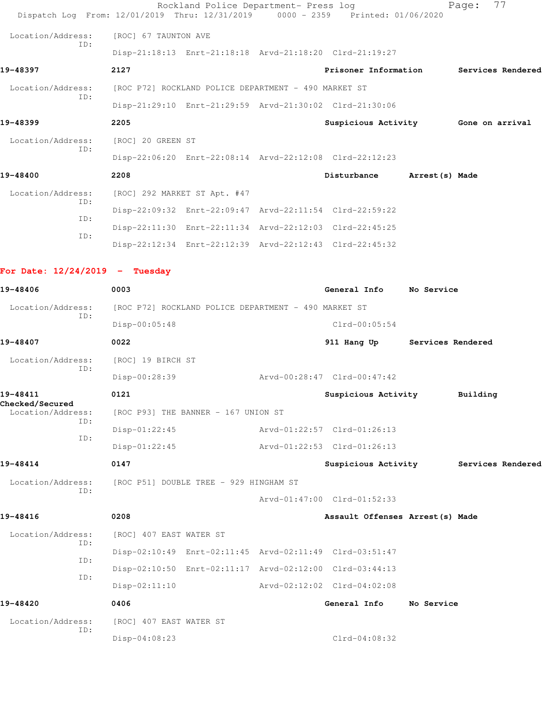|                                      | Dispatch Log From: 12/01/2019 Thru: 12/31/2019 0000 - 2359 Printed: 01/06/2020 | Rockland Police Department- Press log |                                     |                | 77<br>Page:       |  |
|--------------------------------------|--------------------------------------------------------------------------------|---------------------------------------|-------------------------------------|----------------|-------------------|--|
| Location/Address:                    | [ROC] 67 TAUNTON AVE                                                           |                                       |                                     |                |                   |  |
| ID:                                  | Disp-21:18:13 Enrt-21:18:18 Arvd-21:18:20 Clrd-21:19:27                        |                                       |                                     |                |                   |  |
| 19-48397                             | 2127                                                                           |                                       | Prisoner Information                |                | Services Rendered |  |
| Location/Address:                    | [ROC P72] ROCKLAND POLICE DEPARTMENT - 490 MARKET ST                           |                                       |                                     |                |                   |  |
| ID:                                  | Disp-21:29:10 Enrt-21:29:59 Arvd-21:30:02 Clrd-21:30:06                        |                                       |                                     |                |                   |  |
| 19-48399                             | 2205                                                                           |                                       | Suspicious Activity 6one on arrival |                |                   |  |
| Location/Address:                    | [ROC] 20 GREEN ST                                                              |                                       |                                     |                |                   |  |
| ID:                                  | Disp-22:06:20 Enrt-22:08:14 Arvd-22:12:08 Clrd-22:12:23                        |                                       |                                     |                |                   |  |
| 19-48400                             | 2208                                                                           |                                       | Disturbance                         | Arrest(s) Made |                   |  |
| Location/Address:                    | [ROC] 292 MARKET ST Apt. #47                                                   |                                       |                                     |                |                   |  |
| ID:                                  | Disp-22:09:32 Enrt-22:09:47 Arvd-22:11:54 Clrd-22:59:22                        |                                       |                                     |                |                   |  |
| ID:                                  | Disp-22:11:30 Enrt-22:11:34 Arvd-22:12:03 Clrd-22:45:25                        |                                       |                                     |                |                   |  |
| ID:                                  | Disp-22:12:34 Enrt-22:12:39 Arvd-22:12:43 Clrd-22:45:32                        |                                       |                                     |                |                   |  |
| For Date: $12/24/2019$ - Tuesday     |                                                                                |                                       |                                     |                |                   |  |
| 19-48406                             | 0003                                                                           |                                       | General Info No Service             |                |                   |  |
| Location/Address:                    | [ROC P72] ROCKLAND POLICE DEPARTMENT - 490 MARKET ST                           |                                       |                                     |                |                   |  |
| ID:                                  | $Disp-00:05:48$                                                                |                                       | $Clrd-00:05:54$                     |                |                   |  |
| 19-48407                             | 0022                                                                           |                                       | 911 Hang Up Services Rendered       |                |                   |  |
| Location/Address:                    | [ROC] 19 BIRCH ST                                                              |                                       |                                     |                |                   |  |
| ID:                                  | Disp-00:28:39                                                                  |                                       | Arvd-00:28:47 Clrd-00:47:42         |                |                   |  |
| 19-48411                             | 0121                                                                           |                                       | Suspicious Activity                 |                | Building          |  |
| Checked/Secured<br>Location/Address: | [ROC P93] THE BANNER - 167 UNION ST                                            |                                       |                                     |                |                   |  |
| ID:                                  | $Disp-01:22:45$                                                                |                                       | Arvd-01:22:57 Clrd-01:26:13         |                |                   |  |
| ID:                                  | $Disp-01:22:45$                                                                |                                       | Arvd-01:22:53 Clrd-01:26:13         |                |                   |  |
| 19-48414                             | 0147                                                                           |                                       | Suspicious Activity                 |                | Services Rendered |  |
| Location/Address:<br>ID:             | [ROC P51] DOUBLE TREE - 929 HINGHAM ST                                         |                                       |                                     |                |                   |  |
|                                      |                                                                                |                                       | Arvd-01:47:00 Clrd-01:52:33         |                |                   |  |
| 19-48416                             | 0208                                                                           |                                       | Assault Offenses Arrest (s) Made    |                |                   |  |
| Location/Address:                    | [ROC] 407 EAST WATER ST                                                        |                                       |                                     |                |                   |  |
| ID:                                  | Disp-02:10:49 Enrt-02:11:45 Arvd-02:11:49 Clrd-03:51:47                        |                                       |                                     |                |                   |  |
| ID:                                  | Disp-02:10:50 Enrt-02:11:17 Arvd-02:12:00 Clrd-03:44:13                        |                                       |                                     |                |                   |  |
| ID:                                  | $Disp-02:11:10$                                                                |                                       | Arvd-02:12:02 Clrd-04:02:08         |                |                   |  |
| 19-48420                             | 0406                                                                           |                                       | General Info                        | No Service     |                   |  |
| Location/Address:                    | [ROC] 407 EAST WATER ST                                                        |                                       |                                     |                |                   |  |
| ID:                                  | Disp-04:08:23                                                                  |                                       | $Clrd-04:08:32$                     |                |                   |  |
|                                      |                                                                                |                                       |                                     |                |                   |  |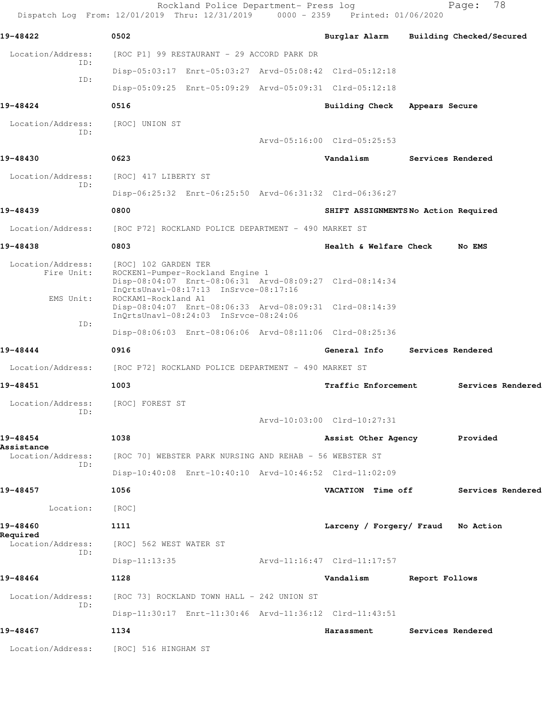Rockland Police Department- Press log Fage: 78 Dispatch Log From: 12/01/2019 Thru: 12/31/2019 0000 - 2359 Printed: 01/06/2020 **19-48422 0502 Burglar Alarm Building Checked/Secured** Location/Address: [ROC P1] 99 RESTAURANT - 29 ACCORD PARK DR ID: Disp-05:03:17 Enrt-05:03:27 Arvd-05:08:42 Clrd-05:12:18 ID: Disp-05:09:25 Enrt-05:09:29 Arvd-05:09:31 Clrd-05:12:18 **19-48424 0516 Building Check Appears Secure** Location/Address: [ROC] UNION ST ID: Arvd-05:16:00 Clrd-05:25:53 **19-48430 0623 Vandalism Services Rendered** Location/Address: [ROC] 417 LIBERTY ST ID: Disp-06:25:32 Enrt-06:25:50 Arvd-06:31:32 Clrd-06:36:27 **19-48439 0800 SHIFT ASSIGNMENTS No Action Required** Location/Address: [ROC P72] ROCKLAND POLICE DEPARTMENT - 490 MARKET ST **19-48438 0803 Health & Welfare Check No EMS** Location/Address: [ROC] 102 GARDEN TER Fire Unit: ROCKEN1-Pumper-Rockland Engine 1 Disp-08:04:07 Enrt-08:06:31 Arvd-08:09:27 Clrd-08:14:34 InQrtsUnavl-08:17:13 InSrvce-08:17:16 EMS Unit: ROCKAM1-Rockland A1 Disp-08:04:07 Enrt-08:06:33 Arvd-08:09:31 Clrd-08:14:39 InQrtsUnavl-08:24:03 InSrvce-08:24:06 ID: Disp-08:06:03 Enrt-08:06:06 Arvd-08:11:06 Clrd-08:25:36 **19-48444 0916 General Info Services Rendered** Location/Address: [ROC P72] ROCKLAND POLICE DEPARTMENT - 490 MARKET ST **19-48451 1003 Traffic Enforcement Services Rendered** Location/Address: [ROC] FOREST ST ID: Arvd-10:03:00 Clrd-10:27:31 **19-48454 1038 Assist Other Agency Provided Assistance**  Location/Address: [ROC 70] WEBSTER PARK NURSING AND REHAB - 56 WEBSTER ST ID: Disp-10:40:08 Enrt-10:40:10 Arvd-10:46:52 Clrd-11:02:09 **19-48457 1056 VACATION Time off Services Rendered** Location: [ROC] **19-48460 1111 Larceny / Forgery/ Fraud No Action Required**  Location/Address: [ROC] 562 WEST WATER ST ID: Disp-11:13:35 Arvd-11:16:47 Clrd-11:17:57 **19-48464 1128 Vandalism Report Follows** Location/Address: [ROC 73] ROCKLAND TOWN HALL - 242 UNION ST ID: Disp-11:30:17 Enrt-11:30:46 Arvd-11:36:12 Clrd-11:43:51 **19-48467 1134 Harassment Services Rendered** Location/Address: [ROC] 516 HINGHAM ST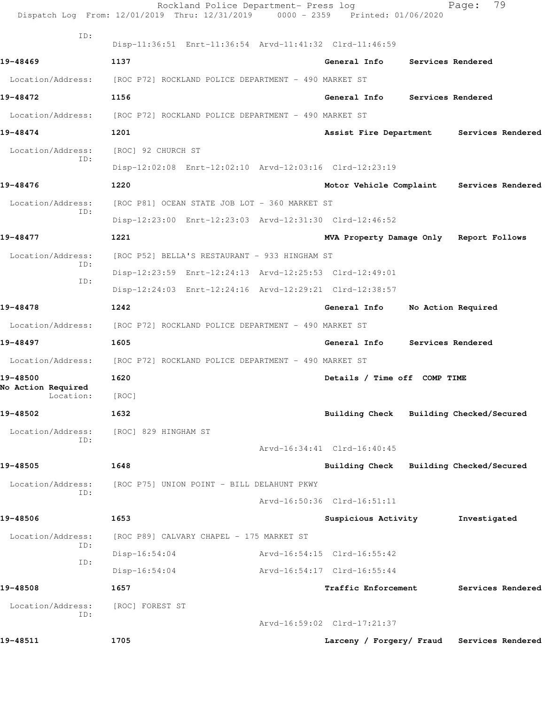|                                 | Rockland Police Department- Press log<br>Dispatch Log From: 12/01/2019 Thru: 12/31/2019 0000 - 2359 Printed: 01/06/2020 |                                         | 79<br>Page:                               |
|---------------------------------|-------------------------------------------------------------------------------------------------------------------------|-----------------------------------------|-------------------------------------------|
| ID:                             | Disp-11:36:51 Enrt-11:36:54 Arvd-11:41:32 Clrd-11:46:59                                                                 |                                         |                                           |
| 19-48469                        | 1137                                                                                                                    | General Info                            | Services Rendered                         |
| Location/Address:               | [ROC P72] ROCKLAND POLICE DEPARTMENT - 490 MARKET ST                                                                    |                                         |                                           |
| 19-48472                        | 1156                                                                                                                    | General Info                            | Services Rendered                         |
|                                 | Location/Address: [ROC P72] ROCKLAND POLICE DEPARTMENT - 490 MARKET ST                                                  |                                         |                                           |
| 19-48474                        | 1201                                                                                                                    | Assist Fire Department                  | Services Rendered                         |
| Location/Address:               | [ROC] 92 CHURCH ST                                                                                                      |                                         |                                           |
| ID:                             | Disp-12:02:08 Enrt-12:02:10 Arvd-12:03:16 Clrd-12:23:19                                                                 |                                         |                                           |
| 19-48476                        | 1220                                                                                                                    |                                         | Motor Vehicle Complaint Services Rendered |
| Location/Address:               | [ROC P81] OCEAN STATE JOB LOT - 360 MARKET ST                                                                           |                                         |                                           |
| ID:                             | Disp-12:23:00 Enrt-12:23:03 Arvd-12:31:30 Clrd-12:46:52                                                                 |                                         |                                           |
| 19-48477                        | 1221                                                                                                                    | MVA Property Damage Only Report Follows |                                           |
| Location/Address:               | [ROC P52] BELLA'S RESTAURANT - 933 HINGHAM ST                                                                           |                                         |                                           |
| ID:                             | Disp-12:23:59 Enrt-12:24:13 Arvd-12:25:53 Clrd-12:49:01                                                                 |                                         |                                           |
| ID:                             | Disp-12:24:03 Enrt-12:24:16 Arvd-12:29:21 Clrd-12:38:57                                                                 |                                         |                                           |
| 19-48478                        | 1242                                                                                                                    | General Info                            | No Action Required                        |
| Location/Address:               | [ROC P72] ROCKLAND POLICE DEPARTMENT - 490 MARKET ST                                                                    |                                         |                                           |
| 19-48497                        | 1605                                                                                                                    | General Info                            | Services Rendered                         |
|                                 | Location/Address: [ROC P72] ROCKLAND POLICE DEPARTMENT - 490 MARKET ST                                                  |                                         |                                           |
| 19-48500                        | 1620                                                                                                                    | Details / Time off COMP TIME            |                                           |
| No Action Required<br>Location: | [ROC]                                                                                                                   |                                         |                                           |
| 19-48502                        | 1632                                                                                                                    | Building Check Building Checked/Secured |                                           |
| Location/Address:               | [ROC] 829 HINGHAM ST                                                                                                    |                                         |                                           |
| ID:                             |                                                                                                                         | Arvd-16:34:41 Clrd-16:40:45             |                                           |
| 19-48505                        | 1648                                                                                                                    | Building Check                          | Building Checked/Secured                  |
| Location/Address:               | [ROC P75] UNION POINT - BILL DELAHUNT PKWY                                                                              |                                         |                                           |
| ID:                             |                                                                                                                         | Arvd-16:50:36 Clrd-16:51:11             |                                           |
| 19-48506                        | 1653                                                                                                                    | Suspicious Activity                     | Investigated                              |
| Location/Address:               | [ROC P89] CALVARY CHAPEL - 175 MARKET ST                                                                                |                                         |                                           |
| ID:                             | $Disp-16:54:04$                                                                                                         | Arvd-16:54:15 Clrd-16:55:42             |                                           |
| ID:                             | $Disp-16:54:04$                                                                                                         | Arvd-16:54:17 Clrd-16:55:44             |                                           |
| 19-48508                        | 1657                                                                                                                    | <b>Traffic Enforcement</b>              | Services Rendered                         |
| Location/Address:               | [ROC] FOREST ST                                                                                                         |                                         |                                           |
| ID:                             |                                                                                                                         | Arvd-16:59:02 Clrd-17:21:37             |                                           |
| 19-48511                        | 1705                                                                                                                    | Larceny / Forgery/ Fraud                | Services Rendered                         |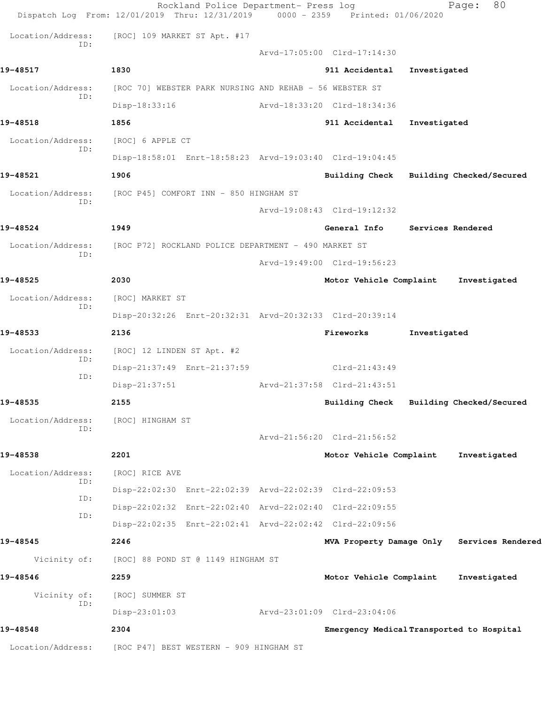|                          | Rockland Police Department- Press log<br>Dispatch Log From: 12/01/2019 Thru: 12/31/2019 | 0000 - 2359 Printed: 01/06/2020           |              | 80<br>Page:                                |
|--------------------------|-----------------------------------------------------------------------------------------|-------------------------------------------|--------------|--------------------------------------------|
| Location/Address:        | [ROC] 109 MARKET ST Apt. #17                                                            |                                           |              |                                            |
| TD:                      |                                                                                         | Arvd-17:05:00 Clrd-17:14:30               |              |                                            |
| 19-48517                 | 1830                                                                                    | 911 Accidental                            | Investigated |                                            |
| Location/Address:        | [ROC 70] WEBSTER PARK NURSING AND REHAB - 56 WEBSTER ST                                 |                                           |              |                                            |
| ID:                      | Disp-18:33:16                                                                           | Arvd-18:33:20 Clrd-18:34:36               |              |                                            |
| 19-48518                 | 1856                                                                                    | 911 Accidental                            | Investigated |                                            |
| Location/Address:        | [ROC] 6 APPLE CT                                                                        |                                           |              |                                            |
| ID:                      | Disp-18:58:01 Enrt-18:58:23 Arvd-19:03:40 Clrd-19:04:45                                 |                                           |              |                                            |
| 19-48521                 | 1906                                                                                    |                                           |              | Building Check Building Checked/Secured    |
| Location/Address:        | [ROC P45] COMFORT INN - 850 HINGHAM ST                                                  |                                           |              |                                            |
| ID:                      |                                                                                         | Arvd-19:08:43 Clrd-19:12:32               |              |                                            |
| 19-48524                 | 1949                                                                                    | General Info Services Rendered            |              |                                            |
| Location/Address:        | [ROC P72] ROCKLAND POLICE DEPARTMENT - 490 MARKET ST                                    |                                           |              |                                            |
| ID:                      |                                                                                         | Arvd-19:49:00 Clrd-19:56:23               |              |                                            |
| 19-48525                 | 2030                                                                                    | Motor Vehicle Complaint                   |              | Investigated                               |
| Location/Address:        | [ROC] MARKET ST                                                                         |                                           |              |                                            |
| ID:                      | Disp-20:32:26 Enrt-20:32:31 Arvd-20:32:33 Clrd-20:39:14                                 |                                           |              |                                            |
| 19-48533                 | 2136                                                                                    | Fireworks                                 | Investigated |                                            |
| Location/Address:<br>ID: | [ROC] 12 LINDEN ST Apt. #2                                                              |                                           |              |                                            |
| ID:                      | Disp-21:37:49 Enrt-21:37:59                                                             | Clrd-21:43:49                             |              |                                            |
|                          | $Disp-21:37:51$                                                                         | Arvd-21:37:58 Clrd-21:43:51               |              |                                            |
| 19-48535                 | 2155                                                                                    |                                           |              | Building Check Building Checked/Secured    |
| Location/Address:<br>ID: | [ROC] HINGHAM ST                                                                        |                                           |              |                                            |
|                          |                                                                                         | Arvd-21:56:20 Clrd-21:56:52               |              |                                            |
| 19-48538                 | 2201                                                                                    | Motor Vehicle Complaint                   |              | Investigated                               |
| Location/Address:<br>ID: | [ROC] RICE AVE                                                                          |                                           |              |                                            |
| ID:                      | Disp-22:02:30 Enrt-22:02:39 Arvd-22:02:39 Clrd-22:09:53                                 |                                           |              |                                            |
| ID:                      | Disp-22:02:32 Enrt-22:02:40 Arvd-22:02:40 Clrd-22:09:55                                 |                                           |              |                                            |
|                          | Disp-22:02:35 Enrt-22:02:41 Arvd-22:02:42 Clrd-22:09:56                                 |                                           |              |                                            |
| 19-48545                 | 2246                                                                                    |                                           |              | MVA Property Damage Only Services Rendered |
| Vicinity of:             | [ROC] 88 POND ST @ 1149 HINGHAM ST                                                      |                                           |              |                                            |
| 19-48546                 | 2259                                                                                    | Motor Vehicle Complaint                   |              | Investigated                               |
| Vicinity of:<br>ID:      | [ROC] SUMMER ST                                                                         |                                           |              |                                            |
|                          | $Disp-23:01:03$                                                                         | Arvd-23:01:09 Clrd-23:04:06               |              |                                            |
| 19-48548                 | 2304                                                                                    | Emergency Medical Transported to Hospital |              |                                            |
| Location/Address:        | [ROC P47] BEST WESTERN - 909 HINGHAM ST                                                 |                                           |              |                                            |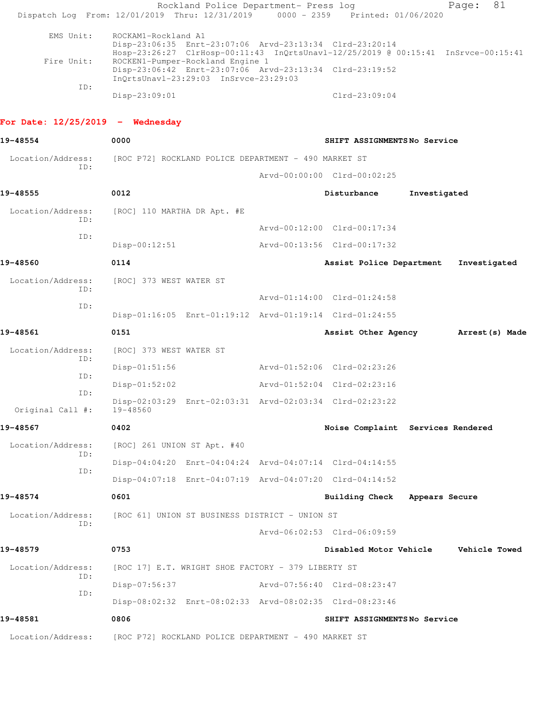|                                    | Rockland Police Department- Press log<br>Dispatch Log From: 12/01/2019 Thru: 12/31/2019 0000 - 2359 Printed: 01/06/2020                                                                                                                                                                                     |                                   |              | 81<br>Page:                          |
|------------------------------------|-------------------------------------------------------------------------------------------------------------------------------------------------------------------------------------------------------------------------------------------------------------------------------------------------------------|-----------------------------------|--------------|--------------------------------------|
| EMS Unit:<br>Fire Unit:            | ROCKAM1-Rockland A1<br>Disp-23:06:35 Enrt-23:07:06 Arvd-23:13:34 Clrd-23:20:14<br>Hosp-23:26:27 ClrHosp-00:11:43 InQrtsUnavl-12/25/2019 @ 00:15:41 InSrvce-00:15:41<br>ROCKEN1-Pumper-Rockland Engine 1<br>Disp-23:06:42 Enrt-23:07:06 Arvd-23:13:34 Clrd-23:19:52<br>InQrtsUnavl-23:29:03 InSrvce-23:29:03 |                                   |              |                                      |
| ID:                                | Disp-23:09:01                                                                                                                                                                                                                                                                                               | $Clrd-23:09:04$                   |              |                                      |
|                                    |                                                                                                                                                                                                                                                                                                             |                                   |              |                                      |
| For Date: $12/25/2019$ - Wednesday |                                                                                                                                                                                                                                                                                                             |                                   |              |                                      |
| 19-48554                           | 0000                                                                                                                                                                                                                                                                                                        | SHIFT ASSIGNMENTSNo Service       |              |                                      |
| Location/Address:<br>ID:           | [ROC P72] ROCKLAND POLICE DEPARTMENT - 490 MARKET ST                                                                                                                                                                                                                                                        |                                   |              |                                      |
|                                    |                                                                                                                                                                                                                                                                                                             | Arvd-00:00:00 Clrd-00:02:25       |              |                                      |
| 19-48555                           | 0012                                                                                                                                                                                                                                                                                                        | Disturbance                       | Investigated |                                      |
| Location/Address:<br>ID:           | [ROC] 110 MARTHA DR Apt. #E                                                                                                                                                                                                                                                                                 |                                   |              |                                      |
| ID:                                |                                                                                                                                                                                                                                                                                                             | Arvd-00:12:00 Clrd-00:17:34       |              |                                      |
|                                    | $Disp-00:12:51$                                                                                                                                                                                                                                                                                             | Arvd-00:13:56 Clrd-00:17:32       |              |                                      |
| 19-48560                           | 0114                                                                                                                                                                                                                                                                                                        | Assist Police Department          |              | Investigated                         |
| Location/Address:<br>TD:           | [ROC] 373 WEST WATER ST                                                                                                                                                                                                                                                                                     |                                   |              |                                      |
| ID:                                |                                                                                                                                                                                                                                                                                                             | Arvd-01:14:00 Clrd-01:24:58       |              |                                      |
|                                    | Disp-01:16:05 Enrt-01:19:12 Arvd-01:19:14 Clrd-01:24:55                                                                                                                                                                                                                                                     |                                   |              |                                      |
| 19-48561                           | 0151                                                                                                                                                                                                                                                                                                        |                                   |              | Assist Other Agency Marrest (s) Made |
| Location/Address:<br>ID:           | [ROC] 373 WEST WATER ST                                                                                                                                                                                                                                                                                     |                                   |              |                                      |
| ID:                                | $Disp-01:51:56$                                                                                                                                                                                                                                                                                             | Arvd-01:52:06 Clrd-02:23:26       |              |                                      |
| ID:                                | $Disp-01:52:02$                                                                                                                                                                                                                                                                                             | Arvd-01:52:04 Clrd-02:23:16       |              |                                      |
| Original Call #:                   | Disp-02:03:29 Enrt-02:03:31 Arvd-02:03:34 Clrd-02:23:22<br>19-48560                                                                                                                                                                                                                                         |                                   |              |                                      |
| 19-48567                           | 0402                                                                                                                                                                                                                                                                                                        | Noise Complaint Services Rendered |              |                                      |
| Location/Address:                  | [ROC] 261 UNION ST Apt. #40                                                                                                                                                                                                                                                                                 |                                   |              |                                      |
| ID:                                | Disp-04:04:20 Enrt-04:04:24 Arvd-04:07:14 Clrd-04:14:55                                                                                                                                                                                                                                                     |                                   |              |                                      |
| ID:                                | Disp-04:07:18 Enrt-04:07:19 Arvd-04:07:20 Clrd-04:14:52                                                                                                                                                                                                                                                     |                                   |              |                                      |
| 19-48574                           | 0601                                                                                                                                                                                                                                                                                                        | Building Check Appears Secure     |              |                                      |
| Location/Address:                  | [ROC 61] UNION ST BUSINESS DISTRICT - UNION ST                                                                                                                                                                                                                                                              |                                   |              |                                      |
| ID:                                |                                                                                                                                                                                                                                                                                                             | Arvd-06:02:53 Clrd-06:09:59       |              |                                      |
| 19-48579                           | 0753                                                                                                                                                                                                                                                                                                        |                                   |              | Disabled Motor Vehicle Vehicle Towed |
| Location/Address:                  | [ROC 17] E.T. WRIGHT SHOE FACTORY - 379 LIBERTY ST                                                                                                                                                                                                                                                          |                                   |              |                                      |
| ID:                                | Disp-07:56:37                                                                                                                                                                                                                                                                                               | Arvd-07:56:40 Clrd-08:23:47       |              |                                      |
| ID:                                | Disp-08:02:32 Enrt-08:02:33 Arvd-08:02:35 Clrd-08:23:46                                                                                                                                                                                                                                                     |                                   |              |                                      |
| 19-48581                           | 0806                                                                                                                                                                                                                                                                                                        | SHIFT ASSIGNMENTS No Service      |              |                                      |
| Location/Address:                  | [ROC P72] ROCKLAND POLICE DEPARTMENT - 490 MARKET ST                                                                                                                                                                                                                                                        |                                   |              |                                      |
|                                    |                                                                                                                                                                                                                                                                                                             |                                   |              |                                      |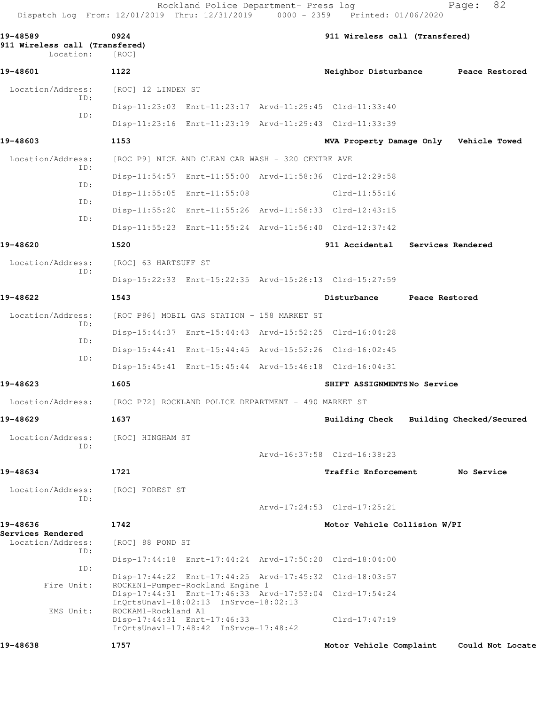Rockland Police Department- Press log Fage: 82 Dispatch Log From: 12/01/2019 Thru: 12/31/2019 0000 - 2359 Printed: 01/06/2020

**19-48589 0924 911 Wireless call (Transfered) 911 Wireless call (Transfered)**  Location: [ROC] **19-48601 1122 Neighbor Disturbance Peace Restored** Location/Address: [ROC] 12 LINDEN ST ID: Disp-11:23:03 Enrt-11:23:17 Arvd-11:29:45 Clrd-11:33:40 ID: Disp-11:23:16 Enrt-11:23:19 Arvd-11:29:43 Clrd-11:33:39 **19-48603 1153 MVA Property Damage Only Vehicle Towed** Location/Address: [ROC P9] NICE AND CLEAN CAR WASH - 320 CENTRE AVE ID: Disp-11:54:57 Enrt-11:55:00 Arvd-11:58:36 Clrd-12:29:58 ID: Disp-11:55:05 Enrt-11:55:08 Clrd-11:55:16 ID: Disp-11:55:20 Enrt-11:55:26 Arvd-11:58:33 Clrd-12:43:15 ID: Disp-11:55:23 Enrt-11:55:24 Arvd-11:56:40 Clrd-12:37:42 **19-48620 1520 911 Accidental Services Rendered** Location/Address: [ROC] 63 HARTSUFF ST ID: Disp-15:22:33 Enrt-15:22:35 Arvd-15:26:13 Clrd-15:27:59 **19-48622 1543 Disturbance Peace Restored** Location/Address: [ROC P86] MOBIL GAS STATION - 158 MARKET ST ID: Disp-15:44:37 Enrt-15:44:43 Arvd-15:52:25 Clrd-16:04:28 ID: Disp-15:44:41 Enrt-15:44:45 Arvd-15:52:26 Clrd-16:02:45 ID: Disp-15:45:41 Enrt-15:45:44 Arvd-15:46:18 Clrd-16:04:31 **19-48623 1605 SHIFT ASSIGNMENTS No Service** Location/Address: [ROC P72] ROCKLAND POLICE DEPARTMENT - 490 MARKET ST **19-48629 1637 Building Check Building Checked/Secured** Location/Address: [ROC] HINGHAM ST ID: Arvd-16:37:58 Clrd-16:38:23 **19-48634 1721 Traffic Enforcement No Service** Location/Address: [ROC] FOREST ST ID: Arvd-17:24:53 Clrd-17:25:21 **19-48636 1742 Motor Vehicle Collision W/PI Services Rendered**  Location/Address: [ROC] 88 POND ST ID: Disp-17:44:18 Enrt-17:44:24 Arvd-17:50:20 Clrd-18:04:00 ID: Disp-17:44:22 Enrt-17:44:25 Arvd-17:45:32 Clrd-18:03:57 Fire Unit: ROCKEN1-Pumper-Rockland Engine 1 Disp-17:44:31 Enrt-17:46:33 Arvd-17:53:04 Clrd-17:54:24 InQrtsUnavl-18:02:13 InSrvce-18:02:13 EMS Unit: ROCKAM1-Rockland A1 Disp-17:44:31 Enrt-17:46:33 Clrd-17:47:19 InQrtsUnavl-17:48:42 InSrvce-17:48:42 **19-48638 1757 Motor Vehicle Complaint Could Not Locate**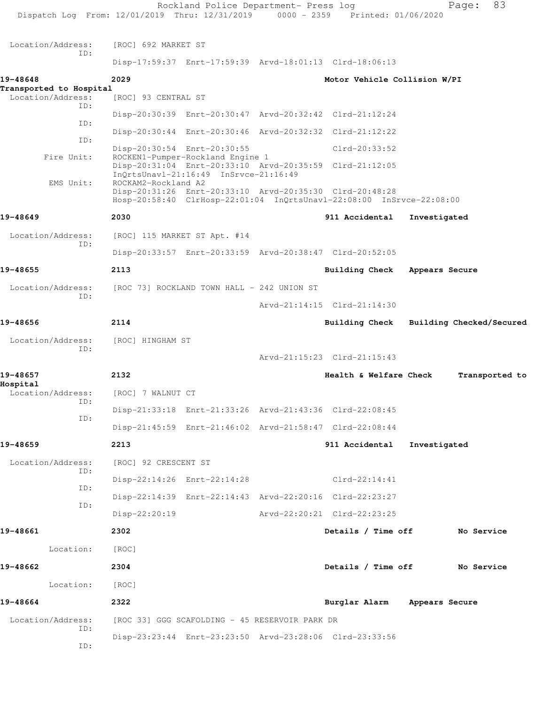| Dispatch Log From: 12/01/2019 Thru: 12/31/2019 0000 - 2359 Printed: 01/06/2020 |                      | Rockland Police Department- Press log                           |                                                                                                                                 |                | 83<br>Page:              |  |
|--------------------------------------------------------------------------------|----------------------|-----------------------------------------------------------------|---------------------------------------------------------------------------------------------------------------------------------|----------------|--------------------------|--|
|                                                                                |                      |                                                                 |                                                                                                                                 |                |                          |  |
| Location/Address:<br>TD:                                                       | [ROC] 692 MARKET ST  |                                                                 |                                                                                                                                 |                |                          |  |
|                                                                                |                      |                                                                 | Disp-17:59:37 Enrt-17:59:39 Arvd-18:01:13 Clrd-18:06:13                                                                         |                |                          |  |
| 19-48648                                                                       | 2029                 |                                                                 | Motor Vehicle Collision W/PI                                                                                                    |                |                          |  |
| Transported to Hospital<br>Location/Address:                                   | [ROC] 93 CENTRAL ST  |                                                                 |                                                                                                                                 |                |                          |  |
| ID:                                                                            |                      |                                                                 | Disp-20:30:39 Enrt-20:30:47 Arvd-20:32:42 Clrd-21:12:24                                                                         |                |                          |  |
| ID:<br>ID:                                                                     |                      |                                                                 | Disp-20:30:44 Enrt-20:30:46 Arvd-20:32:32 Clrd-21:12:22                                                                         |                |                          |  |
| Fire Unit:                                                                     |                      | Disp-20:30:54 Enrt-20:30:55<br>ROCKEN1-Pumper-Rockland Engine 1 | Clrd-20:33:52                                                                                                                   |                |                          |  |
|                                                                                |                      | InQrtsUnavl-21:16:49 InSrvce-21:16:49                           | Disp-20:31:04 Enrt-20:33:10 Arvd-20:35:59 Clrd-21:12:05                                                                         |                |                          |  |
| EMS Unit:                                                                      | ROCKAM2-Rockland A2  |                                                                 | Disp-20:31:26 Enrt-20:33:10 Arvd-20:35:30 Clrd-20:48:28<br>Hosp-20:58:40 ClrHosp-22:01:04 InQrtsUnavl-22:08:00 InSrvce-22:08:00 |                |                          |  |
| 19-48649                                                                       | 2030                 |                                                                 | 911 Accidental                                                                                                                  | Investigated   |                          |  |
| Location/Address:                                                              |                      | [ROC] 115 MARKET ST Apt. #14                                    |                                                                                                                                 |                |                          |  |
| ID:                                                                            |                      |                                                                 | Disp-20:33:57 Enrt-20:33:59 Arvd-20:38:47 Clrd-20:52:05                                                                         |                |                          |  |
| 19-48655                                                                       | 2113                 |                                                                 | Building Check                                                                                                                  | Appears Secure |                          |  |
| Location/Address:                                                              |                      | [ROC 73] ROCKLAND TOWN HALL - 242 UNION ST                      |                                                                                                                                 |                |                          |  |
| ID:                                                                            |                      |                                                                 | Arvd-21:14:15 Clrd-21:14:30                                                                                                     |                |                          |  |
| 19-48656                                                                       | 2114                 |                                                                 | Building Check                                                                                                                  |                | Building Checked/Secured |  |
| Location/Address:                                                              | [ROC] HINGHAM ST     |                                                                 |                                                                                                                                 |                |                          |  |
| ID:                                                                            |                      |                                                                 | Arvd-21:15:23 Clrd-21:15:43                                                                                                     |                |                          |  |
| 19-48657                                                                       | 2132                 |                                                                 | Health & Welfare Check                                                                                                          |                | Transported to           |  |
| Hospital<br>Location/Address:                                                  | [ROC] 7 WALNUT CT    |                                                                 |                                                                                                                                 |                |                          |  |
| ID:                                                                            |                      |                                                                 | Disp-21:33:18 Enrt-21:33:26 Arvd-21:43:36 Clrd-22:08:45                                                                         |                |                          |  |
| ID:                                                                            |                      |                                                                 | Disp-21:45:59 Enrt-21:46:02 Arvd-21:58:47 Clrd-22:08:44                                                                         |                |                          |  |
| 19-48659                                                                       | 2213                 |                                                                 | 911 Accidental                                                                                                                  | Investigated   |                          |  |
| Location/Address:                                                              | [ROC] 92 CRESCENT ST |                                                                 |                                                                                                                                 |                |                          |  |
| ID:                                                                            |                      | Disp-22:14:26 Enrt-22:14:28                                     | $Clrd-22:14:41$                                                                                                                 |                |                          |  |
| ID:                                                                            |                      |                                                                 | Disp-22:14:39 Enrt-22:14:43 Arvd-22:20:16 Clrd-22:23:27                                                                         |                |                          |  |
| ID:                                                                            | Disp-22:20:19        |                                                                 | Arvd-22:20:21 Clrd-22:23:25                                                                                                     |                |                          |  |
| 19-48661                                                                       | 2302                 |                                                                 | Details / Time off                                                                                                              |                | No Service               |  |
| Location:                                                                      | [ROC]                |                                                                 |                                                                                                                                 |                |                          |  |
| 19-48662                                                                       | 2304                 |                                                                 | Details / Time off No Service                                                                                                   |                |                          |  |
| Location:                                                                      | [ROC]                |                                                                 |                                                                                                                                 |                |                          |  |
| 19-48664                                                                       | 2322                 |                                                                 | Burglar Alarm Appears Secure                                                                                                    |                |                          |  |
| Location/Address:                                                              |                      | [ROC 33] GGG SCAFOLDING - 45 RESERVOIR PARK DR                  |                                                                                                                                 |                |                          |  |
| ID:                                                                            |                      |                                                                 | Disp-23:23:44 Enrt-23:23:50 Arvd-23:28:06 Clrd-23:33:56                                                                         |                |                          |  |
| ID:                                                                            |                      |                                                                 |                                                                                                                                 |                |                          |  |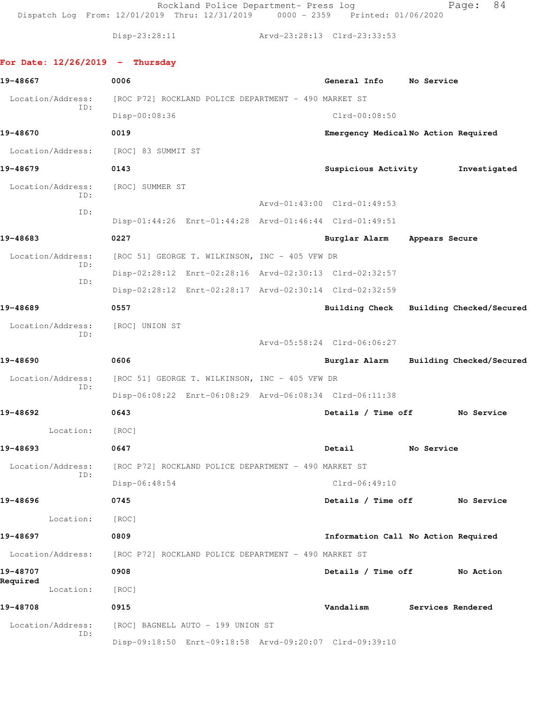Rockland Police Department- Press log Fage: 84 Dispatch Log From: 12/01/2019 Thru: 12/31/2019 0000 - 2359 Printed: 01/06/2020

Disp-23:28:11 Arvd-23:28:13 Clrd-23:33:53

## **For Date: 12/26/2019 - Thursday**

| 19-48667                 | 0006                                                    | General Info                        | No Service |                                         |
|--------------------------|---------------------------------------------------------|-------------------------------------|------------|-----------------------------------------|
| Location/Address:        | [ROC P72] ROCKLAND POLICE DEPARTMENT - 490 MARKET ST    |                                     |            |                                         |
| ID:                      | Disp-00:08:36                                           | $Clrd-00:08:50$                     |            |                                         |
| 19-48670                 | 0019                                                    | Emergency MedicalNo Action Required |            |                                         |
|                          | Location/Address: [ROC] 83 SUMMIT ST                    |                                     |            |                                         |
| 19-48679                 | 0143                                                    | Suspicious Activity                 |            | Investigated                            |
| Location/Address:        | [ROC] SUMMER ST                                         |                                     |            |                                         |
| ID:<br>ID:               |                                                         | Arvd-01:43:00 Clrd-01:49:53         |            |                                         |
|                          | Disp-01:44:26 Enrt-01:44:28 Arvd-01:46:44 Clrd-01:49:51 |                                     |            |                                         |
| 19-48683                 | 0227                                                    | Burglar Alarm Appears Secure        |            |                                         |
| Location/Address:        | [ROC 51] GEORGE T. WILKINSON, INC - 405 VFW DR          |                                     |            |                                         |
| ID:                      | Disp-02:28:12 Enrt-02:28:16 Arvd-02:30:13 Clrd-02:32:57 |                                     |            |                                         |
| ID:                      | Disp-02:28:12 Enrt-02:28:17 Arvd-02:30:14 Clrd-02:32:59 |                                     |            |                                         |
| 19-48689                 | 0557                                                    |                                     |            | Building Check Building Checked/Secured |
| Location/Address:        | [ROC] UNION ST                                          |                                     |            |                                         |
| ID:                      |                                                         | Arvd-05:58:24 Clrd-06:06:27         |            |                                         |
| 19-48690                 | 0606                                                    |                                     |            | Burglar Alarm Building Checked/Secured  |
| Location/Address:<br>ID: | [ROC 51] GEORGE T. WILKINSON, INC - 405 VFW DR          |                                     |            |                                         |
|                          | Disp-06:08:22 Enrt-06:08:29 Arvd-06:08:34 Clrd-06:11:38 |                                     |            |                                         |
| 19-48692                 | 0643                                                    | Details / Time off                  |            | No Service                              |
| Location:                | [ROC]                                                   |                                     |            |                                         |
| 19-48693                 | 0647                                                    | Detail                              | No Service |                                         |
| Location/Address:        | [ROC P72] ROCKLAND POLICE DEPARTMENT - 490 MARKET ST    |                                     |            |                                         |
| ID:                      | Disp-06:48:54                                           | $Clrd-06:49:10$                     |            |                                         |
| 19-48696                 | 0745                                                    | Details / Time off                  |            | No Service                              |
| Location:                | [ROC]                                                   |                                     |            |                                         |
| 19-48697                 | 0809                                                    | Information Call No Action Required |            |                                         |
| Location/Address:        | [ROC P72] ROCKLAND POLICE DEPARTMENT - 490 MARKET ST    |                                     |            |                                         |
| 19-48707                 | 0908                                                    | Details / Time off                  |            | No Action                               |
| Required<br>Location:    | [ROC]                                                   |                                     |            |                                         |
| 19-48708                 | 0915                                                    | Vandalism                           |            | Services Rendered                       |
| Location/Address:        | [ROC] BAGNELL AUTO - 199 UNION ST                       |                                     |            |                                         |
| ID:                      | Disp-09:18:50 Enrt-09:18:58 Arvd-09:20:07 Clrd-09:39:10 |                                     |            |                                         |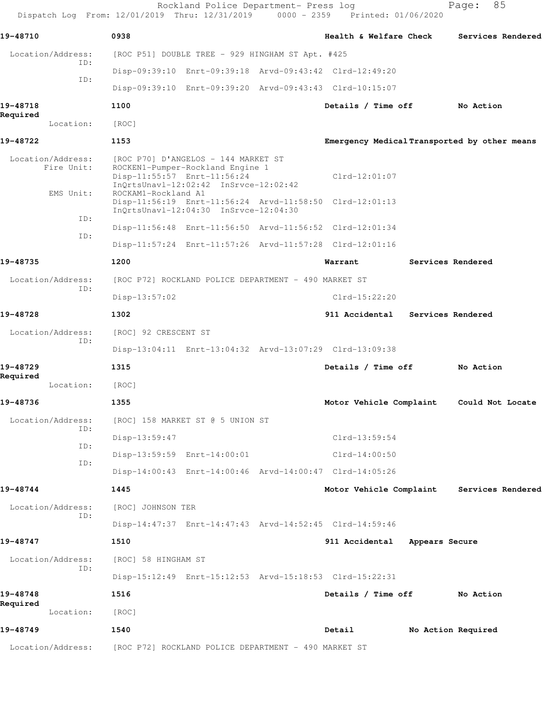Rockland Police Department- Press log entitled and Page: 85 Dispatch Log From: 12/01/2019 Thru: 12/31/2019 0000 - 2359 Printed: 01/06/2020

| 19-48710                        | 0938                                                                                                                                            | Health & Welfare Check                       | Services Rendered  |
|---------------------------------|-------------------------------------------------------------------------------------------------------------------------------------------------|----------------------------------------------|--------------------|
| Location/Address:               | [ROC P51] DOUBLE TREE - 929 HINGHAM ST Apt. #425                                                                                                |                                              |                    |
| ID:<br>ID:                      | Disp-09:39:10 Enrt-09:39:18 Arvd-09:43:42 Clrd-12:49:20                                                                                         |                                              |                    |
|                                 | Disp-09:39:10 Enrt-09:39:20 Arvd-09:43:43 Clrd-10:15:07                                                                                         |                                              |                    |
| 19-48718                        | 1100                                                                                                                                            | Details / Time off                           | No Action          |
| Required<br>Location:           | [ROC]                                                                                                                                           |                                              |                    |
| 19-48722                        | 1153                                                                                                                                            | Emergency Medical Transported by other means |                    |
| Location/Address:<br>Fire Unit: | [ROC P70] D'ANGELOS - 144 MARKET ST<br>ROCKEN1-Pumper-Rockland Engine 1<br>Disp-11:55:57 Enrt-11:56:24<br>InQrtsUnavl-12:02:42 InSrvce-12:02:42 | $Clrd-12:01:07$                              |                    |
| EMS Unit:                       | ROCKAM1-Rockland A1<br>Disp-11:56:19 Enrt-11:56:24 Arvd-11:58:50 Clrd-12:01:13<br>InQrtsUnavl-12:04:30 InSrvce-12:04:30                         |                                              |                    |
| ID:                             | Disp-11:56:48 Enrt-11:56:50 Arvd-11:56:52 Clrd-12:01:34                                                                                         |                                              |                    |
| ID:                             | Disp-11:57:24 Enrt-11:57:26 Arvd-11:57:28 Clrd-12:01:16                                                                                         |                                              |                    |
| 19-48735                        | 1200                                                                                                                                            | Warrant                                      | Services Rendered  |
| Location/Address:               | [ROC P72] ROCKLAND POLICE DEPARTMENT - 490 MARKET ST                                                                                            |                                              |                    |
| ID:                             | $Disp-13:57:02$                                                                                                                                 | Clrd-15:22:20                                |                    |
| 19-48728                        | 1302                                                                                                                                            | 911 Accidental Services Rendered             |                    |
| Location/Address:               | [ROC] 92 CRESCENT ST                                                                                                                            |                                              |                    |
| ID:                             | Disp-13:04:11 Enrt-13:04:32 Arvd-13:07:29 Clrd-13:09:38                                                                                         |                                              |                    |
| 19-48729                        | 1315                                                                                                                                            | Details / Time off                           | No Action          |
| Required<br>Location:           | [ROC]                                                                                                                                           |                                              |                    |
| 19-48736                        | 1355                                                                                                                                            | Motor Vehicle Complaint                      | Could Not Locate   |
|                                 | Location/Address: [ROC] 158 MARKET ST @ 5 UNION ST                                                                                              |                                              |                    |
| ID:                             | $Disp-13:59:47$                                                                                                                                 | Clrd-13:59:54                                |                    |
| ID:                             | Disp-13:59:59 Enrt-14:00:01                                                                                                                     | $Clrd-14:00:50$                              |                    |
| ID:                             | Disp-14:00:43 Enrt-14:00:46 Arvd-14:00:47 Clrd-14:05:26                                                                                         |                                              |                    |
| 19-48744                        | 1445                                                                                                                                            | Motor Vehicle Complaint                      | Services Rendered  |
| Location/Address:<br>ID:        | [ROC] JOHNSON TER                                                                                                                               |                                              |                    |
|                                 | Disp-14:47:37 Enrt-14:47:43 Arvd-14:52:45 Clrd-14:59:46                                                                                         |                                              |                    |
| 19-48747                        | 1510                                                                                                                                            | 911 Accidental<br>Appears Secure             |                    |
| Location/Address:<br>ID:        | [ROC] 58 HINGHAM ST                                                                                                                             |                                              |                    |
|                                 | Disp-15:12:49 Enrt-15:12:53 Arvd-15:18:53 Clrd-15:22:31                                                                                         |                                              |                    |
| 19-48748<br>Required            | 1516                                                                                                                                            | Details / Time off                           | No Action          |
| Location:                       | [ROC]                                                                                                                                           |                                              |                    |
| 19-48749                        | 1540                                                                                                                                            | Detail                                       | No Action Required |
|                                 | Location/Address: [ROC P72] ROCKLAND POLICE DEPARTMENT - 490 MARKET ST                                                                          |                                              |                    |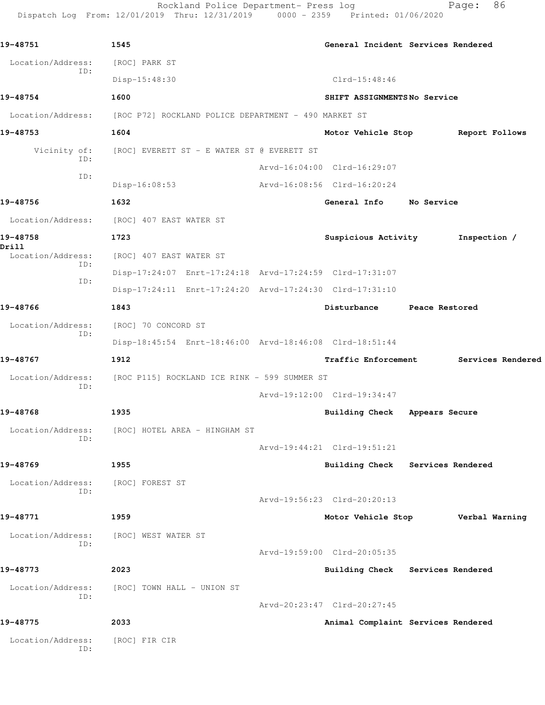Rockland Police Department- Press log entitled and Page: 86 Dispatch Log From: 12/01/2019 Thru: 12/31/2019 0000 - 2359 Printed: 01/06/2020

| 19-48751                 | 1545                                                    | General Incident Services Rendered |                   |  |
|--------------------------|---------------------------------------------------------|------------------------------------|-------------------|--|
| Location/Address:        | [ROC] PARK ST                                           |                                    |                   |  |
| ID:                      | Disp-15:48:30                                           | Clrd-15:48:46                      |                   |  |
| 19-48754                 | 1600                                                    | SHIFT ASSIGNMENTSNo Service        |                   |  |
| Location/Address:        | [ROC P72] ROCKLAND POLICE DEPARTMENT - 490 MARKET ST    |                                    |                   |  |
| 19-48753                 | 1604                                                    | Motor Vehicle Stop Report Follows  |                   |  |
| Vicinity of:<br>ID:      | [ROC] EVERETT ST - E WATER ST @ EVERETT ST              |                                    |                   |  |
| ID:                      |                                                         | Arvd-16:04:00 Clrd-16:29:07        |                   |  |
|                          | $Disp-16:08:53$                                         | Arvd-16:08:56 Clrd-16:20:24        |                   |  |
| 19-48756                 | 1632                                                    | General Info No Service            |                   |  |
|                          | Location/Address: [ROC] 407 EAST WATER ST               |                                    |                   |  |
| 19-48758<br>Drill        | 1723                                                    | Suspicious Activity                | Inspection /      |  |
| Location/Address:<br>ID: | [ROC] 407 EAST WATER ST                                 |                                    |                   |  |
| ID:                      | Disp-17:24:07 Enrt-17:24:18 Arvd-17:24:59 Clrd-17:31:07 |                                    |                   |  |
|                          | Disp-17:24:11 Enrt-17:24:20 Arvd-17:24:30 Clrd-17:31:10 |                                    |                   |  |
| 19-48766                 | 1843                                                    | Disturbance Peace Restored         |                   |  |
| Location/Address:<br>ID: | [ROC] 70 CONCORD ST                                     |                                    |                   |  |
|                          | Disp-18:45:54 Enrt-18:46:00 Arvd-18:46:08 Clrd-18:51:44 |                                    |                   |  |
| 19-48767                 | 1912                                                    | <b>Traffic Enforcement</b>         | Services Rendered |  |
| Location/Address:<br>ID: | [ROC P115] ROCKLAND ICE RINK - 599 SUMMER ST            |                                    |                   |  |
|                          |                                                         | Arvd-19:12:00 Clrd-19:34:47        |                   |  |
| 19-48768                 | 1935                                                    | Building Check Appears Secure      |                   |  |
| ID:                      | Location/Address: [ROC] HOTEL AREA - HINGHAM ST         |                                    |                   |  |
|                          |                                                         | Arvd-19:44:21 Clrd-19:51:21        |                   |  |
| 19-48769                 | 1955                                                    | Building Check Services Rendered   |                   |  |
| Location/Address:<br>ID: | [ROC] FOREST ST                                         |                                    |                   |  |
|                          |                                                         | Arvd-19:56:23 Clrd-20:20:13        |                   |  |
| 19-48771                 | 1959                                                    | Motor Vehicle Stop                 | Verbal Warning    |  |
| Location/Address:<br>ID: | [ROC] WEST WATER ST                                     |                                    |                   |  |
|                          |                                                         | Arvd-19:59:00 Clrd-20:05:35        |                   |  |
| 19-48773                 | 2023                                                    | Building Check Services Rendered   |                   |  |
| Location/Address:<br>ID: | [ROC] TOWN HALL - UNION ST                              |                                    |                   |  |
|                          |                                                         | Arvd-20:23:47 Clrd-20:27:45        |                   |  |
| 19-48775                 | 2033                                                    | Animal Complaint Services Rendered |                   |  |
| Location/Address:<br>ID: | [ROC] FIR CIR                                           |                                    |                   |  |
|                          |                                                         |                                    |                   |  |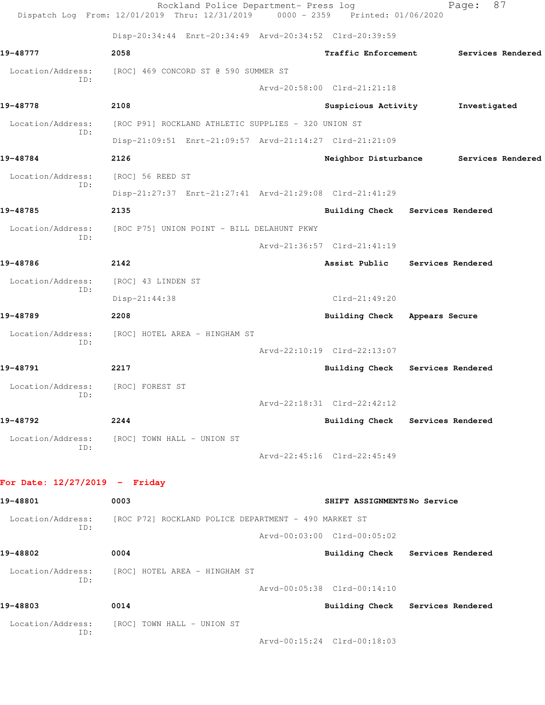|                                 | Rockland Police Department- Press log<br>Dispatch Log From: 12/01/2019 Thru: 12/31/2019 0000 - 2359 Printed: 01/06/2020 |                                  | Page:             | 87                |
|---------------------------------|-------------------------------------------------------------------------------------------------------------------------|----------------------------------|-------------------|-------------------|
|                                 | Disp-20:34:44 Enrt-20:34:49 Arvd-20:34:52 Clrd-20:39:59                                                                 |                                  |                   |                   |
| 19-48777                        | 2058                                                                                                                    | <b>Traffic Enforcement</b>       |                   | Services Rendered |
| Location/Address:               | [ROC] 469 CONCORD ST @ 590 SUMMER ST                                                                                    |                                  |                   |                   |
| ID:                             |                                                                                                                         | Arvd-20:58:00 Clrd-21:21:18      |                   |                   |
| 19-48778                        | 2108                                                                                                                    | Suspicious Activity              | Investigated      |                   |
| Location/Address:<br>TD:        | [ROC P91] ROCKLAND ATHLETIC SUPPLIES - 320 UNION ST                                                                     |                                  |                   |                   |
|                                 | Disp-21:09:51 Enrt-21:09:57 Arvd-21:14:27 Clrd-21:21:09                                                                 |                                  |                   |                   |
| 19-48784                        | 2126                                                                                                                    | Neighbor Disturbance             | Services Rendered |                   |
| Location/Address:<br>ID:        | [ROC] 56 REED ST                                                                                                        |                                  |                   |                   |
|                                 | Disp-21:27:37 Enrt-21:27:41 Arvd-21:29:08 Clrd-21:41:29                                                                 |                                  |                   |                   |
| 19-48785                        | 2135                                                                                                                    | Building Check Services Rendered |                   |                   |
| Location/Address:<br>ID:        | [ROC P75] UNION POINT - BILL DELAHUNT PKWY                                                                              |                                  |                   |                   |
|                                 |                                                                                                                         | Arvd-21:36:57 Clrd-21:41:19      |                   |                   |
| 19-48786                        | 2142                                                                                                                    | Assist Public Services Rendered  |                   |                   |
| Location/Address:<br>ID:        | [ROC] 43 LINDEN ST                                                                                                      |                                  |                   |                   |
|                                 | Disp-21:44:38                                                                                                           | $Clrd-21:49:20$                  |                   |                   |
| 19-48789                        | 2208                                                                                                                    | Building Check Appears Secure    |                   |                   |
| Location/Address:<br>ID:        | [ROC] HOTEL AREA - HINGHAM ST                                                                                           |                                  |                   |                   |
|                                 |                                                                                                                         | Arvd-22:10:19 Clrd-22:13:07      |                   |                   |
| 19-48791                        | 2217                                                                                                                    | Building Check Services Rendered |                   |                   |
| Location/Address:<br>ID:        | [ROC] FOREST ST                                                                                                         |                                  |                   |                   |
|                                 |                                                                                                                         | Arvd-22:18:31 Clrd-22:42:12      |                   |                   |
| 19-48792                        | 2244                                                                                                                    | Building Check Services Rendered |                   |                   |
| Location/Address:<br>ID:        | [ROC] TOWN HALL - UNION ST                                                                                              |                                  |                   |                   |
|                                 |                                                                                                                         | Arvd-22:45:16 Clrd-22:45:49      |                   |                   |
| For Date: $12/27/2019$ - Friday |                                                                                                                         |                                  |                   |                   |
| 19-48801                        | 0003                                                                                                                    | SHIFT ASSIGNMENTSNo Service      |                   |                   |
| Location/Address:               | [ROC P72] ROCKLAND POLICE DEPARTMENT - 490 MARKET ST                                                                    |                                  |                   |                   |
| ID:                             |                                                                                                                         | Arvd-00:03:00 Clrd-00:05:02      |                   |                   |
| 19-48802                        | 0004                                                                                                                    | Building Check Services Rendered |                   |                   |
| Location/Address:               | [ROC] HOTEL AREA - HINGHAM ST                                                                                           |                                  |                   |                   |
| ID:                             |                                                                                                                         | Arvd-00:05:38 Clrd-00:14:10      |                   |                   |
| 19-48803                        | 0014                                                                                                                    | Building Check Services Rendered |                   |                   |
| Location/Address:               | [ROC] TOWN HALL – UNION ST                                                                                              |                                  |                   |                   |
| ID:                             |                                                                                                                         | Arvd-00:15:24 Clrd-00:18:03      |                   |                   |
|                                 |                                                                                                                         |                                  |                   |                   |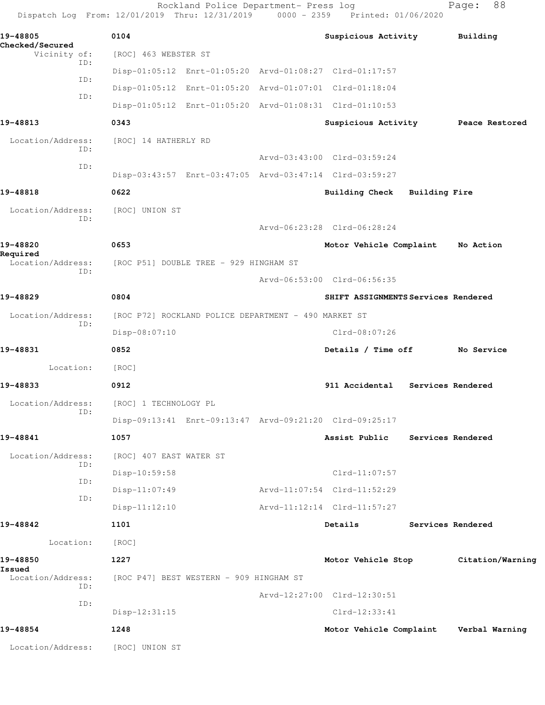|                                      | Dispatch Log From: 12/01/2019 Thru: 12/31/2019 0000 - 2359 Printed: 01/06/2020 | Rockland Police Department- Press log                   |  |                                     |  | 88<br>Page:       |  |  |
|--------------------------------------|--------------------------------------------------------------------------------|---------------------------------------------------------|--|-------------------------------------|--|-------------------|--|--|
| 19-48805                             | 0104                                                                           |                                                         |  | Suspicious Activity                 |  | Building          |  |  |
| Checked/Secured<br>Vicinity of:      | [ROC] 463 WEBSTER ST                                                           |                                                         |  |                                     |  |                   |  |  |
| ID:                                  |                                                                                | Disp-01:05:12 Enrt-01:05:20 Arvd-01:08:27 Clrd-01:17:57 |  |                                     |  |                   |  |  |
| ID:                                  |                                                                                | Disp-01:05:12 Enrt-01:05:20 Arvd-01:07:01 Clrd-01:18:04 |  |                                     |  |                   |  |  |
| ID:                                  |                                                                                | Disp-01:05:12 Enrt-01:05:20 Arvd-01:08:31 Clrd-01:10:53 |  |                                     |  |                   |  |  |
| 19-48813                             | 0343                                                                           |                                                         |  | Suspicious Activity                 |  | Peace Restored    |  |  |
| Location/Address:<br>ID:             | [ROC] 14 HATHERLY RD                                                           |                                                         |  |                                     |  |                   |  |  |
| ID:                                  |                                                                                |                                                         |  | Arvd-03:43:00 Clrd-03:59:24         |  |                   |  |  |
|                                      |                                                                                | Disp-03:43:57 Enrt-03:47:05 Arvd-03:47:14 Clrd-03:59:27 |  |                                     |  |                   |  |  |
| 19-48818                             | 0622                                                                           |                                                         |  | Building Check Building Fire        |  |                   |  |  |
| Location/Address:<br>TD:             | [ROC] UNION ST                                                                 |                                                         |  |                                     |  |                   |  |  |
|                                      |                                                                                |                                                         |  | Arvd-06:23:28 Clrd-06:28:24         |  |                   |  |  |
| 19-48820                             | 0653                                                                           |                                                         |  | Motor Vehicle Complaint             |  | No Action         |  |  |
| Required<br>Location/Address:<br>TD: |                                                                                | [ROC P51] DOUBLE TREE - 929 HINGHAM ST                  |  |                                     |  |                   |  |  |
|                                      |                                                                                |                                                         |  | Arvd-06:53:00 Clrd-06:56:35         |  |                   |  |  |
| 19-48829                             | 0804                                                                           |                                                         |  | SHIFT ASSIGNMENTS Services Rendered |  |                   |  |  |
| Location/Address:<br>ID:             |                                                                                | [ROC P72] ROCKLAND POLICE DEPARTMENT - 490 MARKET ST    |  |                                     |  |                   |  |  |
|                                      | Disp-08:07:10                                                                  |                                                         |  | $Clrd-08:07:26$                     |  |                   |  |  |
| 19-48831                             | 0852                                                                           |                                                         |  | Details / Time off                  |  | No Service        |  |  |
| Location:                            | [ROC]                                                                          |                                                         |  |                                     |  |                   |  |  |
| 19-48833                             | 0912                                                                           |                                                         |  | 911 Accidental                      |  | Services Rendered |  |  |
| Location/Address:<br>ID:             | [ROC] 1 TECHNOLOGY PL                                                          |                                                         |  |                                     |  |                   |  |  |
|                                      |                                                                                | Disp-09:13:41 Enrt-09:13:47 Arvd-09:21:20 Clrd-09:25:17 |  |                                     |  |                   |  |  |
| 19-48841                             | 1057                                                                           |                                                         |  | Assist Public                       |  | Services Rendered |  |  |
| Location/Address:<br>ID:             | [ROC] 407 EAST WATER ST                                                        |                                                         |  |                                     |  |                   |  |  |
| ID:                                  | $Disp-10:59:58$                                                                |                                                         |  | Clrd-11:07:57                       |  |                   |  |  |
| ID:                                  | $Disp-11:07:49$                                                                |                                                         |  | Arvd-11:07:54 Clrd-11:52:29         |  |                   |  |  |
|                                      | $Disp-11:12:10$                                                                |                                                         |  | Arvd-11:12:14 Clrd-11:57:27         |  |                   |  |  |
| 19-48842                             | 1101                                                                           |                                                         |  | Details                             |  | Services Rendered |  |  |
| Location:                            | [ROC]                                                                          |                                                         |  |                                     |  |                   |  |  |
| 19-48850<br>Issued                   | 1227                                                                           |                                                         |  | Motor Vehicle Stop                  |  | Citation/Warning  |  |  |
| Location/Address:<br>ID:             |                                                                                | [ROC P47] BEST WESTERN - 909 HINGHAM ST                 |  |                                     |  |                   |  |  |
| ID:                                  |                                                                                |                                                         |  | Arvd-12:27:00 Clrd-12:30:51         |  |                   |  |  |
|                                      | $Disp-12:31:15$                                                                |                                                         |  | $Clrd-12:33:41$                     |  |                   |  |  |
| 19-48854                             | 1248                                                                           |                                                         |  | Motor Vehicle Complaint             |  | Verbal Warning    |  |  |
| Location/Address:                    | [ROC] UNION ST                                                                 |                                                         |  |                                     |  |                   |  |  |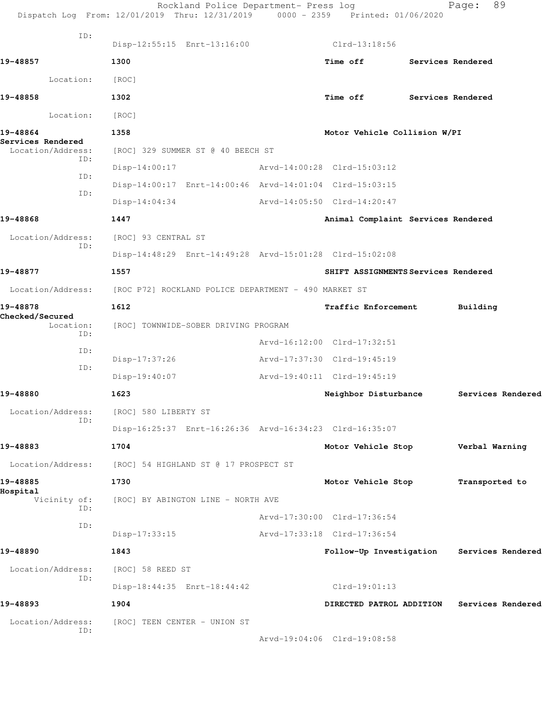|                                        | Rockland Police Department- Press log<br>Dispatch Log From: 12/01/2019 Thru: 12/31/2019 0000 - 2359 Printed: 01/06/2020 |                                           |                   | 89<br>Page:       |  |
|----------------------------------------|-------------------------------------------------------------------------------------------------------------------------|-------------------------------------------|-------------------|-------------------|--|
| ID:                                    | Disp-12:55:15 Enrt-13:16:00                                                                                             | Clrd-13:18:56                             |                   |                   |  |
| 19-48857                               | 1300                                                                                                                    | Time off                                  | Services Rendered |                   |  |
| Location:                              | [ROC]                                                                                                                   |                                           |                   |                   |  |
| 19-48858                               | 1302                                                                                                                    | Time off                                  |                   | Services Rendered |  |
| Location:                              | [ROC]                                                                                                                   |                                           |                   |                   |  |
| 19-48864                               | 1358                                                                                                                    | Motor Vehicle Collision W/PI              |                   |                   |  |
| Services Rendered<br>Location/Address: | [ROC] 329 SUMMER ST @ 40 BEECH ST                                                                                       |                                           |                   |                   |  |
| ID:                                    | $Disp-14:00:17$                                                                                                         | Arvd-14:00:28 Clrd-15:03:12               |                   |                   |  |
| ID:                                    | Disp-14:00:17 Enrt-14:00:46 Arvd-14:01:04 Clrd-15:03:15                                                                 |                                           |                   |                   |  |
| ID:                                    | $Disp-14:04:34$                                                                                                         | Arvd-14:05:50 Clrd-14:20:47               |                   |                   |  |
| 19-48868                               | 1447                                                                                                                    | Animal Complaint Services Rendered        |                   |                   |  |
| Location/Address:                      | [ROC] 93 CENTRAL ST                                                                                                     |                                           |                   |                   |  |
| ID:                                    | Disp-14:48:29 Enrt-14:49:28 Arvd-15:01:28 Clrd-15:02:08                                                                 |                                           |                   |                   |  |
| 19-48877                               | 1557                                                                                                                    | SHIFT ASSIGNMENTS Services Rendered       |                   |                   |  |
|                                        | Location/Address: [ROC P72] ROCKLAND POLICE DEPARTMENT - 490 MARKET ST                                                  |                                           |                   |                   |  |
| 19-48878                               | 1612                                                                                                                    | Traffic Enforcement                       |                   | Building          |  |
| Checked/Secured<br>Location:           | [ROC] TOWNWIDE-SOBER DRIVING PROGRAM                                                                                    |                                           |                   |                   |  |
| ID:                                    |                                                                                                                         | Arvd-16:12:00 Clrd-17:32:51               |                   |                   |  |
| ID:                                    | Disp-17:37:26                                                                                                           | Arvd-17:37:30 Clrd-19:45:19               |                   |                   |  |
| ID:                                    | $Disp-19:40:07$                                                                                                         | Arvd-19:40:11 Clrd-19:45:19               |                   |                   |  |
| 19-48880                               | 1623                                                                                                                    | Neighbor Disturbance                      |                   | Services Rendered |  |
| Location/Address:                      | [ROC] 580 LIBERTY ST                                                                                                    |                                           |                   |                   |  |
| ID:                                    | Disp-16:25:37 Enrt-16:26:36 Arvd-16:34:23 Clrd-16:35:07                                                                 |                                           |                   |                   |  |
| 19-48883                               | 1704                                                                                                                    | Motor Vehicle Stop                        |                   | Verbal Warning    |  |
| Location/Address:                      | [ROC] 54 HIGHLAND ST @ 17 PROSPECT ST                                                                                   |                                           |                   |                   |  |
| 19-48885                               | 1730                                                                                                                    | Motor Vehicle Stop                        |                   | Transported to    |  |
| Hospital<br>Vicinity of:               | [ROC] BY ABINGTON LINE - NORTH AVE                                                                                      |                                           |                   |                   |  |
| ID:                                    |                                                                                                                         | Arvd-17:30:00 Clrd-17:36:54               |                   |                   |  |
| ID:                                    | $Disp-17:33:15$                                                                                                         | Arvd-17:33:18 Clrd-17:36:54               |                   |                   |  |
| 19-48890                               | 1843                                                                                                                    | Follow-Up Investigation Services Rendered |                   |                   |  |
| Location/Address:<br>ID:               | [ROC] 58 REED ST                                                                                                        |                                           |                   |                   |  |
|                                        | Disp-18:44:35 Enrt-18:44:42                                                                                             | $Clrd-19:01:13$                           |                   |                   |  |
| 19-48893                               | 1904                                                                                                                    | DIRECTED PATROL ADDITION                  |                   | Services Rendered |  |
| Location/Address:<br>ID:               | [ROC] TEEN CENTER - UNION ST                                                                                            |                                           |                   |                   |  |
|                                        |                                                                                                                         | Arvd-19:04:06 Clrd-19:08:58               |                   |                   |  |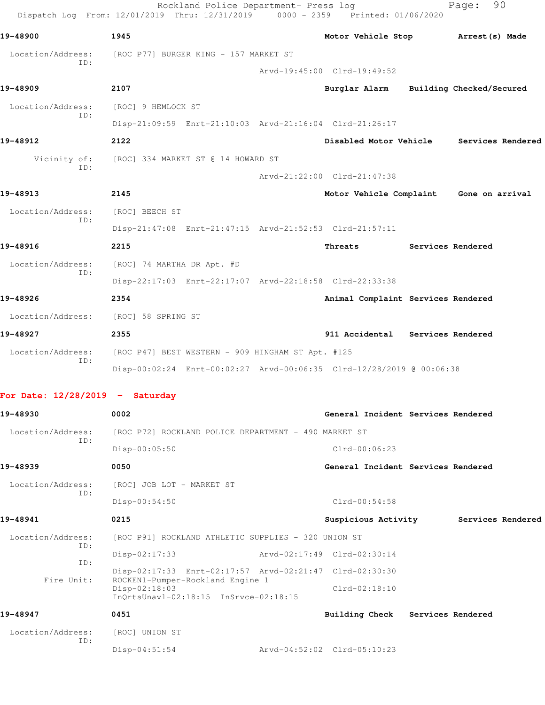|                                   | 1945                                                                 | Motor Vehicle Stop                      |                   | Arrest (s) Made          |
|-----------------------------------|----------------------------------------------------------------------|-----------------------------------------|-------------------|--------------------------|
| Location/Address:                 | [ROC P77] BURGER KING - 157 MARKET ST                                |                                         |                   |                          |
| ID:                               |                                                                      | Arvd-19:45:00 Clrd-19:49:52             |                   |                          |
| 19-48909                          | 2107                                                                 | Burglar Alarm                           |                   | Building Checked/Secured |
| Location/Address:<br>ID:          | [ROC] 9 HEMLOCK ST                                                   |                                         |                   |                          |
|                                   | Disp-21:09:59 Enrt-21:10:03 Arvd-21:16:04 Clrd-21:26:17              |                                         |                   |                          |
| 19-48912                          | 2122                                                                 | Disabled Motor Vehicle                  |                   | Services Rendered        |
| Vicinity of:<br>ID:               | [ROC] 334 MARKET ST @ 14 HOWARD ST                                   |                                         |                   |                          |
|                                   |                                                                      | Arvd-21:22:00 Clrd-21:47:38             |                   |                          |
| 19-48913                          | 2145                                                                 | Motor Vehicle Complaint Gone on arrival |                   |                          |
| Location/Address:<br>ID:          | [ROC] BEECH ST                                                       |                                         |                   |                          |
|                                   | Disp-21:47:08 Enrt-21:47:15 Arvd-21:52:53 Clrd-21:57:11              |                                         |                   |                          |
| 19-48916                          | 2215                                                                 | Threats                                 |                   | Services Rendered        |
| Location/Address:<br>ID:          | [ROC] 74 MARTHA DR Apt. #D                                           |                                         |                   |                          |
|                                   | Disp-22:17:03 Enrt-22:17:07 Arvd-22:18:58 Clrd-22:33:38              |                                         |                   |                          |
| 19-48926                          | 2354                                                                 | Animal Complaint Services Rendered      |                   |                          |
| Location/Address:                 | [ROC] 58 SPRING ST                                                   |                                         |                   |                          |
| 19-48927                          | 2355                                                                 | 911 Accidental                          | Services Rendered |                          |
| Location/Address:<br>ID:          | [ROC P47] BEST WESTERN - 909 HINGHAM ST Apt. #125                    |                                         |                   |                          |
|                                   | Disp-00:02:24 Enrt-00:02:27 Arvd-00:06:35 Clrd-12/28/2019 @ 00:06:38 |                                         |                   |                          |
| For Date: $12/28/2019$ - Saturday |                                                                      |                                         |                   |                          |
| 19-48930                          | 0002                                                                 | General Incident Services Rendered      |                   |                          |
| Location/Address:                 | [ROC P72] ROCKLAND POLICE DEPARTMENT - 490 MARKET ST                 |                                         |                   |                          |
| ID:                               | $Disp-00:05:50$                                                      | $Clrd-00:06:23$                         |                   |                          |
| 19-48939                          | 0050                                                                 | General Incident Services Rendered      |                   |                          |
| Location/Address:<br>ID:          | [ROC] JOB LOT - MARKET ST                                            |                                         |                   |                          |
|                                   | Disp-00:54:50                                                        | $Clrd-00:54:58$                         |                   |                          |
| 19-48941                          | 0215                                                                 | Suspicious Activity                     |                   | Services Rendered        |
|                                   | [ROC P91] ROCKLAND ATHLETIC SUPPLIES - 320 UNION ST                  |                                         |                   |                          |
| Location/Address:                 |                                                                      | Arvd-02:17:49 Clrd-02:30:14             |                   |                          |
| ID:                               | $Disp-02:17:33$                                                      |                                         |                   |                          |
| ID:                               | Disp-02:17:33 Enrt-02:17:57 Arvd-02:21:47 Clrd-02:30:30              |                                         |                   |                          |
| Fire Unit:                        | ROCKEN1-Pumper-Rockland Engine 1<br>Disp-02:18:03                    | $Clrd-02:18:10$                         |                   |                          |
| 19-48947                          | InQrtsUnavl-02:18:15 InSrvce-02:18:15<br>0451                        | <b>Building Check</b>                   | Services Rendered |                          |
| Location/Address:                 | [ROC] UNION ST                                                       |                                         |                   |                          |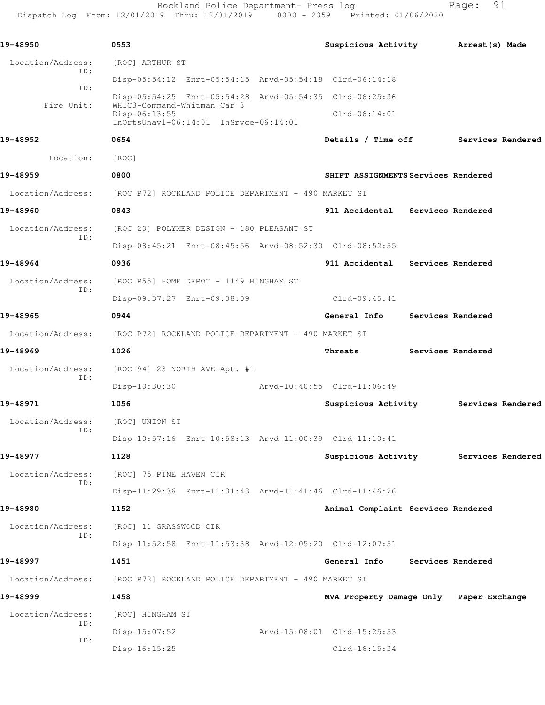Rockland Police Department- Press log Page: 91 Dispatch Log From: 12/01/2019 Thru: 12/31/2019 0000 - 2359 Printed: 01/06/2020

**19-48950 0553 Suspicious Activity Arrest(s) Made** Location/Address: [ROC] ARTHUR ST ID: Disp-05:54:12 Enrt-05:54:15 Arvd-05:54:18 Clrd-06:14:18 ID: Disp-05:54:25 Enrt-05:54:28 Arvd-05:54:35 Clrd-06:25:36 Fire Unit: WHIC3-Command-Whitman Car 3 Disp-06:13:55 Clrd-06:14:01 InQrtsUnavl-06:14:01 InSrvce-06:14:01 **19-48952 0654 Details / Time off Services Rendered** Location: [ROC] **19-48959 0800 SHIFT ASSIGNMENTS Services Rendered** Location/Address: [ROC P72] ROCKLAND POLICE DEPARTMENT - 490 MARKET ST **19-48960 0843 911 Accidental Services Rendered** Location/Address: [ROC 20] POLYMER DESIGN - 180 PLEASANT ST ID: Disp-08:45:21 Enrt-08:45:56 Arvd-08:52:30 Clrd-08:52:55 **19-48964 0936 911 Accidental Services Rendered** Location/Address: [ROC P55] HOME DEPOT - 1149 HINGHAM ST ID: Disp-09:37:27 Enrt-09:38:09 Clrd-09:45:41 **19-48965 0944 General Info Services Rendered** Location/Address: [ROC P72] ROCKLAND POLICE DEPARTMENT - 490 MARKET ST **19-48969 1026 Threats Services Rendered** Location/Address: [ROC 94] 23 NORTH AVE Apt. #1 ID: Disp-10:30:30 Arvd-10:40:55 Clrd-11:06:49 **19-48971 1056 Suspicious Activity Services Rendered** Location/Address: [ROC] UNION ST ID: Disp-10:57:16 Enrt-10:58:13 Arvd-11:00:39 Clrd-11:10:41 **19-48977 1128 Suspicious Activity Services Rendered** Location/Address: [ROC] 75 PINE HAVEN CIR ID: Disp-11:29:36 Enrt-11:31:43 Arvd-11:41:46 Clrd-11:46:26 **19-48980 1152 Animal Complaint Services Rendered** Location/Address: [ROC] 11 GRASSWOOD CIR ID: Disp-11:52:58 Enrt-11:53:38 Arvd-12:05:20 Clrd-12:07:51 **19-48997 1451 General Info Services Rendered** Location/Address: [ROC P72] ROCKLAND POLICE DEPARTMENT - 490 MARKET ST **19-48999 1458 MVA Property Damage Only Paper Exchange** Location/Address: [ROC] HINGHAM ST ID: Disp-15:07:52 Arvd-15:08:01 Clrd-15:25:53 ID: Disp-16:15:25 Clrd-16:15:34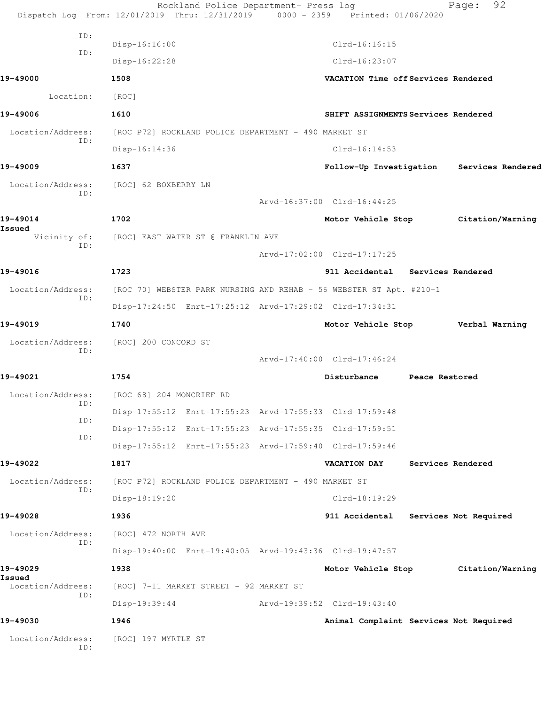|                             | Rockland Police Department- Press log<br>Dispatch Log From: 12/01/2019 Thru: 12/31/2019 0000 - 2359 Printed: 01/06/2020 |                                        | 92<br>Page:                               |
|-----------------------------|-------------------------------------------------------------------------------------------------------------------------|----------------------------------------|-------------------------------------------|
| ID:                         |                                                                                                                         |                                        |                                           |
| ID:                         | Disp-16:16:00                                                                                                           | $Clrd-16:16:15$                        |                                           |
|                             | Disp-16:22:28                                                                                                           | $Clrd-16:23:07$                        |                                           |
| 19-49000                    | 1508                                                                                                                    | VACATION Time off Services Rendered    |                                           |
| Location:                   | [ROC]                                                                                                                   |                                        |                                           |
| 19-49006                    | 1610                                                                                                                    | SHIFT ASSIGNMENTS Services Rendered    |                                           |
| Location/Address:<br>ID:    | [ROC P72] ROCKLAND POLICE DEPARTMENT - 490 MARKET ST                                                                    |                                        |                                           |
|                             | Disp-16:14:36                                                                                                           | $Clrd-16:14:53$                        |                                           |
| 19-49009                    | 1637                                                                                                                    |                                        | Follow-Up Investigation Services Rendered |
| ID:                         | Location/Address: [ROC] 62 BOXBERRY LN                                                                                  |                                        |                                           |
|                             |                                                                                                                         | Arvd-16:37:00 Clrd-16:44:25            |                                           |
| 19-49014<br>Issued          | 1702                                                                                                                    |                                        | Motor Vehicle Stop Citation/Warning       |
| ID:                         | Vicinity of: [ROC] EAST WATER ST @ FRANKLIN AVE                                                                         |                                        |                                           |
|                             |                                                                                                                         | Arvd-17:02:00 Clrd-17:17:25            |                                           |
| 19-49016                    | 1723                                                                                                                    | 911 Accidental Services Rendered       |                                           |
| Location/Address:<br>ID:    | [ROC 70] WEBSTER PARK NURSING AND REHAB - 56 WEBSTER ST Apt. #210-1                                                     |                                        |                                           |
|                             | Disp-17:24:50 Enrt-17:25:12 Arvd-17:29:02 Clrd-17:34:31                                                                 |                                        |                                           |
| 19-49019                    | 1740                                                                                                                    | Motor Vehicle Stop                     | Verbal Warning                            |
| Location/Address:           | [ROC] 200 CONCORD ST                                                                                                    |                                        |                                           |
| ID:                         |                                                                                                                         | Arvd-17:40:00 Clrd-17:46:24            |                                           |
| 19-49021                    | 1754                                                                                                                    | Disturbance Peace Restored             |                                           |
| Location/Address:           | [ROC 68] 204 MONCRIEF RD                                                                                                |                                        |                                           |
| ID:                         | Disp-17:55:12 Enrt-17:55:23 Arvd-17:55:33 Clrd-17:59:48                                                                 |                                        |                                           |
| ID:                         | Disp-17:55:12 Enrt-17:55:23 Arvd-17:55:35 Clrd-17:59:51                                                                 |                                        |                                           |
| ID:                         | Disp-17:55:12 Enrt-17:55:23 Arvd-17:59:40 Clrd-17:59:46                                                                 |                                        |                                           |
| 19-49022                    | 1817                                                                                                                    | <b>VACATION DAY</b>                    | Services Rendered                         |
| Location/Address:           | [ROC P72] ROCKLAND POLICE DEPARTMENT - 490 MARKET ST                                                                    |                                        |                                           |
| ID:                         | Disp-18:19:20                                                                                                           | $Clrd-18:19:29$                        |                                           |
| 19-49028                    | 1936                                                                                                                    | 911 Accidental Services Not Required   |                                           |
| Location/Address:           | [ROC] 472 NORTH AVE                                                                                                     |                                        |                                           |
| ID:                         | Disp-19:40:00 Enrt-19:40:05 Arvd-19:43:36 Clrd-19:47:57                                                                 |                                        |                                           |
| 19-49029                    | 1938                                                                                                                    |                                        | Motor Vehicle Stop Citation/Warning       |
| Issued<br>Location/Address: | [ROC] 7-11 MARKET STREET - 92 MARKET ST                                                                                 |                                        |                                           |
| ID:                         | $Disp-19:39:44$                                                                                                         | Arvd-19:39:52 Clrd-19:43:40            |                                           |
| 19-49030                    | 1946                                                                                                                    | Animal Complaint Services Not Required |                                           |
| Location/Address:<br>ID:    | [ROC] 197 MYRTLE ST                                                                                                     |                                        |                                           |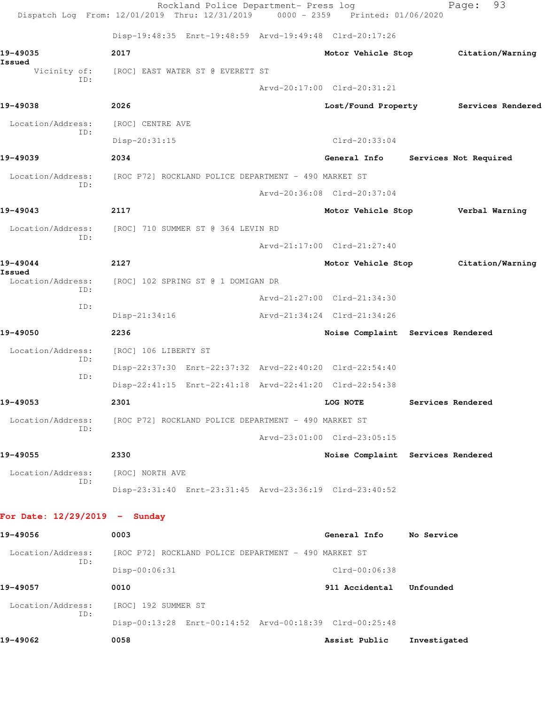|                                 | Rockland Police Department- Press log<br>Dispatch Log From: 12/01/2019 Thru: 12/31/2019 0000 - 2359 Printed: 01/06/2020 |                             | 93<br>Page:                           |
|---------------------------------|-------------------------------------------------------------------------------------------------------------------------|-----------------------------|---------------------------------------|
|                                 | Disp-19:48:35 Enrt-19:48:59 Arvd-19:49:48 Clrd-20:17:26                                                                 |                             |                                       |
| 19-49035<br>Issued              | 2017                                                                                                                    | Motor Vehicle Stop          | Citation/Warning                      |
| Vicinity of:<br>ID:             | [ROC] EAST WATER ST @ EVERETT ST                                                                                        |                             |                                       |
|                                 |                                                                                                                         | Arvd-20:17:00 Clrd-20:31:21 |                                       |
| 19-49038                        | 2026                                                                                                                    |                             | Lost/Found Property Services Rendered |
| Location/Address:<br>ID:        | [ROC] CENTRE AVE                                                                                                        |                             |                                       |
|                                 | Disp-20:31:15                                                                                                           | $Clrd-20:33:04$             |                                       |
| 19-49039                        | 2034                                                                                                                    | General Info                | Services Not Required                 |
| Location/Address:<br>ID:        | [ROC P72] ROCKLAND POLICE DEPARTMENT - 490 MARKET ST                                                                    |                             |                                       |
|                                 |                                                                                                                         | Arvd-20:36:08 Clrd-20:37:04 |                                       |
| 19-49043                        | 2117                                                                                                                    | Motor Vehicle Stop          | Verbal Warning                        |
| Location/Address:               | [ROC] 710 SUMMER ST @ 364 LEVIN RD                                                                                      |                             |                                       |
| ID:                             |                                                                                                                         | Arvd-21:17:00 Clrd-21:27:40 |                                       |
| 19-49044                        | 2127                                                                                                                    | Motor Vehicle Stop          | Citation/Warning                      |
| Issued<br>Location/Address:     | [ROC] 102 SPRING ST @ 1 DOMIGAN DR                                                                                      |                             |                                       |
| ID:                             |                                                                                                                         | Arvd-21:27:00 Clrd-21:34:30 |                                       |
| ID:                             | $Disp-21:34:16$                                                                                                         | Arvd-21:34:24 Clrd-21:34:26 |                                       |
| 19-49050                        | 2236                                                                                                                    |                             | Noise Complaint Services Rendered     |
| Location/Address:               | [ROC] 106 LIBERTY ST                                                                                                    |                             |                                       |
| ID:                             | Disp-22:37:30 Enrt-22:37:32 Arvd-22:40:20 Clrd-22:54:40                                                                 |                             |                                       |
| ID:                             | Disp-22:41:15 Enrt-22:41:18 Arvd-22:41:20 Clrd-22:54:38                                                                 |                             |                                       |
| 19-49053                        | 2301                                                                                                                    | LOG NOTE                    | Services Rendered                     |
| Location/Address:<br>ID:        | [ROC P72] ROCKLAND POLICE DEPARTMENT - 490 MARKET ST                                                                    |                             |                                       |
|                                 |                                                                                                                         | Arvd-23:01:00 Clrd-23:05:15 |                                       |
| 19-49055                        | 2330                                                                                                                    |                             | Noise Complaint Services Rendered     |
| Location/Address:               | [ROC] NORTH AVE                                                                                                         |                             |                                       |
| ID:                             | Disp-23:31:40 Enrt-23:31:45 Arvd-23:36:19 Clrd-23:40:52                                                                 |                             |                                       |
| For Date: $12/29/2019$ - Sunday |                                                                                                                         |                             |                                       |
| 19-49056                        | 0003                                                                                                                    | General Info No Service     |                                       |
| Location/Address:<br>ID:        | [ROC P72] ROCKLAND POLICE DEPARTMENT - 490 MARKET ST                                                                    |                             |                                       |
|                                 | Disp-00:06:31                                                                                                           | Clrd-00:06:38               |                                       |
| 19-49057                        | 0010                                                                                                                    | 911 Accidental              | Unfounded                             |
| Location/Address:               | [ROC] 192 SUMMER ST                                                                                                     |                             |                                       |
| ID:                             | Disp-00:13:28 Enrt-00:14:52 Arvd-00:18:39 Clrd-00:25:48                                                                 |                             |                                       |
| 19-49062                        | 0058                                                                                                                    | Assist Public               | Investigated                          |
|                                 |                                                                                                                         |                             |                                       |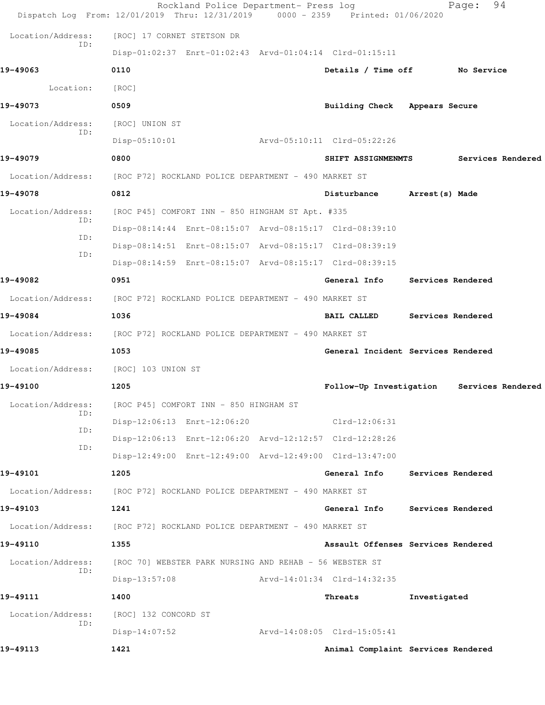|                          | Rockland Police Department- Press log<br>Dispatch Log From: 12/01/2019 Thru: 12/31/2019 0000 - 2359 Printed: 01/06/2020 |                                           |                   | 94<br>Page:       |  |
|--------------------------|-------------------------------------------------------------------------------------------------------------------------|-------------------------------------------|-------------------|-------------------|--|
| Location/Address:        | [ROC] 17 CORNET STETSON DR                                                                                              |                                           |                   |                   |  |
| ID:                      | Disp-01:02:37 Enrt-01:02:43 Arvd-01:04:14 Clrd-01:15:11                                                                 |                                           |                   |                   |  |
| 19-49063                 | 0110                                                                                                                    | Details / Time off No Service             |                   |                   |  |
| Location:                | [ROC]                                                                                                                   |                                           |                   |                   |  |
| 19-49073                 | 0509                                                                                                                    | Building Check Appears Secure             |                   |                   |  |
| Location/Address:        | [ROC] UNION ST                                                                                                          |                                           |                   |                   |  |
| TD:                      | $Disp-05:10:01$                                                                                                         | Arvd-05:10:11 Clrd-05:22:26               |                   |                   |  |
| 19-49079                 | 0800                                                                                                                    | SHIFT ASSIGNMENMTS                        |                   | Services Rendered |  |
| Location/Address:        | [ROC P72] ROCKLAND POLICE DEPARTMENT - 490 MARKET ST                                                                    |                                           |                   |                   |  |
| 19-49078                 | 0812                                                                                                                    | Disturbance                               | Arrest (s) Made   |                   |  |
| Location/Address:        | [ROC P45] COMFORT INN - 850 HINGHAM ST Apt. #335                                                                        |                                           |                   |                   |  |
| ID:                      | Disp-08:14:44 Enrt-08:15:07 Arvd-08:15:17 Clrd-08:39:10                                                                 |                                           |                   |                   |  |
| ID:                      | Disp-08:14:51 Enrt-08:15:07 Arvd-08:15:17 Clrd-08:39:19                                                                 |                                           |                   |                   |  |
| ID:                      | Disp-08:14:59 Enrt-08:15:07 Arvd-08:15:17 Clrd-08:39:15                                                                 |                                           |                   |                   |  |
| 19-49082                 | 0951                                                                                                                    | General Info                              | Services Rendered |                   |  |
|                          | Location/Address: [ROC P72] ROCKLAND POLICE DEPARTMENT - 490 MARKET ST                                                  |                                           |                   |                   |  |
| 19-49084                 | 1036                                                                                                                    | <b>BAIL CALLED</b>                        | Services Rendered |                   |  |
| Location/Address:        | [ROC P72] ROCKLAND POLICE DEPARTMENT - 490 MARKET ST                                                                    |                                           |                   |                   |  |
| 19-49085                 | 1053                                                                                                                    | General Incident Services Rendered        |                   |                   |  |
| Location/Address:        | [ROC] 103 UNION ST                                                                                                      |                                           |                   |                   |  |
| 19-49100                 | 1205                                                                                                                    | Follow-Up Investigation Services Rendered |                   |                   |  |
| Location/Address:        | [ROC P45] COMFORT INN - 850 HINGHAM ST                                                                                  |                                           |                   |                   |  |
| ID:<br>ID:               | Disp-12:06:13 Enrt-12:06:20                                                                                             | Clrd-12:06:31                             |                   |                   |  |
| ID:                      | Disp-12:06:13 Enrt-12:06:20 Arvd-12:12:57 Clrd-12:28:26                                                                 |                                           |                   |                   |  |
|                          | Disp-12:49:00 Enrt-12:49:00 Arvd-12:49:00 Clrd-13:47:00                                                                 |                                           |                   |                   |  |
| 19-49101                 | 1205                                                                                                                    | General Info                              | Services Rendered |                   |  |
| Location/Address:        | [ROC P72] ROCKLAND POLICE DEPARTMENT - 490 MARKET ST                                                                    |                                           |                   |                   |  |
| 19-49103                 | 1241                                                                                                                    | General Info                              | Services Rendered |                   |  |
| Location/Address:        | [ROC P72] ROCKLAND POLICE DEPARTMENT - 490 MARKET ST                                                                    |                                           |                   |                   |  |
| 19-49110                 | 1355                                                                                                                    | Assault Offenses Services Rendered        |                   |                   |  |
| Location/Address:<br>ID: | [ROC 70] WEBSTER PARK NURSING AND REHAB - 56 WEBSTER ST                                                                 |                                           |                   |                   |  |
|                          | $Disp-13:57:08$                                                                                                         | Arvd-14:01:34 Clrd-14:32:35               |                   |                   |  |
| 19-49111                 | 1400                                                                                                                    | Threats                                   | Investigated      |                   |  |
| Location/Address:<br>ID: | [ROC] 132 CONCORD ST                                                                                                    |                                           |                   |                   |  |
|                          | $Disp-14:07:52$                                                                                                         | Arvd-14:08:05 Clrd-15:05:41               |                   |                   |  |
| 19-49113                 | 1421                                                                                                                    | Animal Complaint Services Rendered        |                   |                   |  |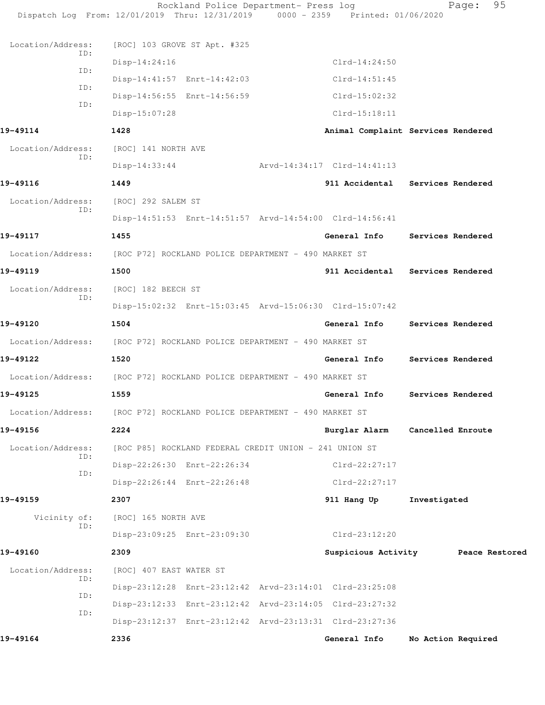|                          | Rockland Police Department- Press log<br>Dispatch Log From: 12/01/2019 Thru: 12/31/2019 0000 - 2359 Printed: 01/06/2020 |                                           |              | 95<br>Page:        |
|--------------------------|-------------------------------------------------------------------------------------------------------------------------|-------------------------------------------|--------------|--------------------|
|                          |                                                                                                                         |                                           |              |                    |
| Location/Address:<br>ID: | [ROC] 103 GROVE ST Apt. #325                                                                                            |                                           |              |                    |
| ID:                      | $Disp-14:24:16$                                                                                                         | $Clrd-14:24:50$                           |              |                    |
| ID:                      | Disp-14:41:57 Enrt-14:42:03                                                                                             | $Clrd-14:51:45$                           |              |                    |
| ID:                      | Disp-14:56:55 Enrt-14:56:59                                                                                             | $Clrd-15:02:32$                           |              |                    |
|                          | Disp-15:07:28                                                                                                           | $Clrd-15:18:11$                           |              |                    |
| 19-49114                 | 1428                                                                                                                    | Animal Complaint Services Rendered        |              |                    |
| Location/Address:<br>ID: | [ROC] 141 NORTH AVE                                                                                                     |                                           |              |                    |
|                          | $Disp-14:33:44$                                                                                                         | Arvd-14:34:17 Clrd-14:41:13               |              |                    |
| 19-49116                 | 1449                                                                                                                    | 911 Accidental Services Rendered          |              |                    |
| Location/Address:<br>ID: | [ROC] 292 SALEM ST                                                                                                      |                                           |              |                    |
|                          | Disp-14:51:53 Enrt-14:51:57 Arvd-14:54:00 Clrd-14:56:41                                                                 |                                           |              |                    |
| 19-49117                 | 1455                                                                                                                    | General Info                              |              | Services Rendered  |
| Location/Address:        | [ROC P72] ROCKLAND POLICE DEPARTMENT - 490 MARKET ST                                                                    |                                           |              |                    |
| 19-49119                 | 1500                                                                                                                    | 911 Accidental Services Rendered          |              |                    |
| Location/Address:<br>ID: | [ROC] 182 BEECH ST                                                                                                      |                                           |              |                    |
|                          | Disp-15:02:32 Enrt-15:03:45 Arvd-15:06:30 Clrd-15:07:42                                                                 |                                           |              |                    |
| 19-49120                 | 1504                                                                                                                    | General Info                              |              | Services Rendered  |
| Location/Address:        | [ROC P72] ROCKLAND POLICE DEPARTMENT - 490 MARKET ST                                                                    |                                           |              |                    |
| 19-49122                 | 1520                                                                                                                    | General Info                              |              | Services Rendered  |
| Location/Address:        | [ROC P72] ROCKLAND POLICE DEPARTMENT - 490 MARKET ST                                                                    |                                           |              |                    |
| 19-49125                 | 1559                                                                                                                    | General Info                              |              | Services Rendered  |
|                          | Location/Address: [ROC P72] ROCKLAND POLICE DEPARTMENT - 490 MARKET ST                                                  |                                           |              |                    |
| 19-49156                 | 2224                                                                                                                    | Burglar Alarm Cancelled Enroute           |              |                    |
| Location/Address:        | [ROC P85] ROCKLAND FEDERAL CREDIT UNION - 241 UNION ST                                                                  |                                           |              |                    |
| ID:                      | Disp-22:26:30 Enrt-22:26:34                                                                                             | $Clrd-22:27:17$                           |              |                    |
| ID:                      | Disp-22:26:44 Enrt-22:26:48                                                                                             | $Clrd-22:27:17$                           |              |                    |
| 19-49159                 | 2307                                                                                                                    | 911 Hang Up                               | Investigated |                    |
| Vicinity of:             | [ROC] 165 NORTH AVE                                                                                                     |                                           |              |                    |
| ID:                      | Disp-23:09:25 Enrt-23:09:30                                                                                             | $Clrd-23:12:20$                           |              |                    |
| 19-49160                 | 2309                                                                                                                    | Suspicious Activity <b>Peace Restored</b> |              |                    |
| Location/Address:        | [ROC] 407 EAST WATER ST                                                                                                 |                                           |              |                    |
| ID:                      | Disp-23:12:28 Enrt-23:12:42 Arvd-23:14:01 Clrd-23:25:08                                                                 |                                           |              |                    |
| ID:                      | Disp-23:12:33 Enrt-23:12:42 Arvd-23:14:05 Clrd-23:27:32                                                                 |                                           |              |                    |
| ID:                      | Disp-23:12:37 Enrt-23:12:42 Arvd-23:13:31 Clrd-23:27:36                                                                 |                                           |              |                    |
| 19-49164                 | 2336                                                                                                                    | General Info                              |              | No Action Required |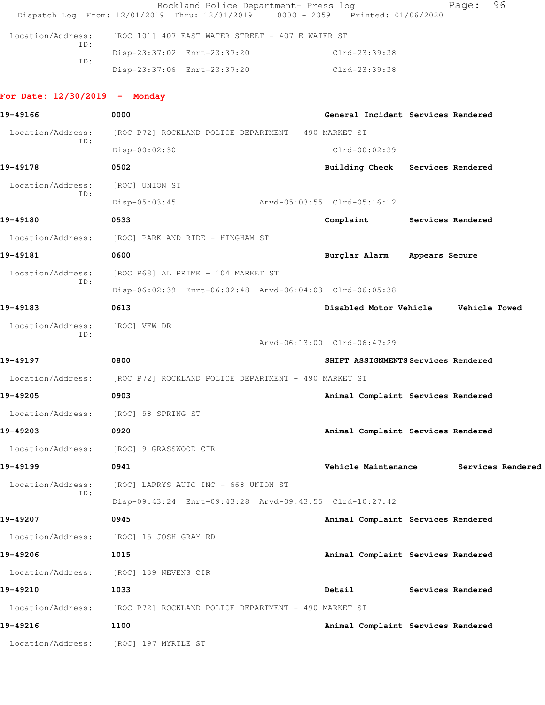|                                       | Rockland Police Department- Press log<br>Dispatch Log From: 12/01/2019 Thru: 12/31/2019 | 0000 - 2359 Printed: 01/06/2020     | 96<br>Page:                          |
|---------------------------------------|-----------------------------------------------------------------------------------------|-------------------------------------|--------------------------------------|
| Location/Address:                     | [ROC 101] 407 EAST WATER STREET - 407 E WATER ST                                        |                                     |                                      |
| ID:                                   | Disp-23:37:02 Enrt-23:37:20                                                             | Clrd-23:39:38                       |                                      |
| ID:                                   | Disp-23:37:06 Enrt-23:37:20                                                             | Clrd-23:39:38                       |                                      |
| For Date: $12/30/2019$ - Monday       |                                                                                         |                                     |                                      |
| 19-49166                              | 0000                                                                                    | General Incident Services Rendered  |                                      |
| Location/Address:                     | [ROC P72] ROCKLAND POLICE DEPARTMENT - 490 MARKET ST                                    |                                     |                                      |
| ID:                                   | Disp-00:02:30                                                                           | $Clrd-00:02:39$                     |                                      |
| 19-49178                              | 0502                                                                                    | Building Check Services Rendered    |                                      |
| Location/Address:                     | [ROC] UNION ST                                                                          |                                     |                                      |
| ID:                                   | $Disp-05:03:45$                                                                         | Arvd-05:03:55 Clrd-05:16:12         |                                      |
| 19-49180                              | 0533                                                                                    | Complaint Services Rendered         |                                      |
|                                       | Location/Address: [ROC] PARK AND RIDE - HINGHAM ST                                      |                                     |                                      |
| 19-49181                              | 0600                                                                                    | Burglar Alarm Appears Secure        |                                      |
| Location/Address:                     | [ROC P68] AL PRIME - 104 MARKET ST                                                      |                                     |                                      |
| ID:                                   | Disp-06:02:39 Enrt-06:02:48 Arvd-06:04:03 Clrd-06:05:38                                 |                                     |                                      |
| 19-49183                              | 0613                                                                                    |                                     | Disabled Motor Vehicle Vehicle Towed |
| Location/Address:                     | [ROC] VFW DR                                                                            |                                     |                                      |
| ID:                                   |                                                                                         | Arvd-06:13:00 Clrd-06:47:29         |                                      |
| 19-49197                              | 0800                                                                                    | SHIFT ASSIGNMENTS Services Rendered |                                      |
|                                       | Location/Address: [ROC P72] ROCKLAND POLICE DEPARTMENT - 490 MARKET ST                  |                                     |                                      |
| 19-49205                              | 0903                                                                                    | Animal Complaint Services Rendered  |                                      |
| Location/Address: [ROC] 58 SPRING ST  |                                                                                         |                                     |                                      |
| 19-49203                              | 0920                                                                                    | Animal Complaint Services Rendered  |                                      |
|                                       | Location/Address: [ROC] 9 GRASSWOOD CIR                                                 |                                     |                                      |
| 19-49199                              | 0941                                                                                    | Vehicle Maintenance                 | Services Rendered                    |
| Location/Address:                     | [ROC] LARRYS AUTO INC - 668 UNION ST                                                    |                                     |                                      |
| ID:                                   | Disp-09:43:24 Enrt-09:43:28 Arvd-09:43:55 Clrd-10:27:42                                 |                                     |                                      |
| 19-49207                              | 0945                                                                                    | Animal Complaint Services Rendered  |                                      |
|                                       | Location/Address: [ROC] 15 JOSH GRAY RD                                                 |                                     |                                      |
| 19-49206                              | 1015                                                                                    | Animal Complaint Services Rendered  |                                      |
| Location/Address:                     | [ROC] 139 NEVENS CIR                                                                    |                                     |                                      |
| 19-49210                              | 1033                                                                                    | Detail                              | Services Rendered                    |
|                                       | Location/Address: [ROC P72] ROCKLAND POLICE DEPARTMENT - 490 MARKET ST                  |                                     |                                      |
| 19-49216                              | 1100                                                                                    | Animal Complaint Services Rendered  |                                      |
| Location/Address: [ROC] 197 MYRTLE ST |                                                                                         |                                     |                                      |
|                                       |                                                                                         |                                     |                                      |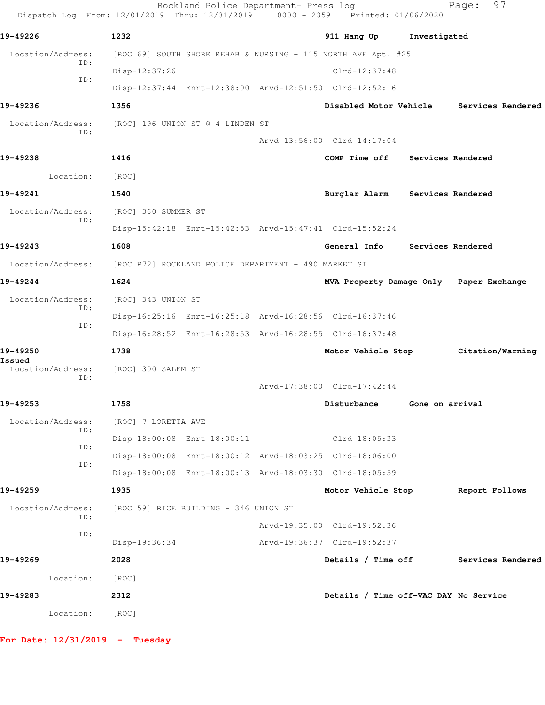| Dispatch Log From: 12/01/2019 Thru: 12/31/2019 0000 - 2359 Printed: 01/06/2020 |                                                      | Rockland Police Department- Press log |                                                               |                   | 97<br>Page:                             |
|--------------------------------------------------------------------------------|------------------------------------------------------|---------------------------------------|---------------------------------------------------------------|-------------------|-----------------------------------------|
| 19-49226                                                                       | 1232                                                 |                                       | 911 Hang Up                                                   | Investigated      |                                         |
| Location/Address:                                                              |                                                      |                                       | [ROC 69] SOUTH SHORE REHAB & NURSING - 115 NORTH AVE Apt. #25 |                   |                                         |
| ID:                                                                            | Disp-12:37:26                                        |                                       | $Clrd-12:37:48$                                               |                   |                                         |
| ID:                                                                            |                                                      |                                       | Disp-12:37:44 Enrt-12:38:00 Arvd-12:51:50 Clrd-12:52:16       |                   |                                         |
| 19-49236                                                                       | 1356                                                 |                                       | Disabled Motor Vehicle                                        |                   | Services Rendered                       |
| Location/Address:                                                              |                                                      | [ROC] 196 UNION ST @ 4 LINDEN ST      |                                                               |                   |                                         |
| ID:                                                                            |                                                      |                                       | Arvd-13:56:00 Clrd-14:17:04                                   |                   |                                         |
| 19-49238                                                                       | 1416                                                 |                                       | COMP Time off                                                 | Services Rendered |                                         |
| Location:                                                                      | [ROC]                                                |                                       |                                                               |                   |                                         |
| 19-49241                                                                       | 1540                                                 |                                       | Burglar Alarm                                                 | Services Rendered |                                         |
| Location/Address:                                                              | [ROC] 360 SUMMER ST                                  |                                       |                                                               |                   |                                         |
| ID:                                                                            |                                                      |                                       | Disp-15:42:18 Enrt-15:42:53 Arvd-15:47:41 Clrd-15:52:24       |                   |                                         |
| 19-49243                                                                       | 1608                                                 |                                       | General Info                                                  | Services Rendered |                                         |
| Location/Address:                                                              | [ROC P72] ROCKLAND POLICE DEPARTMENT - 490 MARKET ST |                                       |                                                               |                   |                                         |
| 19-49244                                                                       | 1624                                                 |                                       |                                                               |                   | MVA Property Damage Only Paper Exchange |
| Location/Address:                                                              | [ROC] 343 UNION ST                                   |                                       |                                                               |                   |                                         |
| ID:                                                                            |                                                      |                                       | Disp-16:25:16 Enrt-16:25:18 Arvd-16:28:56 Clrd-16:37:46       |                   |                                         |
| ID:                                                                            |                                                      |                                       | Disp-16:28:52 Enrt-16:28:53 Arvd-16:28:55 Clrd-16:37:48       |                   |                                         |
| 19-49250                                                                       | 1738                                                 |                                       |                                                               |                   | Motor Vehicle Stop Citation/Warning     |
| Issued<br>Location/Address:                                                    | [ROC] 300 SALEM ST                                   |                                       |                                                               |                   |                                         |
| ID:                                                                            |                                                      |                                       | Arvd-17:38:00 Clrd-17:42:44                                   |                   |                                         |
| 19-49253                                                                       | 1758                                                 |                                       | Disturbance                                                   | Gone on arrival   |                                         |
| Location/Address:                                                              | [ROC] 7 LORETTA AVE                                  |                                       |                                                               |                   |                                         |
| ID:                                                                            |                                                      | Disp-18:00:08 Enrt-18:00:11           | $Clrd-18:05:33$                                               |                   |                                         |
| ID:                                                                            |                                                      |                                       | Disp-18:00:08 Enrt-18:00:12 Arvd-18:03:25 Clrd-18:06:00       |                   |                                         |
| ID:                                                                            |                                                      |                                       | Disp-18:00:08 Enrt-18:00:13 Arvd-18:03:30 Clrd-18:05:59       |                   |                                         |
| 19-49259                                                                       | 1935                                                 |                                       | Motor Vehicle Stop                                            |                   | Report Follows                          |
| Location/Address:                                                              |                                                      | [ROC 59] RICE BUILDING - 346 UNION ST |                                                               |                   |                                         |
| ID:                                                                            |                                                      |                                       | Arvd-19:35:00 Clrd-19:52:36                                   |                   |                                         |
| ID:                                                                            | Disp-19:36:34                                        |                                       | Arvd-19:36:37 Clrd-19:52:37                                   |                   |                                         |
| 19-49269                                                                       | 2028                                                 |                                       | Details / Time off                                            |                   | Services Rendered                       |
| Location:                                                                      | [ROC]                                                |                                       |                                                               |                   |                                         |
| 19-49283                                                                       | 2312                                                 |                                       | Details / Time off-VAC DAY No Service                         |                   |                                         |
| Location:                                                                      | [ROC]                                                |                                       |                                                               |                   |                                         |
|                                                                                |                                                      |                                       |                                                               |                   |                                         |

**For Date: 12/31/2019 - Tuesday**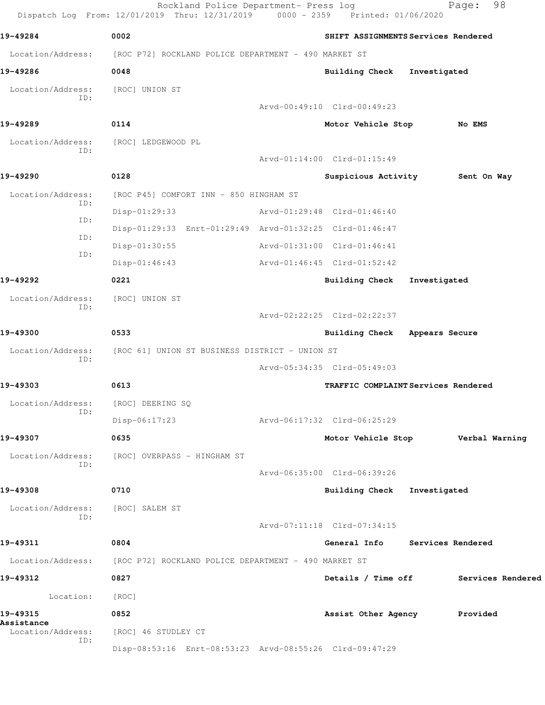Rockland Police Department- Press log Fage: 98 Dispatch Log From: 12/01/2019 Thru: 12/31/2019 0000 - 2359 Printed: 01/06/2020 **19-49284 0002 SHIFT ASSIGNMENTS Services Rendered** Location/Address: [ROC P72] ROCKLAND POLICE DEPARTMENT - 490 MARKET ST **19-49286 0048 Building Check Investigated** Location/Address: [ROC] UNION ST ID: Arvd-00:49:10 Clrd-00:49:23 **19-49289 0114 Motor Vehicle Stop No EMS** Location/Address: [ROC] LEDGEWOOD PL ID: Arvd-01:14:00 Clrd-01:15:49 **19-49290 0128 Suspicious Activity Sent On Way** Location/Address: [ROC P45] COMFORT INN - 850 HINGHAM ST ID: Disp-01:29:33 Arvd-01:29:48 Clrd-01:46:40 ID: Disp-01:29:33 Enrt-01:29:49 Arvd-01:32:25 Clrd-01:46:47 ID: Disp-01:30:55 Arvd-01:31:00 Clrd-01:46:41 ID: Disp-01:46:43 Arvd-01:46:45 Clrd-01:52:42 **19-49292 0221 Building Check Investigated** Location/Address: [ROC] UNION ST ID: Arvd-02:22:25 Clrd-02:22:37 **19-49300 0533 Building Check Appears Secure** Location/Address: [ROC 61] UNION ST BUSINESS DISTRICT - UNION ST ID: Arvd-05:34:35 Clrd-05:49:03 **19-49303 0613 TRAFFIC COMPLAINT Services Rendered** Location/Address: [ROC] DEERING SQ ID: Disp-06:17:23 Arvd-06:17:32 Clrd-06:25:29 **19-49307 0635 Motor Vehicle Stop Verbal Warning** Location/Address: [ROC] OVERPASS - HINGHAM ST ID: Arvd-06:35:00 Clrd-06:39:26 **19-49308 0710 Building Check Investigated** Location/Address: [ROC] SALEM ST ID: Arvd-07:11:18 Clrd-07:34:15 **19-49311 0804 General Info Services Rendered** Location/Address: [ROC P72] ROCKLAND POLICE DEPARTMENT - 490 MARKET ST **19-49312 0827 Details / Time off Services Rendered** Location: [ROC] **19-49315 0852 Assist Other Agency Provided Assistance**  Location/Address: [ROC] 46 STUDLEY CT ID: Disp-08:53:16 Enrt-08:53:23 Arvd-08:55:26 Clrd-09:47:29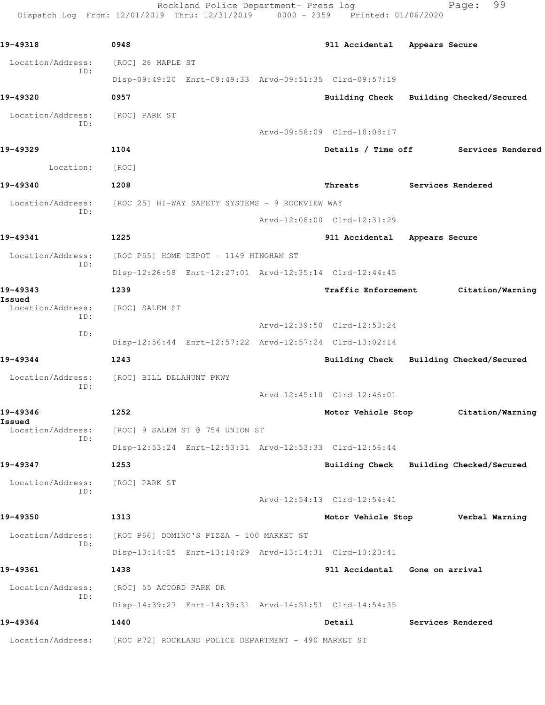Rockland Police Department- Press log Fage: 99 Dispatch Log From: 12/01/2019 Thru: 12/31/2019 0000 - 2359 Printed: 01/06/2020

**19-49318 0948 911 Accidental Appears Secure** Location/Address: [ROC] 26 MAPLE ST ID: Disp-09:49:20 Enrt-09:49:33 Arvd-09:51:35 Clrd-09:57:19 **19-49320 0957 Building Check Building Checked/Secured** Location/Address: [ROC] PARK ST ID: Arvd-09:58:09 Clrd-10:08:17 **19-49329 1104 Details / Time off Services Rendered** Location: [ROC] **19-49340 1208 Threats Services Rendered** Location/Address: [ROC 25] HI-WAY SAFETY SYSTEMS - 9 ROCKVIEW WAY ID: Arvd-12:08:00 Clrd-12:31:29 **19-49341 1225 911 Accidental Appears Secure** Location/Address: [ROC P55] HOME DEPOT - 1149 HINGHAM ST ID: Disp-12:26:58 Enrt-12:27:01 Arvd-12:35:14 Clrd-12:44:45 **19-49343 1239 Traffic Enforcement Citation/Warning Issued**  Location/Address: [ROC] SALEM ST ID: Arvd-12:39:50 Clrd-12:53:24 ID: Disp-12:56:44 Enrt-12:57:22 Arvd-12:57:24 Clrd-13:02:14 **19-49344 1243 Building Check Building Checked/Secured** Location/Address: [ROC] BILL DELAHUNT PKWY ID: Arvd-12:45:10 Clrd-12:46:01 **19-49346 1252 Motor Vehicle Stop Citation/Warning Issued**  Location/Address: [ROC] 9 SALEM ST @ 754 UNION ST ID: Disp-12:53:24 Enrt-12:53:31 Arvd-12:53:33 Clrd-12:56:44 **19-49347 1253 Building Check Building Checked/Secured** Location/Address: [ROC] PARK ST ID: Arvd-12:54:13 Clrd-12:54:41 **19-49350 1313 Motor Vehicle Stop Verbal Warning** Location/Address: [ROC P66] DOMINO'S PIZZA - 100 MARKET ST ID: Disp-13:14:25 Enrt-13:14:29 Arvd-13:14:31 Clrd-13:20:41 **19-49361 1438 911 Accidental Gone on arrival** Location/Address: [ROC] 55 ACCORD PARK DR ID: Disp-14:39:27 Enrt-14:39:31 Arvd-14:51:51 Clrd-14:54:35 **19-49364 1440 Detail Services Rendered** Location/Address: [ROC P72] ROCKLAND POLICE DEPARTMENT - 490 MARKET ST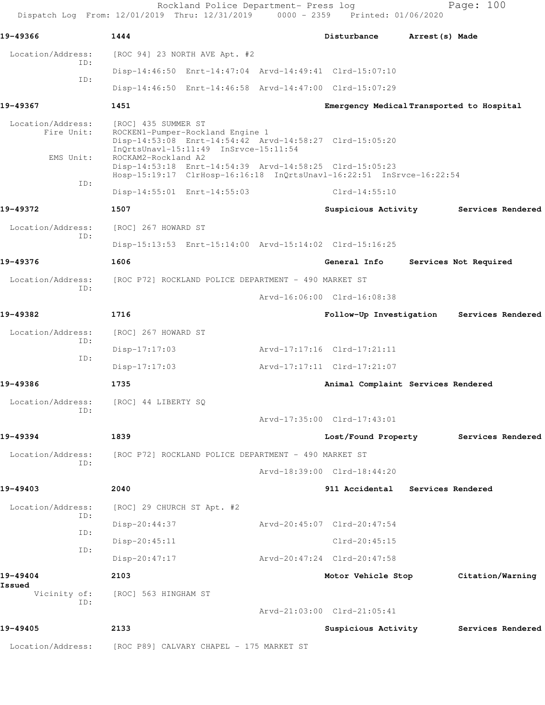Rockland Police Department- Press log Page: 100 Dispatch Log From: 12/01/2019 Thru: 12/31/2019 0000 - 2359 Printed: 01/06/2020 **19-49366 1444 Disturbance Arrest(s) Made** Location/Address: [ROC 94] 23 NORTH AVE Apt. #2 ID: Disp-14:46:50 Enrt-14:47:04 Arvd-14:49:41 Clrd-15:07:10 ID: Disp-14:46:50 Enrt-14:46:58 Arvd-14:47:00 Clrd-15:07:29 **19-49367 1451 Emergency Medical Transported to Hospital** Location/Address: [ROC] 435 SUMMER ST Fire Unit: ROCKEN1-Pumper-Rockland Engine 1 Disp-14:53:08 Enrt-14:54:42 Arvd-14:58:27 Clrd-15:05:20 InQrtsUnavl-15:11:49 InSrvce-15:11:54 EMS Unit: ROCKAM2-Rockland A2 Disp-14:53:18 Enrt-14:54:39 Arvd-14:58:25 Clrd-15:05:23 Hosp-15:19:17 ClrHosp-16:16:18 InQrtsUnavl-16:22:51 InSrvce-16:22:54 ID: Disp-14:55:01 Enrt-14:55:03 Clrd-14:55:10 **19-49372 1507 Suspicious Activity Services Rendered** Location/Address: [ROC] 267 HOWARD ST ID: Disp-15:13:53 Enrt-15:14:00 Arvd-15:14:02 Clrd-15:16:25 **19-49376 1606 General Info Services Not Required** Location/Address: [ROC P72] ROCKLAND POLICE DEPARTMENT - 490 MARKET ST ID: Arvd-16:06:00 Clrd-16:08:38 **19-49382 1716 Follow-Up Investigation Services Rendered** Location/Address: [ROC] 267 HOWARD ST ID: Disp-17:17:03 Arvd-17:17:16 Clrd-17:21:11 ID: Disp-17:17:03 Arvd-17:17:11 Clrd-17:21:07 **19-49386 1735 Animal Complaint Services Rendered** Location/Address: [ROC] 44 LIBERTY SQ ID: Arvd-17:35:00 Clrd-17:43:01 **19-49394 1839 Lost/Found Property Services Rendered** Location/Address: [ROC P72] ROCKLAND POLICE DEPARTMENT - 490 MARKET ST ID: Arvd-18:39:00 Clrd-18:44:20 **19-49403 2040 911 Accidental Services Rendered** Location/Address: [ROC] 29 CHURCH ST Apt. #2 ID: Disp-20:44:37 Arvd-20:45:07 Clrd-20:47:54 ID: Disp-20:45:11 Clrd-20:45:15 ID: Disp-20:47:17 Arvd-20:47:24 Clrd-20:47:58 **19-49404 2103 Motor Vehicle Stop Citation/Warning Issued**  Vicinity of: [ROC] 563 HINGHAM ST ID: Arvd-21:03:00 Clrd-21:05:41 **19-49405 2133 Suspicious Activity Services Rendered** Location/Address: [ROC P89] CALVARY CHAPEL - 175 MARKET ST